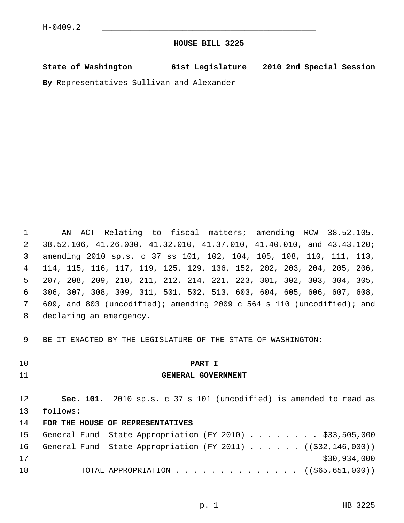# **HOUSE BILL 3225** \_\_\_\_\_\_\_\_\_\_\_\_\_\_\_\_\_\_\_\_\_\_\_\_\_\_\_\_\_\_\_\_\_\_\_\_\_\_\_\_\_\_\_\_\_

**State of Washington 61st Legislature 2010 2nd Special Session**

**By** Representatives Sullivan and Alexander

 1 AN ACT Relating to fiscal matters; amending RCW 38.52.105, 2 38.52.106, 41.26.030, 41.32.010, 41.37.010, 41.40.010, and 43.43.120; 3 amending 2010 sp.s. c 37 ss 101, 102, 104, 105, 108, 110, 111, 113, 4 114, 115, 116, 117, 119, 125, 129, 136, 152, 202, 203, 204, 205, 206, 5 207, 208, 209, 210, 211, 212, 214, 221, 223, 301, 302, 303, 304, 305, 6 306, 307, 308, 309, 311, 501, 502, 513, 603, 604, 605, 606, 607, 608, 7 609, and 803 (uncodified); amending 2009 c 564 s 110 (uncodified); and 8 declaring an emergency.

9 BE IT ENACTED BY THE LEGISLATURE OF THE STATE OF WASHINGTON:

10 **PART I**

# 11 **GENERAL GOVERNMENT**

12 **Sec. 101.** 2010 sp.s. c 37 s 101 (uncodified) is amended to read as 13 follows:

# 14 **FOR THE HOUSE OF REPRESENTATIVES**

|    |  |  |  |  |  |  | 15 General Fund--State Appropriation (FY 2010) \$33,505,000               |
|----|--|--|--|--|--|--|---------------------------------------------------------------------------|
|    |  |  |  |  |  |  | 16 General Fund--State Appropriation (FY 2011) $($ $(\frac{22.146}{000})$ |
| 17 |  |  |  |  |  |  | \$30,934,000                                                              |
| 18 |  |  |  |  |  |  | TOTAL APPROPRIATION ( $(\frac{265}{651}, \frac{651}{600})$ )              |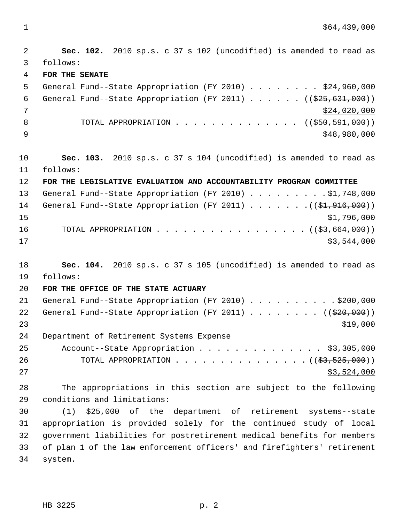$1 \quad$  \$64,439,000

 2 **Sec. 102.** 2010 sp.s. c 37 s 102 (uncodified) is amended to read as 3 follows: 4 **FOR THE SENATE** 5 General Fund--State Appropriation (FY 2010) . . . . . . . . \$24,960,000 6 General Fund--State Appropriation (FY 2011)  $\ldots$  ... (( $\frac{255,631,000}{200}$ ))  $\frac{$24,020,000}{ }$ 8 TOTAL APPROPRIATION . . . . . . . . . . . . . ((\$50,591,000))  $\frac{1}{2}$   $\frac{1}{2}$   $\frac{1}{2}$   $\frac{1}{2}$   $\frac{1}{2}$   $\frac{1}{2}$   $\frac{1}{2}$   $\frac{1}{2}$   $\frac{1}{2}$   $\frac{1}{2}$   $\frac{1}{2}$   $\frac{1}{2}$   $\frac{1}{2}$   $\frac{1}{2}$   $\frac{1}{2}$   $\frac{1}{2}$   $\frac{1}{2}$   $\frac{1}{2}$   $\frac{1}{2}$   $\frac{1}{2}$   $\frac{1}{2}$   $\frac{1}{2}$  10 **Sec. 103.** 2010 sp.s. c 37 s 104 (uncodified) is amended to read as 11 follows: 12 **FOR THE LEGISLATIVE EVALUATION AND ACCOUNTABILITY PROGRAM COMMITTEE** 13 General Fund--State Appropriation (FY 2010) . . . . . . . . . \$1,748,000 14 General Fund--State Appropriation (FY 2011) . . . . . . . ((\$1,916,000))  $\frac{15}{15}$   $\frac{1}{296,000}$ 16 TOTAL APPROPRIATION . . . . . . . . . . . . . . . . . ((\$3,664,000))  $17$  \$3,544,000 18 **Sec. 104.** 2010 sp.s. c 37 s 105 (uncodified) is amended to read as 19 follows: 20 **FOR THE OFFICE OF THE STATE ACTUARY** 21 General Fund--State Appropriation (FY 2010) . . . . . . . . . \$200,000 22 General Fund--State Appropriation (FY 2011)  $\ldots$  . . . . . (( $\frac{20}{20}$ , 000))  $23$ 24 Department of Retirement Systems Expense 25 Account--State Appropriation . . . . . . . . . . . . . \$3,305,000 26 TOTAL APPROPRIATION . . . . . . . . . . . . . . ((<del>\$3,525,000</del>))  $27$  \$3,524,000 28 The appropriations in this section are subject to the following 29 conditions and limitations: 30 (1) \$25,000 of the department of retirement systems--state 31 appropriation is provided solely for the continued study of local 32 government liabilities for postretirement medical benefits for members 33 of plan 1 of the law enforcement officers' and firefighters' retirement

34 system.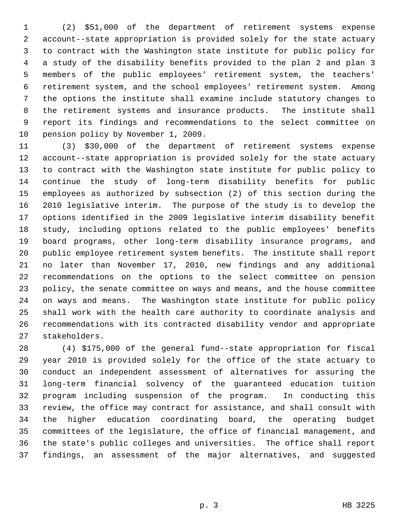1 (2) \$51,000 of the department of retirement systems expense 2 account--state appropriation is provided solely for the state actuary 3 to contract with the Washington state institute for public policy for 4 a study of the disability benefits provided to the plan 2 and plan 3 5 members of the public employees' retirement system, the teachers' 6 retirement system, and the school employees' retirement system. Among 7 the options the institute shall examine include statutory changes to 8 the retirement systems and insurance products. The institute shall 9 report its findings and recommendations to the select committee on 10 pension policy by November 1, 2009.

11 (3) \$30,000 of the department of retirement systems expense 12 account--state appropriation is provided solely for the state actuary 13 to contract with the Washington state institute for public policy to 14 continue the study of long-term disability benefits for public 15 employees as authorized by subsection (2) of this section during the 16 2010 legislative interim. The purpose of the study is to develop the 17 options identified in the 2009 legislative interim disability benefit 18 study, including options related to the public employees' benefits 19 board programs, other long-term disability insurance programs, and 20 public employee retirement system benefits. The institute shall report 21 no later than November 17, 2010, new findings and any additional 22 recommendations on the options to the select committee on pension 23 policy, the senate committee on ways and means, and the house committee 24 on ways and means. The Washington state institute for public policy 25 shall work with the health care authority to coordinate analysis and 26 recommendations with its contracted disability vendor and appropriate 27 stakeholders.

28 (4) \$175,000 of the general fund--state appropriation for fiscal 29 year 2010 is provided solely for the office of the state actuary to 30 conduct an independent assessment of alternatives for assuring the 31 long-term financial solvency of the guaranteed education tuition 32 program including suspension of the program. In conducting this 33 review, the office may contract for assistance, and shall consult with 34 the higher education coordinating board, the operating budget 35 committees of the legislature, the office of financial management, and 36 the state's public colleges and universities. The office shall report 37 findings, an assessment of the major alternatives, and suggested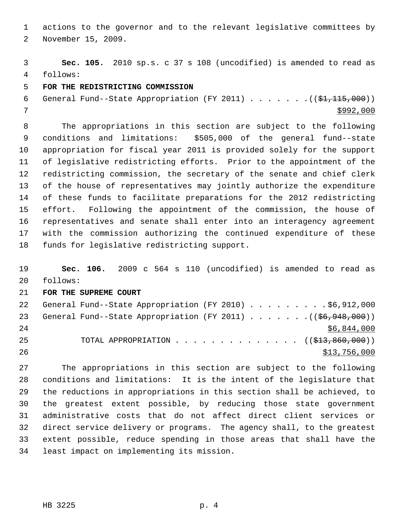1 actions to the governor and to the relevant legislative committees by 2 November 15, 2009.

 3 **Sec. 105.** 2010 sp.s. c 37 s 108 (uncodified) is amended to read as 4 follows:

## 5 **FOR THE REDISTRICTING COMMISSION**

```
 6 General Fund--State Appropriation (FY 2011) . . . . . . .(($1,115,000))
7 $992,000
```
 8 The appropriations in this section are subject to the following 9 conditions and limitations: \$505,000 of the general fund--state 10 appropriation for fiscal year 2011 is provided solely for the support 11 of legislative redistricting efforts. Prior to the appointment of the 12 redistricting commission, the secretary of the senate and chief clerk 13 of the house of representatives may jointly authorize the expenditure 14 of these funds to facilitate preparations for the 2012 redistricting 15 effort. Following the appointment of the commission, the house of 16 representatives and senate shall enter into an interagency agreement 17 with the commission authorizing the continued expenditure of these 18 funds for legislative redistricting support.

19 **Sec. 106.** 2009 c 564 s 110 (uncodified) is amended to read as 20 follows:

#### 21 **FOR THE SUPREME COURT**

| 22 | General Fund--State Appropriation (FY 2010) \$6,912,000               |  |  |  |  |  |              |
|----|-----------------------------------------------------------------------|--|--|--|--|--|--------------|
| 23 | General Fund--State Appropriation (FY 2011) $($ $($ \$6,948,000))     |  |  |  |  |  |              |
| 24 |                                                                       |  |  |  |  |  | \$6,844,000  |
| 25 | TOTAL APPROPRIATION $\ldots$ , ( $(\frac{1}{213}, \frac{860}{100})$ ) |  |  |  |  |  |              |
| 26 |                                                                       |  |  |  |  |  | \$13,756,000 |

27 The appropriations in this section are subject to the following 28 conditions and limitations: It is the intent of the legislature that 29 the reductions in appropriations in this section shall be achieved, to 30 the greatest extent possible, by reducing those state government 31 administrative costs that do not affect direct client services or 32 direct service delivery or programs. The agency shall, to the greatest 33 extent possible, reduce spending in those areas that shall have the 34 least impact on implementing its mission.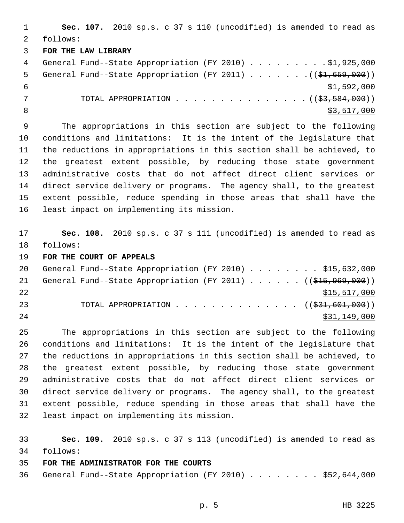1 **Sec. 107.** 2010 sp.s. c 37 s 110 (uncodified) is amended to read as 2 follows: 3 **FOR THE LAW LIBRARY** 4 General Fund--State Appropriation (FY 2010) . . . . . . . . . \$1,925,000 5 General Fund--State Appropriation (FY 2011) . . . . . . .((\$1,659,000))  $\frac{$1,592,000}{$1,592,000}$ 7 TOTAL APPROPRIATION . . . . . . . . . . . . . . ((<del>\$3,584,000</del>)) 8  $\frac{$3,517,000}{ }$ 

 9 The appropriations in this section are subject to the following 10 conditions and limitations: It is the intent of the legislature that 11 the reductions in appropriations in this section shall be achieved, to 12 the greatest extent possible, by reducing those state government 13 administrative costs that do not affect direct client services or 14 direct service delivery or programs. The agency shall, to the greatest 15 extent possible, reduce spending in those areas that shall have the 16 least impact on implementing its mission.

17 **Sec. 108.** 2010 sp.s. c 37 s 111 (uncodified) is amended to read as 18 follows:

19 **FOR THE COURT OF APPEALS**

| 20 |  | General Fund--State Appropriation (FY 2010) \$15,632,000                            |  |  |  |  |  |              |
|----|--|-------------------------------------------------------------------------------------|--|--|--|--|--|--------------|
| 21 |  | General Fund--State Appropriation (FY 2011) $($ $(\frac{15}{700}, \frac{969}{100})$ |  |  |  |  |  |              |
| 22 |  |                                                                                     |  |  |  |  |  | \$15,517,000 |
| 23 |  | TOTAL APPROPRIATION $\ldots$ , ( $(\frac{231}{21}, 601, 000)$ )                     |  |  |  |  |  |              |
| 24 |  |                                                                                     |  |  |  |  |  | \$31,149,000 |

25 The appropriations in this section are subject to the following 26 conditions and limitations: It is the intent of the legislature that 27 the reductions in appropriations in this section shall be achieved, to 28 the greatest extent possible, by reducing those state government 29 administrative costs that do not affect direct client services or 30 direct service delivery or programs. The agency shall, to the greatest 31 extent possible, reduce spending in those areas that shall have the 32 least impact on implementing its mission.

33 **Sec. 109.** 2010 sp.s. c 37 s 113 (uncodified) is amended to read as 34 follows:

35 **FOR THE ADMINISTRATOR FOR THE COURTS**

36 General Fund--State Appropriation (FY 2010) . . . . . . . . \$52,644,000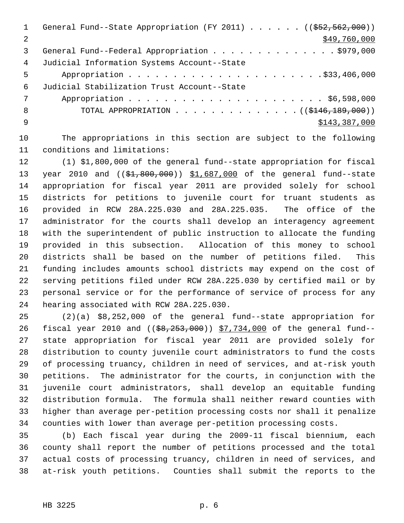|    | General Fund--State Appropriation (FY 2011) $($ $($ $\frac{252}{52}, \frac{562}{900})$ |
|----|----------------------------------------------------------------------------------------|
| 2  | \$49,760,000                                                                           |
| 3  | General Fund--Federal Appropriation \$979,000                                          |
| 4  | Judicial Information Systems Account--State                                            |
| 5  |                                                                                        |
| 6  | Judicial Stabilization Trust Account--State                                            |
| 7  |                                                                                        |
| 8  | TOTAL APPROPRIATION $\ldots$ , ( $(\frac{1446}{189}, 000)$ )                           |
| -9 | \$143,387,000                                                                          |
|    |                                                                                        |

10 The appropriations in this section are subject to the following 11 conditions and limitations:

12 (1) \$1,800,000 of the general fund--state appropriation for fiscal 13 year 2010 and ((\$1,800,000)) \$1,687,000 of the general fund--state 14 appropriation for fiscal year 2011 are provided solely for school 15 districts for petitions to juvenile court for truant students as 16 provided in RCW 28A.225.030 and 28A.225.035. The office of the 17 administrator for the courts shall develop an interagency agreement 18 with the superintendent of public instruction to allocate the funding 19 provided in this subsection. Allocation of this money to school 20 districts shall be based on the number of petitions filed. This 21 funding includes amounts school districts may expend on the cost of 22 serving petitions filed under RCW 28A.225.030 by certified mail or by 23 personal service or for the performance of service of process for any 24 hearing associated with RCW 28A.225.030.

25 (2)(a) \$8,252,000 of the general fund--state appropriation for 26 fiscal year 2010 and ((\$8,253,000)) \$7,734,000 of the general fund--27 state appropriation for fiscal year 2011 are provided solely for 28 distribution to county juvenile court administrators to fund the costs 29 of processing truancy, children in need of services, and at-risk youth 30 petitions. The administrator for the courts, in conjunction with the 31 juvenile court administrators, shall develop an equitable funding 32 distribution formula. The formula shall neither reward counties with 33 higher than average per-petition processing costs nor shall it penalize 34 counties with lower than average per-petition processing costs.

35 (b) Each fiscal year during the 2009-11 fiscal biennium, each 36 county shall report the number of petitions processed and the total 37 actual costs of processing truancy, children in need of services, and 38 at-risk youth petitions. Counties shall submit the reports to the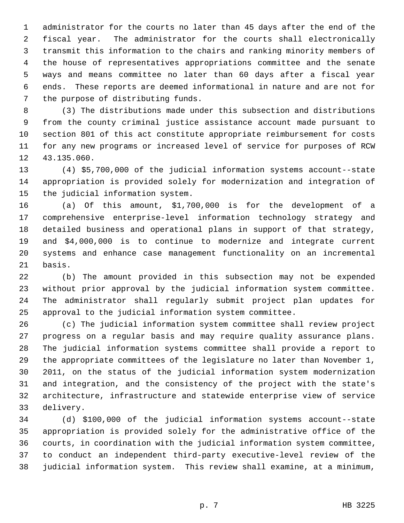1 administrator for the courts no later than 45 days after the end of the 2 fiscal year. The administrator for the courts shall electronically 3 transmit this information to the chairs and ranking minority members of 4 the house of representatives appropriations committee and the senate 5 ways and means committee no later than 60 days after a fiscal year 6 ends. These reports are deemed informational in nature and are not for 7 the purpose of distributing funds.

 8 (3) The distributions made under this subsection and distributions 9 from the county criminal justice assistance account made pursuant to 10 section 801 of this act constitute appropriate reimbursement for costs 11 for any new programs or increased level of service for purposes of RCW 12 43.135.060.

13 (4) \$5,700,000 of the judicial information systems account--state 14 appropriation is provided solely for modernization and integration of 15 the judicial information system.

16 (a) Of this amount, \$1,700,000 is for the development of a 17 comprehensive enterprise-level information technology strategy and 18 detailed business and operational plans in support of that strategy, 19 and \$4,000,000 is to continue to modernize and integrate current 20 systems and enhance case management functionality on an incremental 21 basis.

22 (b) The amount provided in this subsection may not be expended 23 without prior approval by the judicial information system committee. 24 The administrator shall regularly submit project plan updates for 25 approval to the judicial information system committee.

26 (c) The judicial information system committee shall review project 27 progress on a regular basis and may require quality assurance plans. 28 The judicial information systems committee shall provide a report to 29 the appropriate committees of the legislature no later than November 1, 30 2011, on the status of the judicial information system modernization 31 and integration, and the consistency of the project with the state's 32 architecture, infrastructure and statewide enterprise view of service 33 delivery.

34 (d) \$100,000 of the judicial information systems account--state 35 appropriation is provided solely for the administrative office of the 36 courts, in coordination with the judicial information system committee, 37 to conduct an independent third-party executive-level review of the 38 judicial information system. This review shall examine, at a minimum,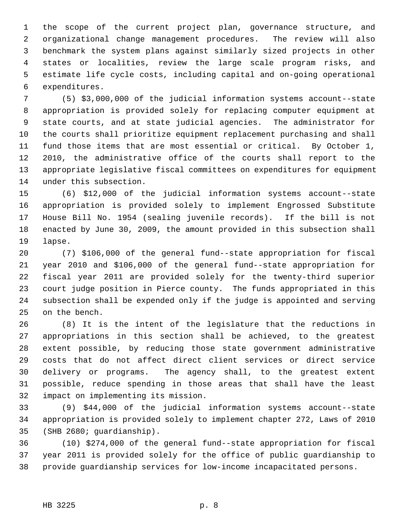1 the scope of the current project plan, governance structure, and 2 organizational change management procedures. The review will also 3 benchmark the system plans against similarly sized projects in other 4 states or localities, review the large scale program risks, and 5 estimate life cycle costs, including capital and on-going operational 6 expenditures.

 7 (5) \$3,000,000 of the judicial information systems account--state 8 appropriation is provided solely for replacing computer equipment at 9 state courts, and at state judicial agencies. The administrator for 10 the courts shall prioritize equipment replacement purchasing and shall 11 fund those items that are most essential or critical. By October 1, 12 2010, the administrative office of the courts shall report to the 13 appropriate legislative fiscal committees on expenditures for equipment 14 under this subsection.

15 (6) \$12,000 of the judicial information systems account--state 16 appropriation is provided solely to implement Engrossed Substitute 17 House Bill No. 1954 (sealing juvenile records). If the bill is not 18 enacted by June 30, 2009, the amount provided in this subsection shall 19 lapse.

20 (7) \$106,000 of the general fund--state appropriation for fiscal 21 year 2010 and \$106,000 of the general fund--state appropriation for 22 fiscal year 2011 are provided solely for the twenty-third superior 23 court judge position in Pierce county. The funds appropriated in this 24 subsection shall be expended only if the judge is appointed and serving 25 on the bench.

26 (8) It is the intent of the legislature that the reductions in 27 appropriations in this section shall be achieved, to the greatest 28 extent possible, by reducing those state government administrative 29 costs that do not affect direct client services or direct service 30 delivery or programs. The agency shall, to the greatest extent 31 possible, reduce spending in those areas that shall have the least 32 impact on implementing its mission.

33 (9) \$44,000 of the judicial information systems account--state 34 appropriation is provided solely to implement chapter 272, Laws of 2010 35 (SHB 2680; guardianship).

36 (10) \$274,000 of the general fund--state appropriation for fiscal 37 year 2011 is provided solely for the office of public guardianship to 38 provide guardianship services for low-income incapacitated persons.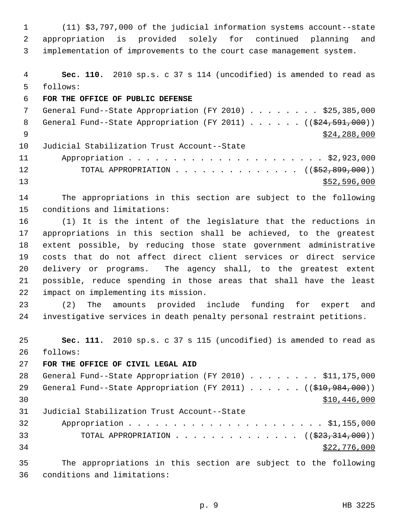1 (11) \$3,797,000 of the judicial information systems account--state 2 appropriation is provided solely for continued planning and 3 implementation of improvements to the court case management system.

 4 **Sec. 110.** 2010 sp.s. c 37 s 114 (uncodified) is amended to read as 5 follows:

6 **FOR THE OFFICE OF PUBLIC DEFENSE**

7 General Fund--State Appropriation (FY 2010) . . . . . . . \$25,385,000 8 General Fund--State Appropriation (FY 2011) . . . . . . ((\$24,591,000))  $\frac{$24,288,000}{$24,288,000}$ 10 Judicial Stabilization Trust Account--State 11 Appropriation . . . . . . . . . . . . . . . . . . . . . . \$2,923,000 12 TOTAL APPROPRIATION . . . . . . . . . . . . . ((<del>\$52,899,000</del>)) 13 \$52,596,000

14 The appropriations in this section are subject to the following 15 conditions and limitations:

16 (1) It is the intent of the legislature that the reductions in 17 appropriations in this section shall be achieved, to the greatest 18 extent possible, by reducing those state government administrative 19 costs that do not affect direct client services or direct service 20 delivery or programs. The agency shall, to the greatest extent 21 possible, reduce spending in those areas that shall have the least 22 impact on implementing its mission.

23 (2) The amounts provided include funding for expert and 24 investigative services in death penalty personal restraint petitions.

25 **Sec. 111.** 2010 sp.s. c 37 s 115 (uncodified) is amended to read as 26 follows:

27 **FOR THE OFFICE OF CIVIL LEGAL AID**

28 General Fund--State Appropriation (FY 2010) . . . . . . . . \$11,175,000 29 General Fund--State Appropriation (FY 2011) . . . . . ((\$10,984,000)) 30 \$10,446,000 31 Judicial Stabilization Trust Account--State 32 Appropriation . . . . . . . . . . . . . . . . . . . . . . \$1,155,000 33 TOTAL APPROPRIATION . . . . . . . . . . . . . . ((\$23,314,000))  $34$  \$22,776,000 35 The appropriations in this section are subject to the following

36 conditions and limitations: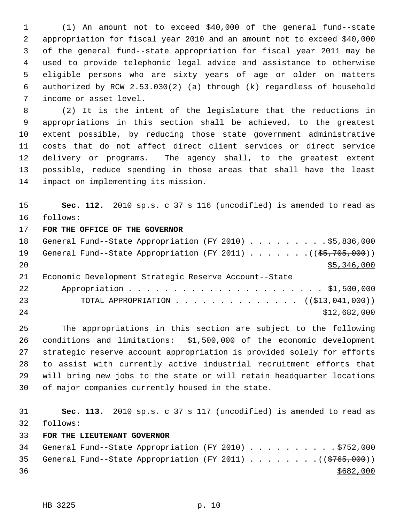1 (1) An amount not to exceed \$40,000 of the general fund--state 2 appropriation for fiscal year 2010 and an amount not to exceed \$40,000 3 of the general fund--state appropriation for fiscal year 2011 may be 4 used to provide telephonic legal advice and assistance to otherwise 5 eligible persons who are sixty years of age or older on matters 6 authorized by RCW 2.53.030(2) (a) through (k) regardless of household 7 income or asset level.

 8 (2) It is the intent of the legislature that the reductions in 9 appropriations in this section shall be achieved, to the greatest 10 extent possible, by reducing those state government administrative 11 costs that do not affect direct client services or direct service 12 delivery or programs. The agency shall, to the greatest extent 13 possible, reduce spending in those areas that shall have the least 14 impact on implementing its mission.

15 **Sec. 112.** 2010 sp.s. c 37 s 116 (uncodified) is amended to read as 16 follows: 17 **FOR THE OFFICE OF THE GOVERNOR**

18 General Fund--State Appropriation (FY 2010) . . . . . . . . . \$5,836,000 19 General Fund--State Appropriation (FY 2011) . . . . . . . ((\$5,705,000)) 20 \$5,346,000 21 Economic Development Strategic Reserve Account--State 22 Appropriation . . . . . . . . . . . . . . . . . . . . . . \$1,500,000 23 TOTAL APPROPRIATION . . . . . . . . . . . . . . ((\$13,041,000)) 24 \$12,682,000

25 The appropriations in this section are subject to the following 26 conditions and limitations: \$1,500,000 of the economic development 27 strategic reserve account appropriation is provided solely for efforts 28 to assist with currently active industrial recruitment efforts that 29 will bring new jobs to the state or will retain headquarter locations 30 of major companies currently housed in the state.

31 **Sec. 113.** 2010 sp.s. c 37 s 117 (uncodified) is amended to read as 32 follows:

33 **FOR THE LIEUTENANT GOVERNOR**

34 General Fund--State Appropriation (FY 2010) . . . . . . . . . . \$752,000 35 General Fund--State Appropriation (FY 2011)  $\ldots$  ..... ((\$765,000))  $36$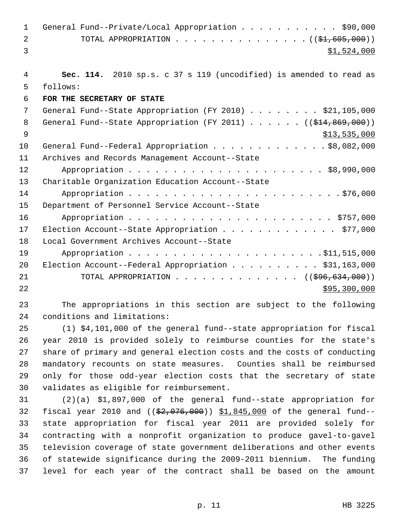| $\mathbf 1$ | General Fund--Private/Local Appropriation \$90,000                     |
|-------------|------------------------------------------------------------------------|
| 2           | TOTAL APPROPRIATION ( $(\frac{1}{2}, 605, 000)$ )                      |
| 3           | \$1,524,000                                                            |
|             |                                                                        |
| 4           | Sec. 114. 2010 sp.s. c 37 s 119 (uncodified) is amended to read as     |
| 5           | follows:                                                               |
| 6           | FOR THE SECRETARY OF STATE                                             |
| 7           | General Fund--State Appropriation (FY 2010) \$21,105,000               |
| 8           | General Fund--State Appropriation (FY 2011) $($ $($ $$14, 869, 000)$ ) |
| 9           | \$13,535,000                                                           |
| 10          | General Fund--Federal Appropriation \$8,082,000                        |
| 11          | Archives and Records Management Account--State                         |
| 12          |                                                                        |
| 13          | Charitable Organization Education Account--State                       |
| 14          |                                                                        |
| 15          | Department of Personnel Service Account--State                         |
| 16          |                                                                        |
| 17          | Election Account--State Appropriation \$77,000                         |
| 18          | Local Government Archives Account--State                               |
| 19          |                                                                        |
| 20          | Election Account--Federal Appropriation \$31,163,000                   |
| 21          | TOTAL APPROPRIATION ( $(\frac{296}{634}, 000)$ )                       |
| 22          | \$95,300,000                                                           |
|             |                                                                        |

23 The appropriations in this section are subject to the following 24 conditions and limitations:

25 (1) \$4,101,000 of the general fund--state appropriation for fiscal 26 year 2010 is provided solely to reimburse counties for the state's 27 share of primary and general election costs and the costs of conducting 28 mandatory recounts on state measures. Counties shall be reimbursed 29 only for those odd-year election costs that the secretary of state 30 validates as eligible for reimbursement.

31 (2)(a) \$1,897,000 of the general fund--state appropriation for 32 fiscal year 2010 and ((\$2,076,000)) \$1,845,000 of the general fund--33 state appropriation for fiscal year 2011 are provided solely for 34 contracting with a nonprofit organization to produce gavel-to-gavel 35 television coverage of state government deliberations and other events 36 of statewide significance during the 2009-2011 biennium. The funding 37 level for each year of the contract shall be based on the amount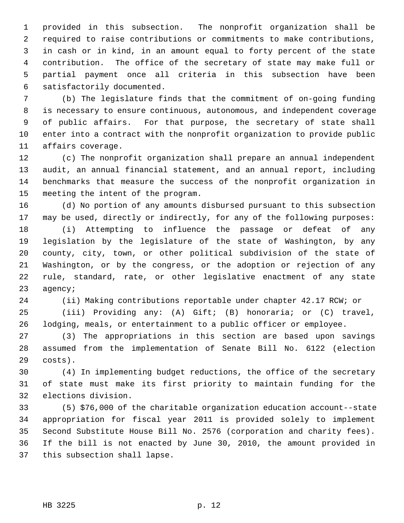1 provided in this subsection. The nonprofit organization shall be 2 required to raise contributions or commitments to make contributions, 3 in cash or in kind, in an amount equal to forty percent of the state 4 contribution. The office of the secretary of state may make full or 5 partial payment once all criteria in this subsection have been 6 satisfactorily documented.

 7 (b) The legislature finds that the commitment of on-going funding 8 is necessary to ensure continuous, autonomous, and independent coverage 9 of public affairs. For that purpose, the secretary of state shall 10 enter into a contract with the nonprofit organization to provide public 11 affairs coverage.

12 (c) The nonprofit organization shall prepare an annual independent 13 audit, an annual financial statement, and an annual report, including 14 benchmarks that measure the success of the nonprofit organization in 15 meeting the intent of the program.

16 (d) No portion of any amounts disbursed pursuant to this subsection 17 may be used, directly or indirectly, for any of the following purposes: 18 (i) Attempting to influence the passage or defeat of any 19 legislation by the legislature of the state of Washington, by any 20 county, city, town, or other political subdivision of the state of 21 Washington, or by the congress, or the adoption or rejection of any 22 rule, standard, rate, or other legislative enactment of any state

23 agency;

24 (ii) Making contributions reportable under chapter 42.17 RCW; or

25 (iii) Providing any: (A) Gift; (B) honoraria; or (C) travel, 26 lodging, meals, or entertainment to a public officer or employee.

27 (3) The appropriations in this section are based upon savings 28 assumed from the implementation of Senate Bill No. 6122 (election 29 costs).

30 (4) In implementing budget reductions, the office of the secretary 31 of state must make its first priority to maintain funding for the 32 elections division.

33 (5) \$76,000 of the charitable organization education account--state 34 appropriation for fiscal year 2011 is provided solely to implement 35 Second Substitute House Bill No. 2576 (corporation and charity fees). 36 If the bill is not enacted by June 30, 2010, the amount provided in 37 this subsection shall lapse.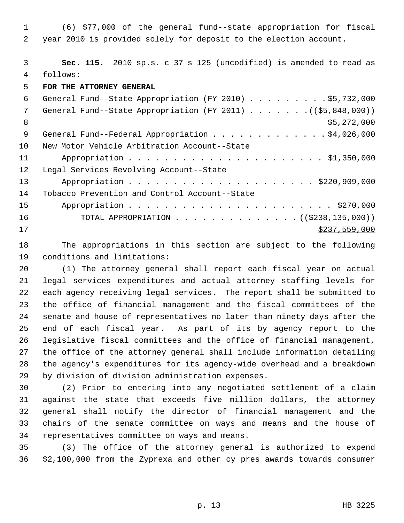1 (6) \$77,000 of the general fund--state appropriation for fiscal 2 year 2010 is provided solely for deposit to the election account.

 3 **Sec. 115.** 2010 sp.s. c 37 s 125 (uncodified) is amended to read as 4 follows:

5 **FOR THE ATTORNEY GENERAL**

| 6  | General Fund--State Appropriation (FY 2010) \$5,732,000              |
|----|----------------------------------------------------------------------|
| 7  | General Fund--State Appropriation (FY 2011) $($ $($ \$5,848,000) $)$ |
| 8  | \$5,272,000                                                          |
| 9  | General Fund--Federal Appropriation \$4,026,000                      |
| 10 | New Motor Vehicle Arbitration Account--State                         |
| 11 |                                                                      |
| 12 | Legal Services Revolving Account--State                              |
| 13 |                                                                      |
| 14 | Tobacco Prevention and Control Account--State                        |
| 15 |                                                                      |
| 16 | TOTAL APPROPRIATION ( $(\frac{2238}{135}, 000)$ )                    |
| 17 | \$237,559,000                                                        |

18 The appropriations in this section are subject to the following 19 conditions and limitations:

20 (1) The attorney general shall report each fiscal year on actual 21 legal services expenditures and actual attorney staffing levels for 22 each agency receiving legal services. The report shall be submitted to 23 the office of financial management and the fiscal committees of the 24 senate and house of representatives no later than ninety days after the 25 end of each fiscal year. As part of its by agency report to the 26 legislative fiscal committees and the office of financial management, 27 the office of the attorney general shall include information detailing 28 the agency's expenditures for its agency-wide overhead and a breakdown 29 by division of division administration expenses.

30 (2) Prior to entering into any negotiated settlement of a claim 31 against the state that exceeds five million dollars, the attorney 32 general shall notify the director of financial management and the 33 chairs of the senate committee on ways and means and the house of 34 representatives committee on ways and means.

35 (3) The office of the attorney general is authorized to expend 36 \$2,100,000 from the Zyprexa and other cy pres awards towards consumer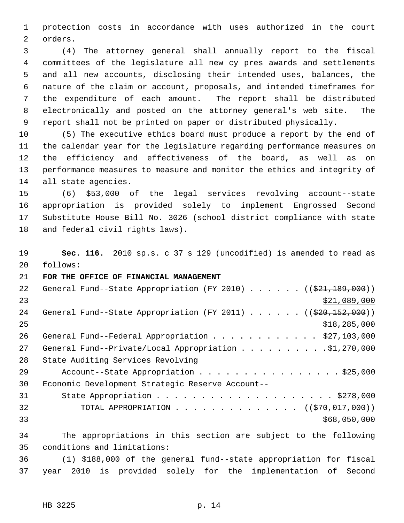1 protection costs in accordance with uses authorized in the court 2 orders.

 3 (4) The attorney general shall annually report to the fiscal 4 committees of the legislature all new cy pres awards and settlements 5 and all new accounts, disclosing their intended uses, balances, the 6 nature of the claim or account, proposals, and intended timeframes for 7 the expenditure of each amount. The report shall be distributed 8 electronically and posted on the attorney general's web site. The 9 report shall not be printed on paper or distributed physically.

10 (5) The executive ethics board must produce a report by the end of 11 the calendar year for the legislature regarding performance measures on 12 the efficiency and effectiveness of the board, as well as on 13 performance measures to measure and monitor the ethics and integrity of 14 all state agencies.

15 (6) \$53,000 of the legal services revolving account--state 16 appropriation is provided solely to implement Engrossed Second 17 Substitute House Bill No. 3026 (school district compliance with state 18 and federal civil rights laws).

19 **Sec. 116.** 2010 sp.s. c 37 s 129 (uncodified) is amended to read as 20 follows:

21 **FOR THE OFFICE OF FINANCIAL MANAGEMENT**

| 22 | General Fund--State Appropriation (FY 2010) $($ $($ $\frac{21}{7109}$ , 000)) |
|----|-------------------------------------------------------------------------------|
| 23 | \$21,089,000                                                                  |
| 24 | General Fund--State Appropriation (FY 2011) ( $(\frac{20.152}{152.000})$ )    |
| 25 | \$18, 285, 000                                                                |
| 26 | General Fund--Federal Appropriation \$27,103,000                              |
| 27 | General Fund--Private/Local Appropriation 91,270,000                          |
| 28 | State Auditing Services Revolving                                             |
| 29 | Account--State Appropriation \$25,000                                         |
| 30 | Economic Development Strategic Reserve Account--                              |
| 31 |                                                                               |
| 32 | TOTAL APPROPRIATION $\ldots$ , ( $(\frac{270}{70}, 017, 000)$ )               |
| 33 | \$68,050,000                                                                  |
| 34 | The appropriations in this section are subject to the following               |

35 conditions and limitations:

36 (1) \$188,000 of the general fund--state appropriation for fiscal 37 year 2010 is provided solely for the implementation of Second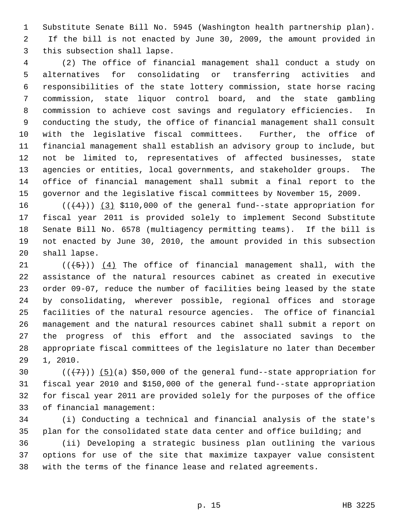1 Substitute Senate Bill No. 5945 (Washington health partnership plan). 2 If the bill is not enacted by June 30, 2009, the amount provided in 3 this subsection shall lapse.

 4 (2) The office of financial management shall conduct a study on 5 alternatives for consolidating or transferring activities and 6 responsibilities of the state lottery commission, state horse racing 7 commission, state liquor control board, and the state gambling 8 commission to achieve cost savings and regulatory efficiencies. In 9 conducting the study, the office of financial management shall consult 10 with the legislative fiscal committees. Further, the office of 11 financial management shall establish an advisory group to include, but 12 not be limited to, representatives of affected businesses, state 13 agencies or entities, local governments, and stakeholder groups. The 14 office of financial management shall submit a final report to the 15 governor and the legislative fiscal committees by November 15, 2009.

16  $((+4))$  (3) \$110,000 of the general fund--state appropriation for 17 fiscal year 2011 is provided solely to implement Second Substitute 18 Senate Bill No. 6578 (multiagency permitting teams). If the bill is 19 not enacted by June 30, 2010, the amount provided in this subsection 20 shall lapse.

21  $((+5))$   $(4)$  The office of financial management shall, with the 22 assistance of the natural resources cabinet as created in executive 23 order 09-07, reduce the number of facilities being leased by the state 24 by consolidating, wherever possible, regional offices and storage 25 facilities of the natural resource agencies. The office of financial 26 management and the natural resources cabinet shall submit a report on 27 the progress of this effort and the associated savings to the 28 appropriate fiscal committees of the legislature no later than December 29 1, 2010.

30  $((+7))(5)(a)$  \$50,000 of the general fund--state appropriation for 31 fiscal year 2010 and \$150,000 of the general fund--state appropriation 32 for fiscal year 2011 are provided solely for the purposes of the office 33 of financial management:

34 (i) Conducting a technical and financial analysis of the state's 35 plan for the consolidated state data center and office building; and

36 (ii) Developing a strategic business plan outlining the various 37 options for use of the site that maximize taxpayer value consistent 38 with the terms of the finance lease and related agreements.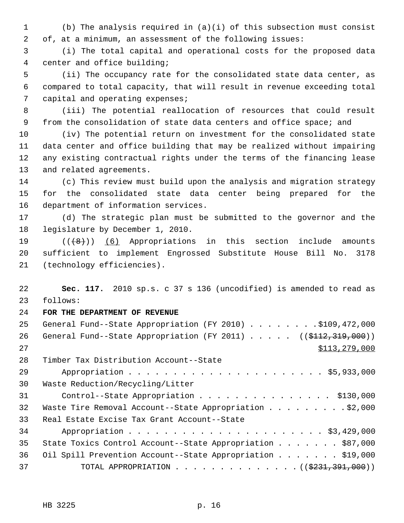1 (b) The analysis required in (a)(i) of this subsection must consist 2 of, at a minimum, an assessment of the following issues:

 3 (i) The total capital and operational costs for the proposed data 4 center and office building;

 5 (ii) The occupancy rate for the consolidated state data center, as 6 compared to total capacity, that will result in revenue exceeding total 7 capital and operating expenses;

 8 (iii) The potential reallocation of resources that could result 9 from the consolidation of state data centers and office space; and

10 (iv) The potential return on investment for the consolidated state 11 data center and office building that may be realized without impairing 12 any existing contractual rights under the terms of the financing lease 13 and related agreements.

14 (c) This review must build upon the analysis and migration strategy 15 for the consolidated state data center being prepared for the 16 department of information services.

17 (d) The strategic plan must be submitted to the governor and the 18 legislature by December 1, 2010.

19  $((+8))$  (6) Appropriations in this section include amounts 20 sufficient to implement Engrossed Substitute House Bill No. 3178 21 (technology efficiencies).

22 **Sec. 117.** 2010 sp.s. c 37 s 136 (uncodified) is amended to read as 23 follows:

# 24 **FOR THE DEPARTMENT OF REVENUE**

| 25 | General Fund--State Appropriation (FY 2010) \$109,472,000                             |
|----|---------------------------------------------------------------------------------------|
| 26 | General Fund--State Appropriation (FY 2011) ( $(\frac{112}{7312}, \frac{319}{700})$ ) |
| 27 | \$113, 279, 000                                                                       |
| 28 | Timber Tax Distribution Account--State                                                |
| 29 |                                                                                       |
| 30 | Waste Reduction/Recycling/Litter                                                      |
| 31 | Control--State Appropriation \$130,000                                                |
| 32 | Waste Tire Removal Account--State Appropriation \$2,000                               |
| 33 | Real Estate Excise Tax Grant Account--State                                           |
| 34 |                                                                                       |
| 35 | State Toxics Control Account--State Appropriation \$87,000                            |
| 36 | Oil Spill Prevention Account--State Appropriation \$19,000                            |
| 37 | TOTAL APPROPRIATION ( $(\frac{2331}{7391}, 000)$ )                                    |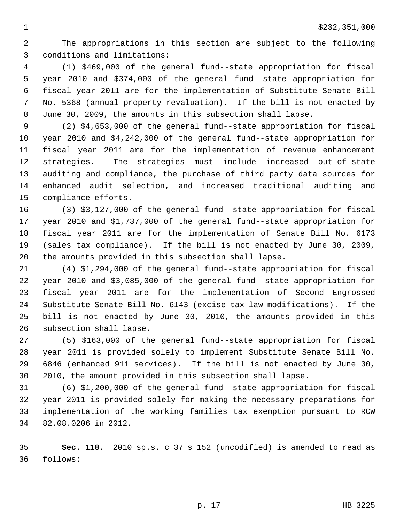2 The appropriations in this section are subject to the following 3 conditions and limitations:

 4 (1) \$469,000 of the general fund--state appropriation for fiscal 5 year 2010 and \$374,000 of the general fund--state appropriation for 6 fiscal year 2011 are for the implementation of Substitute Senate Bill 7 No. 5368 (annual property revaluation). If the bill is not enacted by 8 June 30, 2009, the amounts in this subsection shall lapse.

 9 (2) \$4,653,000 of the general fund--state appropriation for fiscal 10 year 2010 and \$4,242,000 of the general fund--state appropriation for 11 fiscal year 2011 are for the implementation of revenue enhancement 12 strategies. The strategies must include increased out-of-state 13 auditing and compliance, the purchase of third party data sources for 14 enhanced audit selection, and increased traditional auditing and 15 compliance efforts.

16 (3) \$3,127,000 of the general fund--state appropriation for fiscal 17 year 2010 and \$1,737,000 of the general fund--state appropriation for 18 fiscal year 2011 are for the implementation of Senate Bill No. 6173 19 (sales tax compliance). If the bill is not enacted by June 30, 2009, 20 the amounts provided in this subsection shall lapse.

21 (4) \$1,294,000 of the general fund--state appropriation for fiscal 22 year 2010 and \$3,085,000 of the general fund--state appropriation for 23 fiscal year 2011 are for the implementation of Second Engrossed 24 Substitute Senate Bill No. 6143 (excise tax law modifications). If the 25 bill is not enacted by June 30, 2010, the amounts provided in this 26 subsection shall lapse.

27 (5) \$163,000 of the general fund--state appropriation for fiscal 28 year 2011 is provided solely to implement Substitute Senate Bill No. 29 6846 (enhanced 911 services). If the bill is not enacted by June 30, 30 2010, the amount provided in this subsection shall lapse.

31 (6) \$1,200,000 of the general fund--state appropriation for fiscal 32 year 2011 is provided solely for making the necessary preparations for 33 implementation of the working families tax exemption pursuant to RCW 34 82.08.0206 in 2012.

35 **Sec. 118.** 2010 sp.s. c 37 s 152 (uncodified) is amended to read as 36 follows: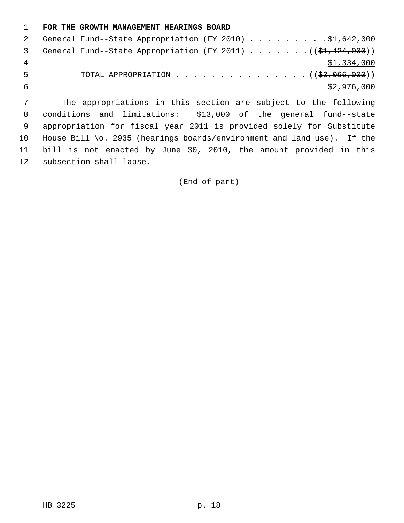# 1 **FOR THE GROWTH MANAGEMENT HEARINGS BOARD** 2 General Fund--State Appropriation (FY 2010) . . . . . . . . . \$1,642,000 3 General Fund--State Appropriation (FY 2011)  $\ldots \ldots \ldots$  (( $$1,424,000$ )) 4 \$1,334,000 5 TOTAL APPROPRIATION . . . . . . . . . . . . . . . (  $(\frac{23}{1066},000)$  )  $\frac{$2,976,000}{ }$

 7 The appropriations in this section are subject to the following 8 conditions and limitations: \$13,000 of the general fund--state 9 appropriation for fiscal year 2011 is provided solely for Substitute 10 House Bill No. 2935 (hearings boards/environment and land use). If the 11 bill is not enacted by June 30, 2010, the amount provided in this 12 subsection shall lapse.

(End of part)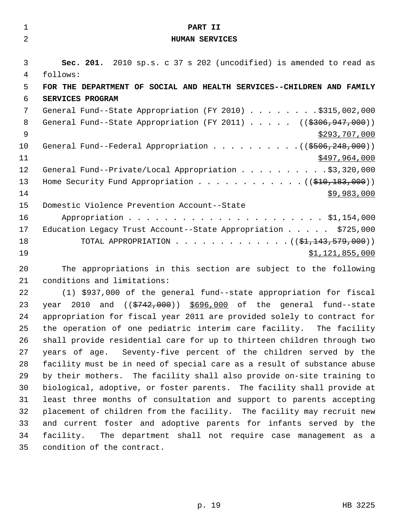| $\mathbf{1}$   | PART II                                                                              |
|----------------|--------------------------------------------------------------------------------------|
| $\overline{2}$ | HUMAN SERVICES                                                                       |
|                |                                                                                      |
| 3              | Sec. 201. 2010 sp.s. c 37 s 202 (uncodified) is amended to read as                   |
| 4              | follows:                                                                             |
| 5              | FOR THE DEPARTMENT OF SOCIAL AND HEALTH SERVICES--CHILDREN AND FAMILY                |
| 6              | SERVICES PROGRAM                                                                     |
| 7              | General Fund--State Appropriation (FY 2010) \$315,002,000                            |
| 8              | General Fund--State Appropriation (FY 2011) ( $(\frac{2306}{947}, \frac{000}{00})$ ) |
| $\mathsf 9$    | \$293,707,000                                                                        |
| 10             | General Fund--Federal Appropriation $($ $($ $\frac{1}{5506}, \frac{248}{100})$       |
| 11             | \$497,964,000                                                                        |
| 12             | General Fund--Private/Local Appropriation \$3,320,000                                |
| 13             | Home Security Fund Appropriation $($ $($ $\frac{210}{183},000)$ )                    |
| 14             | \$9,983,000                                                                          |
| 15             | Domestic Violence Prevention Account--State                                          |
| 16             |                                                                                      |
| 17             | Education Legacy Trust Account--State Appropriation $\ldots$ \$725,000               |
| 18             | TOTAL APPROPRIATION ( $(\frac{1}{21}, 143, 579, 000)$ )                              |
| 19             | \$1,121,855,000                                                                      |
| 20             | The appropriations in this section are subject to the following                      |
| 21             | conditions and limitations:                                                          |
|                |                                                                                      |
| 22             | (1) \$937,000 of the general fund--state appropriation for fiscal                    |
| 23             | and ((\$742,000)) \$696,000 of the general fund--state<br>2010<br>year               |
| 24             | appropriation for fiscal year 2011 are provided solely to contract for               |
| 25             | the operation of one pediatric interim care facility. The facility                   |

26 shall provide residential care for up to thirteen children through two 27 years of age. Seventy-five percent of the children served by the 28 facility must be in need of special care as a result of substance abuse 29 by their mothers. The facility shall also provide on-site training to 30 biological, adoptive, or foster parents. The facility shall provide at 31 least three months of consultation and support to parents accepting 32 placement of children from the facility. The facility may recruit new 33 and current foster and adoptive parents for infants served by the 34 facility. The department shall not require case management as a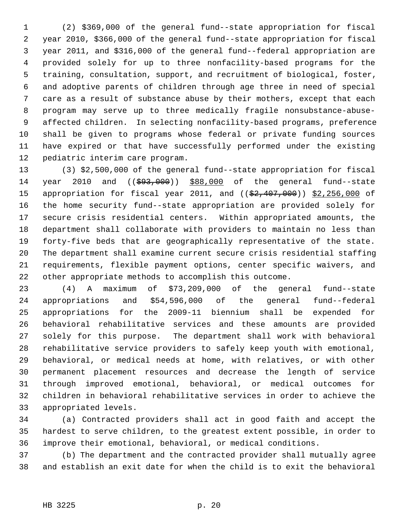1 (2) \$369,000 of the general fund--state appropriation for fiscal 2 year 2010, \$366,000 of the general fund--state appropriation for fiscal 3 year 2011, and \$316,000 of the general fund--federal appropriation are 4 provided solely for up to three nonfacility-based programs for the 5 training, consultation, support, and recruitment of biological, foster, 6 and adoptive parents of children through age three in need of special 7 care as a result of substance abuse by their mothers, except that each 8 program may serve up to three medically fragile nonsubstance-abuse- 9 affected children. In selecting nonfacility-based programs, preference 10 shall be given to programs whose federal or private funding sources 11 have expired or that have successfully performed under the existing 12 pediatric interim care program.

13 (3) \$2,500,000 of the general fund--state appropriation for fiscal 14 year 2010 and ((\$93,000)) \$88,000 of the general fund--state 15 appropriation for fiscal year 2011, and ((\$2,407,000)) \$2,256,000 of 16 the home security fund--state appropriation are provided solely for 17 secure crisis residential centers. Within appropriated amounts, the 18 department shall collaborate with providers to maintain no less than 19 forty-five beds that are geographically representative of the state. 20 The department shall examine current secure crisis residential staffing 21 requirements, flexible payment options, center specific waivers, and 22 other appropriate methods to accomplish this outcome.

23 (4) A maximum of \$73,209,000 of the general fund--state 24 appropriations and \$54,596,000 of the general fund--federal 25 appropriations for the 2009-11 biennium shall be expended for 26 behavioral rehabilitative services and these amounts are provided 27 solely for this purpose. The department shall work with behavioral 28 rehabilitative service providers to safely keep youth with emotional, 29 behavioral, or medical needs at home, with relatives, or with other 30 permanent placement resources and decrease the length of service 31 through improved emotional, behavioral, or medical outcomes for 32 children in behavioral rehabilitative services in order to achieve the 33 appropriated levels.

34 (a) Contracted providers shall act in good faith and accept the 35 hardest to serve children, to the greatest extent possible, in order to 36 improve their emotional, behavioral, or medical conditions.

37 (b) The department and the contracted provider shall mutually agree 38 and establish an exit date for when the child is to exit the behavioral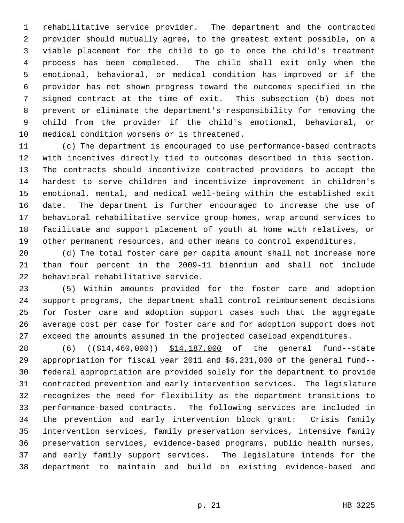1 rehabilitative service provider. The department and the contracted 2 provider should mutually agree, to the greatest extent possible, on a 3 viable placement for the child to go to once the child's treatment 4 process has been completed. The child shall exit only when the 5 emotional, behavioral, or medical condition has improved or if the 6 provider has not shown progress toward the outcomes specified in the 7 signed contract at the time of exit. This subsection (b) does not 8 prevent or eliminate the department's responsibility for removing the 9 child from the provider if the child's emotional, behavioral, or 10 medical condition worsens or is threatened.

11 (c) The department is encouraged to use performance-based contracts 12 with incentives directly tied to outcomes described in this section. 13 The contracts should incentivize contracted providers to accept the 14 hardest to serve children and incentivize improvement in children's 15 emotional, mental, and medical well-being within the established exit 16 date. The department is further encouraged to increase the use of 17 behavioral rehabilitative service group homes, wrap around services to 18 facilitate and support placement of youth at home with relatives, or 19 other permanent resources, and other means to control expenditures.

20 (d) The total foster care per capita amount shall not increase more 21 than four percent in the 2009-11 biennium and shall not include 22 behavioral rehabilitative service.

23 (5) Within amounts provided for the foster care and adoption 24 support programs, the department shall control reimbursement decisions 25 for foster care and adoption support cases such that the aggregate 26 average cost per case for foster care and for adoption support does not 27 exceed the amounts assumed in the projected caseload expenditures.

28 (6) ((\$14,460,000)) \$14,187,000 of the general fund--state 29 appropriation for fiscal year 2011 and \$6,231,000 of the general fund-- 30 federal appropriation are provided solely for the department to provide 31 contracted prevention and early intervention services. The legislature 32 recognizes the need for flexibility as the department transitions to 33 performance-based contracts. The following services are included in 34 the prevention and early intervention block grant: Crisis family 35 intervention services, family preservation services, intensive family 36 preservation services, evidence-based programs, public health nurses, 37 and early family support services. The legislature intends for the 38 department to maintain and build on existing evidence-based and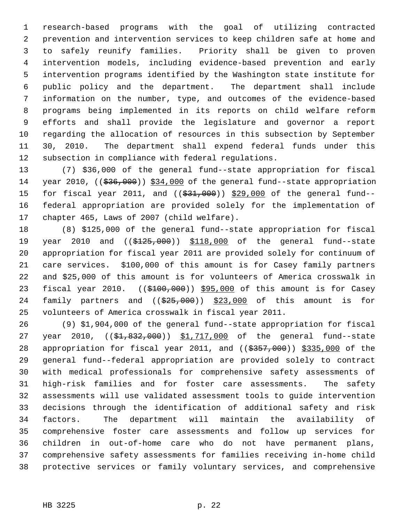1 research-based programs with the goal of utilizing contracted 2 prevention and intervention services to keep children safe at home and 3 to safely reunify families. Priority shall be given to proven 4 intervention models, including evidence-based prevention and early 5 intervention programs identified by the Washington state institute for 6 public policy and the department. The department shall include 7 information on the number, type, and outcomes of the evidence-based 8 programs being implemented in its reports on child welfare reform 9 efforts and shall provide the legislature and governor a report 10 regarding the allocation of resources in this subsection by September 11 30, 2010. The department shall expend federal funds under this 12 subsection in compliance with federal regulations.

13 (7) \$36,000 of the general fund--state appropriation for fiscal 14 year 2010, ((\$36,000)) \$34,000 of the general fund--state appropriation 15 for fiscal year 2011, and ((\$31,000)) \$29,000 of the general fund--16 federal appropriation are provided solely for the implementation of 17 chapter 465, Laws of 2007 (child welfare).

18 (8) \$125,000 of the general fund--state appropriation for fiscal 19 year 2010 and ((\$125,000)) \$118,000 of the general fund--state 20 appropriation for fiscal year 2011 are provided solely for continuum of 21 care services. \$100,000 of this amount is for Casey family partners 22 and \$25,000 of this amount is for volunteers of America crosswalk in 23 fiscal year 2010. ((\$100,000)) \$95,000 of this amount is for Casey 24 family partners and  $((\$25,000)$   $\$23,000$  of this amount is for 25 volunteers of America crosswalk in fiscal year 2011.

26 (9) \$1,904,000 of the general fund--state appropriation for fiscal 27 year 2010,  $((\frac{1}{2}, 832, 000))$  \$1,717,000 of the general fund--state 28 appropriation for fiscal year 2011, and ((\$357,000)) \$335,000 of the 29 general fund--federal appropriation are provided solely to contract 30 with medical professionals for comprehensive safety assessments of 31 high-risk families and for foster care assessments. The safety 32 assessments will use validated assessment tools to guide intervention 33 decisions through the identification of additional safety and risk 34 factors. The department will maintain the availability of 35 comprehensive foster care assessments and follow up services for 36 children in out-of-home care who do not have permanent plans, 37 comprehensive safety assessments for families receiving in-home child 38 protective services or family voluntary services, and comprehensive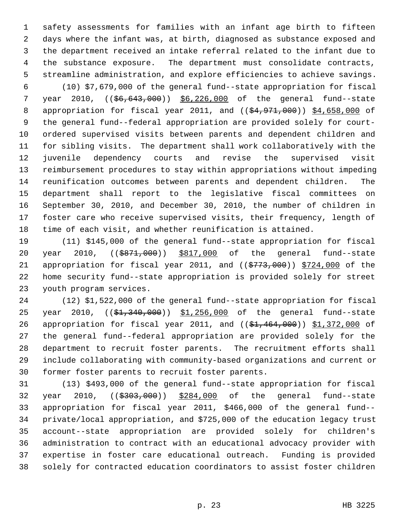1 safety assessments for families with an infant age birth to fifteen 2 days where the infant was, at birth, diagnosed as substance exposed and 3 the department received an intake referral related to the infant due to 4 the substance exposure. The department must consolidate contracts, 5 streamline administration, and explore efficiencies to achieve savings.

 6 (10) \$7,679,000 of the general fund--state appropriation for fiscal 7 year 2010, ((\$6,643,000)) \$6,226,000 of the general fund--state 8 appropriation for fiscal year 2011, and ((\$4,971,000)) \$4,658,000 of 9 the general fund--federal appropriation are provided solely for court-10 ordered supervised visits between parents and dependent children and 11 for sibling visits. The department shall work collaboratively with the 12 juvenile dependency courts and revise the supervised visit 13 reimbursement procedures to stay within appropriations without impeding 14 reunification outcomes between parents and dependent children. The 15 department shall report to the legislative fiscal committees on 16 September 30, 2010, and December 30, 2010, the number of children in 17 foster care who receive supervised visits, their frequency, length of 18 time of each visit, and whether reunification is attained.

19 (11) \$145,000 of the general fund--state appropriation for fiscal 20 year 2010, ((\$871,000)) \$817,000 of the general fund--state 21 appropriation for fiscal year 2011, and ((\$773,000)) \$724,000 of the 22 home security fund--state appropriation is provided solely for street 23 youth program services.

24 (12) \$1,522,000 of the general fund--state appropriation for fiscal 25 year 2010,  $((\frac{1}{2}, 340, 000))$  \$1,256,000 of the general fund--state 26 appropriation for fiscal year 2011, and ((\$1,464,000)) \$1,372,000 of 27 the general fund--federal appropriation are provided solely for the 28 department to recruit foster parents. The recruitment efforts shall 29 include collaborating with community-based organizations and current or 30 former foster parents to recruit foster parents.

31 (13) \$493,000 of the general fund--state appropriation for fiscal 32 year 2010, ((\$303,000)) \$284,000 of the general fund--state 33 appropriation for fiscal year 2011, \$466,000 of the general fund-- 34 private/local appropriation, and \$725,000 of the education legacy trust 35 account--state appropriation are provided solely for children's 36 administration to contract with an educational advocacy provider with 37 expertise in foster care educational outreach. Funding is provided 38 solely for contracted education coordinators to assist foster children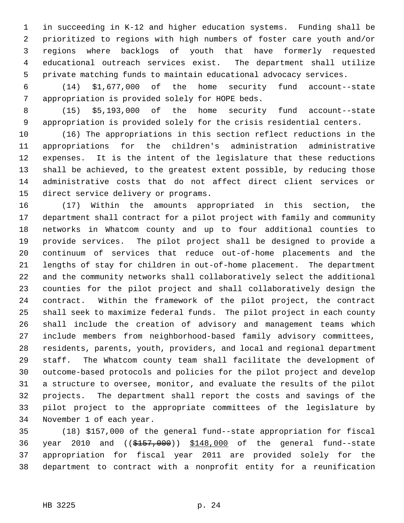1 in succeeding in K-12 and higher education systems. Funding shall be 2 prioritized to regions with high numbers of foster care youth and/or 3 regions where backlogs of youth that have formerly requested 4 educational outreach services exist. The department shall utilize 5 private matching funds to maintain educational advocacy services.

 6 (14) \$1,677,000 of the home security fund account--state 7 appropriation is provided solely for HOPE beds.

 8 (15) \$5,193,000 of the home security fund account--state 9 appropriation is provided solely for the crisis residential centers.

10 (16) The appropriations in this section reflect reductions in the 11 appropriations for the children's administration administrative 12 expenses. It is the intent of the legislature that these reductions 13 shall be achieved, to the greatest extent possible, by reducing those 14 administrative costs that do not affect direct client services or 15 direct service delivery or programs.

16 (17) Within the amounts appropriated in this section, the 17 department shall contract for a pilot project with family and community 18 networks in Whatcom county and up to four additional counties to 19 provide services. The pilot project shall be designed to provide a 20 continuum of services that reduce out-of-home placements and the 21 lengths of stay for children in out-of-home placement. The department 22 and the community networks shall collaboratively select the additional 23 counties for the pilot project and shall collaboratively design the 24 contract. Within the framework of the pilot project, the contract 25 shall seek to maximize federal funds. The pilot project in each county 26 shall include the creation of advisory and management teams which 27 include members from neighborhood-based family advisory committees, 28 residents, parents, youth, providers, and local and regional department 29 staff. The Whatcom county team shall facilitate the development of 30 outcome-based protocols and policies for the pilot project and develop 31 a structure to oversee, monitor, and evaluate the results of the pilot 32 projects. The department shall report the costs and savings of the 33 pilot project to the appropriate committees of the legislature by 34 November 1 of each year.

35 (18) \$157,000 of the general fund--state appropriation for fiscal 36 year 2010 and ((\$157,000)) \$148,000 of the general fund--state 37 appropriation for fiscal year 2011 are provided solely for the 38 department to contract with a nonprofit entity for a reunification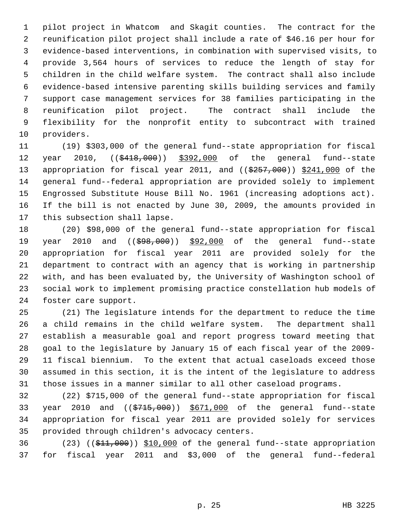1 pilot project in Whatcom and Skagit counties. The contract for the 2 reunification pilot project shall include a rate of \$46.16 per hour for 3 evidence-based interventions, in combination with supervised visits, to 4 provide 3,564 hours of services to reduce the length of stay for 5 children in the child welfare system. The contract shall also include 6 evidence-based intensive parenting skills building services and family 7 support case management services for 38 families participating in the 8 reunification pilot project. The contract shall include the 9 flexibility for the nonprofit entity to subcontract with trained 10 providers.

11 (19) \$303,000 of the general fund--state appropriation for fiscal 12 year 2010,  $($ <del>\$418,000</del>)) \$392,000 of the general fund--state 13 appropriation for fiscal year 2011, and ((\$257,000)) \$241,000 of the 14 general fund--federal appropriation are provided solely to implement 15 Engrossed Substitute House Bill No. 1961 (increasing adoptions act). 16 If the bill is not enacted by June 30, 2009, the amounts provided in 17 this subsection shall lapse.

18 (20) \$98,000 of the general fund--state appropriation for fiscal 19 year 2010 and ((\$98,000)) \$92,000 of the general fund--state 20 appropriation for fiscal year 2011 are provided solely for the 21 department to contract with an agency that is working in partnership 22 with, and has been evaluated by, the University of Washington school of 23 social work to implement promising practice constellation hub models of 24 foster care support.

25 (21) The legislature intends for the department to reduce the time 26 a child remains in the child welfare system. The department shall 27 establish a measurable goal and report progress toward meeting that 28 goal to the legislature by January 15 of each fiscal year of the 2009- 29 11 fiscal biennium. To the extent that actual caseloads exceed those 30 assumed in this section, it is the intent of the legislature to address 31 those issues in a manner similar to all other caseload programs.

32 (22) \$715,000 of the general fund--state appropriation for fiscal 33 year 2010 and ((\$715,000)) \$671,000 of the general fund--state 34 appropriation for fiscal year 2011 are provided solely for services 35 provided through children's advocacy centers.

36 (23)  $((\frac{1}{21},000))$  \$10,000 of the general fund--state appropriation 37 for fiscal year 2011 and \$3,000 of the general fund--federal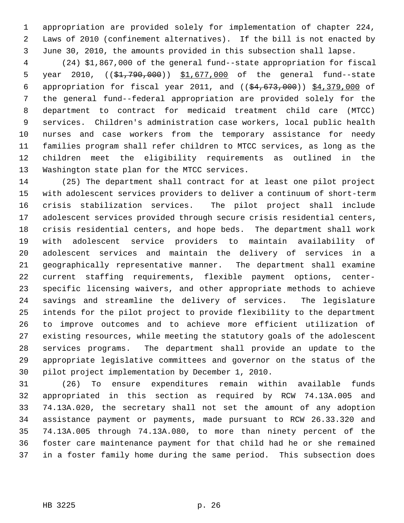1 appropriation are provided solely for implementation of chapter 224, 2 Laws of 2010 (confinement alternatives). If the bill is not enacted by 3 June 30, 2010, the amounts provided in this subsection shall lapse.

 4 (24) \$1,867,000 of the general fund--state appropriation for fiscal 5 year 2010,  $((\frac{1}{2}, 790, 000))$  \$1,677,000 of the general fund--state 6 appropriation for fiscal year 2011, and  $((\frac{24}{54}, \frac{673}{600}) )$  \$4,379,000 of 7 the general fund--federal appropriation are provided solely for the 8 department to contract for medicaid treatment child care (MTCC) 9 services. Children's administration case workers, local public health 10 nurses and case workers from the temporary assistance for needy 11 families program shall refer children to MTCC services, as long as the 12 children meet the eligibility requirements as outlined in the 13 Washington state plan for the MTCC services.

14 (25) The department shall contract for at least one pilot project 15 with adolescent services providers to deliver a continuum of short-term 16 crisis stabilization services. The pilot project shall include 17 adolescent services provided through secure crisis residential centers, 18 crisis residential centers, and hope beds. The department shall work 19 with adolescent service providers to maintain availability of 20 adolescent services and maintain the delivery of services in a 21 geographically representative manner. The department shall examine 22 current staffing requirements, flexible payment options, center-23 specific licensing waivers, and other appropriate methods to achieve 24 savings and streamline the delivery of services. The legislature 25 intends for the pilot project to provide flexibility to the department 26 to improve outcomes and to achieve more efficient utilization of 27 existing resources, while meeting the statutory goals of the adolescent 28 services programs. The department shall provide an update to the 29 appropriate legislative committees and governor on the status of the 30 pilot project implementation by December 1, 2010.

31 (26) To ensure expenditures remain within available funds 32 appropriated in this section as required by RCW 74.13A.005 and 33 74.13A.020, the secretary shall not set the amount of any adoption 34 assistance payment or payments, made pursuant to RCW 26.33.320 and 35 74.13A.005 through 74.13A.080, to more than ninety percent of the 36 foster care maintenance payment for that child had he or she remained 37 in a foster family home during the same period. This subsection does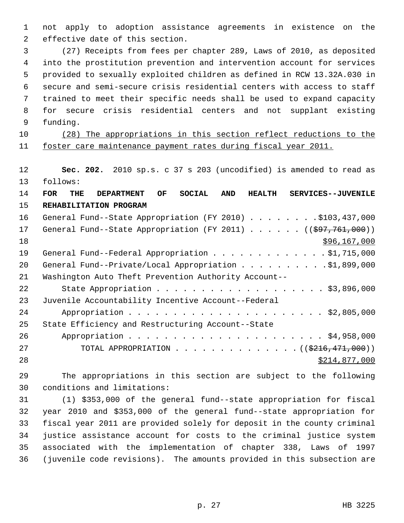1 not apply to adoption assistance agreements in existence on the 2 effective date of this section.

 3 (27) Receipts from fees per chapter 289, Laws of 2010, as deposited 4 into the prostitution prevention and intervention account for services 5 provided to sexually exploited children as defined in RCW 13.32A.030 in 6 secure and semi-secure crisis residential centers with access to staff 7 trained to meet their specific needs shall be used to expand capacity 8 for secure crisis residential centers and not supplant existing 9 funding.

10 (28) The appropriations in this section reflect reductions to the 11 foster care maintenance payment rates during fiscal year 2011.

12 **Sec. 202.** 2010 sp.s. c 37 s 203 (uncodified) is amended to read as 13 follows:

14 **FOR THE DEPARTMENT OF SOCIAL AND HEALTH SERVICES--JUVENILE** 15 **REHABILITATION PROGRAM** 16 General Fund--State Appropriation (FY 2010) . . . . . . . . \$103,437,000 17 General Fund--State Appropriation (FY 2011) . . . . . ((\$97,761,000))  $18$  \$96,167,000 19 General Fund--Federal Appropriation . . . . . . . . . . . . \$1,715,000 20 General Fund--Private/Local Appropriation . . . . . . . . . \$1,899,000 21 Washington Auto Theft Prevention Authority Account-- 22 State Appropriation . . . . . . . . . . . . . . . . . . \$3,896,000 23 Juvenile Accountability Incentive Account--Federal 24 Appropriation . . . . . . . . . . . . . . . . . . . . . . \$2,805,000 25 State Efficiency and Restructuring Account--State 26 Appropriation . . . . . . . . . . . . . . . . . . . . . . \$4,958,000 27 TOTAL APPROPRIATION . . . . . . . . . . . . . . ((\$216,471,000)) 28 \$214,877,000

29 The appropriations in this section are subject to the following 30 conditions and limitations:

31 (1) \$353,000 of the general fund--state appropriation for fiscal 32 year 2010 and \$353,000 of the general fund--state appropriation for 33 fiscal year 2011 are provided solely for deposit in the county criminal 34 justice assistance account for costs to the criminal justice system 35 associated with the implementation of chapter 338, Laws of 1997 36 (juvenile code revisions). The amounts provided in this subsection are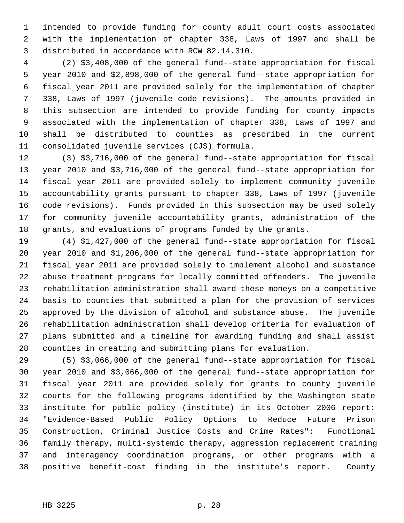1 intended to provide funding for county adult court costs associated 2 with the implementation of chapter 338, Laws of 1997 and shall be 3 distributed in accordance with RCW 82.14.310.

 4 (2) \$3,408,000 of the general fund--state appropriation for fiscal 5 year 2010 and \$2,898,000 of the general fund--state appropriation for 6 fiscal year 2011 are provided solely for the implementation of chapter 7 338, Laws of 1997 (juvenile code revisions). The amounts provided in 8 this subsection are intended to provide funding for county impacts 9 associated with the implementation of chapter 338, Laws of 1997 and 10 shall be distributed to counties as prescribed in the current 11 consolidated juvenile services (CJS) formula.

12 (3) \$3,716,000 of the general fund--state appropriation for fiscal 13 year 2010 and \$3,716,000 of the general fund--state appropriation for 14 fiscal year 2011 are provided solely to implement community juvenile 15 accountability grants pursuant to chapter 338, Laws of 1997 (juvenile 16 code revisions). Funds provided in this subsection may be used solely 17 for community juvenile accountability grants, administration of the 18 grants, and evaluations of programs funded by the grants.

19 (4) \$1,427,000 of the general fund--state appropriation for fiscal 20 year 2010 and \$1,206,000 of the general fund--state appropriation for 21 fiscal year 2011 are provided solely to implement alcohol and substance 22 abuse treatment programs for locally committed offenders. The juvenile 23 rehabilitation administration shall award these moneys on a competitive 24 basis to counties that submitted a plan for the provision of services 25 approved by the division of alcohol and substance abuse. The juvenile 26 rehabilitation administration shall develop criteria for evaluation of 27 plans submitted and a timeline for awarding funding and shall assist 28 counties in creating and submitting plans for evaluation.

29 (5) \$3,066,000 of the general fund--state appropriation for fiscal 30 year 2010 and \$3,066,000 of the general fund--state appropriation for 31 fiscal year 2011 are provided solely for grants to county juvenile 32 courts for the following programs identified by the Washington state 33 institute for public policy (institute) in its October 2006 report: 34 "Evidence-Based Public Policy Options to Reduce Future Prison 35 Construction, Criminal Justice Costs and Crime Rates": Functional 36 family therapy, multi-systemic therapy, aggression replacement training 37 and interagency coordination programs, or other programs with a 38 positive benefit-cost finding in the institute's report. County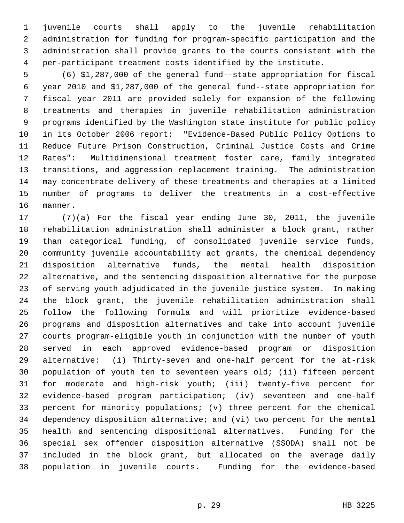1 juvenile courts shall apply to the juvenile rehabilitation 2 administration for funding for program-specific participation and the 3 administration shall provide grants to the courts consistent with the 4 per-participant treatment costs identified by the institute.

 5 (6) \$1,287,000 of the general fund--state appropriation for fiscal 6 year 2010 and \$1,287,000 of the general fund--state appropriation for 7 fiscal year 2011 are provided solely for expansion of the following 8 treatments and therapies in juvenile rehabilitation administration 9 programs identified by the Washington state institute for public policy 10 in its October 2006 report: "Evidence-Based Public Policy Options to 11 Reduce Future Prison Construction, Criminal Justice Costs and Crime 12 Rates": Multidimensional treatment foster care, family integrated 13 transitions, and aggression replacement training. The administration 14 may concentrate delivery of these treatments and therapies at a limited 15 number of programs to deliver the treatments in a cost-effective 16 manner.

17 (7)(a) For the fiscal year ending June 30, 2011, the juvenile 18 rehabilitation administration shall administer a block grant, rather 19 than categorical funding, of consolidated juvenile service funds, 20 community juvenile accountability act grants, the chemical dependency 21 disposition alternative funds, the mental health disposition 22 alternative, and the sentencing disposition alternative for the purpose 23 of serving youth adjudicated in the juvenile justice system. In making 24 the block grant, the juvenile rehabilitation administration shall 25 follow the following formula and will prioritize evidence-based 26 programs and disposition alternatives and take into account juvenile 27 courts program-eligible youth in conjunction with the number of youth 28 served in each approved evidence-based program or disposition 29 alternative: (i) Thirty-seven and one-half percent for the at-risk 30 population of youth ten to seventeen years old; (ii) fifteen percent 31 for moderate and high-risk youth; (iii) twenty-five percent for 32 evidence-based program participation; (iv) seventeen and one-half 33 percent for minority populations; (v) three percent for the chemical 34 dependency disposition alternative; and (vi) two percent for the mental 35 health and sentencing dispositional alternatives. Funding for the 36 special sex offender disposition alternative (SSODA) shall not be 37 included in the block grant, but allocated on the average daily 38 population in juvenile courts. Funding for the evidence-based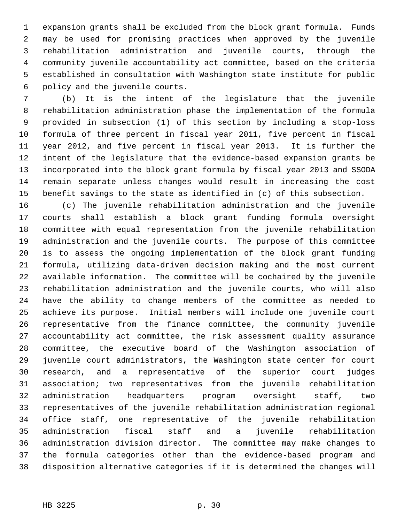1 expansion grants shall be excluded from the block grant formula. Funds 2 may be used for promising practices when approved by the juvenile 3 rehabilitation administration and juvenile courts, through the 4 community juvenile accountability act committee, based on the criteria 5 established in consultation with Washington state institute for public 6 policy and the juvenile courts.

 7 (b) It is the intent of the legislature that the juvenile 8 rehabilitation administration phase the implementation of the formula 9 provided in subsection (1) of this section by including a stop-loss 10 formula of three percent in fiscal year 2011, five percent in fiscal 11 year 2012, and five percent in fiscal year 2013. It is further the 12 intent of the legislature that the evidence-based expansion grants be 13 incorporated into the block grant formula by fiscal year 2013 and SSODA 14 remain separate unless changes would result in increasing the cost 15 benefit savings to the state as identified in (c) of this subsection.

16 (c) The juvenile rehabilitation administration and the juvenile 17 courts shall establish a block grant funding formula oversight 18 committee with equal representation from the juvenile rehabilitation 19 administration and the juvenile courts. The purpose of this committee 20 is to assess the ongoing implementation of the block grant funding 21 formula, utilizing data-driven decision making and the most current 22 available information. The committee will be cochaired by the juvenile 23 rehabilitation administration and the juvenile courts, who will also 24 have the ability to change members of the committee as needed to 25 achieve its purpose. Initial members will include one juvenile court 26 representative from the finance committee, the community juvenile 27 accountability act committee, the risk assessment quality assurance 28 committee, the executive board of the Washington association of 29 juvenile court administrators, the Washington state center for court 30 research, and a representative of the superior court judges 31 association; two representatives from the juvenile rehabilitation 32 administration headquarters program oversight staff, two 33 representatives of the juvenile rehabilitation administration regional 34 office staff, one representative of the juvenile rehabilitation 35 administration fiscal staff and a juvenile rehabilitation 36 administration division director. The committee may make changes to 37 the formula categories other than the evidence-based program and 38 disposition alternative categories if it is determined the changes will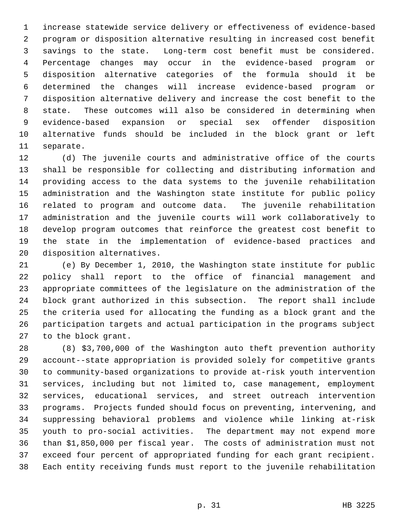1 increase statewide service delivery or effectiveness of evidence-based 2 program or disposition alternative resulting in increased cost benefit 3 savings to the state. Long-term cost benefit must be considered. 4 Percentage changes may occur in the evidence-based program or 5 disposition alternative categories of the formula should it be 6 determined the changes will increase evidence-based program or 7 disposition alternative delivery and increase the cost benefit to the 8 state. These outcomes will also be considered in determining when 9 evidence-based expansion or special sex offender disposition 10 alternative funds should be included in the block grant or left 11 separate.

12 (d) The juvenile courts and administrative office of the courts 13 shall be responsible for collecting and distributing information and 14 providing access to the data systems to the juvenile rehabilitation 15 administration and the Washington state institute for public policy 16 related to program and outcome data. The juvenile rehabilitation 17 administration and the juvenile courts will work collaboratively to 18 develop program outcomes that reinforce the greatest cost benefit to 19 the state in the implementation of evidence-based practices and 20 disposition alternatives.

21 (e) By December 1, 2010, the Washington state institute for public 22 policy shall report to the office of financial management and 23 appropriate committees of the legislature on the administration of the 24 block grant authorized in this subsection. The report shall include 25 the criteria used for allocating the funding as a block grant and the 26 participation targets and actual participation in the programs subject 27 to the block grant.

28 (8) \$3,700,000 of the Washington auto theft prevention authority 29 account--state appropriation is provided solely for competitive grants 30 to community-based organizations to provide at-risk youth intervention 31 services, including but not limited to, case management, employment 32 services, educational services, and street outreach intervention 33 programs. Projects funded should focus on preventing, intervening, and 34 suppressing behavioral problems and violence while linking at-risk 35 youth to pro-social activities. The department may not expend more 36 than \$1,850,000 per fiscal year. The costs of administration must not 37 exceed four percent of appropriated funding for each grant recipient. 38 Each entity receiving funds must report to the juvenile rehabilitation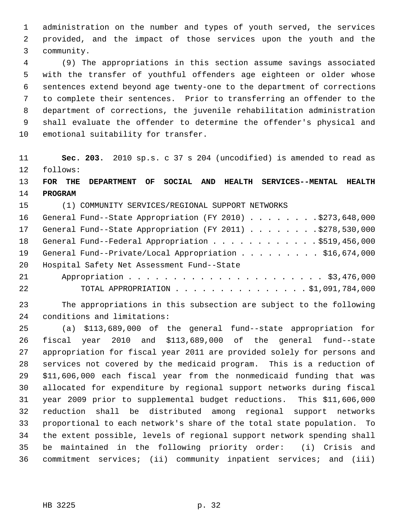1 administration on the number and types of youth served, the services 2 provided, and the impact of those services upon the youth and the 3 community.

 4 (9) The appropriations in this section assume savings associated 5 with the transfer of youthful offenders age eighteen or older whose 6 sentences extend beyond age twenty-one to the department of corrections 7 to complete their sentences. Prior to transferring an offender to the 8 department of corrections, the juvenile rehabilitation administration 9 shall evaluate the offender to determine the offender's physical and 10 emotional suitability for transfer.

11 **Sec. 203.** 2010 sp.s. c 37 s 204 (uncodified) is amended to read as 12 follows:

# 13 **FOR THE DEPARTMENT OF SOCIAL AND HEALTH SERVICES--MENTAL HEALTH** 14 **PROGRAM**

15 (1) COMMUNITY SERVICES/REGIONAL SUPPORT NETWORKS

|    | 16 General Fund--State Appropriation (FY 2010) \$273,648,000 |
|----|--------------------------------------------------------------|
| 17 | General Fund--State Appropriation (FY 2011) \$278,530,000    |
| 18 | General Fund--Federal Appropriation \$519,456,000            |
| 19 | General Fund--Private/Local Appropriation \$16,674,000       |
| 20 | Hospital Safety Net Assessment Fund--State                   |
| 21 |                                                              |
| 22 | TOTAL APPROPRIATION \$1,091,784,000                          |

23 The appropriations in this subsection are subject to the following 24 conditions and limitations:

25 (a) \$113,689,000 of the general fund--state appropriation for 26 fiscal year 2010 and \$113,689,000 of the general fund--state 27 appropriation for fiscal year 2011 are provided solely for persons and 28 services not covered by the medicaid program. This is a reduction of 29 \$11,606,000 each fiscal year from the nonmedicaid funding that was 30 allocated for expenditure by regional support networks during fiscal 31 year 2009 prior to supplemental budget reductions. This \$11,606,000 32 reduction shall be distributed among regional support networks 33 proportional to each network's share of the total state population. To 34 the extent possible, levels of regional support network spending shall 35 be maintained in the following priority order: (i) Crisis and 36 commitment services; (ii) community inpatient services; and (iii)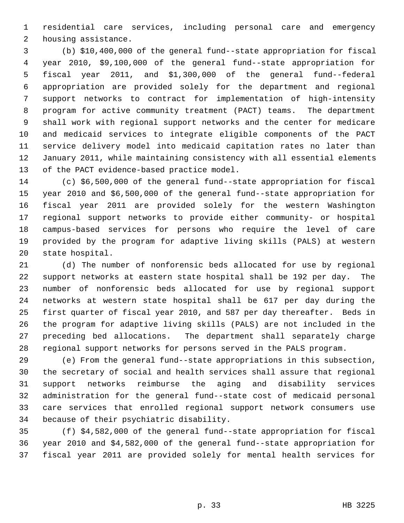1 residential care services, including personal care and emergency 2 housing assistance.

 3 (b) \$10,400,000 of the general fund--state appropriation for fiscal 4 year 2010, \$9,100,000 of the general fund--state appropriation for 5 fiscal year 2011, and \$1,300,000 of the general fund--federal 6 appropriation are provided solely for the department and regional 7 support networks to contract for implementation of high-intensity 8 program for active community treatment (PACT) teams. The department 9 shall work with regional support networks and the center for medicare 10 and medicaid services to integrate eligible components of the PACT 11 service delivery model into medicaid capitation rates no later than 12 January 2011, while maintaining consistency with all essential elements 13 of the PACT evidence-based practice model.

14 (c) \$6,500,000 of the general fund--state appropriation for fiscal 15 year 2010 and \$6,500,000 of the general fund--state appropriation for 16 fiscal year 2011 are provided solely for the western Washington 17 regional support networks to provide either community- or hospital 18 campus-based services for persons who require the level of care 19 provided by the program for adaptive living skills (PALS) at western 20 state hospital.

21 (d) The number of nonforensic beds allocated for use by regional 22 support networks at eastern state hospital shall be 192 per day. The 23 number of nonforensic beds allocated for use by regional support 24 networks at western state hospital shall be 617 per day during the 25 first quarter of fiscal year 2010, and 587 per day thereafter. Beds in 26 the program for adaptive living skills (PALS) are not included in the 27 preceding bed allocations. The department shall separately charge 28 regional support networks for persons served in the PALS program.

29 (e) From the general fund--state appropriations in this subsection, 30 the secretary of social and health services shall assure that regional 31 support networks reimburse the aging and disability services 32 administration for the general fund--state cost of medicaid personal 33 care services that enrolled regional support network consumers use 34 because of their psychiatric disability.

35 (f) \$4,582,000 of the general fund--state appropriation for fiscal 36 year 2010 and \$4,582,000 of the general fund--state appropriation for 37 fiscal year 2011 are provided solely for mental health services for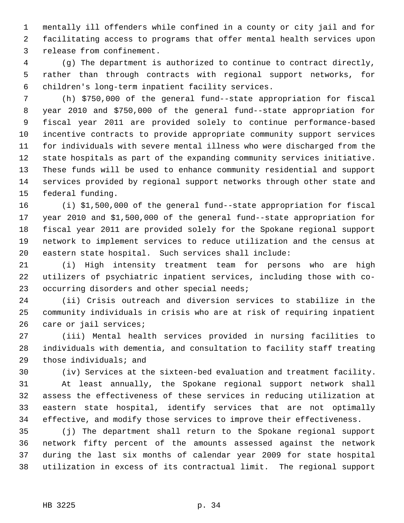1 mentally ill offenders while confined in a county or city jail and for 2 facilitating access to programs that offer mental health services upon 3 release from confinement.

 4 (g) The department is authorized to continue to contract directly, 5 rather than through contracts with regional support networks, for 6 children's long-term inpatient facility services.

 7 (h) \$750,000 of the general fund--state appropriation for fiscal 8 year 2010 and \$750,000 of the general fund--state appropriation for 9 fiscal year 2011 are provided solely to continue performance-based 10 incentive contracts to provide appropriate community support services 11 for individuals with severe mental illness who were discharged from the 12 state hospitals as part of the expanding community services initiative. 13 These funds will be used to enhance community residential and support 14 services provided by regional support networks through other state and 15 federal funding.

16 (i) \$1,500,000 of the general fund--state appropriation for fiscal 17 year 2010 and \$1,500,000 of the general fund--state appropriation for 18 fiscal year 2011 are provided solely for the Spokane regional support 19 network to implement services to reduce utilization and the census at 20 eastern state hospital. Such services shall include:

21 (i) High intensity treatment team for persons who are high 22 utilizers of psychiatric inpatient services, including those with co-23 occurring disorders and other special needs;

24 (ii) Crisis outreach and diversion services to stabilize in the 25 community individuals in crisis who are at risk of requiring inpatient 26 care or jail services;

27 (iii) Mental health services provided in nursing facilities to 28 individuals with dementia, and consultation to facility staff treating 29 those individuals; and

30 (iv) Services at the sixteen-bed evaluation and treatment facility.

31 At least annually, the Spokane regional support network shall 32 assess the effectiveness of these services in reducing utilization at 33 eastern state hospital, identify services that are not optimally 34 effective, and modify those services to improve their effectiveness.

35 (j) The department shall return to the Spokane regional support 36 network fifty percent of the amounts assessed against the network 37 during the last six months of calendar year 2009 for state hospital 38 utilization in excess of its contractual limit. The regional support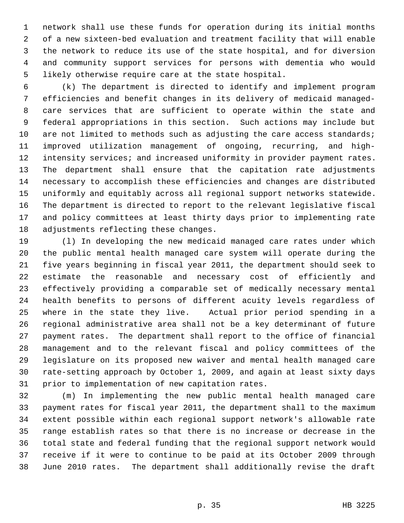1 network shall use these funds for operation during its initial months 2 of a new sixteen-bed evaluation and treatment facility that will enable 3 the network to reduce its use of the state hospital, and for diversion 4 and community support services for persons with dementia who would 5 likely otherwise require care at the state hospital.

 6 (k) The department is directed to identify and implement program 7 efficiencies and benefit changes in its delivery of medicaid managed- 8 care services that are sufficient to operate within the state and 9 federal appropriations in this section. Such actions may include but 10 are not limited to methods such as adjusting the care access standards; 11 improved utilization management of ongoing, recurring, and high-12 intensity services; and increased uniformity in provider payment rates. 13 The department shall ensure that the capitation rate adjustments 14 necessary to accomplish these efficiencies and changes are distributed 15 uniformly and equitably across all regional support networks statewide. 16 The department is directed to report to the relevant legislative fiscal 17 and policy committees at least thirty days prior to implementing rate 18 adjustments reflecting these changes.

19 (l) In developing the new medicaid managed care rates under which 20 the public mental health managed care system will operate during the 21 five years beginning in fiscal year 2011, the department should seek to 22 estimate the reasonable and necessary cost of efficiently and 23 effectively providing a comparable set of medically necessary mental 24 health benefits to persons of different acuity levels regardless of 25 where in the state they live. Actual prior period spending in a 26 regional administrative area shall not be a key determinant of future 27 payment rates. The department shall report to the office of financial 28 management and to the relevant fiscal and policy committees of the 29 legislature on its proposed new waiver and mental health managed care 30 rate-setting approach by October 1, 2009, and again at least sixty days 31 prior to implementation of new capitation rates.

32 (m) In implementing the new public mental health managed care 33 payment rates for fiscal year 2011, the department shall to the maximum 34 extent possible within each regional support network's allowable rate 35 range establish rates so that there is no increase or decrease in the 36 total state and federal funding that the regional support network would 37 receive if it were to continue to be paid at its October 2009 through 38 June 2010 rates. The department shall additionally revise the draft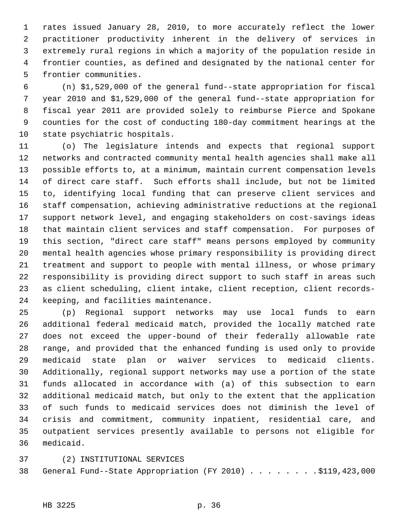1 rates issued January 28, 2010, to more accurately reflect the lower 2 practitioner productivity inherent in the delivery of services in 3 extremely rural regions in which a majority of the population reside in 4 frontier counties, as defined and designated by the national center for 5 frontier communities.

 6 (n) \$1,529,000 of the general fund--state appropriation for fiscal 7 year 2010 and \$1,529,000 of the general fund--state appropriation for 8 fiscal year 2011 are provided solely to reimburse Pierce and Spokane 9 counties for the cost of conducting 180-day commitment hearings at the 10 state psychiatric hospitals.

11 (o) The legislature intends and expects that regional support 12 networks and contracted community mental health agencies shall make all 13 possible efforts to, at a minimum, maintain current compensation levels 14 of direct care staff. Such efforts shall include, but not be limited 15 to, identifying local funding that can preserve client services and 16 staff compensation, achieving administrative reductions at the regional 17 support network level, and engaging stakeholders on cost-savings ideas 18 that maintain client services and staff compensation. For purposes of 19 this section, "direct care staff" means persons employed by community 20 mental health agencies whose primary responsibility is providing direct 21 treatment and support to people with mental illness, or whose primary 22 responsibility is providing direct support to such staff in areas such 23 as client scheduling, client intake, client reception, client records-24 keeping, and facilities maintenance.

25 (p) Regional support networks may use local funds to earn 26 additional federal medicaid match, provided the locally matched rate 27 does not exceed the upper-bound of their federally allowable rate 28 range, and provided that the enhanced funding is used only to provide 29 medicaid state plan or waiver services to medicaid clients. 30 Additionally, regional support networks may use a portion of the state 31 funds allocated in accordance with (a) of this subsection to earn 32 additional medicaid match, but only to the extent that the application 33 of such funds to medicaid services does not diminish the level of 34 crisis and commitment, community inpatient, residential care, and 35 outpatient services presently available to persons not eligible for 36 medicaid.

### 37 (2) INSTITUTIONAL SERVICES

38 General Fund--State Appropriation (FY 2010) . . . . . . . . \$119,423,000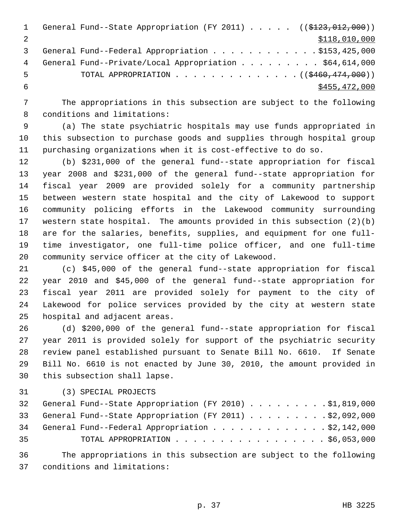|   | General Fund--State Appropriation (FY 2011) $($ $($ $\frac{123}{123}$ , 012, 000)) |
|---|------------------------------------------------------------------------------------|
|   | \$118,010,000                                                                      |
|   | General Fund--Federal Appropriation \$153,425,000                                  |
| 4 | General Fund--Private/Local Appropriation \$64,614,000                             |
| 5 | TOTAL APPROPRIATION $\ldots$ , ( $(\frac{2460}{174}, 000)$ )                       |
|   | \$455, 472, 000                                                                    |

 7 The appropriations in this subsection are subject to the following 8 conditions and limitations:

 9 (a) The state psychiatric hospitals may use funds appropriated in 10 this subsection to purchase goods and supplies through hospital group 11 purchasing organizations when it is cost-effective to do so.

12 (b) \$231,000 of the general fund--state appropriation for fiscal 13 year 2008 and \$231,000 of the general fund--state appropriation for 14 fiscal year 2009 are provided solely for a community partnership 15 between western state hospital and the city of Lakewood to support 16 community policing efforts in the Lakewood community surrounding 17 western state hospital. The amounts provided in this subsection (2)(b) 18 are for the salaries, benefits, supplies, and equipment for one full-19 time investigator, one full-time police officer, and one full-time 20 community service officer at the city of Lakewood.

21 (c) \$45,000 of the general fund--state appropriation for fiscal 22 year 2010 and \$45,000 of the general fund--state appropriation for 23 fiscal year 2011 are provided solely for payment to the city of 24 Lakewood for police services provided by the city at western state 25 hospital and adjacent areas.

26 (d) \$200,000 of the general fund--state appropriation for fiscal 27 year 2011 is provided solely for support of the psychiatric security 28 review panel established pursuant to Senate Bill No. 6610. If Senate 29 Bill No. 6610 is not enacted by June 30, 2010, the amount provided in 30 this subsection shall lapse.

31 (3) SPECIAL PROJECTS

| 32 General Fund--State Appropriation (FY 2010) \$1,819,000 |
|------------------------------------------------------------|
| 33 General Fund--State Appropriation (FY 2011) \$2,092,000 |
| 34 General Fund--Federal Appropriation \$2,142,000         |
| TOTAL APPROPRIATION $\ldots$ , \$6,053,000                 |
|                                                            |

36 The appropriations in this subsection are subject to the following 37 conditions and limitations: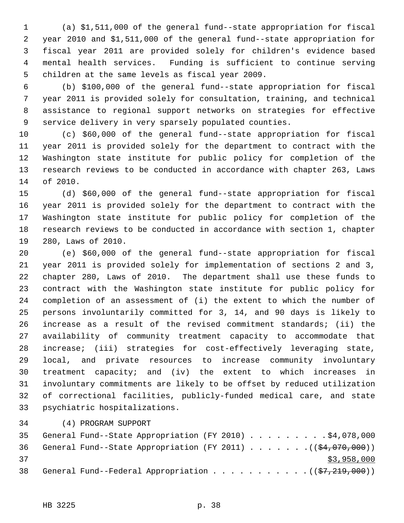1 (a) \$1,511,000 of the general fund--state appropriation for fiscal 2 year 2010 and \$1,511,000 of the general fund--state appropriation for 3 fiscal year 2011 are provided solely for children's evidence based 4 mental health services. Funding is sufficient to continue serving 5 children at the same levels as fiscal year 2009.

 6 (b) \$100,000 of the general fund--state appropriation for fiscal 7 year 2011 is provided solely for consultation, training, and technical 8 assistance to regional support networks on strategies for effective 9 service delivery in very sparsely populated counties.

10 (c) \$60,000 of the general fund--state appropriation for fiscal 11 year 2011 is provided solely for the department to contract with the 12 Washington state institute for public policy for completion of the 13 research reviews to be conducted in accordance with chapter 263, Laws 14 of 2010.

15 (d) \$60,000 of the general fund--state appropriation for fiscal 16 year 2011 is provided solely for the department to contract with the 17 Washington state institute for public policy for completion of the 18 research reviews to be conducted in accordance with section 1, chapter 19 280, Laws of 2010.

20 (e) \$60,000 of the general fund--state appropriation for fiscal 21 year 2011 is provided solely for implementation of sections 2 and 3, 22 chapter 280, Laws of 2010. The department shall use these funds to 23 contract with the Washington state institute for public policy for 24 completion of an assessment of (i) the extent to which the number of 25 persons involuntarily committed for 3, 14, and 90 days is likely to 26 increase as a result of the revised commitment standards; (ii) the 27 availability of community treatment capacity to accommodate that 28 increase; (iii) strategies for cost-effectively leveraging state, 29 local, and private resources to increase community involuntary 30 treatment capacity; and (iv) the extent to which increases in 31 involuntary commitments are likely to be offset by reduced utilization 32 of correctional facilities, publicly-funded medical care, and state 33 psychiatric hospitalizations.

34 (4) PROGRAM SUPPORT

| 35 |  | General Fund--State Appropriation (FY 2010) \$4,078,000           |  |  |  |  |  |             |
|----|--|-------------------------------------------------------------------|--|--|--|--|--|-------------|
| 36 |  | General Fund--State Appropriation (FY 2011) $($ $($ \$4,070,000)) |  |  |  |  |  |             |
| 37 |  |                                                                   |  |  |  |  |  | \$3,958,000 |
| 38 |  | General Fund--Federal Appropriation $($ $($ $\frac{219}{700})$    |  |  |  |  |  |             |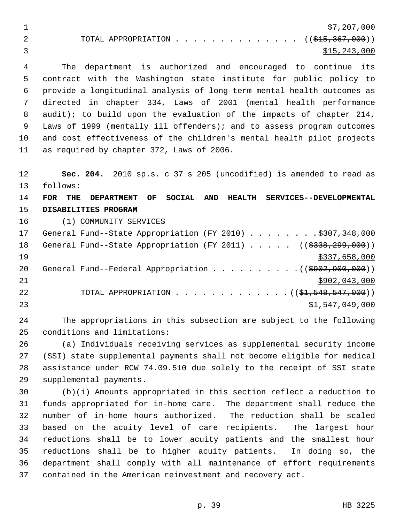| \$7,207,000                                  |
|----------------------------------------------|
| TOTAL APPROPRIATION $($ $($ \$15,367,000 $)$ |
| \$15,243,000                                 |

 4 The department is authorized and encouraged to continue its 5 contract with the Washington state institute for public policy to 6 provide a longitudinal analysis of long-term mental health outcomes as 7 directed in chapter 334, Laws of 2001 (mental health performance 8 audit); to build upon the evaluation of the impacts of chapter 214, 9 Laws of 1999 (mentally ill offenders); and to assess program outcomes 10 and cost effectiveness of the children's mental health pilot projects 11 as required by chapter 372, Laws of 2006.

12 **Sec. 204.** 2010 sp.s. c 37 s 205 (uncodified) is amended to read as 13 follows:

14 **FOR THE DEPARTMENT OF SOCIAL AND HEALTH SERVICES--DEVELOPMENTAL** 15 **DISABILITIES PROGRAM**

16 (1) COMMUNITY SERVICES

| 17 | General Fund--State Appropriation (FY 2010) \$307,348,000                             |
|----|---------------------------------------------------------------------------------------|
| 18 | General Fund--State Appropriation (FY 2011) ( $(\frac{2338}{299}, \frac{299}{100})$ ) |
| 19 | \$337,658,000                                                                         |
| 20 | General Fund--Federal Appropriation $($ $($ $\frac{1}{2902}, 900, 000) )$             |
| 21 | \$902,043,000                                                                         |
| 22 | TOTAL APPROPRIATION $($ $($ \$1,548,547,000) $)$                                      |
| 23 | \$1,547,049,000                                                                       |

24 The appropriations in this subsection are subject to the following 25 conditions and limitations:

26 (a) Individuals receiving services as supplemental security income 27 (SSI) state supplemental payments shall not become eligible for medical 28 assistance under RCW 74.09.510 due solely to the receipt of SSI state 29 supplemental payments.

30 (b)(i) Amounts appropriated in this section reflect a reduction to 31 funds appropriated for in-home care. The department shall reduce the 32 number of in-home hours authorized. The reduction shall be scaled 33 based on the acuity level of care recipients. The largest hour 34 reductions shall be to lower acuity patients and the smallest hour 35 reductions shall be to higher acuity patients. In doing so, the 36 department shall comply with all maintenance of effort requirements 37 contained in the American reinvestment and recovery act.

p. 39 HB 3225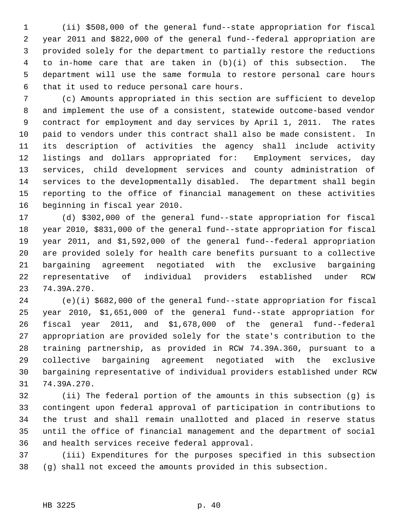1 (ii) \$508,000 of the general fund--state appropriation for fiscal 2 year 2011 and \$822,000 of the general fund--federal appropriation are 3 provided solely for the department to partially restore the reductions 4 to in-home care that are taken in (b)(i) of this subsection. The 5 department will use the same formula to restore personal care hours 6 that it used to reduce personal care hours.

 7 (c) Amounts appropriated in this section are sufficient to develop 8 and implement the use of a consistent, statewide outcome-based vendor 9 contract for employment and day services by April 1, 2011. The rates 10 paid to vendors under this contract shall also be made consistent. In 11 its description of activities the agency shall include activity 12 listings and dollars appropriated for: Employment services, day 13 services, child development services and county administration of 14 services to the developmentally disabled. The department shall begin 15 reporting to the office of financial management on these activities 16 beginning in fiscal year 2010.

17 (d) \$302,000 of the general fund--state appropriation for fiscal 18 year 2010, \$831,000 of the general fund--state appropriation for fiscal 19 year 2011, and \$1,592,000 of the general fund--federal appropriation 20 are provided solely for health care benefits pursuant to a collective 21 bargaining agreement negotiated with the exclusive bargaining 22 representative of individual providers established under RCW 23 74.39A.270.

24 (e)(i) \$682,000 of the general fund--state appropriation for fiscal 25 year 2010, \$1,651,000 of the general fund--state appropriation for 26 fiscal year 2011, and \$1,678,000 of the general fund--federal 27 appropriation are provided solely for the state's contribution to the 28 training partnership, as provided in RCW 74.39A.360, pursuant to a 29 collective bargaining agreement negotiated with the exclusive 30 bargaining representative of individual providers established under RCW 31 74.39A.270.

32 (ii) The federal portion of the amounts in this subsection (g) is 33 contingent upon federal approval of participation in contributions to 34 the trust and shall remain unallotted and placed in reserve status 35 until the office of financial management and the department of social 36 and health services receive federal approval.

37 (iii) Expenditures for the purposes specified in this subsection 38 (g) shall not exceed the amounts provided in this subsection.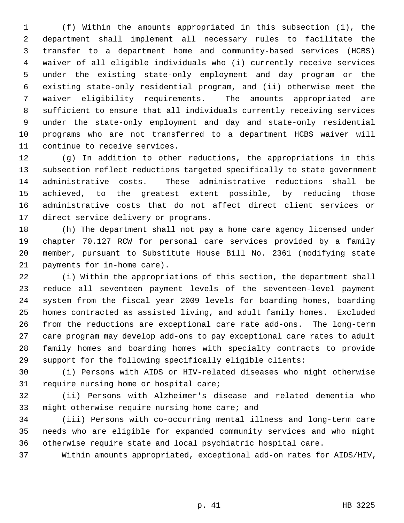1 (f) Within the amounts appropriated in this subsection (1), the 2 department shall implement all necessary rules to facilitate the 3 transfer to a department home and community-based services (HCBS) 4 waiver of all eligible individuals who (i) currently receive services 5 under the existing state-only employment and day program or the 6 existing state-only residential program, and (ii) otherwise meet the 7 waiver eligibility requirements. The amounts appropriated are 8 sufficient to ensure that all individuals currently receiving services 9 under the state-only employment and day and state-only residential 10 programs who are not transferred to a department HCBS waiver will 11 continue to receive services.

12 (g) In addition to other reductions, the appropriations in this 13 subsection reflect reductions targeted specifically to state government 14 administrative costs. These administrative reductions shall be 15 achieved, to the greatest extent possible, by reducing those 16 administrative costs that do not affect direct client services or 17 direct service delivery or programs.

18 (h) The department shall not pay a home care agency licensed under 19 chapter 70.127 RCW for personal care services provided by a family 20 member, pursuant to Substitute House Bill No. 2361 (modifying state 21 payments for in-home care).

22 (i) Within the appropriations of this section, the department shall 23 reduce all seventeen payment levels of the seventeen-level payment 24 system from the fiscal year 2009 levels for boarding homes, boarding 25 homes contracted as assisted living, and adult family homes. Excluded 26 from the reductions are exceptional care rate add-ons. The long-term 27 care program may develop add-ons to pay exceptional care rates to adult 28 family homes and boarding homes with specialty contracts to provide 29 support for the following specifically eligible clients:

30 (i) Persons with AIDS or HIV-related diseases who might otherwise 31 require nursing home or hospital care;

32 (ii) Persons with Alzheimer's disease and related dementia who 33 might otherwise require nursing home care; and

34 (iii) Persons with co-occurring mental illness and long-term care 35 needs who are eligible for expanded community services and who might 36 otherwise require state and local psychiatric hospital care.

37 Within amounts appropriated, exceptional add-on rates for AIDS/HIV,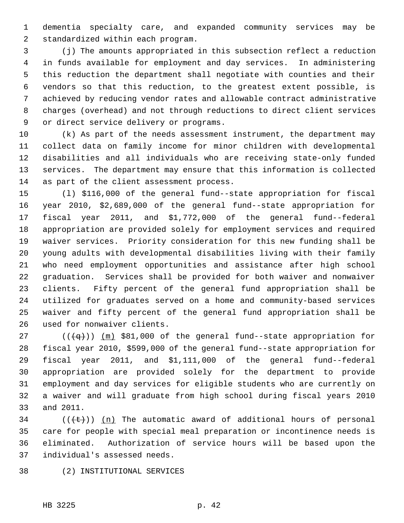1 dementia specialty care, and expanded community services may be 2 standardized within each program.

 3 (j) The amounts appropriated in this subsection reflect a reduction 4 in funds available for employment and day services. In administering 5 this reduction the department shall negotiate with counties and their 6 vendors so that this reduction, to the greatest extent possible, is 7 achieved by reducing vendor rates and allowable contract administrative 8 charges (overhead) and not through reductions to direct client services 9 or direct service delivery or programs.

10 (k) As part of the needs assessment instrument, the department may 11 collect data on family income for minor children with developmental 12 disabilities and all individuals who are receiving state-only funded 13 services. The department may ensure that this information is collected 14 as part of the client assessment process.

15 (l) \$116,000 of the general fund--state appropriation for fiscal 16 year 2010, \$2,689,000 of the general fund--state appropriation for 17 fiscal year 2011, and \$1,772,000 of the general fund--federal 18 appropriation are provided solely for employment services and required 19 waiver services. Priority consideration for this new funding shall be 20 young adults with developmental disabilities living with their family 21 who need employment opportunities and assistance after high school 22 graduation. Services shall be provided for both waiver and nonwaiver 23 clients. Fifty percent of the general fund appropriation shall be 24 utilized for graduates served on a home and community-based services 25 waiver and fifty percent of the general fund appropriation shall be 26 used for nonwaiver clients.

27 ( $(\overline{+q})$ ) (m) \$81,000 of the general fund--state appropriation for 28 fiscal year 2010, \$599,000 of the general fund--state appropriation for 29 fiscal year 2011, and \$1,111,000 of the general fund--federal 30 appropriation are provided solely for the department to provide 31 employment and day services for eligible students who are currently on 32 a waiver and will graduate from high school during fiscal years 2010 33 and 2011.

 $34$  (( $\left(\frac{t}{t}\right)$ ) (n) The automatic award of additional hours of personal 35 care for people with special meal preparation or incontinence needs is 36 eliminated. Authorization of service hours will be based upon the 37 individual's assessed needs.

38 (2) INSTITUTIONAL SERVICES

HB 3225 p. 42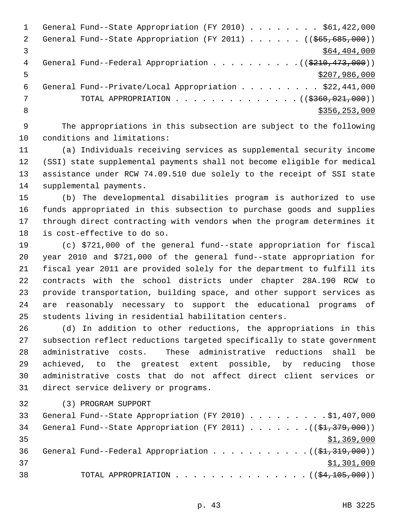```
1 General Fund--State Appropriation (FY 2010) . . . . . . . $61,422,000
2 General Fund--State Appropriation (FY 2011) . . . . . (($65,685,000))
\frac{1}{2} $64,404,000
4 General Fund--Federal Appropriation . . . . . . . . . (($210,473,000))
5 - 5 $207,986,000
 6 General Fund--Private/Local Appropriation . . . . . . . . . $22,441,000
7 TOTAL APPROPRIATION . . . . . . . . . . . . . ((<del>$360,021,000</del>))
8 $356,253,000 $356,253,000 $356,253,000 $356,253,000 $356,253,000 $356,253,000 $
```
 9 The appropriations in this subsection are subject to the following 10 conditions and limitations:

11 (a) Individuals receiving services as supplemental security income 12 (SSI) state supplemental payments shall not become eligible for medical 13 assistance under RCW 74.09.510 due solely to the receipt of SSI state 14 supplemental payments.

15 (b) The developmental disabilities program is authorized to use 16 funds appropriated in this subsection to purchase goods and supplies 17 through direct contracting with vendors when the program determines it 18 is cost-effective to do so.

19 (c) \$721,000 of the general fund--state appropriation for fiscal 20 year 2010 and \$721,000 of the general fund--state appropriation for 21 fiscal year 2011 are provided solely for the department to fulfill its 22 contracts with the school districts under chapter 28A.190 RCW to 23 provide transportation, building space, and other support services as 24 are reasonably necessary to support the educational programs of 25 students living in residential habilitation centers.

26 (d) In addition to other reductions, the appropriations in this 27 subsection reflect reductions targeted specifically to state government 28 administrative costs. These administrative reductions shall be 29 achieved, to the greatest extent possible, by reducing those 30 administrative costs that do not affect direct client services or 31 direct service delivery or programs.

32 (3) PROGRAM SUPPORT

|    | 33 General Fund--State Appropriation (FY 2010) \$1,407,000                       |
|----|----------------------------------------------------------------------------------|
| 34 | General Fund--State Appropriation (FY 2011) ( $(\frac{21}{37}, \frac{379}{379})$ |
| 35 | \$1,369,000                                                                      |
| 36 | General Fund--Federal Appropriation $($ $($ \$1,319,000) $)$                     |
| 37 | \$1,301,000                                                                      |
| 38 | TOTAL APPROPRIATION $($ $(\frac{24}{105},000))$                                  |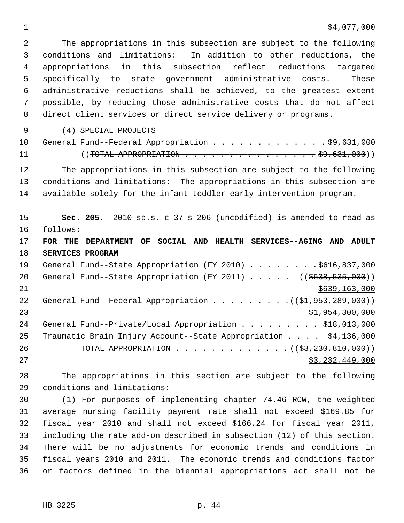## $\frac{1}{2}$   $\frac{1}{2}$   $\frac{1}{2}$   $\frac{1}{2}$   $\frac{1}{2}$   $\frac{1}{2}$   $\frac{1}{2}$   $\frac{1}{2}$   $\frac{1}{2}$   $\frac{1}{2}$   $\frac{1}{2}$   $\frac{1}{2}$   $\frac{1}{2}$   $\frac{1}{2}$   $\frac{1}{2}$   $\frac{1}{2}$   $\frac{1}{2}$   $\frac{1}{2}$   $\frac{1}{2}$   $\frac{1}{2}$   $\frac{1}{2}$   $\frac{1}{2}$

 2 The appropriations in this subsection are subject to the following 3 conditions and limitations: In addition to other reductions, the 4 appropriations in this subsection reflect reductions targeted 5 specifically to state government administrative costs. These 6 administrative reductions shall be achieved, to the greatest extent 7 possible, by reducing those administrative costs that do not affect 8 direct client services or direct service delivery or programs.

9 (4) SPECIAL PROJECTS

| 10 General Fund--Federal Appropriation \$9,631,000 |  |
|----------------------------------------------------|--|
|                                                    |  |

12 The appropriations in this subsection are subject to the following 13 conditions and limitations: The appropriations in this subsection are 14 available solely for the infant toddler early intervention program.

15 **Sec. 205.** 2010 sp.s. c 37 s 206 (uncodified) is amended to read as 16 follows:

17 **FOR THE DEPARTMENT OF SOCIAL AND HEALTH SERVICES--AGING AND ADULT** 18 **SERVICES PROGRAM**

19 General Fund--State Appropriation (FY 2010) . . . . . . . . \$616,837,000 20 General Fund--State Appropriation (FY 2011) . . . . . ((\$638,535,000)) 21 \$639,163,000 \$639,163,000 \$639,163,000 \$639,163,000 \$639,163,000 \$639,163,000 \$659,163,000 \$659,163,000 \$65 22 General Fund--Federal Appropriation  $\ldots$  . . . . . . . ( $(\frac{61}{7953}, \frac{289}{100})$ ) 23 \$1,954,300,000 24 General Fund--Private/Local Appropriation . . . . . . . . . \$18,013,000 25 Traumatic Brain Injury Account--State Appropriation . . . . \$4,136,000 26 TOTAL APPROPRIATION . . . . . . . . . . . . . ((\$3,230,810,000))  $27$   $53,232,449,000$ 

28 The appropriations in this section are subject to the following 29 conditions and limitations:

30 (1) For purposes of implementing chapter 74.46 RCW, the weighted 31 average nursing facility payment rate shall not exceed \$169.85 for 32 fiscal year 2010 and shall not exceed \$166.24 for fiscal year 2011, 33 including the rate add-on described in subsection (12) of this section. 34 There will be no adjustments for economic trends and conditions in 35 fiscal years 2010 and 2011. The economic trends and conditions factor 36 or factors defined in the biennial appropriations act shall not be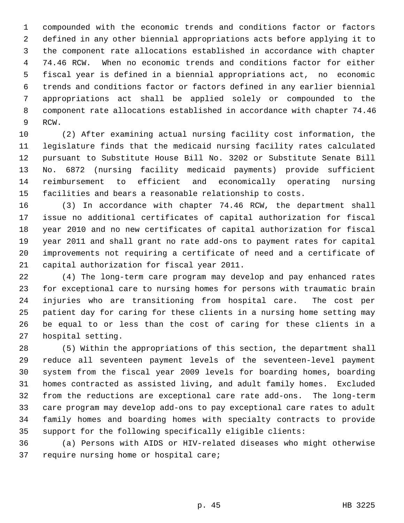1 compounded with the economic trends and conditions factor or factors 2 defined in any other biennial appropriations acts before applying it to 3 the component rate allocations established in accordance with chapter 4 74.46 RCW. When no economic trends and conditions factor for either 5 fiscal year is defined in a biennial appropriations act, no economic 6 trends and conditions factor or factors defined in any earlier biennial 7 appropriations act shall be applied solely or compounded to the 8 component rate allocations established in accordance with chapter 74.46 9 RCW.

10 (2) After examining actual nursing facility cost information, the 11 legislature finds that the medicaid nursing facility rates calculated 12 pursuant to Substitute House Bill No. 3202 or Substitute Senate Bill 13 No. 6872 (nursing facility medicaid payments) provide sufficient 14 reimbursement to efficient and economically operating nursing 15 facilities and bears a reasonable relationship to costs.

16 (3) In accordance with chapter 74.46 RCW, the department shall 17 issue no additional certificates of capital authorization for fiscal 18 year 2010 and no new certificates of capital authorization for fiscal 19 year 2011 and shall grant no rate add-ons to payment rates for capital 20 improvements not requiring a certificate of need and a certificate of 21 capital authorization for fiscal year 2011.

22 (4) The long-term care program may develop and pay enhanced rates 23 for exceptional care to nursing homes for persons with traumatic brain 24 injuries who are transitioning from hospital care. The cost per 25 patient day for caring for these clients in a nursing home setting may 26 be equal to or less than the cost of caring for these clients in a 27 hospital setting.

28 (5) Within the appropriations of this section, the department shall 29 reduce all seventeen payment levels of the seventeen-level payment 30 system from the fiscal year 2009 levels for boarding homes, boarding 31 homes contracted as assisted living, and adult family homes. Excluded 32 from the reductions are exceptional care rate add-ons. The long-term 33 care program may develop add-ons to pay exceptional care rates to adult 34 family homes and boarding homes with specialty contracts to provide 35 support for the following specifically eligible clients:

36 (a) Persons with AIDS or HIV-related diseases who might otherwise 37 require nursing home or hospital care;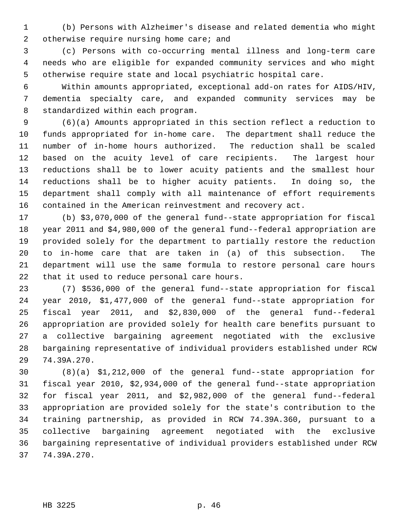1 (b) Persons with Alzheimer's disease and related dementia who might 2 otherwise require nursing home care; and

 3 (c) Persons with co-occurring mental illness and long-term care 4 needs who are eligible for expanded community services and who might 5 otherwise require state and local psychiatric hospital care.

 6 Within amounts appropriated, exceptional add-on rates for AIDS/HIV, 7 dementia specialty care, and expanded community services may be 8 standardized within each program.

 9 (6)(a) Amounts appropriated in this section reflect a reduction to 10 funds appropriated for in-home care. The department shall reduce the 11 number of in-home hours authorized. The reduction shall be scaled 12 based on the acuity level of care recipients. The largest hour 13 reductions shall be to lower acuity patients and the smallest hour 14 reductions shall be to higher acuity patients. In doing so, the 15 department shall comply with all maintenance of effort requirements 16 contained in the American reinvestment and recovery act.

17 (b) \$3,070,000 of the general fund--state appropriation for fiscal 18 year 2011 and \$4,980,000 of the general fund--federal appropriation are 19 provided solely for the department to partially restore the reduction 20 to in-home care that are taken in (a) of this subsection. The 21 department will use the same formula to restore personal care hours 22 that it used to reduce personal care hours.

23 (7) \$536,000 of the general fund--state appropriation for fiscal 24 year 2010, \$1,477,000 of the general fund--state appropriation for 25 fiscal year 2011, and \$2,830,000 of the general fund--federal 26 appropriation are provided solely for health care benefits pursuant to 27 a collective bargaining agreement negotiated with the exclusive 28 bargaining representative of individual providers established under RCW 29 74.39A.270.

30 (8)(a) \$1,212,000 of the general fund--state appropriation for 31 fiscal year 2010, \$2,934,000 of the general fund--state appropriation 32 for fiscal year 2011, and \$2,982,000 of the general fund--federal 33 appropriation are provided solely for the state's contribution to the 34 training partnership, as provided in RCW 74.39A.360, pursuant to a 35 collective bargaining agreement negotiated with the exclusive 36 bargaining representative of individual providers established under RCW 37 74.39A.270.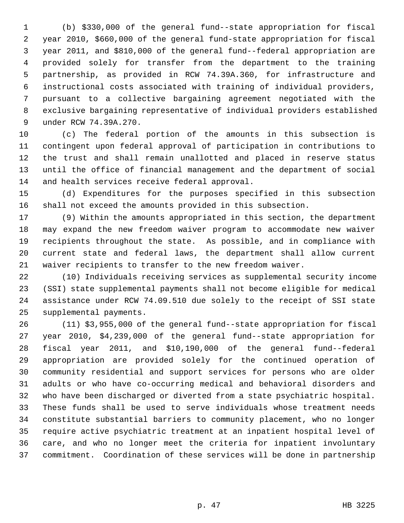1 (b) \$330,000 of the general fund--state appropriation for fiscal 2 year 2010, \$660,000 of the general fund-state appropriation for fiscal 3 year 2011, and \$810,000 of the general fund--federal appropriation are 4 provided solely for transfer from the department to the training 5 partnership, as provided in RCW 74.39A.360, for infrastructure and 6 instructional costs associated with training of individual providers, 7 pursuant to a collective bargaining agreement negotiated with the 8 exclusive bargaining representative of individual providers established 9 under RCW 74.39A.270.

10 (c) The federal portion of the amounts in this subsection is 11 contingent upon federal approval of participation in contributions to 12 the trust and shall remain unallotted and placed in reserve status 13 until the office of financial management and the department of social 14 and health services receive federal approval.

15 (d) Expenditures for the purposes specified in this subsection 16 shall not exceed the amounts provided in this subsection.

17 (9) Within the amounts appropriated in this section, the department 18 may expand the new freedom waiver program to accommodate new waiver 19 recipients throughout the state. As possible, and in compliance with 20 current state and federal laws, the department shall allow current 21 waiver recipients to transfer to the new freedom waiver.

22 (10) Individuals receiving services as supplemental security income 23 (SSI) state supplemental payments shall not become eligible for medical 24 assistance under RCW 74.09.510 due solely to the receipt of SSI state 25 supplemental payments.

26 (11) \$3,955,000 of the general fund--state appropriation for fiscal 27 year 2010, \$4,239,000 of the general fund--state appropriation for 28 fiscal year 2011, and \$10,190,000 of the general fund--federal 29 appropriation are provided solely for the continued operation of 30 community residential and support services for persons who are older 31 adults or who have co-occurring medical and behavioral disorders and 32 who have been discharged or diverted from a state psychiatric hospital. 33 These funds shall be used to serve individuals whose treatment needs 34 constitute substantial barriers to community placement, who no longer 35 require active psychiatric treatment at an inpatient hospital level of 36 care, and who no longer meet the criteria for inpatient involuntary 37 commitment. Coordination of these services will be done in partnership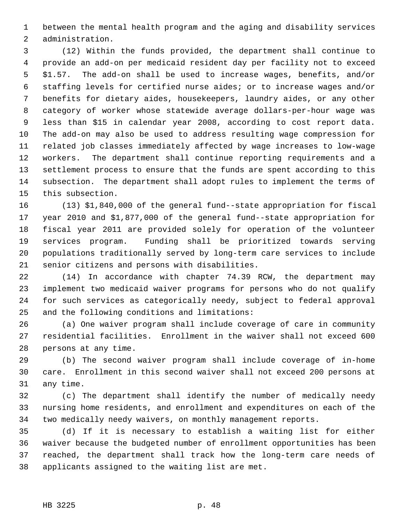1 between the mental health program and the aging and disability services 2 administration.

 3 (12) Within the funds provided, the department shall continue to 4 provide an add-on per medicaid resident day per facility not to exceed 5 \$1.57. The add-on shall be used to increase wages, benefits, and/or 6 staffing levels for certified nurse aides; or to increase wages and/or 7 benefits for dietary aides, housekeepers, laundry aides, or any other 8 category of worker whose statewide average dollars-per-hour wage was 9 less than \$15 in calendar year 2008, according to cost report data. 10 The add-on may also be used to address resulting wage compression for 11 related job classes immediately affected by wage increases to low-wage 12 workers. The department shall continue reporting requirements and a 13 settlement process to ensure that the funds are spent according to this 14 subsection. The department shall adopt rules to implement the terms of 15 this subsection.

16 (13) \$1,840,000 of the general fund--state appropriation for fiscal 17 year 2010 and \$1,877,000 of the general fund--state appropriation for 18 fiscal year 2011 are provided solely for operation of the volunteer 19 services program. Funding shall be prioritized towards serving 20 populations traditionally served by long-term care services to include 21 senior citizens and persons with disabilities.

22 (14) In accordance with chapter 74.39 RCW, the department may 23 implement two medicaid waiver programs for persons who do not qualify 24 for such services as categorically needy, subject to federal approval 25 and the following conditions and limitations:

26 (a) One waiver program shall include coverage of care in community 27 residential facilities. Enrollment in the waiver shall not exceed 600 28 persons at any time.

29 (b) The second waiver program shall include coverage of in-home 30 care. Enrollment in this second waiver shall not exceed 200 persons at 31 any time.

32 (c) The department shall identify the number of medically needy 33 nursing home residents, and enrollment and expenditures on each of the 34 two medically needy waivers, on monthly management reports.

35 (d) If it is necessary to establish a waiting list for either 36 waiver because the budgeted number of enrollment opportunities has been 37 reached, the department shall track how the long-term care needs of 38 applicants assigned to the waiting list are met.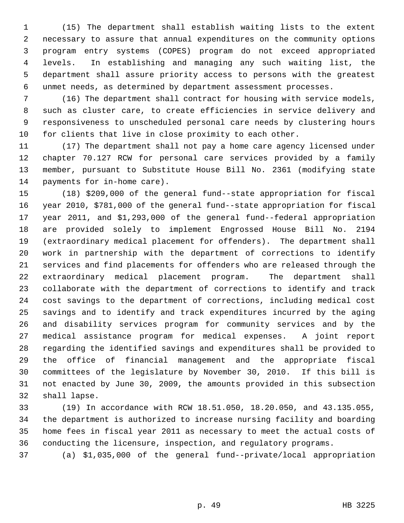1 (15) The department shall establish waiting lists to the extent 2 necessary to assure that annual expenditures on the community options 3 program entry systems (COPES) program do not exceed appropriated 4 levels. In establishing and managing any such waiting list, the 5 department shall assure priority access to persons with the greatest 6 unmet needs, as determined by department assessment processes.

 7 (16) The department shall contract for housing with service models, 8 such as cluster care, to create efficiencies in service delivery and 9 responsiveness to unscheduled personal care needs by clustering hours 10 for clients that live in close proximity to each other.

11 (17) The department shall not pay a home care agency licensed under 12 chapter 70.127 RCW for personal care services provided by a family 13 member, pursuant to Substitute House Bill No. 2361 (modifying state 14 payments for in-home care).

15 (18) \$209,000 of the general fund--state appropriation for fiscal 16 year 2010, \$781,000 of the general fund--state appropriation for fiscal 17 year 2011, and \$1,293,000 of the general fund--federal appropriation 18 are provided solely to implement Engrossed House Bill No. 2194 19 (extraordinary medical placement for offenders). The department shall 20 work in partnership with the department of corrections to identify 21 services and find placements for offenders who are released through the 22 extraordinary medical placement program. The department shall 23 collaborate with the department of corrections to identify and track 24 cost savings to the department of corrections, including medical cost 25 savings and to identify and track expenditures incurred by the aging 26 and disability services program for community services and by the 27 medical assistance program for medical expenses. A joint report 28 regarding the identified savings and expenditures shall be provided to 29 the office of financial management and the appropriate fiscal 30 committees of the legislature by November 30, 2010. If this bill is 31 not enacted by June 30, 2009, the amounts provided in this subsection 32 shall lapse.

33 (19) In accordance with RCW 18.51.050, 18.20.050, and 43.135.055, 34 the department is authorized to increase nursing facility and boarding 35 home fees in fiscal year 2011 as necessary to meet the actual costs of 36 conducting the licensure, inspection, and regulatory programs.

37 (a) \$1,035,000 of the general fund--private/local appropriation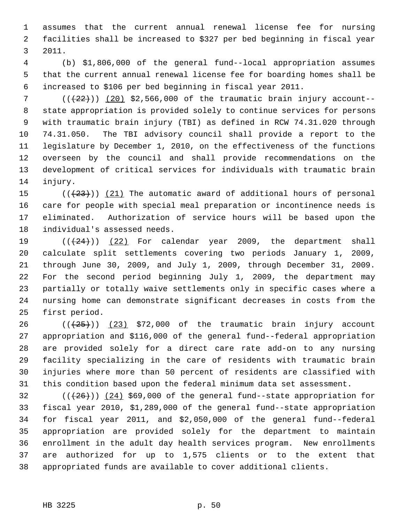1 assumes that the current annual renewal license fee for nursing 2 facilities shall be increased to \$327 per bed beginning in fiscal year 3 2011.

 4 (b) \$1,806,000 of the general fund--local appropriation assumes 5 that the current annual renewal license fee for boarding homes shall be 6 increased to \$106 per bed beginning in fiscal year 2011.

 $7$  ( $(\frac{22}{1})$ ) (20) \$2,566,000 of the traumatic brain injury account-- 8 state appropriation is provided solely to continue services for persons 9 with traumatic brain injury (TBI) as defined in RCW 74.31.020 through 10 74.31.050. The TBI advisory council shall provide a report to the 11 legislature by December 1, 2010, on the effectiveness of the functions 12 overseen by the council and shall provide recommendations on the 13 development of critical services for individuals with traumatic brain 14 injury.

15  $((+23))$   $(21)$  The automatic award of additional hours of personal 16 care for people with special meal preparation or incontinence needs is 17 eliminated. Authorization of service hours will be based upon the 18 individual's assessed needs.

19  $((+24))$   $(22)$  For calendar year 2009, the department shall 20 calculate split settlements covering two periods January 1, 2009, 21 through June 30, 2009, and July 1, 2009, through December 31, 2009. 22 For the second period beginning July 1, 2009, the department may 23 partially or totally waive settlements only in specific cases where a 24 nursing home can demonstrate significant decreases in costs from the 25 first period.

26  $((+25))$   $(23)$  \$72,000 of the traumatic brain injury account 27 appropriation and \$116,000 of the general fund--federal appropriation 28 are provided solely for a direct care rate add-on to any nursing 29 facility specializing in the care of residents with traumatic brain 30 injuries where more than 50 percent of residents are classified with 31 this condition based upon the federal minimum data set assessment.

 $32$  ( $(\frac{26}{12})$   $(24)$  \$69,000 of the general fund--state appropriation for 33 fiscal year 2010, \$1,289,000 of the general fund--state appropriation 34 for fiscal year 2011, and \$2,050,000 of the general fund--federal 35 appropriation are provided solely for the department to maintain 36 enrollment in the adult day health services program. New enrollments 37 are authorized for up to 1,575 clients or to the extent that 38 appropriated funds are available to cover additional clients.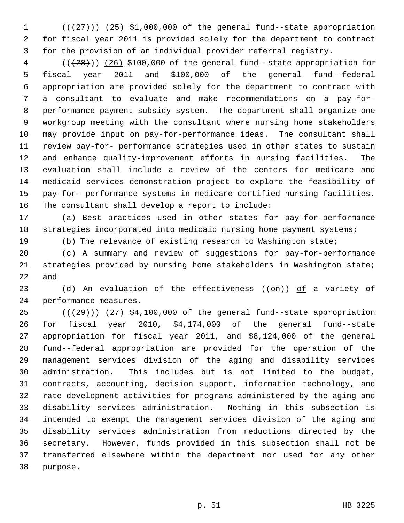1  $((+27))$   $(25)$  \$1,000,000 of the general fund--state appropriation 2 for fiscal year 2011 is provided solely for the department to contract 3 for the provision of an individual provider referral registry.

 $4$  ( $(\overline{28})$ ) (26) \$100,000 of the general fund--state appropriation for 5 fiscal year 2011 and \$100,000 of the general fund--federal 6 appropriation are provided solely for the department to contract with 7 a consultant to evaluate and make recommendations on a pay-for- 8 performance payment subsidy system. The department shall organize one 9 workgroup meeting with the consultant where nursing home stakeholders 10 may provide input on pay-for-performance ideas. The consultant shall 11 review pay-for- performance strategies used in other states to sustain 12 and enhance quality-improvement efforts in nursing facilities. The 13 evaluation shall include a review of the centers for medicare and 14 medicaid services demonstration project to explore the feasibility of 15 pay-for- performance systems in medicare certified nursing facilities. 16 The consultant shall develop a report to include:

17 (a) Best practices used in other states for pay-for-performance 18 strategies incorporated into medicaid nursing home payment systems;

19 (b) The relevance of existing research to Washington state;

20 (c) A summary and review of suggestions for pay-for-performance 21 strategies provided by nursing home stakeholders in Washington state; 22 and

23 (d) An evaluation of the effectiveness  $((\Theta n))$  of a variety of 24 performance measures.

25  $((+29))$   $(27)$  \$4,100,000 of the general fund--state appropriation 26 for fiscal year 2010, \$4,174,000 of the general fund--state 27 appropriation for fiscal year 2011, and \$8,124,000 of the general 28 fund--federal appropriation are provided for the operation of the 29 management services division of the aging and disability services 30 administration. This includes but is not limited to the budget, 31 contracts, accounting, decision support, information technology, and 32 rate development activities for programs administered by the aging and 33 disability services administration. Nothing in this subsection is 34 intended to exempt the management services division of the aging and 35 disability services administration from reductions directed by the 36 secretary. However, funds provided in this subsection shall not be 37 transferred elsewhere within the department nor used for any other 38 purpose.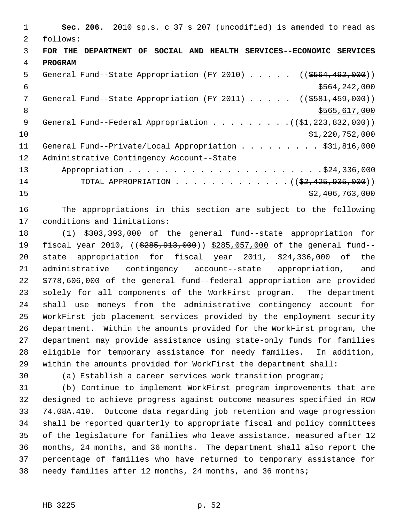1 **Sec. 206.** 2010 sp.s. c 37 s 207 (uncodified) is amended to read as 2 follows: 3 **FOR THE DEPARTMENT OF SOCIAL AND HEALTH SERVICES--ECONOMIC SERVICES** 4 **PROGRAM** 5 General Fund--State Appropriation (FY 2010) . . . . . ((\$564,492,000))  $$564,242,000$ 7 General Fund--State Appropriation (FY 2011) . . . . . ((<del>\$581,459,000</del>)) 8 \$565,617,000 9 General Fund--Federal Appropriation . . . . . . . . . ((\$1,223,832,000))  $\frac{10}{10}$   $\frac{10}{20}$ ,  $\frac{10}{20}$ ,  $\frac{10}{20}$ ,  $\frac{10}{20}$ ,  $\frac{10}{20}$ ,  $\frac{10}{20}$ 11 General Fund--Private/Local Appropriation . . . . . . . . \$31,816,000 12 Administrative Contingency Account--State 13 Appropriation . . . . . . . . . . . . . . . . . . . . . .\$24,336,000 14 TOTAL APPROPRIATION . . . . . . . . . . . . . ((\$2,425,935,000))  $15$  \$2,406,763,000

16 The appropriations in this section are subject to the following 17 conditions and limitations:

18 (1) \$303,393,000 of the general fund--state appropriation for 19 fiscal year 2010, ((\$285, 913, 000)) \$285,057,000 of the general fund--20 state appropriation for fiscal year 2011, \$24,336,000 of the 21 administrative contingency account--state appropriation, and 22 \$778,606,000 of the general fund--federal appropriation are provided 23 solely for all components of the WorkFirst program. The department 24 shall use moneys from the administrative contingency account for 25 WorkFirst job placement services provided by the employment security 26 department. Within the amounts provided for the WorkFirst program, the 27 department may provide assistance using state-only funds for families 28 eligible for temporary assistance for needy families. In addition, 29 within the amounts provided for WorkFirst the department shall:

30 (a) Establish a career services work transition program;

31 (b) Continue to implement WorkFirst program improvements that are 32 designed to achieve progress against outcome measures specified in RCW 33 74.08A.410. Outcome data regarding job retention and wage progression 34 shall be reported quarterly to appropriate fiscal and policy committees 35 of the legislature for families who leave assistance, measured after 12 36 months, 24 months, and 36 months. The department shall also report the 37 percentage of families who have returned to temporary assistance for 38 needy families after 12 months, 24 months, and 36 months;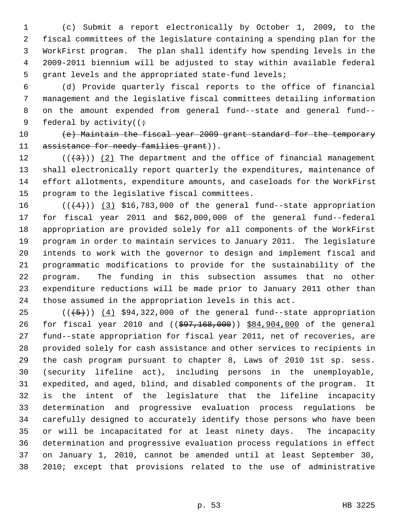1 (c) Submit a report electronically by October 1, 2009, to the 2 fiscal committees of the legislature containing a spending plan for the 3 WorkFirst program. The plan shall identify how spending levels in the 4 2009-2011 biennium will be adjusted to stay within available federal 5 grant levels and the appropriated state-fund levels;

 6 (d) Provide quarterly fiscal reports to the office of financial 7 management and the legislative fiscal committees detailing information 8 on the amount expended from general fund--state and general fund-- 9 federal by activity( $(\div)$ 

10 (e) Maintain the fiscal year 2009 grant standard for the temporary 11 assistance for needy families grant)).

12  $((+3))$   $(2)$  The department and the office of financial management 13 shall electronically report quarterly the expenditures, maintenance of 14 effort allotments, expenditure amounts, and caseloads for the WorkFirst 15 program to the legislative fiscal committees.

16  $((+4))$  (3) \$16,783,000 of the general fund--state appropriation 17 for fiscal year 2011 and \$62,000,000 of the general fund--federal 18 appropriation are provided solely for all components of the WorkFirst 19 program in order to maintain services to January 2011. The legislature 20 intends to work with the governor to design and implement fiscal and 21 programmatic modifications to provide for the sustainability of the 22 program. The funding in this subsection assumes that no other 23 expenditure reductions will be made prior to January 2011 other than 24 those assumed in the appropriation levels in this act.

25  $((+5))$   $(4)$  \$94,322,000 of the general fund--state appropriation 26 for fiscal year 2010 and ((\$97,168,000)) \$84,904,000 of the general 27 fund--state appropriation for fiscal year 2011, net of recoveries, are 28 provided solely for cash assistance and other services to recipients in 29 the cash program pursuant to chapter 8, Laws of 2010 1st sp. sess. 30 (security lifeline act), including persons in the unemployable, 31 expedited, and aged, blind, and disabled components of the program. It 32 is the intent of the legislature that the lifeline incapacity 33 determination and progressive evaluation process regulations be 34 carefully designed to accurately identify those persons who have been 35 or will be incapacitated for at least ninety days. The incapacity 36 determination and progressive evaluation process regulations in effect 37 on January 1, 2010, cannot be amended until at least September 30, 38 2010; except that provisions related to the use of administrative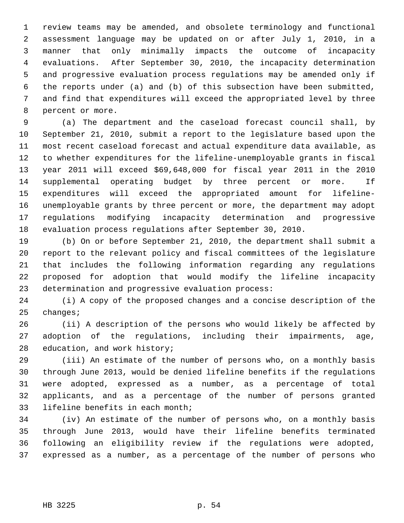1 review teams may be amended, and obsolete terminology and functional 2 assessment language may be updated on or after July 1, 2010, in a 3 manner that only minimally impacts the outcome of incapacity 4 evaluations. After September 30, 2010, the incapacity determination 5 and progressive evaluation process regulations may be amended only if 6 the reports under (a) and (b) of this subsection have been submitted, 7 and find that expenditures will exceed the appropriated level by three 8 percent or more.

 9 (a) The department and the caseload forecast council shall, by 10 September 21, 2010, submit a report to the legislature based upon the 11 most recent caseload forecast and actual expenditure data available, as 12 to whether expenditures for the lifeline-unemployable grants in fiscal 13 year 2011 will exceed \$69,648,000 for fiscal year 2011 in the 2010 14 supplemental operating budget by three percent or more. If 15 expenditures will exceed the appropriated amount for lifeline-16 unemployable grants by three percent or more, the department may adopt 17 regulations modifying incapacity determination and progressive 18 evaluation process regulations after September 30, 2010.

19 (b) On or before September 21, 2010, the department shall submit a 20 report to the relevant policy and fiscal committees of the legislature 21 that includes the following information regarding any regulations 22 proposed for adoption that would modify the lifeline incapacity 23 determination and progressive evaluation process:

24 (i) A copy of the proposed changes and a concise description of the 25 changes;

26 (ii) A description of the persons who would likely be affected by 27 adoption of the regulations, including their impairments, age, 28 education, and work history;

29 (iii) An estimate of the number of persons who, on a monthly basis 30 through June 2013, would be denied lifeline benefits if the regulations 31 were adopted, expressed as a number, as a percentage of total 32 applicants, and as a percentage of the number of persons granted 33 lifeline benefits in each month;

34 (iv) An estimate of the number of persons who, on a monthly basis 35 through June 2013, would have their lifeline benefits terminated 36 following an eligibility review if the regulations were adopted, 37 expressed as a number, as a percentage of the number of persons who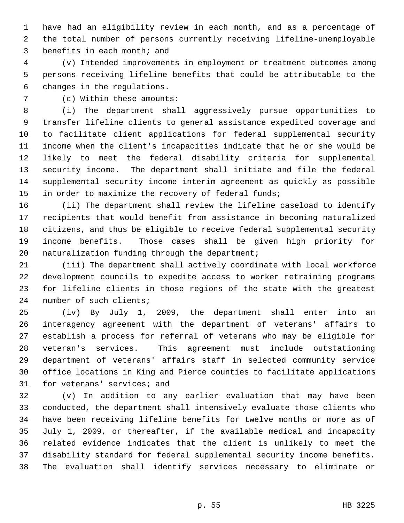1 have had an eligibility review in each month, and as a percentage of 2 the total number of persons currently receiving lifeline-unemployable 3 benefits in each month; and

 4 (v) Intended improvements in employment or treatment outcomes among 5 persons receiving lifeline benefits that could be attributable to the 6 changes in the regulations.

7 (c) Within these amounts:

 8 (i) The department shall aggressively pursue opportunities to 9 transfer lifeline clients to general assistance expedited coverage and 10 to facilitate client applications for federal supplemental security 11 income when the client's incapacities indicate that he or she would be 12 likely to meet the federal disability criteria for supplemental 13 security income. The department shall initiate and file the federal 14 supplemental security income interim agreement as quickly as possible 15 in order to maximize the recovery of federal funds;

16 (ii) The department shall review the lifeline caseload to identify 17 recipients that would benefit from assistance in becoming naturalized 18 citizens, and thus be eligible to receive federal supplemental security 19 income benefits. Those cases shall be given high priority for 20 naturalization funding through the department;

21 (iii) The department shall actively coordinate with local workforce 22 development councils to expedite access to worker retraining programs 23 for lifeline clients in those regions of the state with the greatest 24 number of such clients;

25 (iv) By July 1, 2009, the department shall enter into an 26 interagency agreement with the department of veterans' affairs to 27 establish a process for referral of veterans who may be eligible for 28 veteran's services. This agreement must include outstationing 29 department of veterans' affairs staff in selected community service 30 office locations in King and Pierce counties to facilitate applications 31 for veterans' services; and

32 (v) In addition to any earlier evaluation that may have been 33 conducted, the department shall intensively evaluate those clients who 34 have been receiving lifeline benefits for twelve months or more as of 35 July 1, 2009, or thereafter, if the available medical and incapacity 36 related evidence indicates that the client is unlikely to meet the 37 disability standard for federal supplemental security income benefits. 38 The evaluation shall identify services necessary to eliminate or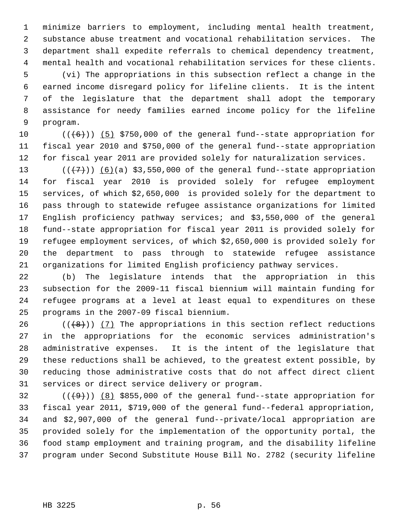1 minimize barriers to employment, including mental health treatment, 2 substance abuse treatment and vocational rehabilitation services. The 3 department shall expedite referrals to chemical dependency treatment, 4 mental health and vocational rehabilitation services for these clients.

 5 (vi) The appropriations in this subsection reflect a change in the 6 earned income disregard policy for lifeline clients. It is the intent 7 of the legislature that the department shall adopt the temporary 8 assistance for needy families earned income policy for the lifeline 9 program.

10  $((+6))$  (5) \$750,000 of the general fund--state appropriation for 11 fiscal year 2010 and \$750,000 of the general fund--state appropriation 12 for fiscal year 2011 are provided solely for naturalization services.

13  $((+7)$ )  $(6)(a)$  \$3,550,000 of the general fund--state appropriation 14 for fiscal year 2010 is provided solely for refugee employment 15 services, of which \$2,650,000 is provided solely for the department to 16 pass through to statewide refugee assistance organizations for limited 17 English proficiency pathway services; and \$3,550,000 of the general 18 fund--state appropriation for fiscal year 2011 is provided solely for 19 refugee employment services, of which \$2,650,000 is provided solely for 20 the department to pass through to statewide refugee assistance 21 organizations for limited English proficiency pathway services.

22 (b) The legislature intends that the appropriation in this 23 subsection for the 2009-11 fiscal biennium will maintain funding for 24 refugee programs at a level at least equal to expenditures on these 25 programs in the 2007-09 fiscal biennium.

26  $((+8))$  (7) The appropriations in this section reflect reductions 27 in the appropriations for the economic services administration's 28 administrative expenses. It is the intent of the legislature that 29 these reductions shall be achieved, to the greatest extent possible, by 30 reducing those administrative costs that do not affect direct client 31 services or direct service delivery or program.

32  $((+9))$  (8) \$855,000 of the general fund--state appropriation for 33 fiscal year 2011, \$719,000 of the general fund--federal appropriation, 34 and \$2,907,000 of the general fund--private/local appropriation are 35 provided solely for the implementation of the opportunity portal, the 36 food stamp employment and training program, and the disability lifeline 37 program under Second Substitute House Bill No. 2782 (security lifeline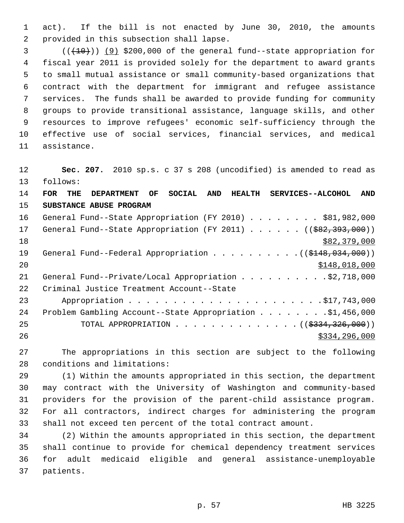1 act). If the bill is not enacted by June 30, 2010, the amounts 2 provided in this subsection shall lapse.

 $3$  ( $(\overline{+10})$ ) (9) \$200,000 of the general fund--state appropriation for 4 fiscal year 2011 is provided solely for the department to award grants 5 to small mutual assistance or small community-based organizations that 6 contract with the department for immigrant and refugee assistance 7 services. The funds shall be awarded to provide funding for community 8 groups to provide transitional assistance, language skills, and other 9 resources to improve refugees' economic self-sufficiency through the 10 effective use of social services, financial services, and medical 11 assistance.

12 **Sec. 207.** 2010 sp.s. c 37 s 208 (uncodified) is amended to read as 13 follows: 14 **FOR THE DEPARTMENT OF SOCIAL AND HEALTH SERVICES--ALCOHOL AND**

15 **SUBSTANCE ABUSE PROGRAM**

| 16 | General Fund--State Appropriation (FY 2010) \$81,982,000                             |
|----|--------------------------------------------------------------------------------------|
| 17 | General Fund--State Appropriation (FY 2011) ( $(\frac{282}{393}, \frac{393}{100})$ ) |
| 18 | \$82,379,000                                                                         |
| 19 | General Fund--Federal Appropriation $($ $($ $$148, 034, 000)$ $)$                    |
| 20 | \$148,018,000                                                                        |
| 21 | General Fund--Private/Local Appropriation 92,718,000                                 |
| 22 | Criminal Justice Treatment Account--State                                            |
| 23 |                                                                                      |
| 24 | Problem Gambling Account--State Appropriation \$1,456,000                            |
| 25 | TOTAL APPROPRIATION ( $(\frac{2334}{326}, 000)$ )                                    |
| 26 | \$334,296,000                                                                        |

27 The appropriations in this section are subject to the following 28 conditions and limitations:

29 (1) Within the amounts appropriated in this section, the department 30 may contract with the University of Washington and community-based 31 providers for the provision of the parent-child assistance program. 32 For all contractors, indirect charges for administering the program 33 shall not exceed ten percent of the total contract amount.

34 (2) Within the amounts appropriated in this section, the department 35 shall continue to provide for chemical dependency treatment services 36 for adult medicaid eligible and general assistance-unemployable 37 patients.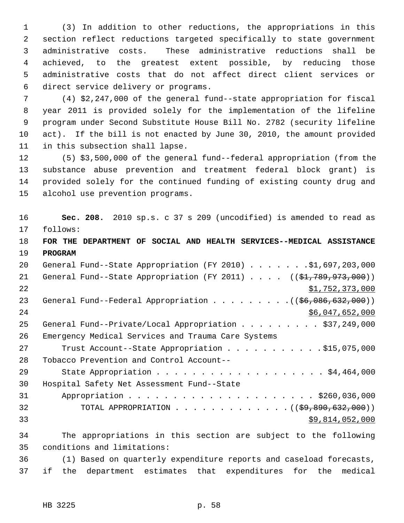1 (3) In addition to other reductions, the appropriations in this 2 section reflect reductions targeted specifically to state government 3 administrative costs. These administrative reductions shall be 4 achieved, to the greatest extent possible, by reducing those 5 administrative costs that do not affect direct client services or 6 direct service delivery or programs.

 7 (4) \$2,247,000 of the general fund--state appropriation for fiscal 8 year 2011 is provided solely for the implementation of the lifeline 9 program under Second Substitute House Bill No. 2782 (security lifeline 10 act). If the bill is not enacted by June 30, 2010, the amount provided 11 in this subsection shall lapse.

12 (5) \$3,500,000 of the general fund--federal appropriation (from the 13 substance abuse prevention and treatment federal block grant) is 14 provided solely for the continued funding of existing county drug and 15 alcohol use prevention programs.

16 **Sec. 208.** 2010 sp.s. c 37 s 209 (uncodified) is amended to read as 17 follows:

18 **FOR THE DEPARTMENT OF SOCIAL AND HEALTH SERVICES--MEDICAL ASSISTANCE** 19 **PROGRAM**

| 20 | General Fund--State Appropriation (FY 2010) \$1,697,203,000                                   |
|----|-----------------------------------------------------------------------------------------------|
| 21 | General Fund--State Appropriation (FY 2011) $($ $($ \$1,789,973,000))                         |
| 22 | \$1,752,373,000                                                                               |
| 23 | General Fund--Federal Appropriation $($ $($ $\frac{6}{56}, \frac{086}{632}, \frac{632}{000})$ |
| 24 | \$6,047,652,000                                                                               |
| 25 | General Fund--Private/Local Appropriation \$37,249,000                                        |
| 26 | Emergency Medical Services and Trauma Care Systems                                            |
| 27 | Trust Account--State Appropriation \$15,075,000                                               |
| 28 | Tobacco Prevention and Control Account--                                                      |
| 29 |                                                                                               |
| 30 | Hospital Safety Net Assessment Fund--State                                                    |
| 31 |                                                                                               |
| 32 | TOTAL APPROPRIATION ( $(\frac{69}{69}, \frac{890}{632}, \frac{000}{10})$ )                    |
| 33 | \$9,814,052,000                                                                               |
|    |                                                                                               |

34 The appropriations in this section are subject to the following 35 conditions and limitations:

36 (1) Based on quarterly expenditure reports and caseload forecasts, 37 if the department estimates that expenditures for the medical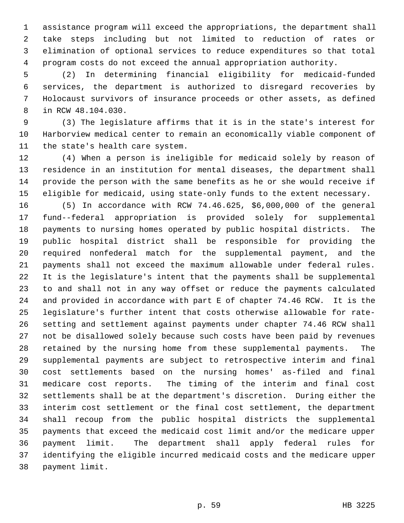1 assistance program will exceed the appropriations, the department shall 2 take steps including but not limited to reduction of rates or 3 elimination of optional services to reduce expenditures so that total 4 program costs do not exceed the annual appropriation authority.

 5 (2) In determining financial eligibility for medicaid-funded 6 services, the department is authorized to disregard recoveries by 7 Holocaust survivors of insurance proceeds or other assets, as defined 8 in RCW 48.104.030.

 9 (3) The legislature affirms that it is in the state's interest for 10 Harborview medical center to remain an economically viable component of 11 the state's health care system.

12 (4) When a person is ineligible for medicaid solely by reason of 13 residence in an institution for mental diseases, the department shall 14 provide the person with the same benefits as he or she would receive if 15 eligible for medicaid, using state-only funds to the extent necessary.

16 (5) In accordance with RCW 74.46.625, \$6,000,000 of the general 17 fund--federal appropriation is provided solely for supplemental 18 payments to nursing homes operated by public hospital districts. The 19 public hospital district shall be responsible for providing the 20 required nonfederal match for the supplemental payment, and the 21 payments shall not exceed the maximum allowable under federal rules. 22 It is the legislature's intent that the payments shall be supplemental 23 to and shall not in any way offset or reduce the payments calculated 24 and provided in accordance with part E of chapter 74.46 RCW. It is the 25 legislature's further intent that costs otherwise allowable for rate-26 setting and settlement against payments under chapter 74.46 RCW shall 27 not be disallowed solely because such costs have been paid by revenues 28 retained by the nursing home from these supplemental payments. The 29 supplemental payments are subject to retrospective interim and final 30 cost settlements based on the nursing homes' as-filed and final 31 medicare cost reports. The timing of the interim and final cost 32 settlements shall be at the department's discretion. During either the 33 interim cost settlement or the final cost settlement, the department 34 shall recoup from the public hospital districts the supplemental 35 payments that exceed the medicaid cost limit and/or the medicare upper 36 payment limit. The department shall apply federal rules for 37 identifying the eligible incurred medicaid costs and the medicare upper 38 payment limit.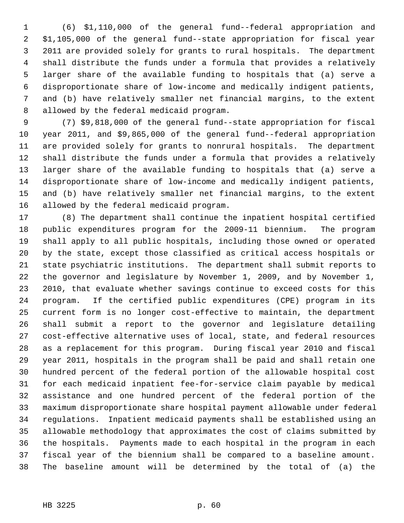1 (6) \$1,110,000 of the general fund--federal appropriation and 2 \$1,105,000 of the general fund--state appropriation for fiscal year 3 2011 are provided solely for grants to rural hospitals. The department 4 shall distribute the funds under a formula that provides a relatively 5 larger share of the available funding to hospitals that (a) serve a 6 disproportionate share of low-income and medically indigent patients, 7 and (b) have relatively smaller net financial margins, to the extent 8 allowed by the federal medicaid program.

 9 (7) \$9,818,000 of the general fund--state appropriation for fiscal 10 year 2011, and \$9,865,000 of the general fund--federal appropriation 11 are provided solely for grants to nonrural hospitals. The department 12 shall distribute the funds under a formula that provides a relatively 13 larger share of the available funding to hospitals that (a) serve a 14 disproportionate share of low-income and medically indigent patients, 15 and (b) have relatively smaller net financial margins, to the extent 16 allowed by the federal medicaid program.

17 (8) The department shall continue the inpatient hospital certified 18 public expenditures program for the 2009-11 biennium. The program 19 shall apply to all public hospitals, including those owned or operated 20 by the state, except those classified as critical access hospitals or 21 state psychiatric institutions. The department shall submit reports to 22 the governor and legislature by November 1, 2009, and by November 1, 23 2010, that evaluate whether savings continue to exceed costs for this 24 program. If the certified public expenditures (CPE) program in its 25 current form is no longer cost-effective to maintain, the department 26 shall submit a report to the governor and legislature detailing 27 cost-effective alternative uses of local, state, and federal resources 28 as a replacement for this program. During fiscal year 2010 and fiscal 29 year 2011, hospitals in the program shall be paid and shall retain one 30 hundred percent of the federal portion of the allowable hospital cost 31 for each medicaid inpatient fee-for-service claim payable by medical 32 assistance and one hundred percent of the federal portion of the 33 maximum disproportionate share hospital payment allowable under federal 34 regulations. Inpatient medicaid payments shall be established using an 35 allowable methodology that approximates the cost of claims submitted by 36 the hospitals. Payments made to each hospital in the program in each 37 fiscal year of the biennium shall be compared to a baseline amount. 38 The baseline amount will be determined by the total of (a) the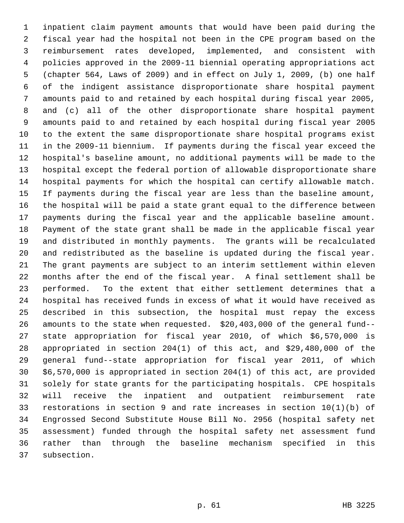1 inpatient claim payment amounts that would have been paid during the 2 fiscal year had the hospital not been in the CPE program based on the 3 reimbursement rates developed, implemented, and consistent with 4 policies approved in the 2009-11 biennial operating appropriations act 5 (chapter 564, Laws of 2009) and in effect on July 1, 2009, (b) one half 6 of the indigent assistance disproportionate share hospital payment 7 amounts paid to and retained by each hospital during fiscal year 2005, 8 and (c) all of the other disproportionate share hospital payment 9 amounts paid to and retained by each hospital during fiscal year 2005 10 to the extent the same disproportionate share hospital programs exist 11 in the 2009-11 biennium. If payments during the fiscal year exceed the 12 hospital's baseline amount, no additional payments will be made to the 13 hospital except the federal portion of allowable disproportionate share 14 hospital payments for which the hospital can certify allowable match. 15 If payments during the fiscal year are less than the baseline amount, 16 the hospital will be paid a state grant equal to the difference between 17 payments during the fiscal year and the applicable baseline amount. 18 Payment of the state grant shall be made in the applicable fiscal year 19 and distributed in monthly payments. The grants will be recalculated 20 and redistributed as the baseline is updated during the fiscal year. 21 The grant payments are subject to an interim settlement within eleven 22 months after the end of the fiscal year. A final settlement shall be 23 performed. To the extent that either settlement determines that a 24 hospital has received funds in excess of what it would have received as 25 described in this subsection, the hospital must repay the excess 26 amounts to the state when requested. \$20,403,000 of the general fund-- 27 state appropriation for fiscal year 2010, of which \$6,570,000 is 28 appropriated in section 204(1) of this act, and \$29,480,000 of the 29 general fund--state appropriation for fiscal year 2011, of which 30 \$6,570,000 is appropriated in section 204(1) of this act, are provided 31 solely for state grants for the participating hospitals. CPE hospitals 32 will receive the inpatient and outpatient reimbursement rate 33 restorations in section 9 and rate increases in section 10(1)(b) of 34 Engrossed Second Substitute House Bill No. 2956 (hospital safety net 35 assessment) funded through the hospital safety net assessment fund 36 rather than through the baseline mechanism specified in this 37 subsection.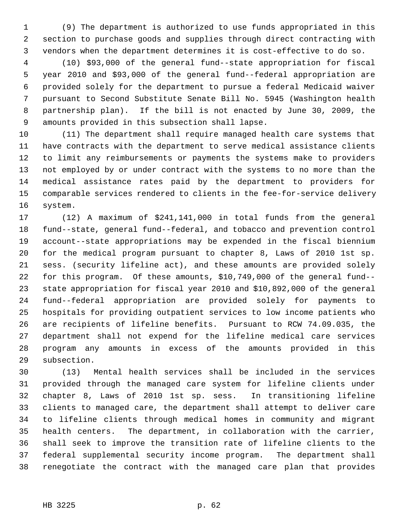1 (9) The department is authorized to use funds appropriated in this 2 section to purchase goods and supplies through direct contracting with 3 vendors when the department determines it is cost-effective to do so.

 4 (10) \$93,000 of the general fund--state appropriation for fiscal 5 year 2010 and \$93,000 of the general fund--federal appropriation are 6 provided solely for the department to pursue a federal Medicaid waiver 7 pursuant to Second Substitute Senate Bill No. 5945 (Washington health 8 partnership plan). If the bill is not enacted by June 30, 2009, the 9 amounts provided in this subsection shall lapse.

10 (11) The department shall require managed health care systems that 11 have contracts with the department to serve medical assistance clients 12 to limit any reimbursements or payments the systems make to providers 13 not employed by or under contract with the systems to no more than the 14 medical assistance rates paid by the department to providers for 15 comparable services rendered to clients in the fee-for-service delivery 16 system.

17 (12) A maximum of \$241,141,000 in total funds from the general 18 fund--state, general fund--federal, and tobacco and prevention control 19 account--state appropriations may be expended in the fiscal biennium 20 for the medical program pursuant to chapter 8, Laws of 2010 1st sp. 21 sess. (security lifeline act), and these amounts are provided solely 22 for this program. Of these amounts, \$10,749,000 of the general fund-- 23 state appropriation for fiscal year 2010 and \$10,892,000 of the general 24 fund--federal appropriation are provided solely for payments to 25 hospitals for providing outpatient services to low income patients who 26 are recipients of lifeline benefits. Pursuant to RCW 74.09.035, the 27 department shall not expend for the lifeline medical care services 28 program any amounts in excess of the amounts provided in this 29 subsection.

30 (13) Mental health services shall be included in the services 31 provided through the managed care system for lifeline clients under 32 chapter 8, Laws of 2010 1st sp. sess. In transitioning lifeline 33 clients to managed care, the department shall attempt to deliver care 34 to lifeline clients through medical homes in community and migrant 35 health centers. The department, in collaboration with the carrier, 36 shall seek to improve the transition rate of lifeline clients to the 37 federal supplemental security income program. The department shall 38 renegotiate the contract with the managed care plan that provides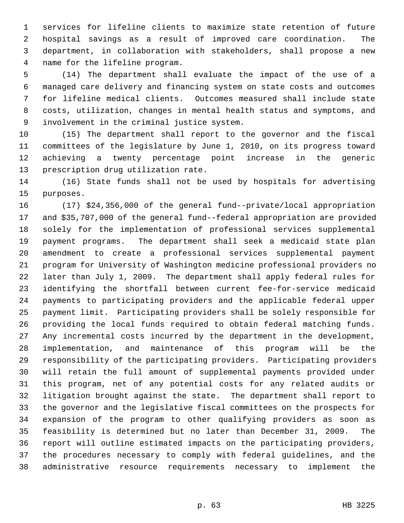1 services for lifeline clients to maximize state retention of future 2 hospital savings as a result of improved care coordination. The 3 department, in collaboration with stakeholders, shall propose a new 4 name for the lifeline program.

 5 (14) The department shall evaluate the impact of the use of a 6 managed care delivery and financing system on state costs and outcomes 7 for lifeline medical clients. Outcomes measured shall include state 8 costs, utilization, changes in mental health status and symptoms, and 9 involvement in the criminal justice system.

10 (15) The department shall report to the governor and the fiscal 11 committees of the legislature by June 1, 2010, on its progress toward 12 achieving a twenty percentage point increase in the generic 13 prescription drug utilization rate.

14 (16) State funds shall not be used by hospitals for advertising 15 purposes.

16 (17) \$24,356,000 of the general fund--private/local appropriation 17 and \$35,707,000 of the general fund--federal appropriation are provided 18 solely for the implementation of professional services supplemental 19 payment programs. The department shall seek a medicaid state plan 20 amendment to create a professional services supplemental payment 21 program for University of Washington medicine professional providers no 22 later than July 1, 2009. The department shall apply federal rules for 23 identifying the shortfall between current fee-for-service medicaid 24 payments to participating providers and the applicable federal upper 25 payment limit. Participating providers shall be solely responsible for 26 providing the local funds required to obtain federal matching funds. 27 Any incremental costs incurred by the department in the development, 28 implementation, and maintenance of this program will be the 29 responsibility of the participating providers. Participating providers 30 will retain the full amount of supplemental payments provided under 31 this program, net of any potential costs for any related audits or 32 litigation brought against the state. The department shall report to 33 the governor and the legislative fiscal committees on the prospects for 34 expansion of the program to other qualifying providers as soon as 35 feasibility is determined but no later than December 31, 2009. The 36 report will outline estimated impacts on the participating providers, 37 the procedures necessary to comply with federal guidelines, and the 38 administrative resource requirements necessary to implement the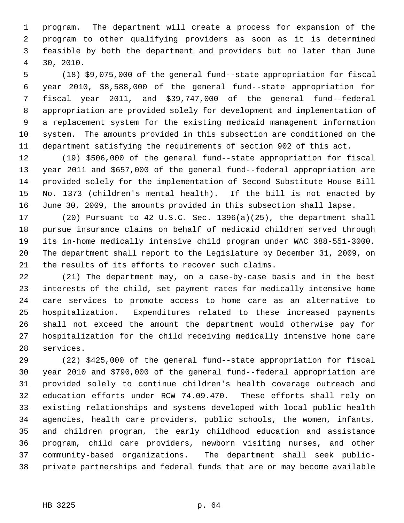1 program. The department will create a process for expansion of the 2 program to other qualifying providers as soon as it is determined 3 feasible by both the department and providers but no later than June 4 30, 2010.

 5 (18) \$9,075,000 of the general fund--state appropriation for fiscal 6 year 2010, \$8,588,000 of the general fund--state appropriation for 7 fiscal year 2011, and \$39,747,000 of the general fund--federal 8 appropriation are provided solely for development and implementation of 9 a replacement system for the existing medicaid management information 10 system. The amounts provided in this subsection are conditioned on the 11 department satisfying the requirements of section 902 of this act.

12 (19) \$506,000 of the general fund--state appropriation for fiscal 13 year 2011 and \$657,000 of the general fund--federal appropriation are 14 provided solely for the implementation of Second Substitute House Bill 15 No. 1373 (children's mental health). If the bill is not enacted by 16 June 30, 2009, the amounts provided in this subsection shall lapse.

17 (20) Pursuant to 42 U.S.C. Sec. 1396(a)(25), the department shall 18 pursue insurance claims on behalf of medicaid children served through 19 its in-home medically intensive child program under WAC 388-551-3000. 20 The department shall report to the Legislature by December 31, 2009, on 21 the results of its efforts to recover such claims.

22 (21) The department may, on a case-by-case basis and in the best 23 interests of the child, set payment rates for medically intensive home 24 care services to promote access to home care as an alternative to 25 hospitalization. Expenditures related to these increased payments 26 shall not exceed the amount the department would otherwise pay for 27 hospitalization for the child receiving medically intensive home care 28 services.

29 (22) \$425,000 of the general fund--state appropriation for fiscal 30 year 2010 and \$790,000 of the general fund--federal appropriation are 31 provided solely to continue children's health coverage outreach and 32 education efforts under RCW 74.09.470. These efforts shall rely on 33 existing relationships and systems developed with local public health 34 agencies, health care providers, public schools, the women, infants, 35 and children program, the early childhood education and assistance 36 program, child care providers, newborn visiting nurses, and other 37 community-based organizations. The department shall seek public-38 private partnerships and federal funds that are or may become available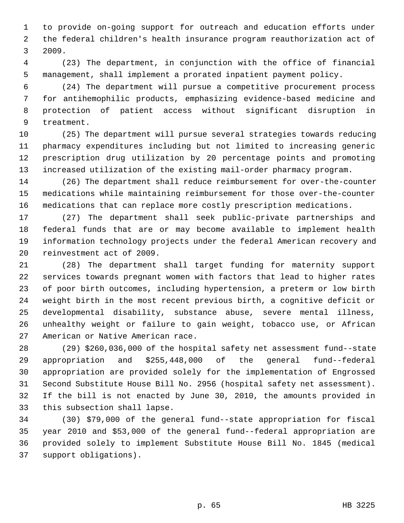1 to provide on-going support for outreach and education efforts under 2 the federal children's health insurance program reauthorization act of 3 2009.

 4 (23) The department, in conjunction with the office of financial 5 management, shall implement a prorated inpatient payment policy.

 6 (24) The department will pursue a competitive procurement process 7 for antihemophilic products, emphasizing evidence-based medicine and 8 protection of patient access without significant disruption in 9 treatment.

10 (25) The department will pursue several strategies towards reducing 11 pharmacy expenditures including but not limited to increasing generic 12 prescription drug utilization by 20 percentage points and promoting 13 increased utilization of the existing mail-order pharmacy program.

14 (26) The department shall reduce reimbursement for over-the-counter 15 medications while maintaining reimbursement for those over-the-counter 16 medications that can replace more costly prescription medications.

17 (27) The department shall seek public-private partnerships and 18 federal funds that are or may become available to implement health 19 information technology projects under the federal American recovery and 20 reinvestment act of 2009.

21 (28) The department shall target funding for maternity support 22 services towards pregnant women with factors that lead to higher rates 23 of poor birth outcomes, including hypertension, a preterm or low birth 24 weight birth in the most recent previous birth, a cognitive deficit or 25 developmental disability, substance abuse, severe mental illness, 26 unhealthy weight or failure to gain weight, tobacco use, or African 27 American or Native American race.

28 (29) \$260,036,000 of the hospital safety net assessment fund--state 29 appropriation and \$255,448,000 of the general fund--federal 30 appropriation are provided solely for the implementation of Engrossed 31 Second Substitute House Bill No. 2956 (hospital safety net assessment). 32 If the bill is not enacted by June 30, 2010, the amounts provided in 33 this subsection shall lapse.

34 (30) \$79,000 of the general fund--state appropriation for fiscal 35 year 2010 and \$53,000 of the general fund--federal appropriation are 36 provided solely to implement Substitute House Bill No. 1845 (medical 37 support obligations).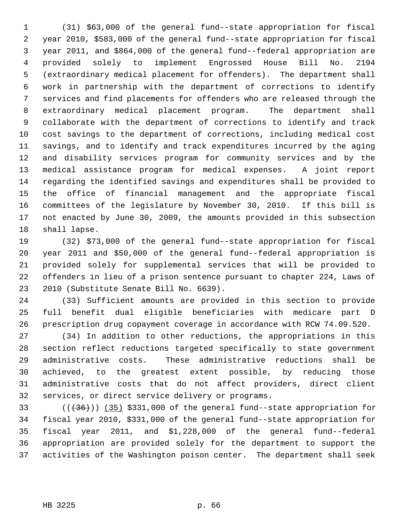1 (31) \$63,000 of the general fund--state appropriation for fiscal 2 year 2010, \$583,000 of the general fund--state appropriation for fiscal 3 year 2011, and \$864,000 of the general fund--federal appropriation are 4 provided solely to implement Engrossed House Bill No. 2194 5 (extraordinary medical placement for offenders). The department shall 6 work in partnership with the department of corrections to identify 7 services and find placements for offenders who are released through the 8 extraordinary medical placement program. The department shall 9 collaborate with the department of corrections to identify and track 10 cost savings to the department of corrections, including medical cost 11 savings, and to identify and track expenditures incurred by the aging 12 and disability services program for community services and by the 13 medical assistance program for medical expenses. A joint report 14 regarding the identified savings and expenditures shall be provided to 15 the office of financial management and the appropriate fiscal 16 committees of the legislature by November 30, 2010. If this bill is 17 not enacted by June 30, 2009, the amounts provided in this subsection 18 shall lapse.

19 (32) \$73,000 of the general fund--state appropriation for fiscal 20 year 2011 and \$50,000 of the general fund--federal appropriation is 21 provided solely for supplemental services that will be provided to 22 offenders in lieu of a prison sentence pursuant to chapter 224, Laws of 23 2010 (Substitute Senate Bill No. 6639).

24 (33) Sufficient amounts are provided in this section to provide 25 full benefit dual eligible beneficiaries with medicare part D 26 prescription drug copayment coverage in accordance with RCW 74.09.520.

27 (34) In addition to other reductions, the appropriations in this 28 section reflect reductions targeted specifically to state government 29 administrative costs. These administrative reductions shall be 30 achieved, to the greatest extent possible, by reducing those 31 administrative costs that do not affect providers, direct client 32 services, or direct service delivery or programs.

 $(1,36)$  ( $(35)$  \$331,000 of the general fund--state appropriation for 34 fiscal year 2010, \$331,000 of the general fund--state appropriation for 35 fiscal year 2011, and \$1,228,000 of the general fund--federal 36 appropriation are provided solely for the department to support the 37 activities of the Washington poison center. The department shall seek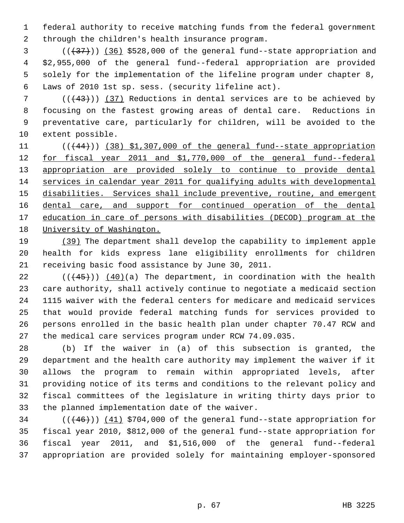1 federal authority to receive matching funds from the federal government 2 through the children's health insurance program.

 $(3$  ( $(37)$ )) (36) \$528,000 of the general fund--state appropriation and 4 \$2,955,000 of the general fund--federal appropriation are provided 5 solely for the implementation of the lifeline program under chapter 8, 6 Laws of 2010 1st sp. sess. (security lifeline act).

 $7$  (( $(43)$ )) (37) Reductions in dental services are to be achieved by 8 focusing on the fastest growing areas of dental care. Reductions in 9 preventative care, particularly for children, will be avoided to the 10 extent possible.

 $((44)$ ) (38) \$1,307,000 of the general fund--state appropriation for fiscal year 2011 and \$1,770,000 of the general fund--federal appropriation are provided solely to continue to provide dental services in calendar year 2011 for qualifying adults with developmental disabilities. Services shall include preventive, routine, and emergent 16 dental care, and support for continued operation of the dental education in care of persons with disabilities (DECOD) program at the University of Washington.

19 (39) The department shall develop the capability to implement apple 20 health for kids express lane eligibility enrollments for children 21 receiving basic food assistance by June 30, 2011.

22  $((+45))$  (40)(a) The department, in coordination with the health 23 care authority, shall actively continue to negotiate a medicaid section 24 1115 waiver with the federal centers for medicare and medicaid services 25 that would provide federal matching funds for services provided to 26 persons enrolled in the basic health plan under chapter 70.47 RCW and 27 the medical care services program under RCW 74.09.035.

28 (b) If the waiver in (a) of this subsection is granted, the 29 department and the health care authority may implement the waiver if it 30 allows the program to remain within appropriated levels, after 31 providing notice of its terms and conditions to the relevant policy and 32 fiscal committees of the legislature in writing thirty days prior to 33 the planned implementation date of the waiver.

 $(1 + 46)$  ( $(46)$ ) (41) \$704,000 of the general fund--state appropriation for 35 fiscal year 2010, \$812,000 of the general fund--state appropriation for 36 fiscal year 2011, and \$1,516,000 of the general fund--federal 37 appropriation are provided solely for maintaining employer-sponsored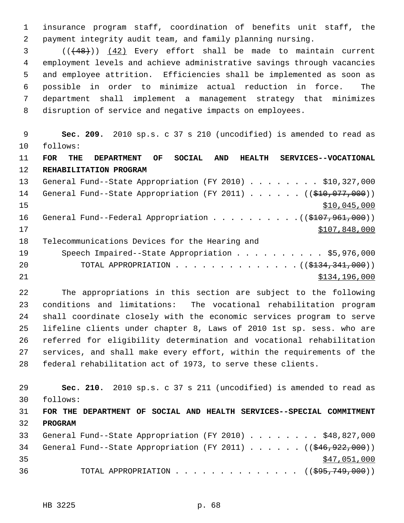1 insurance program staff, coordination of benefits unit staff, the 2 payment integrity audit team, and family planning nursing.

 3 (((48))) (42) Every effort shall be made to maintain current 4 employment levels and achieve administrative savings through vacancies 5 and employee attrition. Efficiencies shall be implemented as soon as 6 possible in order to minimize actual reduction in force. The 7 department shall implement a management strategy that minimizes 8 disruption of service and negative impacts on employees.

 9 **Sec. 209.** 2010 sp.s. c 37 s 210 (uncodified) is amended to read as 10 follows: 11 **FOR THE DEPARTMENT OF SOCIAL AND HEALTH SERVICES--VOCATIONAL** 12 **REHABILITATION PROGRAM** 13 General Fund--State Appropriation (FY 2010) . . . . . . . . \$10,327,000 14 General Fund--State Appropriation (FY 2011) . . . . . . ((\$10,077,000))  $15$  \$10,045,000 16 General Fund--Federal Appropriation . . . . . . . . . . ((\$107,961,000))  $17$  \$107,848,000 18 Telecommunications Devices for the Hearing and 19 Speech Impaired--State Appropriation . . . . . . . . . \$5,976,000 20 TOTAL APPROPRIATION . . . . . . . . . . . . . . (  $(\frac{1334,341,000}{s})$ 21 **\$134,196,000** 

22 The appropriations in this section are subject to the following 23 conditions and limitations: The vocational rehabilitation program 24 shall coordinate closely with the economic services program to serve 25 lifeline clients under chapter 8, Laws of 2010 1st sp. sess. who are 26 referred for eligibility determination and vocational rehabilitation 27 services, and shall make every effort, within the requirements of the 28 federal rehabilitation act of 1973, to serve these clients.

29 **Sec. 210.** 2010 sp.s. c 37 s 211 (uncodified) is amended to read as 30 follows:

## 31 **FOR THE DEPARTMENT OF SOCIAL AND HEALTH SERVICES--SPECIAL COMMITMENT** 32 **PROGRAM**

|    |  | 33 General Fund--State Appropriation (FY 2010) \$48,827,000                 |  |  |  |  |              |  |
|----|--|-----------------------------------------------------------------------------|--|--|--|--|--------------|--|
|    |  | 34 General Fund--State Appropriation (FY 2011) ( $(\frac{646}{922}, 000)$ ) |  |  |  |  |              |  |
| 35 |  |                                                                             |  |  |  |  | \$47,051,000 |  |
| 36 |  | TOTAL APPROPRIATION $\ldots$ , ( $(\frac{695}{749}, \frac{749}{000})$ )     |  |  |  |  |              |  |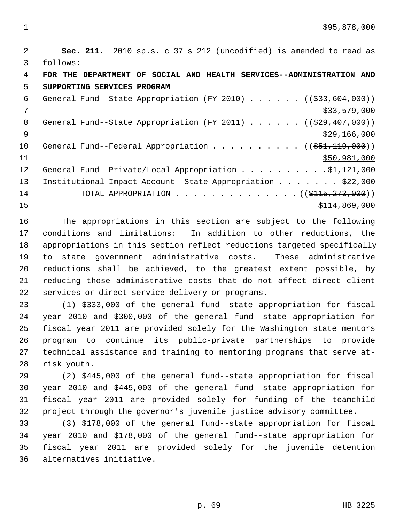2 **Sec. 211.** 2010 sp.s. c 37 s 212 (uncodified) is amended to read as 3 follows: 4 **FOR THE DEPARTMENT OF SOCIAL AND HEALTH SERVICES--ADMINISTRATION AND** 5 **SUPPORTING SERVICES PROGRAM** 6 General Fund--State Appropriation (FY 2010)  $\ldots$  ... (( $\frac{233,604,000}{2}$ )  $7 \frac{\text{533},579,000}{\text{533}}$ 8 General Fund--State Appropriation (FY 2011) . . . . . . ((\$29,407,000))  $\frac{$29}{166,000}$ 10 General Fund--Federal Appropriation . . . . . . . . . ((\$51,119,000))  $11$  \$50,981,000 12 General Fund--Private/Local Appropriation . . . . . . . . . \$1,121,000 13 Institutional Impact Account--State Appropriation . . . . . . \$22,000 14 TOTAL APPROPRIATION . . . . . . . . . . . . . (  $(\frac{1115}{7273},000)$  )  $15$  \$114,869,000

16 The appropriations in this section are subject to the following 17 conditions and limitations: In addition to other reductions, the 18 appropriations in this section reflect reductions targeted specifically 19 to state government administrative costs. These administrative 20 reductions shall be achieved, to the greatest extent possible, by 21 reducing those administrative costs that do not affect direct client 22 services or direct service delivery or programs.

23 (1) \$333,000 of the general fund--state appropriation for fiscal 24 year 2010 and \$300,000 of the general fund--state appropriation for 25 fiscal year 2011 are provided solely for the Washington state mentors 26 program to continue its public-private partnerships to provide 27 technical assistance and training to mentoring programs that serve at-28 risk youth.

29 (2) \$445,000 of the general fund--state appropriation for fiscal 30 year 2010 and \$445,000 of the general fund--state appropriation for 31 fiscal year 2011 are provided solely for funding of the teamchild 32 project through the governor's juvenile justice advisory committee.

33 (3) \$178,000 of the general fund--state appropriation for fiscal 34 year 2010 and \$178,000 of the general fund--state appropriation for 35 fiscal year 2011 are provided solely for the juvenile detention 36 alternatives initiative.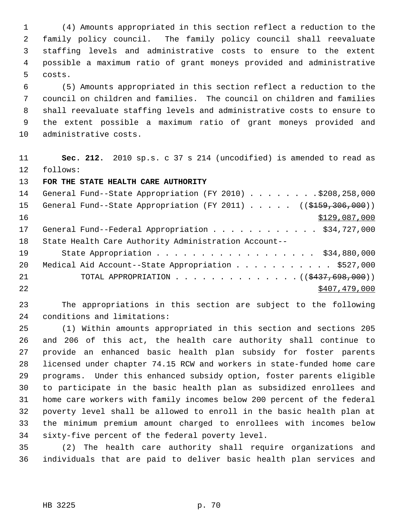1 (4) Amounts appropriated in this section reflect a reduction to the 2 family policy council. The family policy council shall reevaluate 3 staffing levels and administrative costs to ensure to the extent 4 possible a maximum ratio of grant moneys provided and administrative 5 costs.

 6 (5) Amounts appropriated in this section reflect a reduction to the 7 council on children and families. The council on children and families 8 shall reevaluate staffing levels and administrative costs to ensure to 9 the extent possible a maximum ratio of grant moneys provided and 10 administrative costs.

11 **Sec. 212.** 2010 sp.s. c 37 s 214 (uncodified) is amended to read as 12 follows:

13 **FOR THE STATE HEALTH CARE AUTHORITY**

| 14 | General Fund--State Appropriation (FY 2010) \$208,258,000                                 |
|----|-------------------------------------------------------------------------------------------|
| 15 | General Fund--State Appropriation (FY 2011) $($ $($ $\frac{2159}{7306}, \frac{306}{100})$ |
| 16 | \$129,087,000                                                                             |
| 17 | General Fund--Federal Appropriation \$34,727,000                                          |
| 18 | State Health Care Authority Administration Account--                                      |
| 19 | State Appropriation \$34,880,000                                                          |
| 20 | Medical Aid Account--State Appropriation \$527,000                                        |
| 21 | TOTAL APPROPRIATION $\ldots$ , ( $(\frac{2437}{698}, 698)$ )                              |
| 22 | \$407,479,000                                                                             |

23 The appropriations in this section are subject to the following 24 conditions and limitations:

25 (1) Within amounts appropriated in this section and sections 205 26 and 206 of this act, the health care authority shall continue to 27 provide an enhanced basic health plan subsidy for foster parents 28 licensed under chapter 74.15 RCW and workers in state-funded home care 29 programs. Under this enhanced subsidy option, foster parents eligible 30 to participate in the basic health plan as subsidized enrollees and 31 home care workers with family incomes below 200 percent of the federal 32 poverty level shall be allowed to enroll in the basic health plan at 33 the minimum premium amount charged to enrollees with incomes below 34 sixty-five percent of the federal poverty level.

35 (2) The health care authority shall require organizations and 36 individuals that are paid to deliver basic health plan services and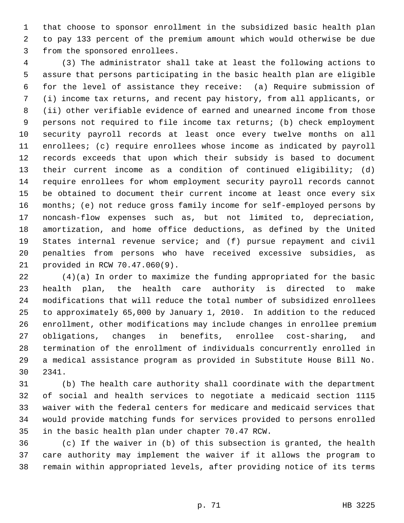1 that choose to sponsor enrollment in the subsidized basic health plan 2 to pay 133 percent of the premium amount which would otherwise be due 3 from the sponsored enrollees.

 4 (3) The administrator shall take at least the following actions to 5 assure that persons participating in the basic health plan are eligible 6 for the level of assistance they receive: (a) Require submission of 7 (i) income tax returns, and recent pay history, from all applicants, or 8 (ii) other verifiable evidence of earned and unearned income from those 9 persons not required to file income tax returns; (b) check employment 10 security payroll records at least once every twelve months on all 11 enrollees; (c) require enrollees whose income as indicated by payroll 12 records exceeds that upon which their subsidy is based to document 13 their current income as a condition of continued eligibility; (d) 14 require enrollees for whom employment security payroll records cannot 15 be obtained to document their current income at least once every six 16 months; (e) not reduce gross family income for self-employed persons by 17 noncash-flow expenses such as, but not limited to, depreciation, 18 amortization, and home office deductions, as defined by the United 19 States internal revenue service; and (f) pursue repayment and civil 20 penalties from persons who have received excessive subsidies, as 21 provided in RCW 70.47.060(9).

22 (4)(a) In order to maximize the funding appropriated for the basic 23 health plan, the health care authority is directed to make 24 modifications that will reduce the total number of subsidized enrollees 25 to approximately 65,000 by January 1, 2010. In addition to the reduced 26 enrollment, other modifications may include changes in enrollee premium 27 obligations, changes in benefits, enrollee cost-sharing, and 28 termination of the enrollment of individuals concurrently enrolled in 29 a medical assistance program as provided in Substitute House Bill No. 30 2341.

31 (b) The health care authority shall coordinate with the department 32 of social and health services to negotiate a medicaid section 1115 33 waiver with the federal centers for medicare and medicaid services that 34 would provide matching funds for services provided to persons enrolled 35 in the basic health plan under chapter 70.47 RCW.

36 (c) If the waiver in (b) of this subsection is granted, the health 37 care authority may implement the waiver if it allows the program to 38 remain within appropriated levels, after providing notice of its terms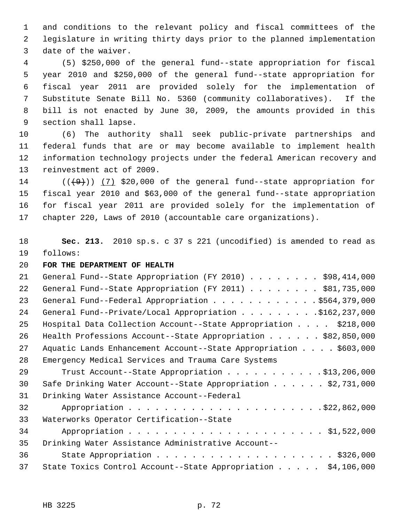1 and conditions to the relevant policy and fiscal committees of the 2 legislature in writing thirty days prior to the planned implementation 3 date of the waiver.

 4 (5) \$250,000 of the general fund--state appropriation for fiscal 5 year 2010 and \$250,000 of the general fund--state appropriation for 6 fiscal year 2011 are provided solely for the implementation of 7 Substitute Senate Bill No. 5360 (community collaboratives). If the 8 bill is not enacted by June 30, 2009, the amounts provided in this 9 section shall lapse.

10 (6) The authority shall seek public-private partnerships and 11 federal funds that are or may become available to implement health 12 information technology projects under the federal American recovery and 13 reinvestment act of 2009.

14  $((+9))$  (7) \$20,000 of the general fund--state appropriation for 15 fiscal year 2010 and \$63,000 of the general fund--state appropriation 16 for fiscal year 2011 are provided solely for the implementation of 17 chapter 220, Laws of 2010 (accountable care organizations).

18 **Sec. 213.** 2010 sp.s. c 37 s 221 (uncodified) is amended to read as 19 follows:

20 **FOR THE DEPARTMENT OF HEALTH**

| 21 | General Fund--State Appropriation (FY 2010) \$98,414,000                       |
|----|--------------------------------------------------------------------------------|
| 22 | General Fund--State Appropriation (FY 2011) \$81,735,000                       |
| 23 | General Fund--Federal Appropriation \$564,379,000                              |
| 24 | General Fund--Private/Local Appropriation \$162,237,000                        |
| 25 | Hospital Data Collection Account--State Appropriation \$218,000                |
| 26 | Health Professions Account--State Appropriation $\ldots \ldots$ , \$82,850,000 |
| 27 | Aquatic Lands Enhancement Account--State Appropriation \$603,000               |
| 28 | Emergency Medical Services and Trauma Care Systems                             |
| 29 | Trust Account--State Appropriation \$13,206,000                                |
| 30 | Safe Drinking Water Account--State Appropriation $\ldots$ \$2,731,000          |
| 31 | Drinking Water Assistance Account--Federal                                     |
| 32 |                                                                                |
| 33 | Waterworks Operator Certification--State                                       |
| 34 |                                                                                |
| 35 | Drinking Water Assistance Administrative Account--                             |
| 36 |                                                                                |
| 37 | State Toxics Control Account--State Appropriation \$4,106,000                  |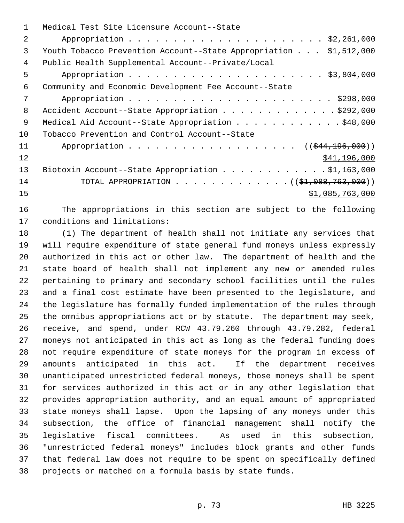|                 | Medical Test Site Licensure Account--State                        |
|-----------------|-------------------------------------------------------------------|
| $\mathfrak{D}$  |                                                                   |
| 3               | Youth Tobacco Prevention Account--State Appropriation \$1,512,000 |
| 4               | Public Health Supplemental Account--Private/Local                 |
| 5               |                                                                   |
| 6               | Community and Economic Development Fee Account--State             |
| 7               |                                                                   |
| 8               | Accident Account--State Appropriation \$292,000                   |
| 9               | Medical Aid Account--State Appropriation \$48,000                 |
| 10 <sup>°</sup> | Tobacco Prevention and Control Account--State                     |
| 11              | Appropriation ((\$44,196,000))                                    |
| 12              | \$41,196,000                                                      |
| 13              | Biotoxin Account--State Appropriation \$1,163,000                 |
| 14              | TOTAL APPROPRIATION ( $(\frac{1}{2}, 088, 763, 000)$ )            |
| 15              | \$1,085,763,000                                                   |
|                 |                                                                   |

16 The appropriations in this section are subject to the following 17 conditions and limitations:

18 (1) The department of health shall not initiate any services that 19 will require expenditure of state general fund moneys unless expressly 20 authorized in this act or other law. The department of health and the 21 state board of health shall not implement any new or amended rules 22 pertaining to primary and secondary school facilities until the rules 23 and a final cost estimate have been presented to the legislature, and 24 the legislature has formally funded implementation of the rules through 25 the omnibus appropriations act or by statute. The department may seek, 26 receive, and spend, under RCW 43.79.260 through 43.79.282, federal 27 moneys not anticipated in this act as long as the federal funding does 28 not require expenditure of state moneys for the program in excess of 29 amounts anticipated in this act. If the department receives 30 unanticipated unrestricted federal moneys, those moneys shall be spent 31 for services authorized in this act or in any other legislation that 32 provides appropriation authority, and an equal amount of appropriated 33 state moneys shall lapse. Upon the lapsing of any moneys under this 34 subsection, the office of financial management shall notify the 35 legislative fiscal committees. As used in this subsection, 36 "unrestricted federal moneys" includes block grants and other funds 37 that federal law does not require to be spent on specifically defined 38 projects or matched on a formula basis by state funds.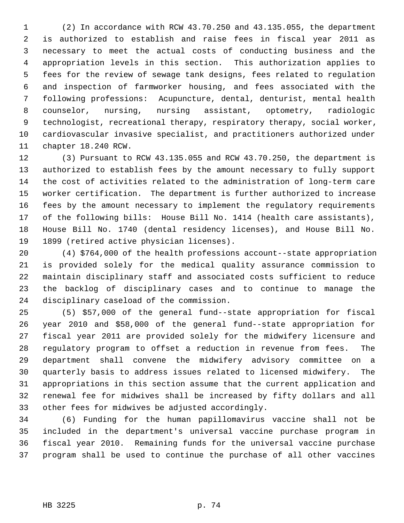1 (2) In accordance with RCW 43.70.250 and 43.135.055, the department 2 is authorized to establish and raise fees in fiscal year 2011 as 3 necessary to meet the actual costs of conducting business and the 4 appropriation levels in this section. This authorization applies to 5 fees for the review of sewage tank designs, fees related to regulation 6 and inspection of farmworker housing, and fees associated with the 7 following professions: Acupuncture, dental, denturist, mental health 8 counselor, nursing, nursing assistant, optometry, radiologic 9 technologist, recreational therapy, respiratory therapy, social worker, 10 cardiovascular invasive specialist, and practitioners authorized under 11 chapter 18.240 RCW.

12 (3) Pursuant to RCW 43.135.055 and RCW 43.70.250, the department is 13 authorized to establish fees by the amount necessary to fully support 14 the cost of activities related to the administration of long-term care 15 worker certification. The department is further authorized to increase 16 fees by the amount necessary to implement the regulatory requirements 17 of the following bills: House Bill No. 1414 (health care assistants), 18 House Bill No. 1740 (dental residency licenses), and House Bill No. 19 1899 (retired active physician licenses).

20 (4) \$764,000 of the health professions account--state appropriation 21 is provided solely for the medical quality assurance commission to 22 maintain disciplinary staff and associated costs sufficient to reduce 23 the backlog of disciplinary cases and to continue to manage the 24 disciplinary caseload of the commission.

25 (5) \$57,000 of the general fund--state appropriation for fiscal 26 year 2010 and \$58,000 of the general fund--state appropriation for 27 fiscal year 2011 are provided solely for the midwifery licensure and 28 regulatory program to offset a reduction in revenue from fees. The 29 department shall convene the midwifery advisory committee on a 30 quarterly basis to address issues related to licensed midwifery. The 31 appropriations in this section assume that the current application and 32 renewal fee for midwives shall be increased by fifty dollars and all 33 other fees for midwives be adjusted accordingly.

34 (6) Funding for the human papillomavirus vaccine shall not be 35 included in the department's universal vaccine purchase program in 36 fiscal year 2010. Remaining funds for the universal vaccine purchase 37 program shall be used to continue the purchase of all other vaccines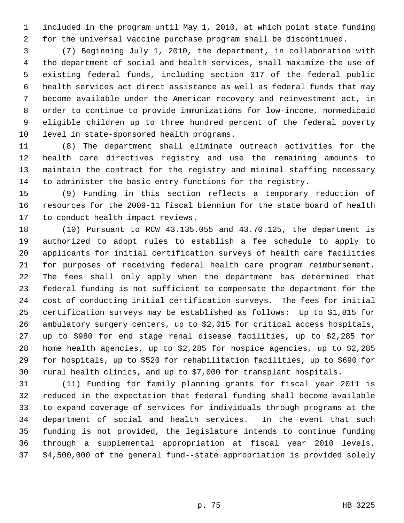1 included in the program until May 1, 2010, at which point state funding 2 for the universal vaccine purchase program shall be discontinued.

 3 (7) Beginning July 1, 2010, the department, in collaboration with 4 the department of social and health services, shall maximize the use of 5 existing federal funds, including section 317 of the federal public 6 health services act direct assistance as well as federal funds that may 7 become available under the American recovery and reinvestment act, in 8 order to continue to provide immunizations for low-income, nonmedicaid 9 eligible children up to three hundred percent of the federal poverty 10 level in state-sponsored health programs.

11 (8) The department shall eliminate outreach activities for the 12 health care directives registry and use the remaining amounts to 13 maintain the contract for the registry and minimal staffing necessary 14 to administer the basic entry functions for the registry.

15 (9) Funding in this section reflects a temporary reduction of 16 resources for the 2009-11 fiscal biennium for the state board of health 17 to conduct health impact reviews.

18 (10) Pursuant to RCW 43.135.055 and 43.70.125, the department is 19 authorized to adopt rules to establish a fee schedule to apply to 20 applicants for initial certification surveys of health care facilities 21 for purposes of receiving federal health care program reimbursement. 22 The fees shall only apply when the department has determined that 23 federal funding is not sufficient to compensate the department for the 24 cost of conducting initial certification surveys. The fees for initial 25 certification surveys may be established as follows: Up to \$1,815 for 26 ambulatory surgery centers, up to \$2,015 for critical access hospitals, 27 up to \$980 for end stage renal disease facilities, up to \$2,285 for 28 home health agencies, up to \$2,285 for hospice agencies, up to \$2,285 29 for hospitals, up to \$520 for rehabilitation facilities, up to \$690 for 30 rural health clinics, and up to \$7,000 for transplant hospitals.

31 (11) Funding for family planning grants for fiscal year 2011 is 32 reduced in the expectation that federal funding shall become available 33 to expand coverage of services for individuals through programs at the 34 department of social and health services. In the event that such 35 funding is not provided, the legislature intends to continue funding 36 through a supplemental appropriation at fiscal year 2010 levels. 37 \$4,500,000 of the general fund--state appropriation is provided solely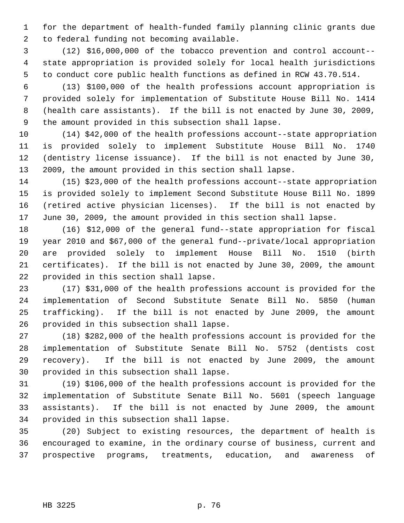1 for the department of health-funded family planning clinic grants due 2 to federal funding not becoming available.

 3 (12) \$16,000,000 of the tobacco prevention and control account-- 4 state appropriation is provided solely for local health jurisdictions 5 to conduct core public health functions as defined in RCW 43.70.514.

 6 (13) \$100,000 of the health professions account appropriation is 7 provided solely for implementation of Substitute House Bill No. 1414 8 (health care assistants). If the bill is not enacted by June 30, 2009, 9 the amount provided in this subsection shall lapse.

10 (14) \$42,000 of the health professions account--state appropriation 11 is provided solely to implement Substitute House Bill No. 1740 12 (dentistry license issuance). If the bill is not enacted by June 30, 13 2009, the amount provided in this section shall lapse.

14 (15) \$23,000 of the health professions account--state appropriation 15 is provided solely to implement Second Substitute House Bill No. 1899 16 (retired active physician licenses). If the bill is not enacted by 17 June 30, 2009, the amount provided in this section shall lapse.

18 (16) \$12,000 of the general fund--state appropriation for fiscal 19 year 2010 and \$67,000 of the general fund--private/local appropriation 20 are provided solely to implement House Bill No. 1510 (birth 21 certificates). If the bill is not enacted by June 30, 2009, the amount 22 provided in this section shall lapse.

23 (17) \$31,000 of the health professions account is provided for the 24 implementation of Second Substitute Senate Bill No. 5850 (human 25 trafficking). If the bill is not enacted by June 2009, the amount 26 provided in this subsection shall lapse.

27 (18) \$282,000 of the health professions account is provided for the 28 implementation of Substitute Senate Bill No. 5752 (dentists cost 29 recovery). If the bill is not enacted by June 2009, the amount 30 provided in this subsection shall lapse.

31 (19) \$106,000 of the health professions account is provided for the 32 implementation of Substitute Senate Bill No. 5601 (speech language 33 assistants). If the bill is not enacted by June 2009, the amount 34 provided in this subsection shall lapse.

35 (20) Subject to existing resources, the department of health is 36 encouraged to examine, in the ordinary course of business, current and 37 prospective programs, treatments, education, and awareness of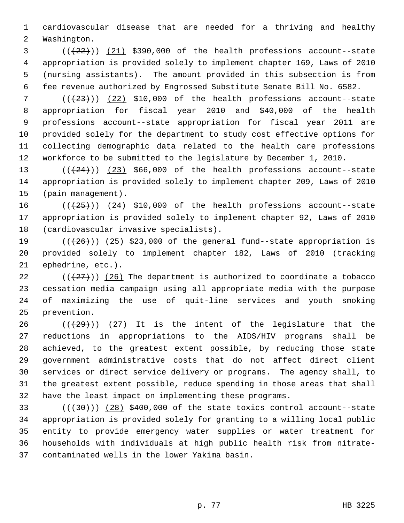1 cardiovascular disease that are needed for a thriving and healthy 2 Washington.

 $(1+22)$ ) (21) \$390,000 of the health professions account--state 4 appropriation is provided solely to implement chapter 169, Laws of 2010 5 (nursing assistants). The amount provided in this subsection is from 6 fee revenue authorized by Engrossed Substitute Senate Bill No. 6582.

 $7$  ( $(\frac{23}{12})$  (22) \$10,000 of the health professions account--state 8 appropriation for fiscal year 2010 and \$40,000 of the health 9 professions account--state appropriation for fiscal year 2011 are 10 provided solely for the department to study cost effective options for 11 collecting demographic data related to the health care professions 12 workforce to be submitted to the legislature by December 1, 2010.

13  $((+24))$   $(23)$  \$66,000 of the health professions account--state 14 appropriation is provided solely to implement chapter 209, Laws of 2010 15 (pain management).

16  $((+25))$   $(24)$  \$10,000 of the health professions account--state 17 appropriation is provided solely to implement chapter 92, Laws of 2010 18 (cardiovascular invasive specialists).

19  $((+26))$   $(25)$  \$23,000 of the general fund--state appropriation is 20 provided solely to implement chapter 182, Laws of 2010 (tracking 21 ephedrine, etc.).

22  $((27))$  (26) The department is authorized to coordinate a tobacco 23 cessation media campaign using all appropriate media with the purpose 24 of maximizing the use of quit-line services and youth smoking 25 prevention.

26  $((+29))$  (27) It is the intent of the legislature that the 27 reductions in appropriations to the AIDS/HIV programs shall be 28 achieved, to the greatest extent possible, by reducing those state 29 government administrative costs that do not affect direct client 30 services or direct service delivery or programs. The agency shall, to 31 the greatest extent possible, reduce spending in those areas that shall 32 have the least impact on implementing these programs.

 $(1.33)$  ( $(1.30)$ ) (28) \$400,000 of the state toxics control account--state 34 appropriation is provided solely for granting to a willing local public 35 entity to provide emergency water supplies or water treatment for 36 households with individuals at high public health risk from nitrate-37 contaminated wells in the lower Yakima basin.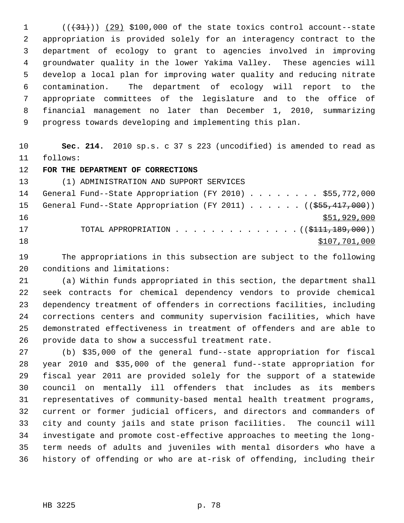$(1$  ( $(31)$ ) (29) \$100,000 of the state toxics control account--state 2 appropriation is provided solely for an interagency contract to the 3 department of ecology to grant to agencies involved in improving 4 groundwater quality in the lower Yakima Valley. These agencies will 5 develop a local plan for improving water quality and reducing nitrate 6 contamination. The department of ecology will report to the 7 appropriate committees of the legislature and to the office of 8 financial management no later than December 1, 2010, summarizing 9 progress towards developing and implementing this plan.

10 **Sec. 214.** 2010 sp.s. c 37 s 223 (uncodified) is amended to read as 11 follows:

12 **FOR THE DEPARTMENT OF CORRECTIONS**

13 (1) ADMINISTRATION AND SUPPORT SERVICES 14 General Fund--State Appropriation (FY 2010) . . . . . . . \$55,772,000 15 General Fund--State Appropriation (FY 2011) . . . . . ((\$55,417,000)) 16 \$51,929,000 17 TOTAL APPROPRIATION . . . . . . . . . . . . . ((<del>\$111,189,000</del>)) 18 \$107,701,000

19 The appropriations in this subsection are subject to the following 20 conditions and limitations:

21 (a) Within funds appropriated in this section, the department shall 22 seek contracts for chemical dependency vendors to provide chemical 23 dependency treatment of offenders in corrections facilities, including 24 corrections centers and community supervision facilities, which have 25 demonstrated effectiveness in treatment of offenders and are able to 26 provide data to show a successful treatment rate.

27 (b) \$35,000 of the general fund--state appropriation for fiscal 28 year 2010 and \$35,000 of the general fund--state appropriation for 29 fiscal year 2011 are provided solely for the support of a statewide 30 council on mentally ill offenders that includes as its members 31 representatives of community-based mental health treatment programs, 32 current or former judicial officers, and directors and commanders of 33 city and county jails and state prison facilities. The council will 34 investigate and promote cost-effective approaches to meeting the long-35 term needs of adults and juveniles with mental disorders who have a 36 history of offending or who are at-risk of offending, including their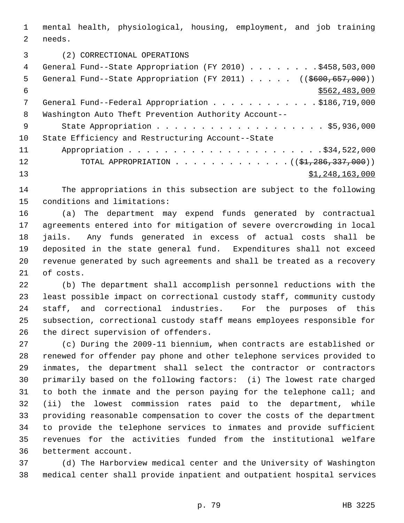1 mental health, physiological, housing, employment, and job training 2 needs.

3 (2) CORRECTIONAL OPERATIONS

| 4   | General Fund--State Appropriation (FY 2010) \$458,503,000                          |
|-----|------------------------------------------------------------------------------------|
| .5  | General Fund--State Appropriation (FY 2011) ( $(\frac{2600}{657}, \frac{000}{10})$ |
| 6   | \$562,483,000                                                                      |
| 7   | General Fund--Federal Appropriation \$186,719,000                                  |
| 8   | Washington Auto Theft Prevention Authority Account--                               |
| - 9 |                                                                                    |
| 10  | State Efficiency and Restructuring Account--State                                  |
| 11  |                                                                                    |
| 12  | TOTAL APPROPRIATION $(31, 286, 337, 000)$                                          |
| 13  | \$1,248,163,000                                                                    |

14 The appropriations in this subsection are subject to the following 15 conditions and limitations:

16 (a) The department may expend funds generated by contractual 17 agreements entered into for mitigation of severe overcrowding in local 18 jails. Any funds generated in excess of actual costs shall be 19 deposited in the state general fund. Expenditures shall not exceed 20 revenue generated by such agreements and shall be treated as a recovery 21 of costs.

22 (b) The department shall accomplish personnel reductions with the 23 least possible impact on correctional custody staff, community custody 24 staff, and correctional industries. For the purposes of this 25 subsection, correctional custody staff means employees responsible for 26 the direct supervision of offenders.

27 (c) During the 2009-11 biennium, when contracts are established or 28 renewed for offender pay phone and other telephone services provided to 29 inmates, the department shall select the contractor or contractors 30 primarily based on the following factors: (i) The lowest rate charged 31 to both the inmate and the person paying for the telephone call; and 32 (ii) the lowest commission rates paid to the department, while 33 providing reasonable compensation to cover the costs of the department 34 to provide the telephone services to inmates and provide sufficient 35 revenues for the activities funded from the institutional welfare 36 betterment account.

37 (d) The Harborview medical center and the University of Washington 38 medical center shall provide inpatient and outpatient hospital services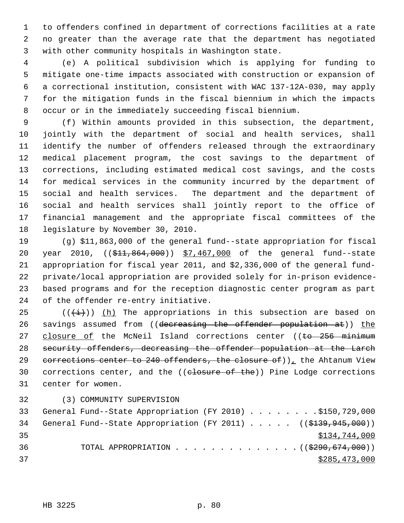1 to offenders confined in department of corrections facilities at a rate 2 no greater than the average rate that the department has negotiated 3 with other community hospitals in Washington state.

 4 (e) A political subdivision which is applying for funding to 5 mitigate one-time impacts associated with construction or expansion of 6 a correctional institution, consistent with WAC 137-12A-030, may apply 7 for the mitigation funds in the fiscal biennium in which the impacts 8 occur or in the immediately succeeding fiscal biennium.

 9 (f) Within amounts provided in this subsection, the department, 10 jointly with the department of social and health services, shall 11 identify the number of offenders released through the extraordinary 12 medical placement program, the cost savings to the department of 13 corrections, including estimated medical cost savings, and the costs 14 for medical services in the community incurred by the department of 15 social and health services. The department and the department of 16 social and health services shall jointly report to the office of 17 financial management and the appropriate fiscal committees of the 18 legislature by November 30, 2010.

19 (g) \$11,863,000 of the general fund--state appropriation for fiscal 20 year 2010, ((\$11,864,000)) \$7,467,000 of the general fund--state 21 appropriation for fiscal year 2011, and \$2,336,000 of the general fund-22 private/local appropriation are provided solely for in-prison evidence-23 based programs and for the reception diagnostic center program as part 24 of the offender re-entry initiative.

25 ( $(\frac{1}{1})$ ) (h) The appropriations in this subsection are based on 26 savings assumed from ((decreasing the offender population at)) the 27 closure of the McNeil Island corrections center ((to 256 minimum 28 security offenders, decreasing the offender population at the Larch 29 corrections center to 240 offenders, the closure of)), the Ahtanum View 30 corrections center, and the ((closure of the)) Pine Lodge corrections 31 center for women.

32 (3) COMMUNITY SUPERVISION

| 33  | General Fund--State Appropriation (FY 2010) \$150,729,000           |  |  |               |
|-----|---------------------------------------------------------------------|--|--|---------------|
| 34  | General Fund--State Appropriation (FY 2011) $($ $($ \$139,945,000)) |  |  |               |
| -35 |                                                                     |  |  | \$134,744,000 |
| 36  | TOTAL APPROPRIATION $\ldots$ , ( $(\frac{2990,674,000}{200,000})$ ) |  |  |               |
| 37  |                                                                     |  |  | \$285,473,000 |
|     |                                                                     |  |  |               |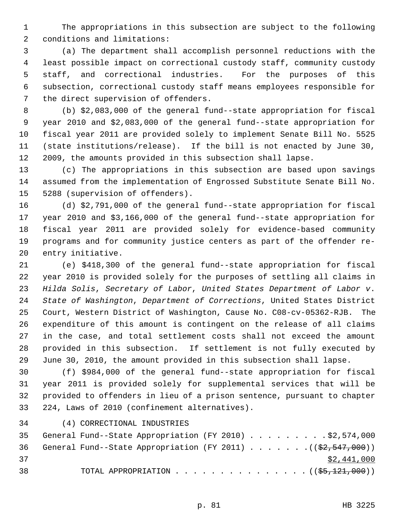1 The appropriations in this subsection are subject to the following 2 conditions and limitations:

 3 (a) The department shall accomplish personnel reductions with the 4 least possible impact on correctional custody staff, community custody 5 staff, and correctional industries. For the purposes of this 6 subsection, correctional custody staff means employees responsible for 7 the direct supervision of offenders.

 8 (b) \$2,083,000 of the general fund--state appropriation for fiscal 9 year 2010 and \$2,083,000 of the general fund--state appropriation for 10 fiscal year 2011 are provided solely to implement Senate Bill No. 5525 11 (state institutions/release). If the bill is not enacted by June 30, 12 2009, the amounts provided in this subsection shall lapse.

13 (c) The appropriations in this subsection are based upon savings 14 assumed from the implementation of Engrossed Substitute Senate Bill No. 15 5288 (supervision of offenders).

16 (d) \$2,791,000 of the general fund--state appropriation for fiscal 17 year 2010 and \$3,166,000 of the general fund--state appropriation for 18 fiscal year 2011 are provided solely for evidence-based community 19 programs and for community justice centers as part of the offender re-20 entry initiative.

21 (e) \$418,300 of the general fund--state appropriation for fiscal 22 year 2010 is provided solely for the purposes of settling all claims in 23 *Hilda Solis*, *Secretary of Labor*, *United States Department of Labor v*. 24 *State of Washington*, *Department of Corrections*, United States District 25 Court, Western District of Washington, Cause No. C08-cv-05362-RJB. The 26 expenditure of this amount is contingent on the release of all claims 27 in the case, and total settlement costs shall not exceed the amount 28 provided in this subsection. If settlement is not fully executed by 29 June 30, 2010, the amount provided in this subsection shall lapse.

30 (f) \$984,000 of the general fund--state appropriation for fiscal 31 year 2011 is provided solely for supplemental services that will be 32 provided to offenders in lieu of a prison sentence, pursuant to chapter 33 224, Laws of 2010 (confinement alternatives).

34 (4) CORRECTIONAL INDUSTRIES

|    |  | 35 General Fund--State Appropriation (FY 2010) \$2,574,000                   |  |  |  |  |  |             |  |
|----|--|------------------------------------------------------------------------------|--|--|--|--|--|-------------|--|
|    |  | 36 General Fund--State Appropriation (FY 2011) ( $(\frac{2}{2}, 547, 000)$ ) |  |  |  |  |  |             |  |
| 37 |  |                                                                              |  |  |  |  |  | \$2,441,000 |  |
| 38 |  | TOTAL APPROPRIATION $($ $(\frac{25}{7}, \frac{121}{100})$                    |  |  |  |  |  |             |  |

p. 81 HB 3225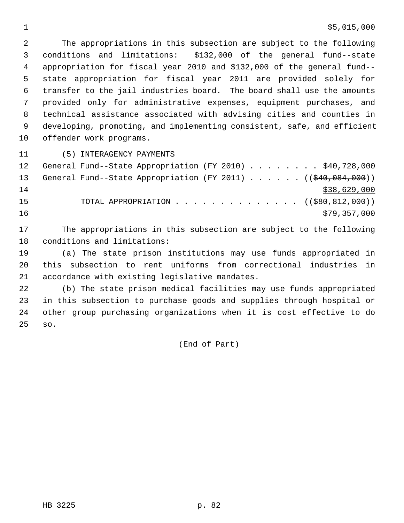## $\frac{1}{55,015,000}$

 2 The appropriations in this subsection are subject to the following 3 conditions and limitations: \$132,000 of the general fund--state 4 appropriation for fiscal year 2010 and \$132,000 of the general fund-- 5 state appropriation for fiscal year 2011 are provided solely for 6 transfer to the jail industries board. The board shall use the amounts 7 provided only for administrative expenses, equipment purchases, and 8 technical assistance associated with advising cities and counties in 9 developing, promoting, and implementing consistent, safe, and efficient 10 offender work programs.

11 (5) INTERAGENCY PAYMENTS

| 12 | General Fund--State Appropriation (FY 2010) \$40,728,000                |  |  |  |  |              |  |
|----|-------------------------------------------------------------------------|--|--|--|--|--------------|--|
| 13 | General Fund--State Appropriation (FY 2011) ((\$40,084,000))            |  |  |  |  |              |  |
| 14 |                                                                         |  |  |  |  | \$38,629,000 |  |
| 15 | TOTAL APPROPRIATION $\ldots$ , ( $(\frac{280}{580}, \frac{812}{100})$ ) |  |  |  |  |              |  |
| 16 |                                                                         |  |  |  |  | \$79,357,000 |  |

17 The appropriations in this subsection are subject to the following 18 conditions and limitations:

19 (a) The state prison institutions may use funds appropriated in 20 this subsection to rent uniforms from correctional industries in 21 accordance with existing legislative mandates.

22 (b) The state prison medical facilities may use funds appropriated 23 in this subsection to purchase goods and supplies through hospital or 24 other group purchasing organizations when it is cost effective to do 25 so.

(End of Part)

HB 3225 p. 82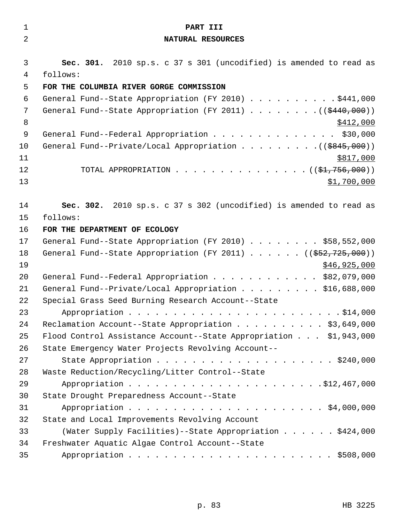| $\mathbf 1$    | PART III                                                                      |
|----------------|-------------------------------------------------------------------------------|
| $\overline{2}$ | NATURAL RESOURCES                                                             |
| 3              | Sec. 301. 2010 sp.s. c 37 s 301 (uncodified) is amended to read as            |
| $\overline{4}$ | follows:                                                                      |
| 5              | FOR THE COLUMBIA RIVER GORGE COMMISSION                                       |
| 6              | General Fund--State Appropriation (FY 2010) \$441,000                         |
| 7              | General Fund--State Appropriation (FY 2011) ( $(\frac{2440}{100})$ )          |
| 8              | <u>\$412,000</u>                                                              |
| 9              | General Fund--Federal Appropriation \$30,000                                  |
| 10             |                                                                               |
| 11             | \$817,000                                                                     |
| 12             | TOTAL APPROPRIATION ( $(\frac{1}{21}, 756, 000)$ )                            |
| 13             | \$1,700,000                                                                   |
| 14             | Sec. 302. 2010 sp.s. c 37 s 302 (uncodified) is amended to read as            |
| 15             | follows:                                                                      |
| 16             | FOR THE DEPARTMENT OF ECOLOGY                                                 |
| 17             | General Fund--State Appropriation (FY 2010) \$58,552,000                      |
| 18             | General Fund--State Appropriation (FY 2011) $($ $($ $\frac{552}{725}$ , 000)) |
| 19             | \$46,925,000                                                                  |
| 20             | General Fund--Federal Appropriation \$82,079,000                              |
| 21             | General Fund--Private/Local Appropriation \$16,688,000                        |
| 22             | Special Grass Seed Burning Research Account--State                            |
| 23             | \$14,000                                                                      |
| 24             | Reclamation Account--State Appropriation \$3,649,000                          |
| 25             | Flood Control Assistance Account--State Appropriation \$1,943,000             |
| 26             | State Emergency Water Projects Revolving Account--                            |
| 27             |                                                                               |
| 28             | Waste Reduction/Recycling/Litter Control--State                               |
| 29             |                                                                               |
| 30             | State Drought Preparedness Account--State                                     |
| 31             |                                                                               |
| 32             | State and Local Improvements Revolving Account                                |
| 33             | (Water Supply Facilities)--State Appropriation \$424,000                      |
| 34             | Freshwater Aquatic Algae Control Account--State                               |
| 35             |                                                                               |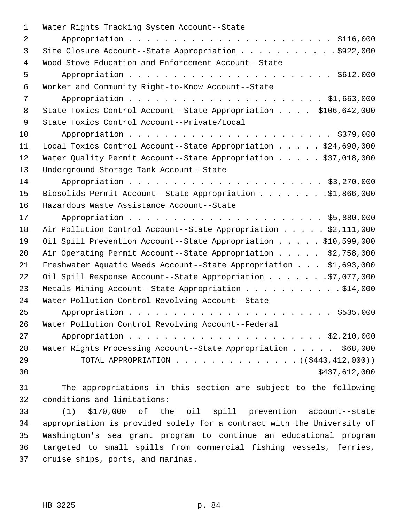| 1  | Water Rights Tracking System Account--State                             |
|----|-------------------------------------------------------------------------|
| 2  |                                                                         |
| 3  | Site Closure Account--State Appropriation \$922,000                     |
| 4  | Wood Stove Education and Enforcement Account--State                     |
| 5  |                                                                         |
| 6  | Worker and Community Right-to-Know Account--State                       |
| 7  |                                                                         |
| 8  | State Toxics Control Account--State Appropriation \$106,642,000         |
| 9  | State Toxics Control Account--Private/Local                             |
| 10 |                                                                         |
| 11 | Local Toxics Control Account--State Appropriation \$24,690,000          |
| 12 | Water Quality Permit Account--State Appropriation \$37,018,000          |
| 13 | Underground Storage Tank Account--State                                 |
| 14 |                                                                         |
| 15 | Biosolids Permit Account--State Appropriation \$1,866,000               |
| 16 | Hazardous Waste Assistance Account--State                               |
| 17 |                                                                         |
| 18 | Air Pollution Control Account--State Appropriation \$2,111,000          |
| 19 | Oil Spill Prevention Account--State Appropriation \$10,599,000          |
| 20 | Air Operating Permit Account--State Appropriation \$2,758,000           |
| 21 | Freshwater Aquatic Weeds Account--State Appropriation \$1,693,000       |
| 22 | Oil Spill Response Account--State Appropriation \$7,077,000             |
| 23 | Metals Mining Account--State Appropriation \$14,000                     |
| 24 | Water Pollution Control Revolving Account--State                        |
| 25 |                                                                         |
| 26 | Water Pollution Control Revolving Account--Federal                      |
| 27 |                                                                         |
| 28 | Water Rights Processing Account--State Appropriation \$68,000           |
| 29 | TOTAL APPROPRIATION $\ldots$ , ( $(\frac{2443}{12}, \frac{412}{000})$ ) |
| 30 | \$437,612,000                                                           |
| 31 | The appropriations in this section are subject to the following         |

32 conditions and limitations:

33 (1) \$170,000 of the oil spill prevention account--state 34 appropriation is provided solely for a contract with the University of 35 Washington's sea grant program to continue an educational program 36 targeted to small spills from commercial fishing vessels, ferries, 37 cruise ships, ports, and marinas.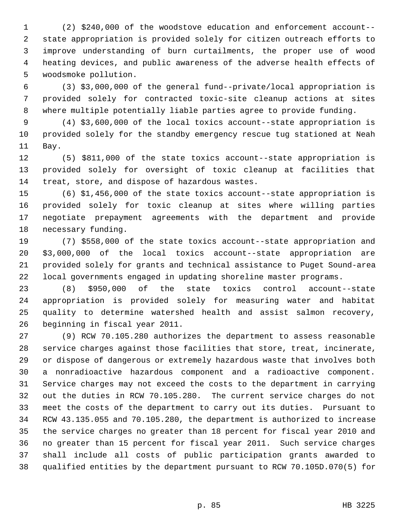1 (2) \$240,000 of the woodstove education and enforcement account-- 2 state appropriation is provided solely for citizen outreach efforts to 3 improve understanding of burn curtailments, the proper use of wood 4 heating devices, and public awareness of the adverse health effects of 5 woodsmoke pollution.

 6 (3) \$3,000,000 of the general fund--private/local appropriation is 7 provided solely for contracted toxic-site cleanup actions at sites 8 where multiple potentially liable parties agree to provide funding.

 9 (4) \$3,600,000 of the local toxics account--state appropriation is 10 provided solely for the standby emergency rescue tug stationed at Neah 11 Bay.

12 (5) \$811,000 of the state toxics account--state appropriation is 13 provided solely for oversight of toxic cleanup at facilities that 14 treat, store, and dispose of hazardous wastes.

15 (6) \$1,456,000 of the state toxics account--state appropriation is 16 provided solely for toxic cleanup at sites where willing parties 17 negotiate prepayment agreements with the department and provide 18 necessary funding.

19 (7) \$558,000 of the state toxics account--state appropriation and 20 \$3,000,000 of the local toxics account--state appropriation are 21 provided solely for grants and technical assistance to Puget Sound-area 22 local governments engaged in updating shoreline master programs.

23 (8) \$950,000 of the state toxics control account--state 24 appropriation is provided solely for measuring water and habitat 25 quality to determine watershed health and assist salmon recovery, 26 beginning in fiscal year 2011.

27 (9) RCW 70.105.280 authorizes the department to assess reasonable 28 service charges against those facilities that store, treat, incinerate, 29 or dispose of dangerous or extremely hazardous waste that involves both 30 a nonradioactive hazardous component and a radioactive component. 31 Service charges may not exceed the costs to the department in carrying 32 out the duties in RCW 70.105.280. The current service charges do not 33 meet the costs of the department to carry out its duties. Pursuant to 34 RCW 43.135.055 and 70.105.280, the department is authorized to increase 35 the service charges no greater than 18 percent for fiscal year 2010 and 36 no greater than 15 percent for fiscal year 2011. Such service charges 37 shall include all costs of public participation grants awarded to 38 qualified entities by the department pursuant to RCW 70.105D.070(5) for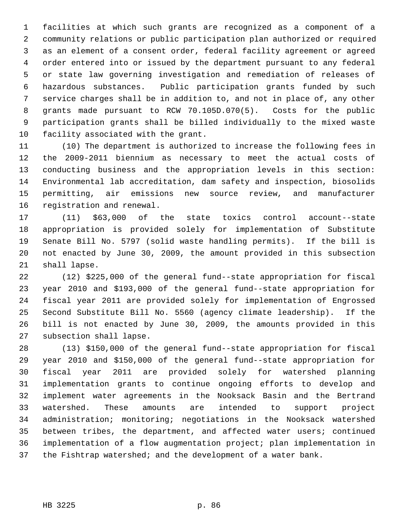1 facilities at which such grants are recognized as a component of a 2 community relations or public participation plan authorized or required 3 as an element of a consent order, federal facility agreement or agreed 4 order entered into or issued by the department pursuant to any federal 5 or state law governing investigation and remediation of releases of 6 hazardous substances. Public participation grants funded by such 7 service charges shall be in addition to, and not in place of, any other 8 grants made pursuant to RCW 70.105D.070(5). Costs for the public 9 participation grants shall be billed individually to the mixed waste 10 facility associated with the grant.

11 (10) The department is authorized to increase the following fees in 12 the 2009-2011 biennium as necessary to meet the actual costs of 13 conducting business and the appropriation levels in this section: 14 Environmental lab accreditation, dam safety and inspection, biosolids 15 permitting, air emissions new source review, and manufacturer 16 registration and renewal.

17 (11) \$63,000 of the state toxics control account--state 18 appropriation is provided solely for implementation of Substitute 19 Senate Bill No. 5797 (solid waste handling permits). If the bill is 20 not enacted by June 30, 2009, the amount provided in this subsection 21 shall lapse.

22 (12) \$225,000 of the general fund--state appropriation for fiscal 23 year 2010 and \$193,000 of the general fund--state appropriation for 24 fiscal year 2011 are provided solely for implementation of Engrossed 25 Second Substitute Bill No. 5560 (agency climate leadership). If the 26 bill is not enacted by June 30, 2009, the amounts provided in this 27 subsection shall lapse.

28 (13) \$150,000 of the general fund--state appropriation for fiscal 29 year 2010 and \$150,000 of the general fund--state appropriation for 30 fiscal year 2011 are provided solely for watershed planning 31 implementation grants to continue ongoing efforts to develop and 32 implement water agreements in the Nooksack Basin and the Bertrand 33 watershed. These amounts are intended to support project 34 administration; monitoring; negotiations in the Nooksack watershed 35 between tribes, the department, and affected water users; continued 36 implementation of a flow augmentation project; plan implementation in 37 the Fishtrap watershed; and the development of a water bank.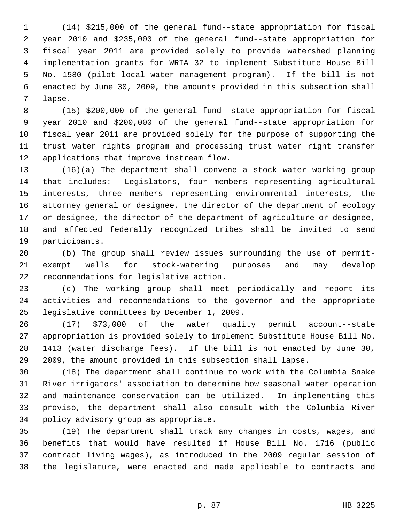1 (14) \$215,000 of the general fund--state appropriation for fiscal 2 year 2010 and \$235,000 of the general fund--state appropriation for 3 fiscal year 2011 are provided solely to provide watershed planning 4 implementation grants for WRIA 32 to implement Substitute House Bill 5 No. 1580 (pilot local water management program). If the bill is not 6 enacted by June 30, 2009, the amounts provided in this subsection shall 7 lapse.

 8 (15) \$200,000 of the general fund--state appropriation for fiscal 9 year 2010 and \$200,000 of the general fund--state appropriation for 10 fiscal year 2011 are provided solely for the purpose of supporting the 11 trust water rights program and processing trust water right transfer 12 applications that improve instream flow.

13 (16)(a) The department shall convene a stock water working group 14 that includes: Legislators, four members representing agricultural 15 interests, three members representing environmental interests, the 16 attorney general or designee, the director of the department of ecology 17 or designee, the director of the department of agriculture or designee, 18 and affected federally recognized tribes shall be invited to send 19 participants.

20 (b) The group shall review issues surrounding the use of permit-21 exempt wells for stock-watering purposes and may develop 22 recommendations for legislative action.

23 (c) The working group shall meet periodically and report its 24 activities and recommendations to the governor and the appropriate 25 legislative committees by December 1, 2009.

26 (17) \$73,000 of the water quality permit account--state 27 appropriation is provided solely to implement Substitute House Bill No. 28 1413 (water discharge fees). If the bill is not enacted by June 30, 29 2009, the amount provided in this subsection shall lapse.

30 (18) The department shall continue to work with the Columbia Snake 31 River irrigators' association to determine how seasonal water operation 32 and maintenance conservation can be utilized. In implementing this 33 proviso, the department shall also consult with the Columbia River 34 policy advisory group as appropriate.

35 (19) The department shall track any changes in costs, wages, and 36 benefits that would have resulted if House Bill No. 1716 (public 37 contract living wages), as introduced in the 2009 regular session of 38 the legislature, were enacted and made applicable to contracts and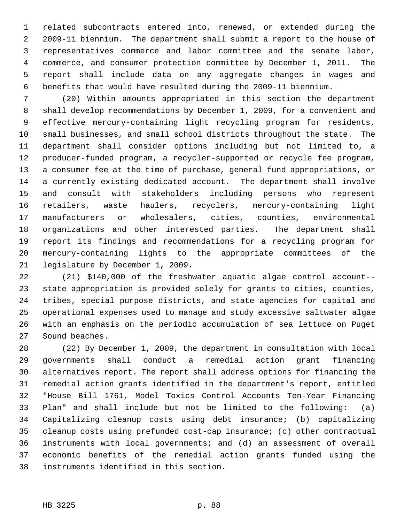1 related subcontracts entered into, renewed, or extended during the 2 2009-11 biennium. The department shall submit a report to the house of 3 representatives commerce and labor committee and the senate labor, 4 commerce, and consumer protection committee by December 1, 2011. The 5 report shall include data on any aggregate changes in wages and 6 benefits that would have resulted during the 2009-11 biennium.

 7 (20) Within amounts appropriated in this section the department 8 shall develop recommendations by December 1, 2009, for a convenient and 9 effective mercury-containing light recycling program for residents, 10 small businesses, and small school districts throughout the state. The 11 department shall consider options including but not limited to, a 12 producer-funded program, a recycler-supported or recycle fee program, 13 a consumer fee at the time of purchase, general fund appropriations, or 14 a currently existing dedicated account. The department shall involve 15 and consult with stakeholders including persons who represent 16 retailers, waste haulers, recyclers, mercury-containing light 17 manufacturers or wholesalers, cities, counties, environmental 18 organizations and other interested parties. The department shall 19 report its findings and recommendations for a recycling program for 20 mercury-containing lights to the appropriate committees of the 21 legislature by December 1, 2009.

22 (21) \$140,000 of the freshwater aquatic algae control account-- 23 state appropriation is provided solely for grants to cities, counties, 24 tribes, special purpose districts, and state agencies for capital and 25 operational expenses used to manage and study excessive saltwater algae 26 with an emphasis on the periodic accumulation of sea lettuce on Puget 27 Sound beaches.

28 (22) By December 1, 2009, the department in consultation with local 29 governments shall conduct a remedial action grant financing 30 alternatives report. The report shall address options for financing the 31 remedial action grants identified in the department's report, entitled 32 "House Bill 1761, Model Toxics Control Accounts Ten-Year Financing 33 Plan" and shall include but not be limited to the following: (a) 34 Capitalizing cleanup costs using debt insurance; (b) capitalizing 35 cleanup costs using prefunded cost-cap insurance; (c) other contractual 36 instruments with local governments; and (d) an assessment of overall 37 economic benefits of the remedial action grants funded using the 38 instruments identified in this section.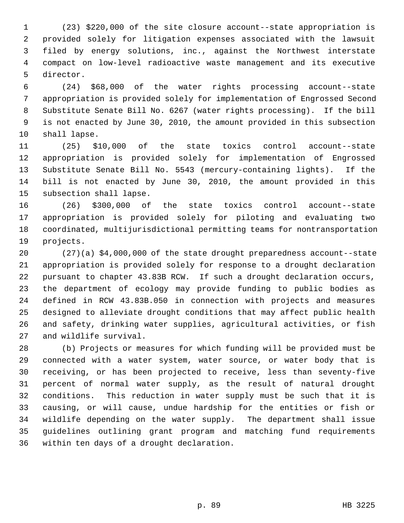1 (23) \$220,000 of the site closure account--state appropriation is 2 provided solely for litigation expenses associated with the lawsuit 3 filed by energy solutions, inc., against the Northwest interstate 4 compact on low-level radioactive waste management and its executive 5 director.

 6 (24) \$68,000 of the water rights processing account--state 7 appropriation is provided solely for implementation of Engrossed Second 8 Substitute Senate Bill No. 6267 (water rights processing). If the bill 9 is not enacted by June 30, 2010, the amount provided in this subsection 10 shall lapse.

11 (25) \$10,000 of the state toxics control account--state 12 appropriation is provided solely for implementation of Engrossed 13 Substitute Senate Bill No. 5543 (mercury-containing lights). If the 14 bill is not enacted by June 30, 2010, the amount provided in this 15 subsection shall lapse.

16 (26) \$300,000 of the state toxics control account--state 17 appropriation is provided solely for piloting and evaluating two 18 coordinated, multijurisdictional permitting teams for nontransportation 19 projects.

20 (27)(a) \$4,000,000 of the state drought preparedness account--state 21 appropriation is provided solely for response to a drought declaration 22 pursuant to chapter 43.83B RCW. If such a drought declaration occurs, 23 the department of ecology may provide funding to public bodies as 24 defined in RCW 43.83B.050 in connection with projects and measures 25 designed to alleviate drought conditions that may affect public health 26 and safety, drinking water supplies, agricultural activities, or fish 27 and wildlife survival.

28 (b) Projects or measures for which funding will be provided must be 29 connected with a water system, water source, or water body that is 30 receiving, or has been projected to receive, less than seventy-five 31 percent of normal water supply, as the result of natural drought 32 conditions. This reduction in water supply must be such that it is 33 causing, or will cause, undue hardship for the entities or fish or 34 wildlife depending on the water supply. The department shall issue 35 guidelines outlining grant program and matching fund requirements 36 within ten days of a drought declaration.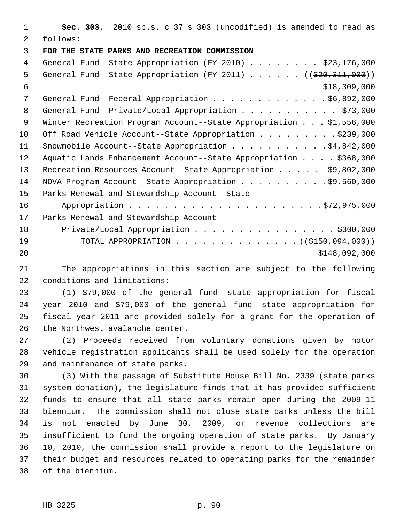1 **Sec. 303.** 2010 sp.s. c 37 s 303 (uncodified) is amended to read as 2 follows: 3 **FOR THE STATE PARKS AND RECREATION COMMISSION** 4 General Fund--State Appropriation (FY 2010) . . . . . . . . \$23,176,000 5 General Fund--State Appropriation (FY 2011)  $\ldots$  ... (( $\frac{2020}{311}$ , 000))  $$18,309,000$ 7 General Fund--Federal Appropriation . . . . . . . . . . . . \$6,892,000 8 General Fund--Private/Local Appropriation . . . . . . . . . . \$73,000 9 Winter Recreation Program Account--State Appropriation . . . \$1,556,000 10 Off Road Vehicle Account--State Appropriation . . . . . . . . \$239,000 11 Snowmobile Account--State Appropriation . . . . . . . . . . . \$4,842,000 12 Aquatic Lands Enhancement Account--State Appropriation . . . . \$368,000 13 Recreation Resources Account--State Appropriation . . . . . \$9,802,000 14 NOVA Program Account--State Appropriation . . . . . . . . . . \$9,560,000 15 Parks Renewal and Stewardship Account--State 16 Appropriation . . . . . . . . . . . . . . . . . . . . . .\$72,975,000 17 Parks Renewal and Stewardship Account-- 18 Private/Local Appropriation . . . . . . . . . . . . . . . . \$300,000 19 TOTAL APPROPRIATION . . . . . . . . . . . . . ((<del>\$150,094,000</del>)) 20 \$148,092,000

21 The appropriations in this section are subject to the following 22 conditions and limitations:

23 (1) \$79,000 of the general fund--state appropriation for fiscal 24 year 2010 and \$79,000 of the general fund--state appropriation for 25 fiscal year 2011 are provided solely for a grant for the operation of 26 the Northwest avalanche center.

27 (2) Proceeds received from voluntary donations given by motor 28 vehicle registration applicants shall be used solely for the operation 29 and maintenance of state parks.

30 (3) With the passage of Substitute House Bill No. 2339 (state parks 31 system donation), the legislature finds that it has provided sufficient 32 funds to ensure that all state parks remain open during the 2009-11 33 biennium. The commission shall not close state parks unless the bill 34 is not enacted by June 30, 2009, or revenue collections are 35 insufficient to fund the ongoing operation of state parks. By January 36 10, 2010, the commission shall provide a report to the legislature on 37 their budget and resources related to operating parks for the remainder 38 of the biennium.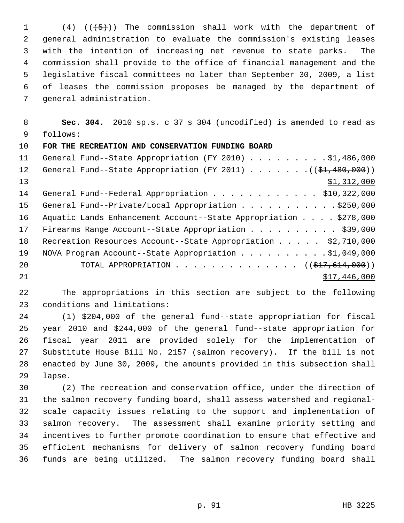1 (4)  $((\frac{1}{5})^n)$  The commission shall work with the department of 2 general administration to evaluate the commission's existing leases 3 with the intention of increasing net revenue to state parks. The 4 commission shall provide to the office of financial management and the 5 legislative fiscal committees no later than September 30, 2009, a list 6 of leases the commission proposes be managed by the department of 7 general administration.

 8 **Sec. 304.** 2010 sp.s. c 37 s 304 (uncodified) is amended to read as 9 follows:

10 **FOR THE RECREATION AND CONSERVATION FUNDING BOARD**

| 11              | General Fund--State Appropriation (FY 2010) \$1,486,000                  |
|-----------------|--------------------------------------------------------------------------|
| 12 <sup>°</sup> | General Fund--State Appropriation (FY 2011) ( $(\frac{21}{1000}, 000)$ ) |
| 13              | \$1,312,000                                                              |
| 14              | General Fund--Federal Appropriation \$10,322,000                         |
| 15              | General Fund--Private/Local Appropriation \$250,000                      |
| 16              | Aquatic Lands Enhancement Account--State Appropriation \$278,000         |
| 17              | Firearms Range Account--State Appropriation \$39,000                     |
| 18              | Recreation Resources Account--State Appropriation \$2,710,000            |
| 19              | NOVA Program Account--State Appropriation \$1,049,000                    |
| 20              | TOTAL APPROPRIATION $\ldots$ , ( $(\frac{217}{614}, 614, 000)$ )         |
| 21              | \$17,446,000                                                             |

22 The appropriations in this section are subject to the following 23 conditions and limitations:

24 (1) \$204,000 of the general fund--state appropriation for fiscal 25 year 2010 and \$244,000 of the general fund--state appropriation for 26 fiscal year 2011 are provided solely for the implementation of 27 Substitute House Bill No. 2157 (salmon recovery). If the bill is not 28 enacted by June 30, 2009, the amounts provided in this subsection shall 29 lapse.

30 (2) The recreation and conservation office, under the direction of 31 the salmon recovery funding board, shall assess watershed and regional-32 scale capacity issues relating to the support and implementation of 33 salmon recovery. The assessment shall examine priority setting and 34 incentives to further promote coordination to ensure that effective and 35 efficient mechanisms for delivery of salmon recovery funding board 36 funds are being utilized. The salmon recovery funding board shall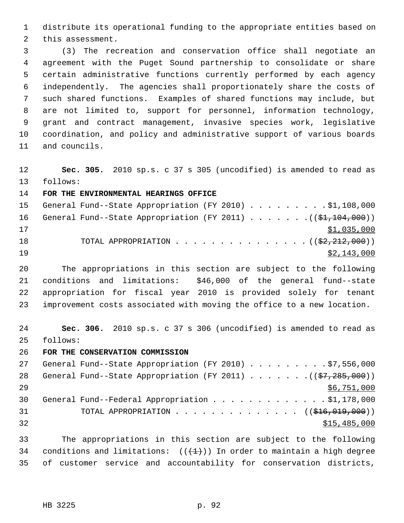1 distribute its operational funding to the appropriate entities based on 2 this assessment.

 3 (3) The recreation and conservation office shall negotiate an 4 agreement with the Puget Sound partnership to consolidate or share 5 certain administrative functions currently performed by each agency 6 independently. The agencies shall proportionately share the costs of 7 such shared functions. Examples of shared functions may include, but 8 are not limited to, support for personnel, information technology, 9 grant and contract management, invasive species work, legislative 10 coordination, and policy and administrative support of various boards 11 and councils.

12 **Sec. 305.** 2010 sp.s. c 37 s 305 (uncodified) is amended to read as 13 follows:

14 **FOR THE ENVIRONMENTAL HEARINGS OFFICE**

| 15 |  | General Fund--State Appropriation (FY 2010) \$1,108,000                |  |  |  |  |  |             |
|----|--|------------------------------------------------------------------------|--|--|--|--|--|-------------|
| 16 |  | General Fund--State Appropriation (FY 2011) $($ $(\frac{21.104}{100})$ |  |  |  |  |  |             |
| 17 |  |                                                                        |  |  |  |  |  | \$1,035,000 |
| 18 |  | TOTAL APPROPRIATION $($ $(\frac{2}{2}, \frac{212}{210})$               |  |  |  |  |  |             |
| 19 |  |                                                                        |  |  |  |  |  | \$2,143,000 |

20 The appropriations in this section are subject to the following 21 conditions and limitations: \$46,000 of the general fund--state 22 appropriation for fiscal year 2010 is provided solely for tenant 23 improvement costs associated with moving the office to a new location.

24 **Sec. 306.** 2010 sp.s. c 37 s 306 (uncodified) is amended to read as 25 follows:

26 **FOR THE CONSERVATION COMMISSION**

| 27  | General Fund--State Appropriation (FY 2010) \$7,556,000                            |
|-----|------------------------------------------------------------------------------------|
| 28  | General Fund--State Appropriation (FY 2011) ( $(\frac{27}{37}, \frac{285}{100})$ ) |
| 2.9 | \$6,751,000                                                                        |
| 30  | General Fund--Federal Appropriation \$1,178,000                                    |
| 31  | TOTAL APPROPRIATION $\ldots$ , ( $(\frac{1}{216}, 019, 000)$ )                     |
| 32  | \$15,485,000                                                                       |
|     |                                                                                    |

33 The appropriations in this section are subject to the following 34 conditions and limitations:  $((+1))$  In order to maintain a high degree 35 of customer service and accountability for conservation districts,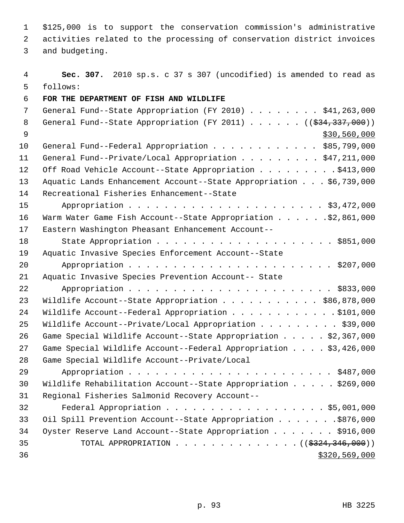1 \$125,000 is to support the conservation commission's administrative 2 activities related to the processing of conservation district invoices

3 and budgeting.

 4 **Sec. 307.** 2010 sp.s. c 37 s 307 (uncodified) is amended to read as 5 follows: 6 **FOR THE DEPARTMENT OF FISH AND WILDLIFE** 7 General Fund--State Appropriation (FY 2010) . . . . . . . \$41,263,000 8 General Fund--State Appropriation (FY 2011) . . . . . . ((\$34,337,000))  $\frac{$30,560,000}{ }$ 10 General Fund--Federal Appropriation . . . . . . . . . . . \$85,799,000 11 General Fund--Private/Local Appropriation . . . . . . . . \$47,211,000 12 Off Road Vehicle Account--State Appropriation . . . . . . . . \$413,000 13 Aquatic Lands Enhancement Account--State Appropriation . . . \$6,739,000 14 Recreational Fisheries Enhancement--State 15 Appropriation . . . . . . . . . . . . . . . . . . . . . . \$3,472,000 16 Warm Water Game Fish Account--State Appropriation . . . . . . \$2,861,000 17 Eastern Washington Pheasant Enhancement Account-- 18 State Appropriation . . . . . . . . . . . . . . . . . . . . \$851,000 19 Aquatic Invasive Species Enforcement Account--State 20 Appropriation . . . . . . . . . . . . . . . . . . . . . . . \$207,000 21 Aquatic Invasive Species Prevention Account-- State 22 Appropriation . . . . . . . . . . . . . . . . . . . . . . . \$833,000 23 Wildlife Account--State Appropriation . . . . . . . . . . . \$86,878,000 24 Wildlife Account--Federal Appropriation . . . . . . . . . . . . \$101,000 25 Wildlife Account--Private/Local Appropriation . . . . . . . . \$39,000 26 Game Special Wildlife Account--State Appropriation . . . . . \$2,367,000 27 Game Special Wildlife Account--Federal Appropriation . . . . \$3,426,000 28 Game Special Wildlife Account--Private/Local 29 Appropriation . . . . . . . . . . . . . . . . . . . . . . . \$487,000 30 Wildlife Rehabilitation Account--State Appropriation . . . . . \$269,000 31 Regional Fisheries Salmonid Recovery Account-- 32 Federal Appropriation . . . . . . . . . . . . . . . . . . \$5,001,000 33 Oil Spill Prevention Account--State Appropriation . . . . . . . \$876,000 34 Oyster Reserve Land Account--State Appropriation . . . . . . . \$916,000 35 TOTAL APPROPRIATION . . . . . . . . . . . . . . ((\$324,346,000))  $36$  \$320,569,000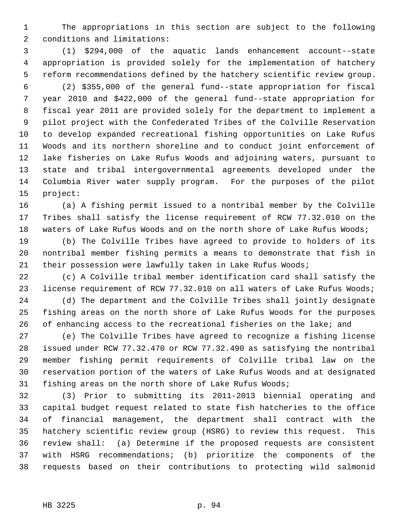1 The appropriations in this section are subject to the following 2 conditions and limitations:

 3 (1) \$294,000 of the aquatic lands enhancement account--state 4 appropriation is provided solely for the implementation of hatchery 5 reform recommendations defined by the hatchery scientific review group.

 6 (2) \$355,000 of the general fund--state appropriation for fiscal 7 year 2010 and \$422,000 of the general fund--state appropriation for 8 fiscal year 2011 are provided solely for the department to implement a 9 pilot project with the Confederated Tribes of the Colville Reservation 10 to develop expanded recreational fishing opportunities on Lake Rufus 11 Woods and its northern shoreline and to conduct joint enforcement of 12 lake fisheries on Lake Rufus Woods and adjoining waters, pursuant to 13 state and tribal intergovernmental agreements developed under the 14 Columbia River water supply program. For the purposes of the pilot 15 project:

16 (a) A fishing permit issued to a nontribal member by the Colville 17 Tribes shall satisfy the license requirement of RCW 77.32.010 on the 18 waters of Lake Rufus Woods and on the north shore of Lake Rufus Woods;

19 (b) The Colville Tribes have agreed to provide to holders of its 20 nontribal member fishing permits a means to demonstrate that fish in 21 their possession were lawfully taken in Lake Rufus Woods;

22 (c) A Colville tribal member identification card shall satisfy the 23 license requirement of RCW 77.32.010 on all waters of Lake Rufus Woods;

24 (d) The department and the Colville Tribes shall jointly designate 25 fishing areas on the north shore of Lake Rufus Woods for the purposes 26 of enhancing access to the recreational fisheries on the lake; and

27 (e) The Colville Tribes have agreed to recognize a fishing license 28 issued under RCW 77.32.470 or RCW 77.32.490 as satisfying the nontribal 29 member fishing permit requirements of Colville tribal law on the 30 reservation portion of the waters of Lake Rufus Woods and at designated 31 fishing areas on the north shore of Lake Rufus Woods;

32 (3) Prior to submitting its 2011-2013 biennial operating and 33 capital budget request related to state fish hatcheries to the office 34 of financial management, the department shall contract with the 35 hatchery scientific review group (HSRG) to review this request. This 36 review shall: (a) Determine if the proposed requests are consistent 37 with HSRG recommendations; (b) prioritize the components of the 38 requests based on their contributions to protecting wild salmonid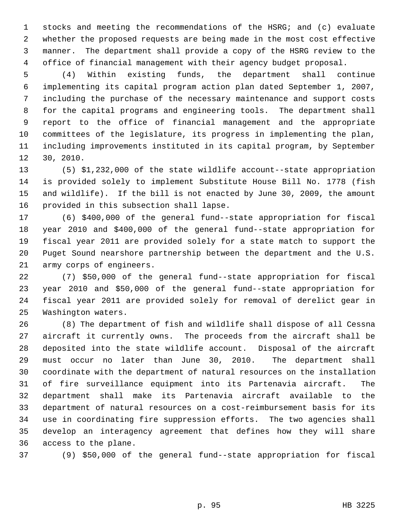1 stocks and meeting the recommendations of the HSRG; and (c) evaluate 2 whether the proposed requests are being made in the most cost effective 3 manner. The department shall provide a copy of the HSRG review to the 4 office of financial management with their agency budget proposal.

 5 (4) Within existing funds, the department shall continue 6 implementing its capital program action plan dated September 1, 2007, 7 including the purchase of the necessary maintenance and support costs 8 for the capital programs and engineering tools. The department shall 9 report to the office of financial management and the appropriate 10 committees of the legislature, its progress in implementing the plan, 11 including improvements instituted in its capital program, by September 12 30, 2010.

13 (5) \$1,232,000 of the state wildlife account--state appropriation 14 is provided solely to implement Substitute House Bill No. 1778 (fish 15 and wildlife). If the bill is not enacted by June 30, 2009, the amount 16 provided in this subsection shall lapse.

17 (6) \$400,000 of the general fund--state appropriation for fiscal 18 year 2010 and \$400,000 of the general fund--state appropriation for 19 fiscal year 2011 are provided solely for a state match to support the 20 Puget Sound nearshore partnership between the department and the U.S. 21 army corps of engineers.

22 (7) \$50,000 of the general fund--state appropriation for fiscal 23 year 2010 and \$50,000 of the general fund--state appropriation for 24 fiscal year 2011 are provided solely for removal of derelict gear in 25 Washington waters.

26 (8) The department of fish and wildlife shall dispose of all Cessna 27 aircraft it currently owns. The proceeds from the aircraft shall be 28 deposited into the state wildlife account. Disposal of the aircraft 29 must occur no later than June 30, 2010. The department shall 30 coordinate with the department of natural resources on the installation 31 of fire surveillance equipment into its Partenavia aircraft. The 32 department shall make its Partenavia aircraft available to the 33 department of natural resources on a cost-reimbursement basis for its 34 use in coordinating fire suppression efforts. The two agencies shall 35 develop an interagency agreement that defines how they will share 36 access to the plane.

37 (9) \$50,000 of the general fund--state appropriation for fiscal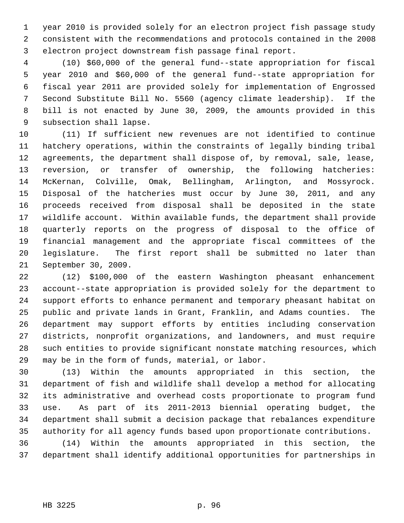1 year 2010 is provided solely for an electron project fish passage study 2 consistent with the recommendations and protocols contained in the 2008 3 electron project downstream fish passage final report.

 4 (10) \$60,000 of the general fund--state appropriation for fiscal 5 year 2010 and \$60,000 of the general fund--state appropriation for 6 fiscal year 2011 are provided solely for implementation of Engrossed 7 Second Substitute Bill No. 5560 (agency climate leadership). If the 8 bill is not enacted by June 30, 2009, the amounts provided in this 9 subsection shall lapse.

10 (11) If sufficient new revenues are not identified to continue 11 hatchery operations, within the constraints of legally binding tribal 12 agreements, the department shall dispose of, by removal, sale, lease, 13 reversion, or transfer of ownership, the following hatcheries: 14 McKernan, Colville, Omak, Bellingham, Arlington, and Mossyrock. 15 Disposal of the hatcheries must occur by June 30, 2011, and any 16 proceeds received from disposal shall be deposited in the state 17 wildlife account. Within available funds, the department shall provide 18 quarterly reports on the progress of disposal to the office of 19 financial management and the appropriate fiscal committees of the 20 legislature. The first report shall be submitted no later than 21 September 30, 2009.

22 (12) \$100,000 of the eastern Washington pheasant enhancement 23 account--state appropriation is provided solely for the department to 24 support efforts to enhance permanent and temporary pheasant habitat on 25 public and private lands in Grant, Franklin, and Adams counties. The 26 department may support efforts by entities including conservation 27 districts, nonprofit organizations, and landowners, and must require 28 such entities to provide significant nonstate matching resources, which 29 may be in the form of funds, material, or labor.

30 (13) Within the amounts appropriated in this section, the 31 department of fish and wildlife shall develop a method for allocating 32 its administrative and overhead costs proportionate to program fund 33 use. As part of its 2011-2013 biennial operating budget, the 34 department shall submit a decision package that rebalances expenditure 35 authority for all agency funds based upon proportionate contributions.

36 (14) Within the amounts appropriated in this section, the 37 department shall identify additional opportunities for partnerships in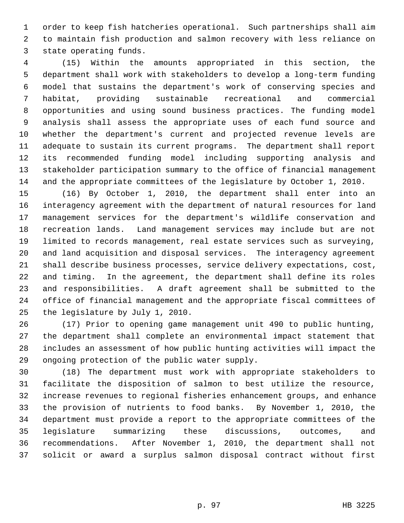1 order to keep fish hatcheries operational. Such partnerships shall aim 2 to maintain fish production and salmon recovery with less reliance on 3 state operating funds.

 4 (15) Within the amounts appropriated in this section, the 5 department shall work with stakeholders to develop a long-term funding 6 model that sustains the department's work of conserving species and 7 habitat, providing sustainable recreational and commercial 8 opportunities and using sound business practices. The funding model 9 analysis shall assess the appropriate uses of each fund source and 10 whether the department's current and projected revenue levels are 11 adequate to sustain its current programs. The department shall report 12 its recommended funding model including supporting analysis and 13 stakeholder participation summary to the office of financial management 14 and the appropriate committees of the legislature by October 1, 2010.

15 (16) By October 1, 2010, the department shall enter into an 16 interagency agreement with the department of natural resources for land 17 management services for the department's wildlife conservation and 18 recreation lands. Land management services may include but are not 19 limited to records management, real estate services such as surveying, 20 and land acquisition and disposal services. The interagency agreement 21 shall describe business processes, service delivery expectations, cost, 22 and timing. In the agreement, the department shall define its roles 23 and responsibilities. A draft agreement shall be submitted to the 24 office of financial management and the appropriate fiscal committees of 25 the legislature by July 1, 2010.

26 (17) Prior to opening game management unit 490 to public hunting, 27 the department shall complete an environmental impact statement that 28 includes an assessment of how public hunting activities will impact the 29 ongoing protection of the public water supply.

30 (18) The department must work with appropriate stakeholders to 31 facilitate the disposition of salmon to best utilize the resource, 32 increase revenues to regional fisheries enhancement groups, and enhance 33 the provision of nutrients to food banks. By November 1, 2010, the 34 department must provide a report to the appropriate committees of the 35 legislature summarizing these discussions, outcomes, and 36 recommendations. After November 1, 2010, the department shall not 37 solicit or award a surplus salmon disposal contract without first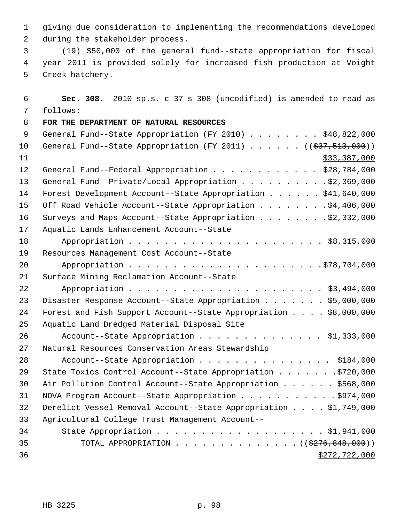1 giving due consideration to implementing the recommendations developed 2 during the stakeholder process.

 3 (19) \$50,000 of the general fund--state appropriation for fiscal 4 year 2011 is provided solely for increased fish production at Voight 5 Creek hatchery.

| 6  | Sec. 308. 2010 sp.s. c 37 s 308 (uncodified) is amended to read as                            |
|----|-----------------------------------------------------------------------------------------------|
| 7  | follows:                                                                                      |
| 8  | FOR THE DEPARTMENT OF NATURAL RESOURCES                                                       |
| 9  | General Fund--State Appropriation (FY 2010) \$48,822,000                                      |
| 10 | General Fund--State Appropriation (FY 2011) $($ $($ $\frac{27}{7},$ $\frac{513}{7},$ $000)$ ) |
| 11 | \$33,387,000                                                                                  |
| 12 | General Fund--Federal Appropriation \$28,784,000                                              |
| 13 | General Fund--Private/Local Appropriation \$2,369,000                                         |
| 14 | Forest Development Account--State Appropriation \$41,640,000                                  |
| 15 | Off Road Vehicle Account--State Appropriation \$4,406,000                                     |
| 16 |                                                                                               |
| 17 | Aquatic Lands Enhancement Account--State                                                      |
| 18 |                                                                                               |
| 19 | Resources Management Cost Account--State                                                      |
| 20 |                                                                                               |
| 21 | Surface Mining Reclamation Account--State                                                     |
| 22 |                                                                                               |
| 23 | Disaster Response Account--State Appropriation \$5,000,000                                    |
| 24 | Forest and Fish Support Account--State Appropriation \$8,000,000                              |
| 25 | Aquatic Land Dredged Material Disposal Site                                                   |
| 26 | Account--State Appropriation \$1,333,000                                                      |
| 27 | Natural Resources Conservation Areas Stewardship                                              |
| 28 | Account--State Appropriation \$184,000                                                        |
| 29 | State Toxics Control Account--State Appropriation \$720,000                                   |
| 30 | Air Pollution Control Account--State Appropriation \$568,000                                  |
| 31 | NOVA Program Account--State Appropriation \$974,000                                           |
| 32 | Derelict Vessel Removal Account--State Appropriation \$1,749,000                              |
| 33 | Agricultural College Trust Management Account--                                               |
| 34 |                                                                                               |
| 35 | TOTAL APPROPRIATION ( $(\frac{2776}{600})$ )                                                  |
| 36 | \$272,722,000                                                                                 |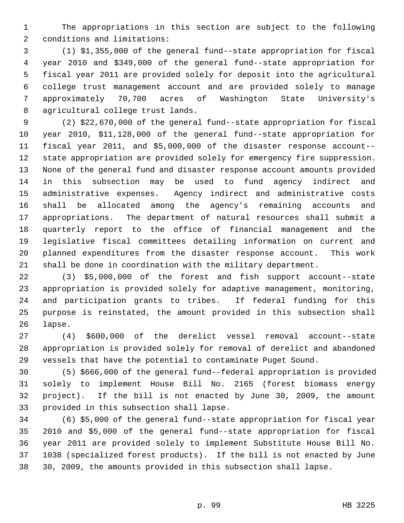1 The appropriations in this section are subject to the following 2 conditions and limitations:

 3 (1) \$1,355,000 of the general fund--state appropriation for fiscal 4 year 2010 and \$349,000 of the general fund--state appropriation for 5 fiscal year 2011 are provided solely for deposit into the agricultural 6 college trust management account and are provided solely to manage 7 approximately 70,700 acres of Washington State University's 8 agricultural college trust lands.

 9 (2) \$22,670,000 of the general fund--state appropriation for fiscal 10 year 2010, \$11,128,000 of the general fund--state appropriation for 11 fiscal year 2011, and \$5,000,000 of the disaster response account-- 12 state appropriation are provided solely for emergency fire suppression. 13 None of the general fund and disaster response account amounts provided 14 in this subsection may be used to fund agency indirect and 15 administrative expenses. Agency indirect and administrative costs 16 shall be allocated among the agency's remaining accounts and 17 appropriations. The department of natural resources shall submit a 18 quarterly report to the office of financial management and the 19 legislative fiscal committees detailing information on current and 20 planned expenditures from the disaster response account. This work 21 shall be done in coordination with the military department.

22 (3) \$5,000,000 of the forest and fish support account--state 23 appropriation is provided solely for adaptive management, monitoring, 24 and participation grants to tribes. If federal funding for this 25 purpose is reinstated, the amount provided in this subsection shall 26 lapse.

27 (4) \$600,000 of the derelict vessel removal account--state 28 appropriation is provided solely for removal of derelict and abandoned 29 vessels that have the potential to contaminate Puget Sound.

30 (5) \$666,000 of the general fund--federal appropriation is provided 31 solely to implement House Bill No. 2165 (forest biomass energy 32 project). If the bill is not enacted by June 30, 2009, the amount 33 provided in this subsection shall lapse.

34 (6) \$5,000 of the general fund--state appropriation for fiscal year 35 2010 and \$5,000 of the general fund--state appropriation for fiscal 36 year 2011 are provided solely to implement Substitute House Bill No. 37 1038 (specialized forest products). If the bill is not enacted by June 38 30, 2009, the amounts provided in this subsection shall lapse.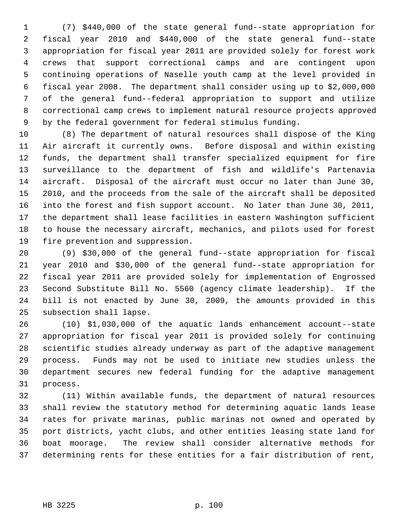1 (7) \$440,000 of the state general fund--state appropriation for 2 fiscal year 2010 and \$440,000 of the state general fund--state 3 appropriation for fiscal year 2011 are provided solely for forest work 4 crews that support correctional camps and are contingent upon 5 continuing operations of Naselle youth camp at the level provided in 6 fiscal year 2008. The department shall consider using up to \$2,000,000 7 of the general fund--federal appropriation to support and utilize 8 correctional camp crews to implement natural resource projects approved 9 by the federal government for federal stimulus funding.

10 (8) The department of natural resources shall dispose of the King 11 Air aircraft it currently owns. Before disposal and within existing 12 funds, the department shall transfer specialized equipment for fire 13 surveillance to the department of fish and wildlife's Partenavia 14 aircraft. Disposal of the aircraft must occur no later than June 30, 15 2010, and the proceeds from the sale of the aircraft shall be deposited 16 into the forest and fish support account. No later than June 30, 2011, 17 the department shall lease facilities in eastern Washington sufficient 18 to house the necessary aircraft, mechanics, and pilots used for forest 19 fire prevention and suppression.

20 (9) \$30,000 of the general fund--state appropriation for fiscal 21 year 2010 and \$30,000 of the general fund--state appropriation for 22 fiscal year 2011 are provided solely for implementation of Engrossed 23 Second Substitute Bill No. 5560 (agency climate leadership). If the 24 bill is not enacted by June 30, 2009, the amounts provided in this 25 subsection shall lapse.

26 (10) \$1,030,000 of the aquatic lands enhancement account--state 27 appropriation for fiscal year 2011 is provided solely for continuing 28 scientific studies already underway as part of the adaptive management 29 process. Funds may not be used to initiate new studies unless the 30 department secures new federal funding for the adaptive management 31 process.

32 (11) Within available funds, the department of natural resources 33 shall review the statutory method for determining aquatic lands lease 34 rates for private marinas, public marinas not owned and operated by 35 port districts, yacht clubs, and other entities leasing state land for 36 boat moorage. The review shall consider alternative methods for 37 determining rents for these entities for a fair distribution of rent,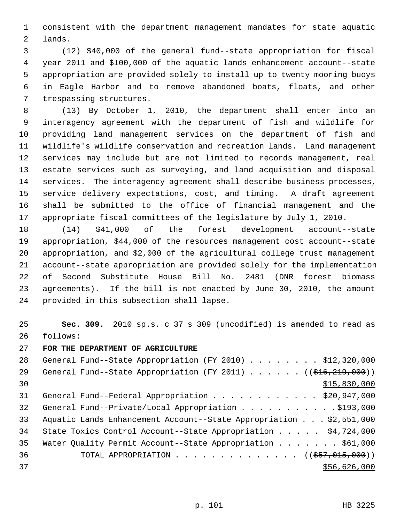1 consistent with the department management mandates for state aquatic 2 lands.

 3 (12) \$40,000 of the general fund--state appropriation for fiscal 4 year 2011 and \$100,000 of the aquatic lands enhancement account--state 5 appropriation are provided solely to install up to twenty mooring buoys 6 in Eagle Harbor and to remove abandoned boats, floats, and other 7 trespassing structures.

 8 (13) By October 1, 2010, the department shall enter into an 9 interagency agreement with the department of fish and wildlife for 10 providing land management services on the department of fish and 11 wildlife's wildlife conservation and recreation lands. Land management 12 services may include but are not limited to records management, real 13 estate services such as surveying, and land acquisition and disposal 14 services. The interagency agreement shall describe business processes, 15 service delivery expectations, cost, and timing. A draft agreement 16 shall be submitted to the office of financial management and the 17 appropriate fiscal committees of the legislature by July 1, 2010.

18 (14) \$41,000 of the forest development account--state 19 appropriation, \$44,000 of the resources management cost account--state 20 appropriation, and \$2,000 of the agricultural college trust management 21 account--state appropriation are provided solely for the implementation 22 of Second Substitute House Bill No. 2481 (DNR forest biomass 23 agreements). If the bill is not enacted by June 30, 2010, the amount 24 provided in this subsection shall lapse.

25 **Sec. 309.** 2010 sp.s. c 37 s 309 (uncodified) is amended to read as 26 follows:

27 **FOR THE DEPARTMENT OF AGRICULTURE**

| 28 | General Fund--State Appropriation (FY 2010) \$12,320,000           |
|----|--------------------------------------------------------------------|
| 29 | General Fund--State Appropriation (FY 2011) $($ $($ \$16,219,000)) |
| 30 | \$15,830,000                                                       |
| 31 | General Fund--Federal Appropriation \$20,947,000                   |
| 32 | General Fund--Private/Local Appropriation 9193,000                 |
| 33 | Aquatic Lands Enhancement Account--State Appropriation \$2,551,000 |
| 34 | State Toxics Control Account--State Appropriation \$4,724,000      |
| 35 | Water Quality Permit Account--State Appropriation \$61,000         |
| 36 | TOTAL APPROPRIATION $\ldots$ , ( $(\frac{257}{1015}, 000)$ )       |
| 37 | \$56,626,000                                                       |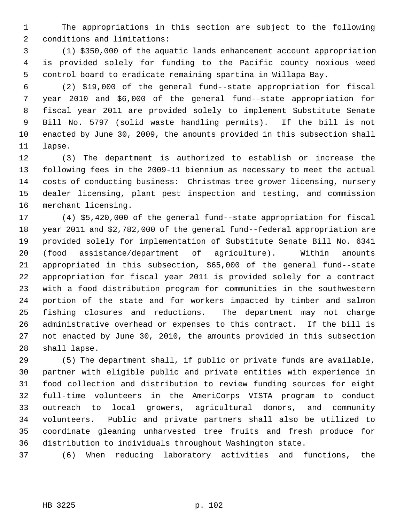1 The appropriations in this section are subject to the following 2 conditions and limitations:

 3 (1) \$350,000 of the aquatic lands enhancement account appropriation 4 is provided solely for funding to the Pacific county noxious weed 5 control board to eradicate remaining spartina in Willapa Bay.

 6 (2) \$19,000 of the general fund--state appropriation for fiscal 7 year 2010 and \$6,000 of the general fund--state appropriation for 8 fiscal year 2011 are provided solely to implement Substitute Senate 9 Bill No. 5797 (solid waste handling permits). If the bill is not 10 enacted by June 30, 2009, the amounts provided in this subsection shall 11 lapse.

12 (3) The department is authorized to establish or increase the 13 following fees in the 2009-11 biennium as necessary to meet the actual 14 costs of conducting business: Christmas tree grower licensing, nursery 15 dealer licensing, plant pest inspection and testing, and commission 16 merchant licensing.

17 (4) \$5,420,000 of the general fund--state appropriation for fiscal 18 year 2011 and \$2,782,000 of the general fund--federal appropriation are 19 provided solely for implementation of Substitute Senate Bill No. 6341 20 (food assistance/department of agriculture). Within amounts 21 appropriated in this subsection, \$65,000 of the general fund--state 22 appropriation for fiscal year 2011 is provided solely for a contract 23 with a food distribution program for communities in the southwestern 24 portion of the state and for workers impacted by timber and salmon 25 fishing closures and reductions. The department may not charge 26 administrative overhead or expenses to this contract. If the bill is 27 not enacted by June 30, 2010, the amounts provided in this subsection 28 shall lapse.

29 (5) The department shall, if public or private funds are available, 30 partner with eligible public and private entities with experience in 31 food collection and distribution to review funding sources for eight 32 full-time volunteers in the AmeriCorps VISTA program to conduct 33 outreach to local growers, agricultural donors, and community 34 volunteers. Public and private partners shall also be utilized to 35 coordinate gleaning unharvested tree fruits and fresh produce for 36 distribution to individuals throughout Washington state.

37 (6) When reducing laboratory activities and functions, the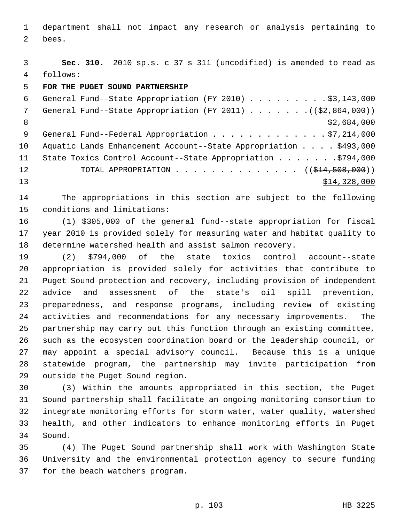1 department shall not impact any research or analysis pertaining to 2 bees.

 3 **Sec. 310.** 2010 sp.s. c 37 s 311 (uncodified) is amended to read as 4 follows:

5 **FOR THE PUGET SOUND PARTNERSHIP**

| 6   | General Fund--State Appropriation (FY 2010) \$3,143,000           |
|-----|-------------------------------------------------------------------|
| 7   | General Fund--State Appropriation (FY 2011) $($ $($ \$2,864,000)) |
| - 8 | \$2,684,000                                                       |
| - 9 | General Fund--Federal Appropriation \$7,214,000                   |
| 10  | Aquatic Lands Enhancement Account--State Appropriation \$493,000  |
| 11  | State Toxics Control Account--State Appropriation 9794,000        |
| 12  | TOTAL APPROPRIATION $\ldots$ , ( $(\frac{214}{508}, 000)$ )       |
| 13  | \$14,328,000                                                      |

14 The appropriations in this section are subject to the following 15 conditions and limitations:

16 (1) \$305,000 of the general fund--state appropriation for fiscal 17 year 2010 is provided solely for measuring water and habitat quality to 18 determine watershed health and assist salmon recovery.

19 (2) \$794,000 of the state toxics control account--state 20 appropriation is provided solely for activities that contribute to 21 Puget Sound protection and recovery, including provision of independent 22 advice and assessment of the state's oil spill prevention, 23 preparedness, and response programs, including review of existing 24 activities and recommendations for any necessary improvements. The 25 partnership may carry out this function through an existing committee, 26 such as the ecosystem coordination board or the leadership council, or 27 may appoint a special advisory council. Because this is a unique 28 statewide program, the partnership may invite participation from 29 outside the Puget Sound region.

30 (3) Within the amounts appropriated in this section, the Puget 31 Sound partnership shall facilitate an ongoing monitoring consortium to 32 integrate monitoring efforts for storm water, water quality, watershed 33 health, and other indicators to enhance monitoring efforts in Puget 34 Sound.

35 (4) The Puget Sound partnership shall work with Washington State 36 University and the environmental protection agency to secure funding 37 for the beach watchers program.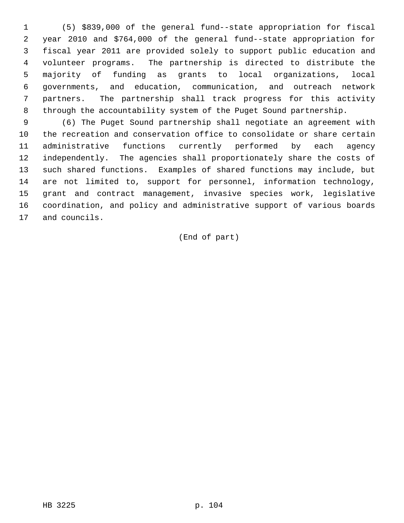1 (5) \$839,000 of the general fund--state appropriation for fiscal 2 year 2010 and \$764,000 of the general fund--state appropriation for 3 fiscal year 2011 are provided solely to support public education and 4 volunteer programs. The partnership is directed to distribute the 5 majority of funding as grants to local organizations, local 6 governments, and education, communication, and outreach network 7 partners. The partnership shall track progress for this activity 8 through the accountability system of the Puget Sound partnership.

 9 (6) The Puget Sound partnership shall negotiate an agreement with 10 the recreation and conservation office to consolidate or share certain 11 administrative functions currently performed by each agency 12 independently. The agencies shall proportionately share the costs of 13 such shared functions. Examples of shared functions may include, but 14 are not limited to, support for personnel, information technology, 15 grant and contract management, invasive species work, legislative 16 coordination, and policy and administrative support of various boards 17 and councils.

(End of part)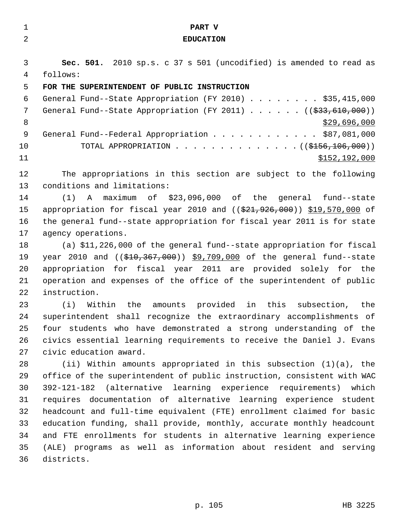| 1              | PART V                                                                        |
|----------------|-------------------------------------------------------------------------------|
| $\overline{a}$ | <b>EDUCATION</b>                                                              |
|                |                                                                               |
| 3              | Sec. 501. 2010 sp.s. c 37 s 501 (uncodified) is amended to read as            |
| 4              | follows:                                                                      |
| 5              | FOR THE SUPERINTENDENT OF PUBLIC INSTRUCTION                                  |
| 6              | General Fund--State Appropriation (FY 2010) \$35,415,000                      |
| 7              | General Fund--State Appropriation (FY 2011) $($ $($ $\frac{233}{610}$ , 000)) |
| 8              | \$29,696,000                                                                  |
| 9              | General Fund--Federal Appropriation \$87,081,000                              |
| 10             | TOTAL APPROPRIATION ( $(\frac{2156}{106}, 000)$ )                             |
| 11             | \$152,192,000                                                                 |
| 12             | The appropriations in this section are subject to the following               |
| 13             | conditions and limitations:                                                   |
| 14             | $(1)$ A maximum of \$23,096,000 of the general fund--state                    |
| 15             | appropriation for fiscal year 2010 and ((\$21,926,000)) \$19,570,000 of       |
| 16             | the general fund--state appropriation for fiscal year 2011 is for state       |
| 17             | agency operations.                                                            |
| 18             | (a) \$11,226,000 of the general fund--state appropriation for fiscal          |
| 19             | year 2010 and $((\$10,367,000))$ \$9,709,000 of the general fund--state       |
| 20             | appropriation for fiscal year 2011 are provided solely for the                |
| 21             | operation and expenses of the office of the superintendent of public          |
| 22             | instruction.                                                                  |
| 23             | Within the<br>amounts provided in this<br>subsection, the<br>(i)              |
| 24             | superintendent shall recognize the extraordinary accomplishments of           |
| 25             | four students who have demonstrated a strong understanding of the             |
| 26             | civics essential learning requirements to receive the Daniel J. Evans         |
| 27             | civic education award.                                                        |
| 28             | (ii) Within amounts appropriated in this subsection $(1)(a)$ , the            |
| 29             | office of the superintendent of public instruction, consistent with WAC       |
| 30             | 392-121-182 (alternative learning experience requirements) which              |
| 31             | requires documentation of alternative learning experience student             |
| 32             | headcount and full-time equivalent (FTE) enrollment claimed for basic         |
| 33             | education funding, shall provide, monthly, accurate monthly headcount         |
| 34             | and FTE enrollments for students in alternative learning experience           |
| 35             | (ALE) programs as well as information about resident and serving              |
| 36             | districts.                                                                    |

p. 105 HB 3225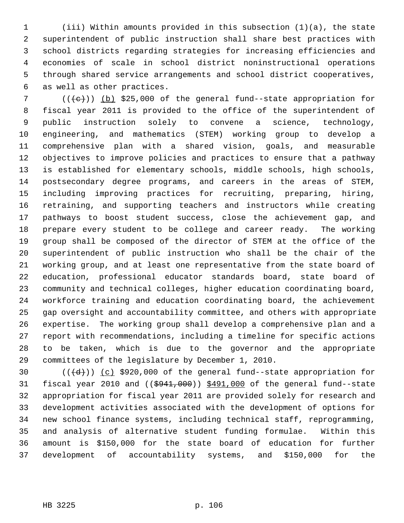1 (iii) Within amounts provided in this subsection (1)(a), the state 2 superintendent of public instruction shall share best practices with 3 school districts regarding strategies for increasing efficiencies and 4 economies of scale in school district noninstructional operations 5 through shared service arrangements and school district cooperatives, 6 as well as other practices.

7  $((+e))$  (b) \$25,000 of the general fund--state appropriation for 8 fiscal year 2011 is provided to the office of the superintendent of 9 public instruction solely to convene a science, technology, 10 engineering, and mathematics (STEM) working group to develop a 11 comprehensive plan with a shared vision, goals, and measurable 12 objectives to improve policies and practices to ensure that a pathway 13 is established for elementary schools, middle schools, high schools, 14 postsecondary degree programs, and careers in the areas of STEM, 15 including improving practices for recruiting, preparing, hiring, 16 retraining, and supporting teachers and instructors while creating 17 pathways to boost student success, close the achievement gap, and 18 prepare every student to be college and career ready. The working 19 group shall be composed of the director of STEM at the office of the 20 superintendent of public instruction who shall be the chair of the 21 working group, and at least one representative from the state board of 22 education, professional educator standards board, state board of 23 community and technical colleges, higher education coordinating board, 24 workforce training and education coordinating board, the achievement 25 gap oversight and accountability committee, and others with appropriate 26 expertise. The working group shall develop a comprehensive plan and a 27 report with recommendations, including a timeline for specific actions 28 to be taken, which is due to the governor and the appropriate 29 committees of the legislature by December 1, 2010.

30  $((\overline{d}))$   $(c)$  \$920,000 of the general fund--state appropriation for 31 fiscal year 2010 and  $((\frac{6941,000}{9})$  \$491,000 of the general fund--state 32 appropriation for fiscal year 2011 are provided solely for research and 33 development activities associated with the development of options for 34 new school finance systems, including technical staff, reprogramming, 35 and analysis of alternative student funding formulae. Within this 36 amount is \$150,000 for the state board of education for further 37 development of accountability systems, and \$150,000 for the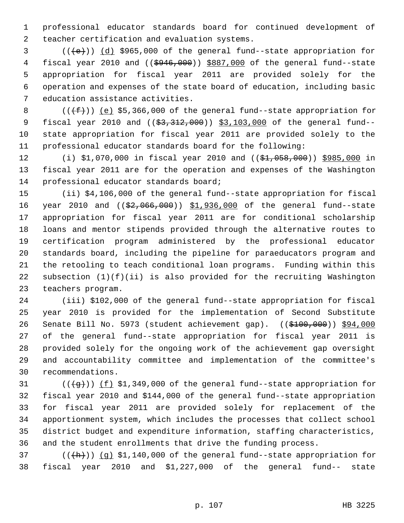1 professional educator standards board for continued development of 2 teacher certification and evaluation systems.

 $3$  (( $\left(\frac{1}{e}\right)$ ) (d) \$965,000 of the general fund--state appropriation for 4 fiscal year 2010 and (( $\frac{6946,000}{900}$ ) \$887,000 of the general fund--state 5 appropriation for fiscal year 2011 are provided solely for the 6 operation and expenses of the state board of education, including basic 7 education assistance activities.

8  $((\text{#}))$  (e) \$5,366,000 of the general fund--state appropriation for 9 fiscal year 2010 and ((\$3,312,000)) \$3,103,000 of the general fund--10 state appropriation for fiscal year 2011 are provided solely to the 11 professional educator standards board for the following:

12 (i) \$1,070,000 in fiscal year 2010 and ((\$1,058,000)) \$985,000 in 13 fiscal year 2011 are for the operation and expenses of the Washington 14 professional educator standards board;

15 (ii) \$4,106,000 of the general fund--state appropriation for fiscal 16 year 2010 and ((\$2,066,000)) \$1,936,000 of the general fund--state 17 appropriation for fiscal year 2011 are for conditional scholarship 18 loans and mentor stipends provided through the alternative routes to 19 certification program administered by the professional educator 20 standards board, including the pipeline for paraeducators program and 21 the retooling to teach conditional loan programs. Funding within this 22 subsection (1)(f)(ii) is also provided for the recruiting Washington 23 teachers program.

24 (iii) \$102,000 of the general fund--state appropriation for fiscal 25 year 2010 is provided for the implementation of Second Substitute 26 Senate Bill No. 5973 (student achievement gap). ((\$100,000)) \$94,000 27 of the general fund--state appropriation for fiscal year 2011 is 28 provided solely for the ongoing work of the achievement gap oversight 29 and accountability committee and implementation of the committee's 30 recommendations.

31  $((\{q\}))(f)$  \$1,349,000 of the general fund--state appropriation for 32 fiscal year 2010 and \$144,000 of the general fund--state appropriation 33 for fiscal year 2011 are provided solely for replacement of the 34 apportionment system, which includes the processes that collect school 35 district budget and expenditure information, staffing characteristics, 36 and the student enrollments that drive the funding process.

37 ( $(\overline{(h)})$  (g) \$1,140,000 of the general fund--state appropriation for 38 fiscal year 2010 and \$1,227,000 of the general fund-- state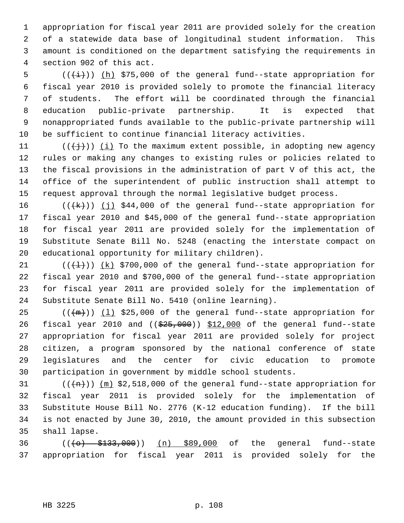1 appropriation for fiscal year 2011 are provided solely for the creation 2 of a statewide data base of longitudinal student information. This 3 amount is conditioned on the department satisfying the requirements in 4 section 902 of this act.

5  $((\overleftrightarrow{t}))$  (h) \$75,000 of the general fund--state appropriation for 6 fiscal year 2010 is provided solely to promote the financial literacy 7 of students. The effort will be coordinated through the financial 8 education public-private partnership. It is expected that 9 nonappropriated funds available to the public-private partnership will 10 be sufficient to continue financial literacy activities.

11 ( $(\{\dagger\})$ ) (i) To the maximum extent possible, in adopting new agency 12 rules or making any changes to existing rules or policies related to 13 the fiscal provisions in the administration of part V of this act, the 14 office of the superintendent of public instruction shall attempt to 15 request approval through the normal legislative budget process.

16  $((+k))$  (j) \$44,000 of the general fund--state appropriation for 17 fiscal year 2010 and \$45,000 of the general fund--state appropriation 18 for fiscal year 2011 are provided solely for the implementation of 19 Substitute Senate Bill No. 5248 (enacting the interstate compact on 20 educational opportunity for military children).

21  $((+1))$   $(k)$  \$700,000 of the general fund--state appropriation for 22 fiscal year 2010 and \$700,000 of the general fund--state appropriation 23 for fiscal year 2011 are provided solely for the implementation of 24 Substitute Senate Bill No. 5410 (online learning).

25  $((+m))$  (1) \$25,000 of the general fund--state appropriation for 26 fiscal year 2010 and  $($   $(*25,000)$   $*12,000$  of the general fund--state 27 appropriation for fiscal year 2011 are provided solely for project 28 citizen, a program sponsored by the national conference of state 29 legislatures and the center for civic education to promote 30 participation in government by middle school students.

31  $((+m))$  (m) \$2,518,000 of the general fund--state appropriation for 32 fiscal year 2011 is provided solely for the implementation of 33 Substitute House Bill No. 2776 (K-12 education funding). If the bill 34 is not enacted by June 30, 2010, the amount provided in this subsection 35 shall lapse.

36 (((o) \$133,000)) (n) \$89,000 of the general fund--state 37 appropriation for fiscal year 2011 is provided solely for the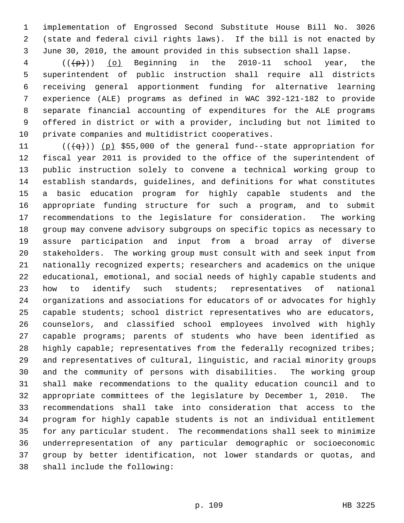1 implementation of Engrossed Second Substitute House Bill No. 3026 2 (state and federal civil rights laws). If the bill is not enacted by 3 June 30, 2010, the amount provided in this subsection shall lapse.

 $4$  ( $(\frac{1}{2})$ ) (o) Beginning in the 2010-11 school year, the 5 superintendent of public instruction shall require all districts 6 receiving general apportionment funding for alternative learning 7 experience (ALE) programs as defined in WAC 392-121-182 to provide 8 separate financial accounting of expenditures for the ALE programs 9 offered in district or with a provider, including but not limited to 10 private companies and multidistrict cooperatives.

11  $((\downarrow q))$  (p) \$55,000 of the general fund--state appropriation for 12 fiscal year 2011 is provided to the office of the superintendent of 13 public instruction solely to convene a technical working group to 14 establish standards, guidelines, and definitions for what constitutes 15 a basic education program for highly capable students and the 16 appropriate funding structure for such a program, and to submit 17 recommendations to the legislature for consideration. The working 18 group may convene advisory subgroups on specific topics as necessary to 19 assure participation and input from a broad array of diverse 20 stakeholders. The working group must consult with and seek input from 21 nationally recognized experts; researchers and academics on the unique 22 educational, emotional, and social needs of highly capable students and 23 how to identify such students; representatives of national 24 organizations and associations for educators of or advocates for highly 25 capable students; school district representatives who are educators, 26 counselors, and classified school employees involved with highly 27 capable programs; parents of students who have been identified as 28 highly capable; representatives from the federally recognized tribes; 29 and representatives of cultural, linguistic, and racial minority groups 30 and the community of persons with disabilities. The working group 31 shall make recommendations to the quality education council and to 32 appropriate committees of the legislature by December 1, 2010. The 33 recommendations shall take into consideration that access to the 34 program for highly capable students is not an individual entitlement 35 for any particular student. The recommendations shall seek to minimize 36 underrepresentation of any particular demographic or socioeconomic 37 group by better identification, not lower standards or quotas, and 38 shall include the following: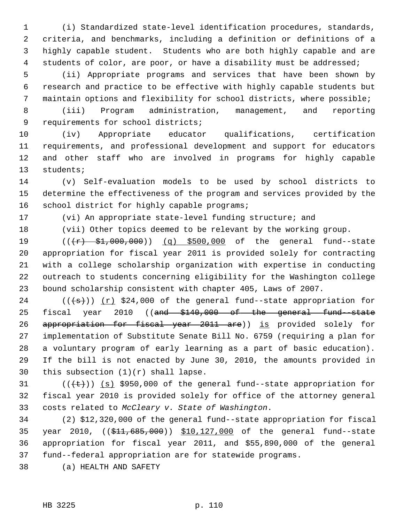1 (i) Standardized state-level identification procedures, standards, 2 criteria, and benchmarks, including a definition or definitions of a 3 highly capable student. Students who are both highly capable and are 4 students of color, are poor, or have a disability must be addressed;

 5 (ii) Appropriate programs and services that have been shown by 6 research and practice to be effective with highly capable students but 7 maintain options and flexibility for school districts, where possible;

 8 (iii) Program administration, management, and reporting 9 requirements for school districts;

10 (iv) Appropriate educator qualifications, certification 11 requirements, and professional development and support for educators 12 and other staff who are involved in programs for highly capable 13 students;

14 (v) Self-evaluation models to be used by school districts to 15 determine the effectiveness of the program and services provided by the 16 school district for highly capable programs;

17 (vi) An appropriate state-level funding structure; and

18 (vii) Other topics deemed to be relevant by the working group.

19  $((+r)$   $\frac{1}{2}$ ,  $\frac{1}{200}$ ,  $\frac{1}{200}$  (q)  $\frac{5500}{100}$  of the general fund--state 20 appropriation for fiscal year 2011 is provided solely for contracting 21 with a college scholarship organization with expertise in conducting 22 outreach to students concerning eligibility for the Washington college 23 bound scholarship consistent with chapter 405, Laws of 2007.

24 ( $(\{\pm s\})$ ) (r) \$24,000 of the general fund--state appropriation for 25 fiscal year 2010 ((and \$140,000 of the general fund-state 26 appropriation for fiscal year 2011 are)) is provided solely for 27 implementation of Substitute Senate Bill No. 6759 (requiring a plan for 28 a voluntary program of early learning as a part of basic education). 29 If the bill is not enacted by June 30, 2010, the amounts provided in 30 this subsection  $(1)(r)$  shall lapse.

31  $((\text{(++)}))$  (s) \$950,000 of the general fund--state appropriation for 32 fiscal year 2010 is provided solely for office of the attorney general 33 costs related to *McCleary v. State of Washington*.

34 (2) \$12,320,000 of the general fund--state appropriation for fiscal 35 year 2010, ((\$11,685,000)) \$10,127,000 of the general fund--state 36 appropriation for fiscal year 2011, and \$55,890,000 of the general 37 fund--federal appropriation are for statewide programs.

38 (a) HEALTH AND SAFETY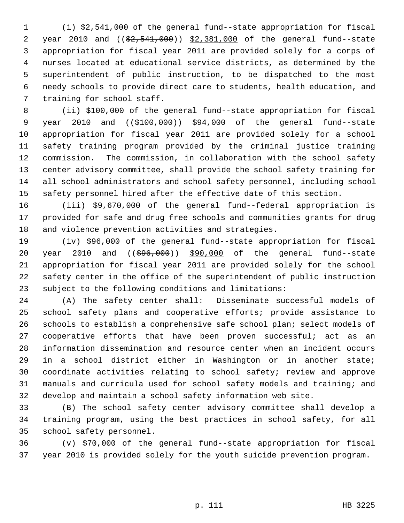1 (i) \$2,541,000 of the general fund--state appropriation for fiscal 2 year 2010 and ((\$2,541,000)) \$2,381,000 of the general fund--state 3 appropriation for fiscal year 2011 are provided solely for a corps of 4 nurses located at educational service districts, as determined by the 5 superintendent of public instruction, to be dispatched to the most 6 needy schools to provide direct care to students, health education, and 7 training for school staff.

 8 (ii) \$100,000 of the general fund--state appropriation for fiscal 9 year 2010 and ((\$100,000)) \$94,000 of the general fund--state 10 appropriation for fiscal year 2011 are provided solely for a school 11 safety training program provided by the criminal justice training 12 commission. The commission, in collaboration with the school safety 13 center advisory committee, shall provide the school safety training for 14 all school administrators and school safety personnel, including school 15 safety personnel hired after the effective date of this section.

16 (iii) \$9,670,000 of the general fund--federal appropriation is 17 provided for safe and drug free schools and communities grants for drug 18 and violence prevention activities and strategies.

19 (iv) \$96,000 of the general fund--state appropriation for fiscal 20 year 2010 and ((\$96,000)) \$90,000 of the general fund--state 21 appropriation for fiscal year 2011 are provided solely for the school 22 safety center in the office of the superintendent of public instruction 23 subject to the following conditions and limitations:

24 (A) The safety center shall: Disseminate successful models of 25 school safety plans and cooperative efforts; provide assistance to 26 schools to establish a comprehensive safe school plan; select models of 27 cooperative efforts that have been proven successful; act as an 28 information dissemination and resource center when an incident occurs 29 in a school district either in Washington or in another state; 30 coordinate activities relating to school safety; review and approve 31 manuals and curricula used for school safety models and training; and 32 develop and maintain a school safety information web site.

33 (B) The school safety center advisory committee shall develop a 34 training program, using the best practices in school safety, for all 35 school safety personnel.

36 (v) \$70,000 of the general fund--state appropriation for fiscal 37 year 2010 is provided solely for the youth suicide prevention program.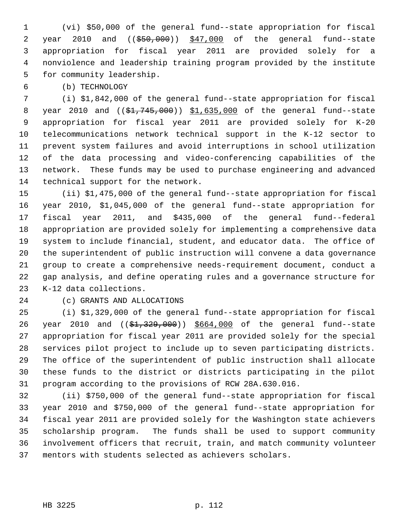1 (vi) \$50,000 of the general fund--state appropriation for fiscal 2 year 2010 and ((\$50,000)) \$47,000 of the general fund--state 3 appropriation for fiscal year 2011 are provided solely for a 4 nonviolence and leadership training program provided by the institute 5 for community leadership.

6 (b) TECHNOLOGY

 7 (i) \$1,842,000 of the general fund--state appropriation for fiscal 8 year 2010 and ((\$1,745,000)) \$1,635,000 of the general fund--state 9 appropriation for fiscal year 2011 are provided solely for K-20 10 telecommunications network technical support in the K-12 sector to 11 prevent system failures and avoid interruptions in school utilization 12 of the data processing and video-conferencing capabilities of the 13 network. These funds may be used to purchase engineering and advanced 14 technical support for the network.

15 (ii) \$1,475,000 of the general fund--state appropriation for fiscal 16 year 2010, \$1,045,000 of the general fund--state appropriation for 17 fiscal year 2011, and \$435,000 of the general fund--federal 18 appropriation are provided solely for implementing a comprehensive data 19 system to include financial, student, and educator data. The office of 20 the superintendent of public instruction will convene a data governance 21 group to create a comprehensive needs-requirement document, conduct a 22 gap analysis, and define operating rules and a governance structure for 23 K-12 data collections.

### 24 (c) GRANTS AND ALLOCATIONS

25 (i) \$1,329,000 of the general fund--state appropriation for fiscal 26 year 2010 and ((\$1,329,000)) \$664,000 of the general fund--state 27 appropriation for fiscal year 2011 are provided solely for the special 28 services pilot project to include up to seven participating districts. 29 The office of the superintendent of public instruction shall allocate 30 these funds to the district or districts participating in the pilot 31 program according to the provisions of RCW 28A.630.016.

32 (ii) \$750,000 of the general fund--state appropriation for fiscal 33 year 2010 and \$750,000 of the general fund--state appropriation for 34 fiscal year 2011 are provided solely for the Washington state achievers 35 scholarship program. The funds shall be used to support community 36 involvement officers that recruit, train, and match community volunteer 37 mentors with students selected as achievers scholars.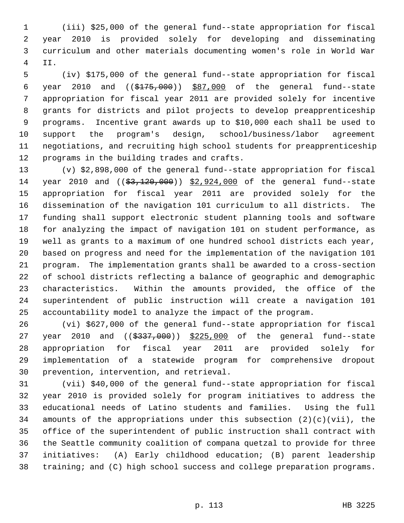1 (iii) \$25,000 of the general fund--state appropriation for fiscal 2 year 2010 is provided solely for developing and disseminating 3 curriculum and other materials documenting women's role in World War 4 II.

 5 (iv) \$175,000 of the general fund--state appropriation for fiscal 6 year 2010 and ((\$175,000)) \$87,000 of the general fund--state 7 appropriation for fiscal year 2011 are provided solely for incentive 8 grants for districts and pilot projects to develop preapprenticeship 9 programs. Incentive grant awards up to \$10,000 each shall be used to 10 support the program's design, school/business/labor agreement 11 negotiations, and recruiting high school students for preapprenticeship 12 programs in the building trades and crafts.

13 (v) \$2,898,000 of the general fund--state appropriation for fiscal 14 year 2010 and ((\$3,120,000)) \$2,924,000 of the general fund--state 15 appropriation for fiscal year 2011 are provided solely for the 16 dissemination of the navigation 101 curriculum to all districts. The 17 funding shall support electronic student planning tools and software 18 for analyzing the impact of navigation 101 on student performance, as 19 well as grants to a maximum of one hundred school districts each year, 20 based on progress and need for the implementation of the navigation 101 21 program. The implementation grants shall be awarded to a cross-section 22 of school districts reflecting a balance of geographic and demographic 23 characteristics. Within the amounts provided, the office of the 24 superintendent of public instruction will create a navigation 101 25 accountability model to analyze the impact of the program.

26 (vi) \$627,000 of the general fund--state appropriation for fiscal 27 year 2010 and  $($   $(\frac{2337}{000})$   $\frac{225}{000}$  of the general fund--state 28 appropriation for fiscal year 2011 are provided solely for 29 implementation of a statewide program for comprehensive dropout 30 prevention, intervention, and retrieval.

31 (vii) \$40,000 of the general fund--state appropriation for fiscal 32 year 2010 is provided solely for program initiatives to address the 33 educational needs of Latino students and families. Using the full 34 amounts of the appropriations under this subsection  $(2)(c)(vii)$ , the 35 office of the superintendent of public instruction shall contract with 36 the Seattle community coalition of compana quetzal to provide for three 37 initiatives: (A) Early childhood education; (B) parent leadership 38 training; and (C) high school success and college preparation programs.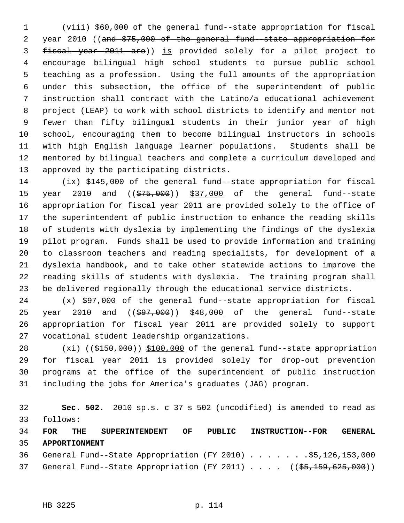1 (viii) \$60,000 of the general fund--state appropriation for fiscal 2 year 2010 ((and \$75,000 of the general fund-state appropriation for 3 fiscal year 2011 are)) is provided solely for a pilot project to 4 encourage bilingual high school students to pursue public school 5 teaching as a profession. Using the full amounts of the appropriation 6 under this subsection, the office of the superintendent of public 7 instruction shall contract with the Latino/a educational achievement 8 project (LEAP) to work with school districts to identify and mentor not 9 fewer than fifty bilingual students in their junior year of high 10 school, encouraging them to become bilingual instructors in schools 11 with high English language learner populations. Students shall be 12 mentored by bilingual teachers and complete a curriculum developed and 13 approved by the participating districts.

14 (ix) \$145,000 of the general fund--state appropriation for fiscal 15 year 2010 and ((\$75,000)) \$37,000 of the general fund--state 16 appropriation for fiscal year 2011 are provided solely to the office of 17 the superintendent of public instruction to enhance the reading skills 18 of students with dyslexia by implementing the findings of the dyslexia 19 pilot program. Funds shall be used to provide information and training 20 to classroom teachers and reading specialists, for development of a 21 dyslexia handbook, and to take other statewide actions to improve the 22 reading skills of students with dyslexia. The training program shall 23 be delivered regionally through the educational service districts.

24 (x) \$97,000 of the general fund--state appropriation for fiscal 25 year 2010 and ((\$97,000)) \$48,000 of the general fund--state 26 appropriation for fiscal year 2011 are provided solely to support 27 vocational student leadership organizations.

28 (xi) ((\$150,000)) \$100,000 of the general fund--state appropriation 29 for fiscal year 2011 is provided solely for drop-out prevention 30 programs at the office of the superintendent of public instruction 31 including the jobs for America's graduates (JAG) program.

32 **Sec. 502.** 2010 sp.s. c 37 s 502 (uncodified) is amended to read as 33 follows:

34 **FOR THE SUPERINTENDENT OF PUBLIC INSTRUCTION--FOR GENERAL** 35 **APPORTIONMENT** 36 General Fund--State Appropriation (FY 2010) . . . . . . . \$5,126,153,000

37 General Fund--State Appropriation (FY 2011) . . . . ((\$5,159,625,000))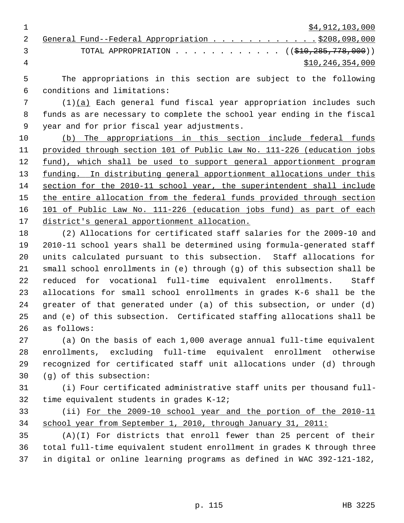1 \$4,912,103,000

|               | 2 General Fund--Federal Appropriation \$208,098,000           |
|---------------|---------------------------------------------------------------|
| $\mathcal{R}$ | TOTAL APPROPRIATION ( $(\frac{210}{7285}, \frac{778}{700})$ ) |
|               | \$10,246,354,000                                              |

 5 The appropriations in this section are subject to the following 6 conditions and limitations:

 7 (1)(a) Each general fund fiscal year appropriation includes such 8 funds as are necessary to complete the school year ending in the fiscal 9 year and for prior fiscal year adjustments.

 (b) The appropriations in this section include federal funds provided through section 101 of Public Law No. 111-226 (education jobs fund), which shall be used to support general apportionment program funding. In distributing general apportionment allocations under this section for the 2010-11 school year, the superintendent shall include the entire allocation from the federal funds provided through section 101 of Public Law No. 111-226 (education jobs fund) as part of each district's general apportionment allocation.

18 (2) Allocations for certificated staff salaries for the 2009-10 and 19 2010-11 school years shall be determined using formula-generated staff 20 units calculated pursuant to this subsection. Staff allocations for 21 small school enrollments in (e) through (g) of this subsection shall be 22 reduced for vocational full-time equivalent enrollments. Staff 23 allocations for small school enrollments in grades K-6 shall be the 24 greater of that generated under (a) of this subsection, or under (d) 25 and (e) of this subsection. Certificated staffing allocations shall be 26 as follows:

27 (a) On the basis of each 1,000 average annual full-time equivalent 28 enrollments, excluding full-time equivalent enrollment otherwise 29 recognized for certificated staff unit allocations under (d) through 30 (g) of this subsection:

31 (i) Four certificated administrative staff units per thousand full-32 time equivalent students in grades K-12;

33 (ii) For the 2009-10 school year and the portion of the 2010-11 34 school year from September 1, 2010, through January 31, 2011:

35 (A)(I) For districts that enroll fewer than 25 percent of their 36 total full-time equivalent student enrollment in grades K through three 37 in digital or online learning programs as defined in WAC 392-121-182,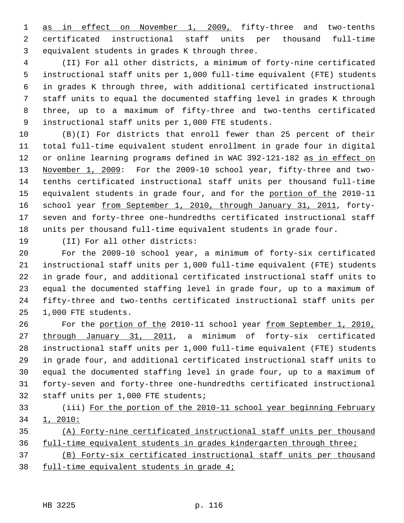1 as in effect on November 1, 2009, fifty-three and two-tenths 2 certificated instructional staff units per thousand full-time 3 equivalent students in grades K through three.

 4 (II) For all other districts, a minimum of forty-nine certificated 5 instructional staff units per 1,000 full-time equivalent (FTE) students 6 in grades K through three, with additional certificated instructional 7 staff units to equal the documented staffing level in grades K through 8 three, up to a maximum of fifty-three and two-tenths certificated 9 instructional staff units per 1,000 FTE students.

10 (B)(I) For districts that enroll fewer than 25 percent of their 11 total full-time equivalent student enrollment in grade four in digital 12 or online learning programs defined in WAC 392-121-182 as in effect on 13 November 1, 2009: For the 2009-10 school year, fifty-three and two-14 tenths certificated instructional staff units per thousand full-time 15 equivalent students in grade four, and for the portion of the 2010-11 16 school year from September 1, 2010, through January 31, 2011, forty-17 seven and forty-three one-hundredths certificated instructional staff 18 units per thousand full-time equivalent students in grade four.

19 (II) For all other districts:

20 For the 2009-10 school year, a minimum of forty-six certificated 21 instructional staff units per 1,000 full-time equivalent (FTE) students 22 in grade four, and additional certificated instructional staff units to 23 equal the documented staffing level in grade four, up to a maximum of 24 fifty-three and two-tenths certificated instructional staff units per 25 1,000 FTE students.

26 For the portion of the 2010-11 school year from September 1, 2010, 27 through January 31, 2011, a minimum of forty-six certificated 28 instructional staff units per 1,000 full-time equivalent (FTE) students 29 in grade four, and additional certificated instructional staff units to 30 equal the documented staffing level in grade four, up to a maximum of 31 forty-seven and forty-three one-hundredths certificated instructional 32 staff units per 1,000 FTE students;

- 33 (iii) For the portion of the 2010-11 school year beginning February 34 1, 2010:
- 35 (A) Forty-nine certificated instructional staff units per thousand 36 full-time equivalent students in grades kindergarten through three;
- 37 (B) Forty-six certificated instructional staff units per thousand 38 full-time equivalent students in grade 4;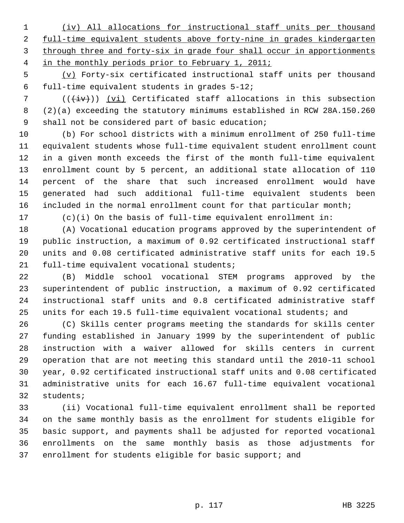(iv) All allocations for instructional staff units per thousand full-time equivalent students above forty-nine in grades kindergarten through three and forty-six in grade four shall occur in apportionments in the monthly periods prior to February 1, 2011;

 5 (v) Forty-six certificated instructional staff units per thousand 6 full-time equivalent students in grades 5-12;

 $7$  (( $\overline{(+i\mathbf{v})}$ ) (vi) Certificated staff allocations in this subsection 8 (2)(a) exceeding the statutory minimums established in RCW 28A.150.260 9 shall not be considered part of basic education;

10 (b) For school districts with a minimum enrollment of 250 full-time 11 equivalent students whose full-time equivalent student enrollment count 12 in a given month exceeds the first of the month full-time equivalent 13 enrollment count by 5 percent, an additional state allocation of 110 14 percent of the share that such increased enrollment would have 15 generated had such additional full-time equivalent students been 16 included in the normal enrollment count for that particular month;

17 (c)(i) On the basis of full-time equivalent enrollment in:

18 (A) Vocational education programs approved by the superintendent of 19 public instruction, a maximum of 0.92 certificated instructional staff 20 units and 0.08 certificated administrative staff units for each 19.5 21 full-time equivalent vocational students;

22 (B) Middle school vocational STEM programs approved by the 23 superintendent of public instruction, a maximum of 0.92 certificated 24 instructional staff units and 0.8 certificated administrative staff 25 units for each 19.5 full-time equivalent vocational students; and

26 (C) Skills center programs meeting the standards for skills center 27 funding established in January 1999 by the superintendent of public 28 instruction with a waiver allowed for skills centers in current 29 operation that are not meeting this standard until the 2010-11 school 30 year, 0.92 certificated instructional staff units and 0.08 certificated 31 administrative units for each 16.67 full-time equivalent vocational 32 students;

33 (ii) Vocational full-time equivalent enrollment shall be reported 34 on the same monthly basis as the enrollment for students eligible for 35 basic support, and payments shall be adjusted for reported vocational 36 enrollments on the same monthly basis as those adjustments for 37 enrollment for students eligible for basic support; and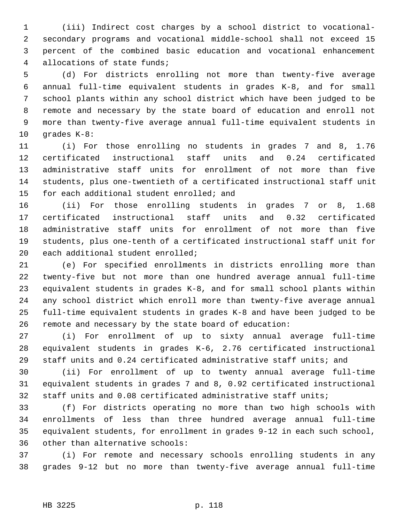1 (iii) Indirect cost charges by a school district to vocational- 2 secondary programs and vocational middle-school shall not exceed 15 3 percent of the combined basic education and vocational enhancement 4 allocations of state funds;

 5 (d) For districts enrolling not more than twenty-five average 6 annual full-time equivalent students in grades K-8, and for small 7 school plants within any school district which have been judged to be 8 remote and necessary by the state board of education and enroll not 9 more than twenty-five average annual full-time equivalent students in 10 grades K-8:

11 (i) For those enrolling no students in grades 7 and 8, 1.76 12 certificated instructional staff units and 0.24 certificated 13 administrative staff units for enrollment of not more than five 14 students, plus one-twentieth of a certificated instructional staff unit 15 for each additional student enrolled; and

16 (ii) For those enrolling students in grades 7 or 8, 1.68 17 certificated instructional staff units and 0.32 certificated 18 administrative staff units for enrollment of not more than five 19 students, plus one-tenth of a certificated instructional staff unit for 20 each additional student enrolled;

21 (e) For specified enrollments in districts enrolling more than 22 twenty-five but not more than one hundred average annual full-time 23 equivalent students in grades K-8, and for small school plants within 24 any school district which enroll more than twenty-five average annual 25 full-time equivalent students in grades K-8 and have been judged to be 26 remote and necessary by the state board of education:

27 (i) For enrollment of up to sixty annual average full-time 28 equivalent students in grades K-6, 2.76 certificated instructional 29 staff units and 0.24 certificated administrative staff units; and

30 (ii) For enrollment of up to twenty annual average full-time 31 equivalent students in grades 7 and 8, 0.92 certificated instructional 32 staff units and 0.08 certificated administrative staff units;

33 (f) For districts operating no more than two high schools with 34 enrollments of less than three hundred average annual full-time 35 equivalent students, for enrollment in grades 9-12 in each such school, 36 other than alternative schools:

37 (i) For remote and necessary schools enrolling students in any 38 grades 9-12 but no more than twenty-five average annual full-time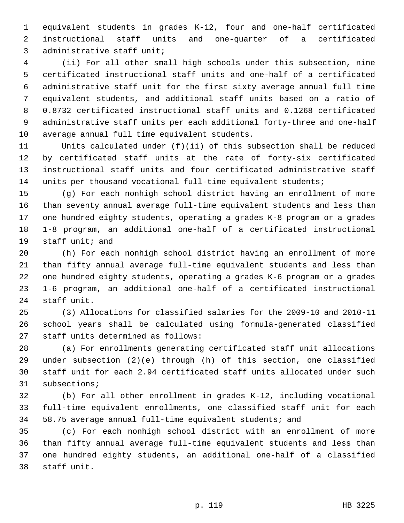1 equivalent students in grades K-12, four and one-half certificated 2 instructional staff units and one-quarter of a certificated 3 administrative staff unit;

 4 (ii) For all other small high schools under this subsection, nine 5 certificated instructional staff units and one-half of a certificated 6 administrative staff unit for the first sixty average annual full time 7 equivalent students, and additional staff units based on a ratio of 8 0.8732 certificated instructional staff units and 0.1268 certificated 9 administrative staff units per each additional forty-three and one-half 10 average annual full time equivalent students.

11 Units calculated under (f)(ii) of this subsection shall be reduced 12 by certificated staff units at the rate of forty-six certificated 13 instructional staff units and four certificated administrative staff 14 units per thousand vocational full-time equivalent students;

15 (g) For each nonhigh school district having an enrollment of more 16 than seventy annual average full-time equivalent students and less than 17 one hundred eighty students, operating a grades K-8 program or a grades 18 1-8 program, an additional one-half of a certificated instructional 19 staff unit; and

20 (h) For each nonhigh school district having an enrollment of more 21 than fifty annual average full-time equivalent students and less than 22 one hundred eighty students, operating a grades K-6 program or a grades 23 1-6 program, an additional one-half of a certificated instructional 24 staff unit.

25 (3) Allocations for classified salaries for the 2009-10 and 2010-11 26 school years shall be calculated using formula-generated classified 27 staff units determined as follows:

28 (a) For enrollments generating certificated staff unit allocations 29 under subsection (2)(e) through (h) of this section, one classified 30 staff unit for each 2.94 certificated staff units allocated under such 31 subsections;

32 (b) For all other enrollment in grades K-12, including vocational 33 full-time equivalent enrollments, one classified staff unit for each 34 58.75 average annual full-time equivalent students; and

35 (c) For each nonhigh school district with an enrollment of more 36 than fifty annual average full-time equivalent students and less than 37 one hundred eighty students, an additional one-half of a classified 38 staff unit.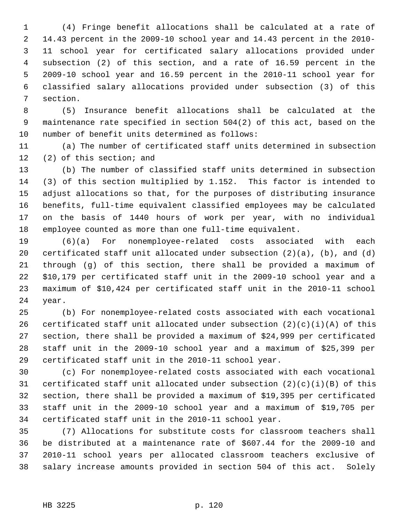1 (4) Fringe benefit allocations shall be calculated at a rate of 2 14.43 percent in the 2009-10 school year and 14.43 percent in the 2010- 3 11 school year for certificated salary allocations provided under 4 subsection (2) of this section, and a rate of 16.59 percent in the 5 2009-10 school year and 16.59 percent in the 2010-11 school year for 6 classified salary allocations provided under subsection (3) of this 7 section.

 8 (5) Insurance benefit allocations shall be calculated at the 9 maintenance rate specified in section 504(2) of this act, based on the 10 number of benefit units determined as follows:

11 (a) The number of certificated staff units determined in subsection 12 (2) of this section; and

13 (b) The number of classified staff units determined in subsection 14 (3) of this section multiplied by 1.152. This factor is intended to 15 adjust allocations so that, for the purposes of distributing insurance 16 benefits, full-time equivalent classified employees may be calculated 17 on the basis of 1440 hours of work per year, with no individual 18 employee counted as more than one full-time equivalent.

19 (6)(a) For nonemployee-related costs associated with each 20 certificated staff unit allocated under subsection  $(2)(a)$ ,  $(b)$ , and  $(d)$ 21 through (g) of this section, there shall be provided a maximum of 22 \$10,179 per certificated staff unit in the 2009-10 school year and a 23 maximum of \$10,424 per certificated staff unit in the 2010-11 school 24 year.

25 (b) For nonemployee-related costs associated with each vocational 26 certificated staff unit allocated under subsection  $(2)(c)(i)(A)$  of this 27 section, there shall be provided a maximum of \$24,999 per certificated 28 staff unit in the 2009-10 school year and a maximum of \$25,399 per 29 certificated staff unit in the 2010-11 school year.

30 (c) For nonemployee-related costs associated with each vocational 31 certificated staff unit allocated under subsection  $(2)(c)(i)(B)$  of this 32 section, there shall be provided a maximum of \$19,395 per certificated 33 staff unit in the 2009-10 school year and a maximum of \$19,705 per 34 certificated staff unit in the 2010-11 school year.

35 (7) Allocations for substitute costs for classroom teachers shall 36 be distributed at a maintenance rate of \$607.44 for the 2009-10 and 37 2010-11 school years per allocated classroom teachers exclusive of 38 salary increase amounts provided in section 504 of this act. Solely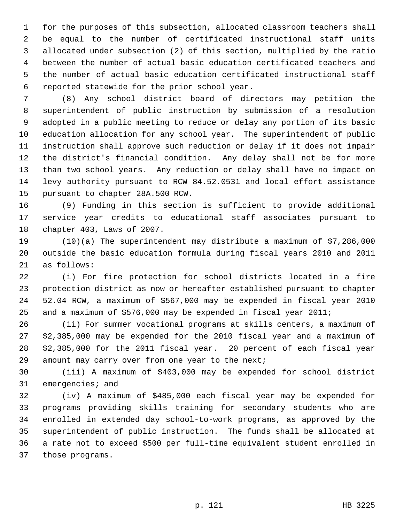1 for the purposes of this subsection, allocated classroom teachers shall 2 be equal to the number of certificated instructional staff units 3 allocated under subsection (2) of this section, multiplied by the ratio 4 between the number of actual basic education certificated teachers and 5 the number of actual basic education certificated instructional staff 6 reported statewide for the prior school year.

 7 (8) Any school district board of directors may petition the 8 superintendent of public instruction by submission of a resolution 9 adopted in a public meeting to reduce or delay any portion of its basic 10 education allocation for any school year. The superintendent of public 11 instruction shall approve such reduction or delay if it does not impair 12 the district's financial condition. Any delay shall not be for more 13 than two school years. Any reduction or delay shall have no impact on 14 levy authority pursuant to RCW 84.52.0531 and local effort assistance 15 pursuant to chapter 28A.500 RCW.

16 (9) Funding in this section is sufficient to provide additional 17 service year credits to educational staff associates pursuant to 18 chapter 403, Laws of 2007.

19 (10)(a) The superintendent may distribute a maximum of \$7,286,000 20 outside the basic education formula during fiscal years 2010 and 2011 21 as follows:

22 (i) For fire protection for school districts located in a fire 23 protection district as now or hereafter established pursuant to chapter 24 52.04 RCW, a maximum of \$567,000 may be expended in fiscal year 2010 25 and a maximum of \$576,000 may be expended in fiscal year 2011;

26 (ii) For summer vocational programs at skills centers, a maximum of 27 \$2,385,000 may be expended for the 2010 fiscal year and a maximum of 28 \$2,385,000 for the 2011 fiscal year. 20 percent of each fiscal year 29 amount may carry over from one year to the next;

30 (iii) A maximum of \$403,000 may be expended for school district 31 emergencies; and

32 (iv) A maximum of \$485,000 each fiscal year may be expended for 33 programs providing skills training for secondary students who are 34 enrolled in extended day school-to-work programs, as approved by the 35 superintendent of public instruction. The funds shall be allocated at 36 a rate not to exceed \$500 per full-time equivalent student enrolled in 37 those programs.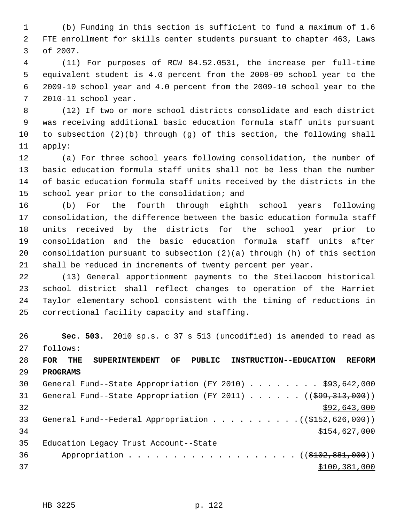1 (b) Funding in this section is sufficient to fund a maximum of 1.6 2 FTE enrollment for skills center students pursuant to chapter 463, Laws 3 of 2007.

 4 (11) For purposes of RCW 84.52.0531, the increase per full-time 5 equivalent student is 4.0 percent from the 2008-09 school year to the 6 2009-10 school year and 4.0 percent from the 2009-10 school year to the 7 2010-11 school year.

 8 (12) If two or more school districts consolidate and each district 9 was receiving additional basic education formula staff units pursuant 10 to subsection (2)(b) through (g) of this section, the following shall 11 apply:

12 (a) For three school years following consolidation, the number of 13 basic education formula staff units shall not be less than the number 14 of basic education formula staff units received by the districts in the 15 school year prior to the consolidation; and

16 (b) For the fourth through eighth school years following 17 consolidation, the difference between the basic education formula staff 18 units received by the districts for the school year prior to 19 consolidation and the basic education formula staff units after 20 consolidation pursuant to subsection (2)(a) through (h) of this section 21 shall be reduced in increments of twenty percent per year.

22 (13) General apportionment payments to the Steilacoom historical 23 school district shall reflect changes to operation of the Harriet 24 Taylor elementary school consistent with the timing of reductions in 25 correctional facility capacity and staffing.

26 **Sec. 503.** 2010 sp.s. c 37 s 513 (uncodified) is amended to read as 27 follows:

28 **FOR THE SUPERINTENDENT OF PUBLIC INSTRUCTION--EDUCATION REFORM** 29 **PROGRAMS**

30 General Fund--State Appropriation (FY 2010) . . . . . . . . \$93,642,000 31 General Fund--State Appropriation (FY 2011)  $\ldots$  ... (( $\frac{699}{313}$ , 000))  $32$  \$92,643,000 33 General Fund--Federal Appropriation . . . . . . . . . ((\$152,626,000)) 34 \$154,627,000 35 Education Legacy Trust Account--State 36 Appropriation . . . . . . . . . . . . . . . . . (  $(\frac{102}{102}, \frac{881}{100})$  )  $37$  \$100,381,000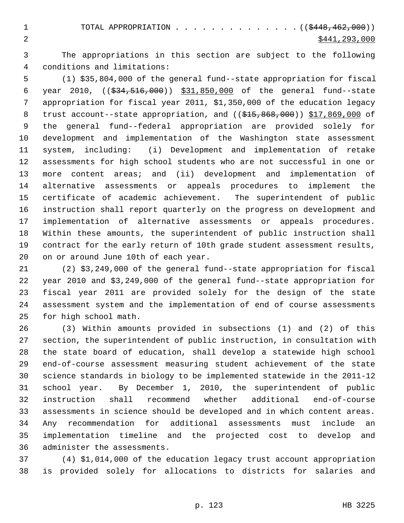3 The appropriations in this section are subject to the following 4 conditions and limitations:

 5 (1) \$35,804,000 of the general fund--state appropriation for fiscal 6 year 2010, ((\$34,516,000)) \$31,850,000 of the general fund--state 7 appropriation for fiscal year 2011, \$1,350,000 of the education legacy 8 trust account--state appropriation, and ((\$15,868,000)) \$17,869,000 of 9 the general fund--federal appropriation are provided solely for 10 development and implementation of the Washington state assessment 11 system, including: (i) Development and implementation of retake 12 assessments for high school students who are not successful in one or 13 more content areas; and (ii) development and implementation of 14 alternative assessments or appeals procedures to implement the 15 certificate of academic achievement. The superintendent of public 16 instruction shall report quarterly on the progress on development and 17 implementation of alternative assessments or appeals procedures. 18 Within these amounts, the superintendent of public instruction shall 19 contract for the early return of 10th grade student assessment results, 20 on or around June 10th of each year.

21 (2) \$3,249,000 of the general fund--state appropriation for fiscal 22 year 2010 and \$3,249,000 of the general fund--state appropriation for 23 fiscal year 2011 are provided solely for the design of the state 24 assessment system and the implementation of end of course assessments 25 for high school math.

26 (3) Within amounts provided in subsections (1) and (2) of this 27 section, the superintendent of public instruction, in consultation with 28 the state board of education, shall develop a statewide high school 29 end-of-course assessment measuring student achievement of the state 30 science standards in biology to be implemented statewide in the 2011-12 31 school year. By December 1, 2010, the superintendent of public 32 instruction shall recommend whether additional end-of-course 33 assessments in science should be developed and in which content areas. 34 Any recommendation for additional assessments must include an 35 implementation timeline and the projected cost to develop and 36 administer the assessments.

37 (4) \$1,014,000 of the education legacy trust account appropriation 38 is provided solely for allocations to districts for salaries and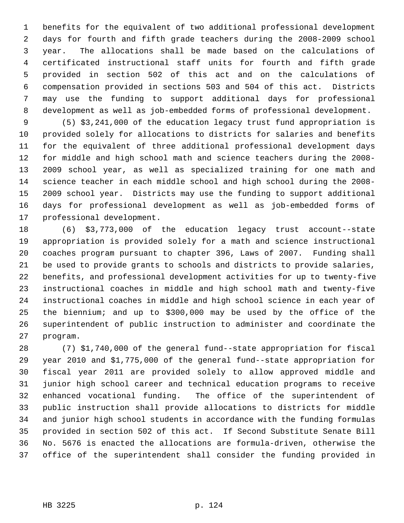1 benefits for the equivalent of two additional professional development 2 days for fourth and fifth grade teachers during the 2008-2009 school 3 year. The allocations shall be made based on the calculations of 4 certificated instructional staff units for fourth and fifth grade 5 provided in section 502 of this act and on the calculations of 6 compensation provided in sections 503 and 504 of this act. Districts 7 may use the funding to support additional days for professional 8 development as well as job-embedded forms of professional development.

 9 (5) \$3,241,000 of the education legacy trust fund appropriation is 10 provided solely for allocations to districts for salaries and benefits 11 for the equivalent of three additional professional development days 12 for middle and high school math and science teachers during the 2008- 13 2009 school year, as well as specialized training for one math and 14 science teacher in each middle school and high school during the 2008- 15 2009 school year. Districts may use the funding to support additional 16 days for professional development as well as job-embedded forms of 17 professional development.

18 (6) \$3,773,000 of the education legacy trust account--state 19 appropriation is provided solely for a math and science instructional 20 coaches program pursuant to chapter 396, Laws of 2007. Funding shall 21 be used to provide grants to schools and districts to provide salaries, 22 benefits, and professional development activities for up to twenty-five 23 instructional coaches in middle and high school math and twenty-five 24 instructional coaches in middle and high school science in each year of 25 the biennium; and up to \$300,000 may be used by the office of the 26 superintendent of public instruction to administer and coordinate the 27 program.

28 (7) \$1,740,000 of the general fund--state appropriation for fiscal 29 year 2010 and \$1,775,000 of the general fund--state appropriation for 30 fiscal year 2011 are provided solely to allow approved middle and 31 junior high school career and technical education programs to receive 32 enhanced vocational funding. The office of the superintendent of 33 public instruction shall provide allocations to districts for middle 34 and junior high school students in accordance with the funding formulas 35 provided in section 502 of this act. If Second Substitute Senate Bill 36 No. 5676 is enacted the allocations are formula-driven, otherwise the 37 office of the superintendent shall consider the funding provided in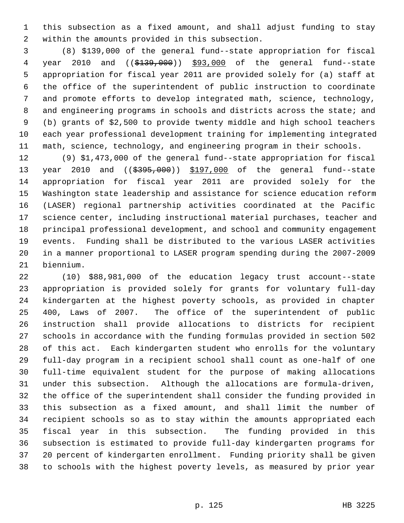1 this subsection as a fixed amount, and shall adjust funding to stay 2 within the amounts provided in this subsection.

 3 (8) \$139,000 of the general fund--state appropriation for fiscal 4 year 2010 and ((\$139,000)) \$93,000 of the general fund--state 5 appropriation for fiscal year 2011 are provided solely for (a) staff at 6 the office of the superintendent of public instruction to coordinate 7 and promote efforts to develop integrated math, science, technology, 8 and engineering programs in schools and districts across the state; and 9 (b) grants of \$2,500 to provide twenty middle and high school teachers 10 each year professional development training for implementing integrated 11 math, science, technology, and engineering program in their schools.

12 (9) \$1,473,000 of the general fund--state appropriation for fiscal 13 year 2010 and ((\$395,000)) \$197,000 of the general fund--state 14 appropriation for fiscal year 2011 are provided solely for the 15 Washington state leadership and assistance for science education reform 16 (LASER) regional partnership activities coordinated at the Pacific 17 science center, including instructional material purchases, teacher and 18 principal professional development, and school and community engagement 19 events. Funding shall be distributed to the various LASER activities 20 in a manner proportional to LASER program spending during the 2007-2009 21 biennium.

22 (10) \$88,981,000 of the education legacy trust account--state 23 appropriation is provided solely for grants for voluntary full-day 24 kindergarten at the highest poverty schools, as provided in chapter 25 400, Laws of 2007. The office of the superintendent of public 26 instruction shall provide allocations to districts for recipient 27 schools in accordance with the funding formulas provided in section 502 28 of this act. Each kindergarten student who enrolls for the voluntary 29 full-day program in a recipient school shall count as one-half of one 30 full-time equivalent student for the purpose of making allocations 31 under this subsection. Although the allocations are formula-driven, 32 the office of the superintendent shall consider the funding provided in 33 this subsection as a fixed amount, and shall limit the number of 34 recipient schools so as to stay within the amounts appropriated each 35 fiscal year in this subsection. The funding provided in this 36 subsection is estimated to provide full-day kindergarten programs for 37 20 percent of kindergarten enrollment. Funding priority shall be given 38 to schools with the highest poverty levels, as measured by prior year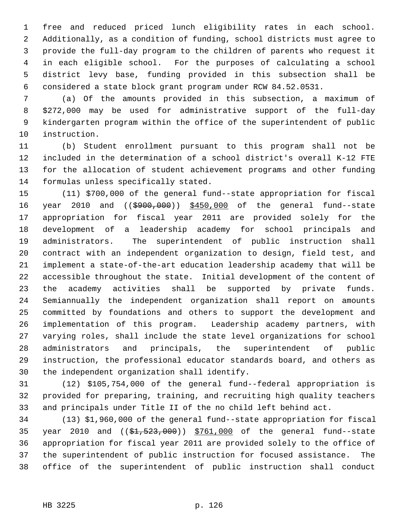1 free and reduced priced lunch eligibility rates in each school. 2 Additionally, as a condition of funding, school districts must agree to 3 provide the full-day program to the children of parents who request it 4 in each eligible school. For the purposes of calculating a school 5 district levy base, funding provided in this subsection shall be 6 considered a state block grant program under RCW 84.52.0531.

 7 (a) Of the amounts provided in this subsection, a maximum of 8 \$272,000 may be used for administrative support of the full-day 9 kindergarten program within the office of the superintendent of public 10 instruction.

11 (b) Student enrollment pursuant to this program shall not be 12 included in the determination of a school district's overall K-12 FTE 13 for the allocation of student achievement programs and other funding 14 formulas unless specifically stated.

15 (11) \$700,000 of the general fund--state appropriation for fiscal 16 year 2010 and ((\$900,000)) \$450,000 of the general fund--state 17 appropriation for fiscal year 2011 are provided solely for the 18 development of a leadership academy for school principals and 19 administrators. The superintendent of public instruction shall 20 contract with an independent organization to design, field test, and 21 implement a state-of-the-art education leadership academy that will be 22 accessible throughout the state. Initial development of the content of 23 the academy activities shall be supported by private funds. 24 Semiannually the independent organization shall report on amounts 25 committed by foundations and others to support the development and 26 implementation of this program. Leadership academy partners, with 27 varying roles, shall include the state level organizations for school 28 administrators and principals, the superintendent of public 29 instruction, the professional educator standards board, and others as 30 the independent organization shall identify.

31 (12) \$105,754,000 of the general fund--federal appropriation is 32 provided for preparing, training, and recruiting high quality teachers 33 and principals under Title II of the no child left behind act.

34 (13) \$1,960,000 of the general fund--state appropriation for fiscal 35 year 2010 and  $($   $(*1, 523, 000)$   $$761,000$  of the general fund--state 36 appropriation for fiscal year 2011 are provided solely to the office of 37 the superintendent of public instruction for focused assistance. The 38 office of the superintendent of public instruction shall conduct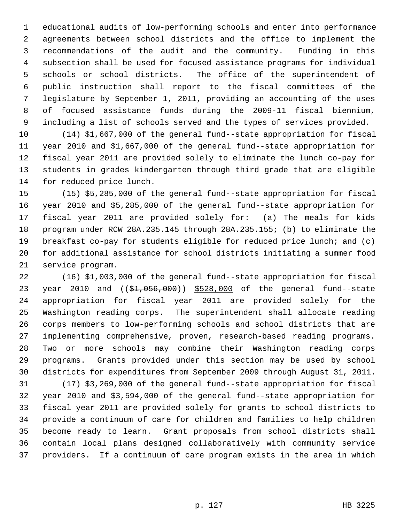1 educational audits of low-performing schools and enter into performance 2 agreements between school districts and the office to implement the 3 recommendations of the audit and the community. Funding in this 4 subsection shall be used for focused assistance programs for individual 5 schools or school districts. The office of the superintendent of 6 public instruction shall report to the fiscal committees of the 7 legislature by September 1, 2011, providing an accounting of the uses 8 of focused assistance funds during the 2009-11 fiscal biennium, 9 including a list of schools served and the types of services provided.

10 (14) \$1,667,000 of the general fund--state appropriation for fiscal 11 year 2010 and \$1,667,000 of the general fund--state appropriation for 12 fiscal year 2011 are provided solely to eliminate the lunch co-pay for 13 students in grades kindergarten through third grade that are eligible 14 for reduced price lunch.

15 (15) \$5,285,000 of the general fund--state appropriation for fiscal 16 year 2010 and \$5,285,000 of the general fund--state appropriation for 17 fiscal year 2011 are provided solely for: (a) The meals for kids 18 program under RCW 28A.235.145 through 28A.235.155; (b) to eliminate the 19 breakfast co-pay for students eligible for reduced price lunch; and (c) 20 for additional assistance for school districts initiating a summer food 21 service program.

22 (16) \$1,003,000 of the general fund--state appropriation for fiscal 23 year 2010 and ((\$1,056,000)) \$528,000 of the general fund--state 24 appropriation for fiscal year 2011 are provided solely for the 25 Washington reading corps. The superintendent shall allocate reading 26 corps members to low-performing schools and school districts that are 27 implementing comprehensive, proven, research-based reading programs. 28 Two or more schools may combine their Washington reading corps 29 programs. Grants provided under this section may be used by school 30 districts for expenditures from September 2009 through August 31, 2011.

31 (17) \$3,269,000 of the general fund--state appropriation for fiscal 32 year 2010 and \$3,594,000 of the general fund--state appropriation for 33 fiscal year 2011 are provided solely for grants to school districts to 34 provide a continuum of care for children and families to help children 35 become ready to learn. Grant proposals from school districts shall 36 contain local plans designed collaboratively with community service 37 providers. If a continuum of care program exists in the area in which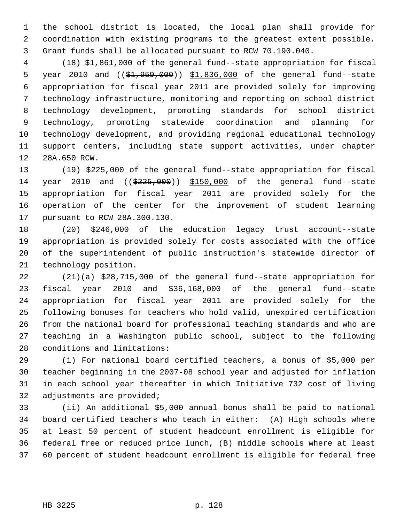1 the school district is located, the local plan shall provide for 2 coordination with existing programs to the greatest extent possible. 3 Grant funds shall be allocated pursuant to RCW 70.190.040.

 4 (18) \$1,861,000 of the general fund--state appropriation for fiscal 5 year 2010 and ((\$1,959,000)) \$1,836,000 of the general fund--state 6 appropriation for fiscal year 2011 are provided solely for improving 7 technology infrastructure, monitoring and reporting on school district 8 technology development, promoting standards for school district 9 technology, promoting statewide coordination and planning for 10 technology development, and providing regional educational technology 11 support centers, including state support activities, under chapter 12 28A.650 RCW.

13 (19) \$225,000 of the general fund--state appropriation for fiscal 14 year 2010 and ((\$225,000)) \$150,000 of the general fund--state 15 appropriation for fiscal year 2011 are provided solely for the 16 operation of the center for the improvement of student learning 17 pursuant to RCW 28A.300.130.

18 (20) \$246,000 of the education legacy trust account--state 19 appropriation is provided solely for costs associated with the office 20 of the superintendent of public instruction's statewide director of 21 technology position.

22 (21)(a) \$28,715,000 of the general fund--state appropriation for 23 fiscal year 2010 and \$36,168,000 of the general fund--state 24 appropriation for fiscal year 2011 are provided solely for the 25 following bonuses for teachers who hold valid, unexpired certification 26 from the national board for professional teaching standards and who are 27 teaching in a Washington public school, subject to the following 28 conditions and limitations:

29 (i) For national board certified teachers, a bonus of \$5,000 per 30 teacher beginning in the 2007-08 school year and adjusted for inflation 31 in each school year thereafter in which Initiative 732 cost of living 32 adjustments are provided;

33 (ii) An additional \$5,000 annual bonus shall be paid to national 34 board certified teachers who teach in either: (A) High schools where 35 at least 50 percent of student headcount enrollment is eligible for 36 federal free or reduced price lunch, (B) middle schools where at least 37 60 percent of student headcount enrollment is eligible for federal free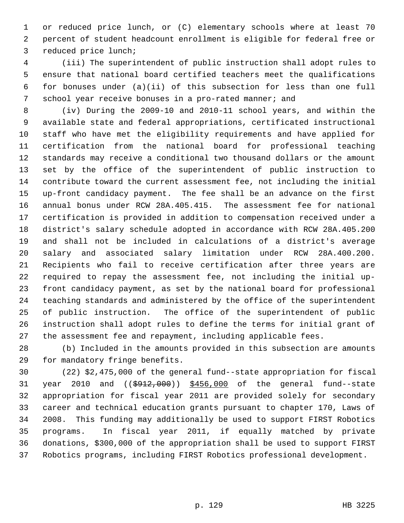1 or reduced price lunch, or (C) elementary schools where at least 70 2 percent of student headcount enrollment is eligible for federal free or 3 reduced price lunch;

 4 (iii) The superintendent of public instruction shall adopt rules to 5 ensure that national board certified teachers meet the qualifications 6 for bonuses under (a)(ii) of this subsection for less than one full 7 school year receive bonuses in a pro-rated manner; and

 8 (iv) During the 2009-10 and 2010-11 school years, and within the 9 available state and federal appropriations, certificated instructional 10 staff who have met the eligibility requirements and have applied for 11 certification from the national board for professional teaching 12 standards may receive a conditional two thousand dollars or the amount 13 set by the office of the superintendent of public instruction to 14 contribute toward the current assessment fee, not including the initial 15 up-front candidacy payment. The fee shall be an advance on the first 16 annual bonus under RCW 28A.405.415. The assessment fee for national 17 certification is provided in addition to compensation received under a 18 district's salary schedule adopted in accordance with RCW 28A.405.200 19 and shall not be included in calculations of a district's average 20 salary and associated salary limitation under RCW 28A.400.200. 21 Recipients who fail to receive certification after three years are 22 required to repay the assessment fee, not including the initial up-23 front candidacy payment, as set by the national board for professional 24 teaching standards and administered by the office of the superintendent 25 of public instruction. The office of the superintendent of public 26 instruction shall adopt rules to define the terms for initial grant of 27 the assessment fee and repayment, including applicable fees.

28 (b) Included in the amounts provided in this subsection are amounts 29 for mandatory fringe benefits.

30 (22) \$2,475,000 of the general fund--state appropriation for fiscal 31 year 2010 and ((\$912,000)) \$456,000 of the general fund--state 32 appropriation for fiscal year 2011 are provided solely for secondary 33 career and technical education grants pursuant to chapter 170, Laws of 34 2008. This funding may additionally be used to support FIRST Robotics 35 programs. In fiscal year 2011, if equally matched by private 36 donations, \$300,000 of the appropriation shall be used to support FIRST 37 Robotics programs, including FIRST Robotics professional development.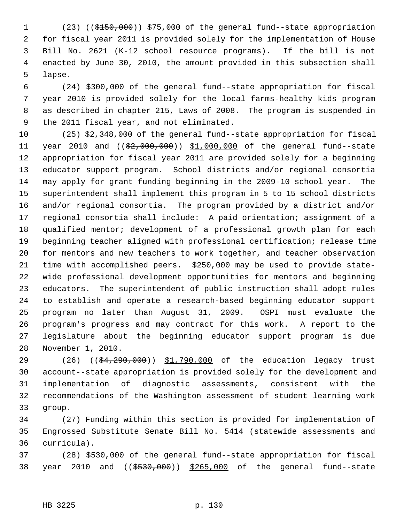1 (23) ((\$150,000)) \$75,000 of the general fund--state appropriation 2 for fiscal year 2011 is provided solely for the implementation of House 3 Bill No. 2621 (K-12 school resource programs). If the bill is not 4 enacted by June 30, 2010, the amount provided in this subsection shall 5 lapse.

 6 (24) \$300,000 of the general fund--state appropriation for fiscal 7 year 2010 is provided solely for the local farms-healthy kids program 8 as described in chapter 215, Laws of 2008. The program is suspended in 9 the 2011 fiscal year, and not eliminated.

10 (25) \$2,348,000 of the general fund--state appropriation for fiscal 11 year 2010 and ((\$2,000,000)) \$1,000,000 of the general fund--state 12 appropriation for fiscal year 2011 are provided solely for a beginning 13 educator support program. School districts and/or regional consortia 14 may apply for grant funding beginning in the 2009-10 school year. The 15 superintendent shall implement this program in 5 to 15 school districts 16 and/or regional consortia. The program provided by a district and/or 17 regional consortia shall include: A paid orientation; assignment of a 18 qualified mentor; development of a professional growth plan for each 19 beginning teacher aligned with professional certification; release time 20 for mentors and new teachers to work together, and teacher observation 21 time with accomplished peers. \$250,000 may be used to provide state-22 wide professional development opportunities for mentors and beginning 23 educators. The superintendent of public instruction shall adopt rules 24 to establish and operate a research-based beginning educator support 25 program no later than August 31, 2009. OSPI must evaluate the 26 program's progress and may contract for this work. A report to the 27 legislature about the beginning educator support program is due 28 November 1, 2010.

29 (26) (( $\frac{4}{29}$ , 290, 000) \$1, 790, 000 of the education legacy trust 30 account--state appropriation is provided solely for the development and 31 implementation of diagnostic assessments, consistent with the 32 recommendations of the Washington assessment of student learning work 33 group.

34 (27) Funding within this section is provided for implementation of 35 Engrossed Substitute Senate Bill No. 5414 (statewide assessments and 36 curricula).

37 (28) \$530,000 of the general fund--state appropriation for fiscal 38 year 2010 and ((\$530,000)) \$265,000 of the general fund--state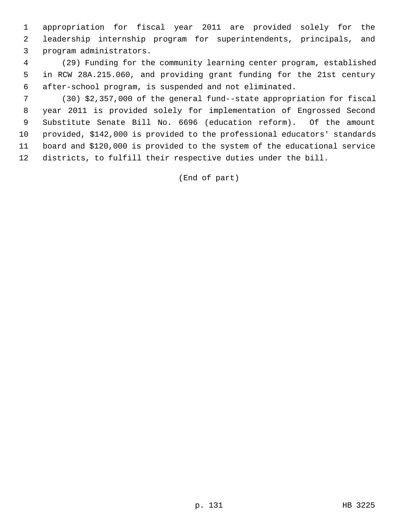1 appropriation for fiscal year 2011 are provided solely for the 2 leadership internship program for superintendents, principals, and 3 program administrators.

 4 (29) Funding for the community learning center program, established 5 in RCW 28A.215.060, and providing grant funding for the 21st century 6 after-school program, is suspended and not eliminated.

 7 (30) \$2,357,000 of the general fund--state appropriation for fiscal 8 year 2011 is provided solely for implementation of Engrossed Second 9 Substitute Senate Bill No. 6696 (education reform). Of the amount 10 provided, \$142,000 is provided to the professional educators' standards 11 board and \$120,000 is provided to the system of the educational service 12 districts, to fulfill their respective duties under the bill.

(End of part)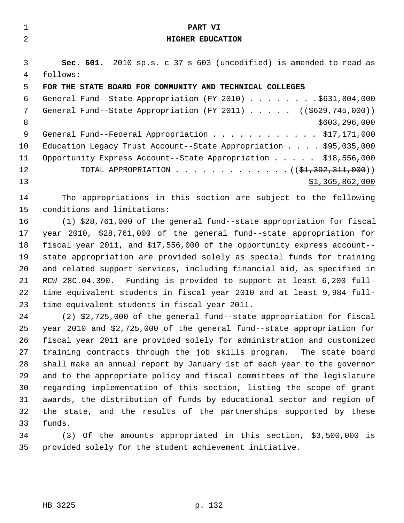| 1             | PART VI                                                                     |
|---------------|-----------------------------------------------------------------------------|
| $\mathcal{L}$ | <b>HIGHER EDUCATION</b>                                                     |
|               |                                                                             |
| 3             | Sec. 601. 2010 sp.s. c 37 s 603 (uncodified) is amended to read as          |
| 4             | follows:                                                                    |
| 5             | FOR THE STATE BOARD FOR COMMUNITY AND TECHNICAL COLLEGES                    |
| 6             | General Fund--State Appropriation (FY 2010) \$631,804,000                   |
| 7             | General Fund--State Appropriation (FY 2011) $($ $($ $\frac{2011}{1000})$    |
| 8             | \$603, 296, 000                                                             |
| 9             | General Fund--Federal Appropriation \$17,171,000                            |
| 10            | Education Legacy Trust Account--State Appropriation $\ldots$ , \$95,035,000 |
| 11            | Opportunity Express Account--State Appropriation \$18,556,000               |
| 12            | TOTAL APPROPRIATION $(31,392,311,000)$                                      |
| 13            | \$1,365,862,000                                                             |
| 14            | The appropriations in this section are subject to the following             |
| 15            | conditions and limitations:                                                 |
|               |                                                                             |

16 (1) \$28,761,000 of the general fund--state appropriation for fiscal 17 year 2010, \$28,761,000 of the general fund--state appropriation for 18 fiscal year 2011, and \$17,556,000 of the opportunity express account-- 19 state appropriation are provided solely as special funds for training 20 and related support services, including financial aid, as specified in 21 RCW 28C.04.390. Funding is provided to support at least 6,200 full-22 time equivalent students in fiscal year 2010 and at least 9,984 full-23 time equivalent students in fiscal year 2011.

24 (2) \$2,725,000 of the general fund--state appropriation for fiscal 25 year 2010 and \$2,725,000 of the general fund--state appropriation for 26 fiscal year 2011 are provided solely for administration and customized 27 training contracts through the job skills program. The state board 28 shall make an annual report by January 1st of each year to the governor 29 and to the appropriate policy and fiscal committees of the legislature 30 regarding implementation of this section, listing the scope of grant 31 awards, the distribution of funds by educational sector and region of 32 the state, and the results of the partnerships supported by these 33 funds.

34 (3) Of the amounts appropriated in this section, \$3,500,000 is 35 provided solely for the student achievement initiative.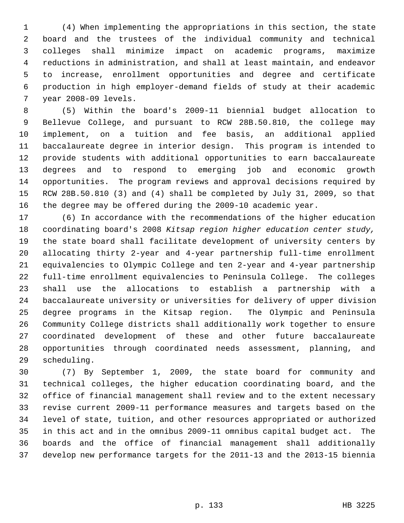1 (4) When implementing the appropriations in this section, the state 2 board and the trustees of the individual community and technical 3 colleges shall minimize impact on academic programs, maximize 4 reductions in administration, and shall at least maintain, and endeavor 5 to increase, enrollment opportunities and degree and certificate 6 production in high employer-demand fields of study at their academic 7 year 2008-09 levels.

 8 (5) Within the board's 2009-11 biennial budget allocation to 9 Bellevue College, and pursuant to RCW 28B.50.810, the college may 10 implement, on a tuition and fee basis, an additional applied 11 baccalaureate degree in interior design. This program is intended to 12 provide students with additional opportunities to earn baccalaureate 13 degrees and to respond to emerging job and economic growth 14 opportunities. The program reviews and approval decisions required by 15 RCW 28B.50.810 (3) and (4) shall be completed by July 31, 2009, so that 16 the degree may be offered during the 2009-10 academic year.

17 (6) In accordance with the recommendations of the higher education 18 coordinating board's 2008 *Kitsap region higher education center study,* 19 the state board shall facilitate development of university centers by 20 allocating thirty 2-year and 4-year partnership full-time enrollment 21 equivalencies to Olympic College and ten 2-year and 4-year partnership 22 full-time enrollment equivalencies to Peninsula College. The colleges 23 shall use the allocations to establish a partnership with a 24 baccalaureate university or universities for delivery of upper division 25 degree programs in the Kitsap region. The Olympic and Peninsula 26 Community College districts shall additionally work together to ensure 27 coordinated development of these and other future baccalaureate 28 opportunities through coordinated needs assessment, planning, and 29 scheduling.

30 (7) By September 1, 2009, the state board for community and 31 technical colleges, the higher education coordinating board, and the 32 office of financial management shall review and to the extent necessary 33 revise current 2009-11 performance measures and targets based on the 34 level of state, tuition, and other resources appropriated or authorized 35 in this act and in the omnibus 2009-11 omnibus capital budget act. The 36 boards and the office of financial management shall additionally 37 develop new performance targets for the 2011-13 and the 2013-15 biennia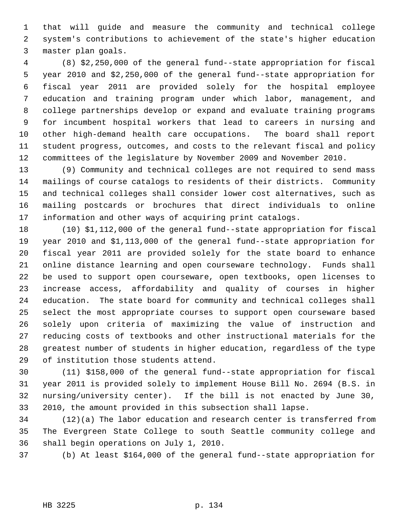1 that will guide and measure the community and technical college 2 system's contributions to achievement of the state's higher education 3 master plan goals.

 4 (8) \$2,250,000 of the general fund--state appropriation for fiscal 5 year 2010 and \$2,250,000 of the general fund--state appropriation for 6 fiscal year 2011 are provided solely for the hospital employee 7 education and training program under which labor, management, and 8 college partnerships develop or expand and evaluate training programs 9 for incumbent hospital workers that lead to careers in nursing and 10 other high-demand health care occupations. The board shall report 11 student progress, outcomes, and costs to the relevant fiscal and policy 12 committees of the legislature by November 2009 and November 2010.

13 (9) Community and technical colleges are not required to send mass 14 mailings of course catalogs to residents of their districts. Community 15 and technical colleges shall consider lower cost alternatives, such as 16 mailing postcards or brochures that direct individuals to online 17 information and other ways of acquiring print catalogs.

18 (10) \$1,112,000 of the general fund--state appropriation for fiscal 19 year 2010 and \$1,113,000 of the general fund--state appropriation for 20 fiscal year 2011 are provided solely for the state board to enhance 21 online distance learning and open courseware technology. Funds shall 22 be used to support open courseware, open textbooks, open licenses to 23 increase access, affordability and quality of courses in higher 24 education. The state board for community and technical colleges shall 25 select the most appropriate courses to support open courseware based 26 solely upon criteria of maximizing the value of instruction and 27 reducing costs of textbooks and other instructional materials for the 28 greatest number of students in higher education, regardless of the type 29 of institution those students attend.

30 (11) \$158,000 of the general fund--state appropriation for fiscal 31 year 2011 is provided solely to implement House Bill No. 2694 (B.S. in 32 nursing/university center). If the bill is not enacted by June 30, 33 2010, the amount provided in this subsection shall lapse.

34 (12)(a) The labor education and research center is transferred from 35 The Evergreen State College to south Seattle community college and 36 shall begin operations on July 1, 2010.

37 (b) At least \$164,000 of the general fund--state appropriation for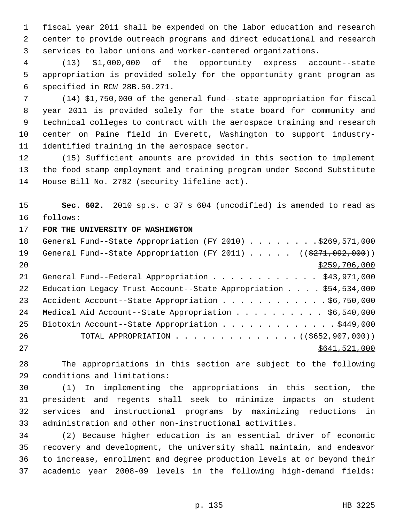1 fiscal year 2011 shall be expended on the labor education and research 2 center to provide outreach programs and direct educational and research 3 services to labor unions and worker-centered organizations.

 4 (13) \$1,000,000 of the opportunity express account--state 5 appropriation is provided solely for the opportunity grant program as 6 specified in RCW 28B.50.271.

 7 (14) \$1,750,000 of the general fund--state appropriation for fiscal 8 year 2011 is provided solely for the state board for community and 9 technical colleges to contract with the aerospace training and research 10 center on Paine field in Everett, Washington to support industry-11 identified training in the aerospace sector.

12 (15) Sufficient amounts are provided in this section to implement 13 the food stamp employment and training program under Second Substitute 14 House Bill No. 2782 (security lifeline act).

15 **Sec. 602.** 2010 sp.s. c 37 s 604 (uncodified) is amended to read as 16 follows:

# 17 **FOR THE UNIVERSITY OF WASHINGTON**

| 18 | General Fund--State Appropriation (FY 2010) \$269,571,000                        |
|----|----------------------------------------------------------------------------------|
| 19 | General Fund--State Appropriation (FY 2011) $($ $($ $\frac{2771}{0.092}$ , 000)) |
| 20 | \$259,706,000                                                                    |
| 21 | General Fund--Federal Appropriation \$43,971,000                                 |
| 22 | Education Legacy Trust Account--State Appropriation $\ldots$ , \$54,534,000      |
| 23 | Accident Account--State Appropriation \$6,750,000                                |
| 24 | Medical Aid Account--State Appropriation \$6,540,000                             |
| 25 | Biotoxin Account--State Appropriation \$449,000                                  |
| 26 | TOTAL APPROPRIATION $\ldots$ , ( $(\frac{1}{5652}, \frac{907}{100})$ )           |
| 27 | \$641,521,000                                                                    |

28 The appropriations in this section are subject to the following 29 conditions and limitations:

30 (1) In implementing the appropriations in this section, the 31 president and regents shall seek to minimize impacts on student 32 services and instructional programs by maximizing reductions in 33 administration and other non-instructional activities.

34 (2) Because higher education is an essential driver of economic 35 recovery and development, the university shall maintain, and endeavor 36 to increase, enrollment and degree production levels at or beyond their 37 academic year 2008-09 levels in the following high-demand fields: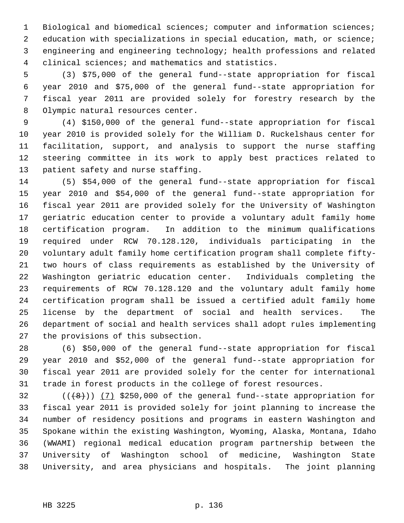1 Biological and biomedical sciences; computer and information sciences; 2 education with specializations in special education, math, or science; 3 engineering and engineering technology; health professions and related 4 clinical sciences; and mathematics and statistics.

 5 (3) \$75,000 of the general fund--state appropriation for fiscal 6 year 2010 and \$75,000 of the general fund--state appropriation for 7 fiscal year 2011 are provided solely for forestry research by the 8 Olympic natural resources center.

 9 (4) \$150,000 of the general fund--state appropriation for fiscal 10 year 2010 is provided solely for the William D. Ruckelshaus center for 11 facilitation, support, and analysis to support the nurse staffing 12 steering committee in its work to apply best practices related to 13 patient safety and nurse staffing.

14 (5) \$54,000 of the general fund--state appropriation for fiscal 15 year 2010 and \$54,000 of the general fund--state appropriation for 16 fiscal year 2011 are provided solely for the University of Washington 17 geriatric education center to provide a voluntary adult family home 18 certification program. In addition to the minimum qualifications 19 required under RCW 70.128.120, individuals participating in the 20 voluntary adult family home certification program shall complete fifty-21 two hours of class requirements as established by the University of 22 Washington geriatric education center. Individuals completing the 23 requirements of RCW 70.128.120 and the voluntary adult family home 24 certification program shall be issued a certified adult family home 25 license by the department of social and health services. The 26 department of social and health services shall adopt rules implementing 27 the provisions of this subsection.

28 (6) \$50,000 of the general fund--state appropriation for fiscal 29 year 2010 and \$52,000 of the general fund--state appropriation for 30 fiscal year 2011 are provided solely for the center for international 31 trade in forest products in the college of forest resources.

 $32$  (( $\left(\frac{48}{1}\right)$ ) (7) \$250,000 of the general fund--state appropriation for 33 fiscal year 2011 is provided solely for joint planning to increase the 34 number of residency positions and programs in eastern Washington and 35 Spokane within the existing Washington, Wyoming, Alaska, Montana, Idaho 36 (WWAMI) regional medical education program partnership between the 37 University of Washington school of medicine, Washington State 38 University, and area physicians and hospitals. The joint planning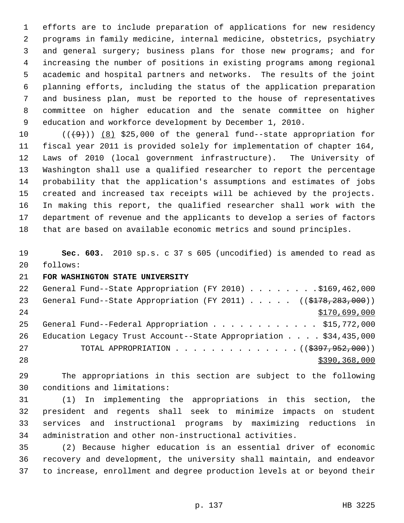1 efforts are to include preparation of applications for new residency 2 programs in family medicine, internal medicine, obstetrics, psychiatry 3 and general surgery; business plans for those new programs; and for 4 increasing the number of positions in existing programs among regional 5 academic and hospital partners and networks. The results of the joint 6 planning efforts, including the status of the application preparation 7 and business plan, must be reported to the house of representatives 8 committee on higher education and the senate committee on higher 9 education and workforce development by December 1, 2010.

10  $((+9))$  (8) \$25,000 of the general fund--state appropriation for 11 fiscal year 2011 is provided solely for implementation of chapter 164, 12 Laws of 2010 (local government infrastructure). The University of 13 Washington shall use a qualified researcher to report the percentage 14 probability that the application's assumptions and estimates of jobs 15 created and increased tax receipts will be achieved by the projects. 16 In making this report, the qualified researcher shall work with the 17 department of revenue and the applicants to develop a series of factors 18 that are based on available economic metrics and sound principles.

19 **Sec. 603.** 2010 sp.s. c 37 s 605 (uncodified) is amended to read as 20 follows:

21 **FOR WASHINGTON STATE UNIVERSITY**

| 22 | General Fund--State Appropriation (FY 2010) \$169,462,000                             |
|----|---------------------------------------------------------------------------------------|
| 23 | General Fund--State Appropriation (FY 2011) ( $(\frac{2178}{223}, \frac{283}{100})$ ) |
| 24 | \$170,699,000                                                                         |
| 25 | General Fund--Federal Appropriation \$15,772,000                                      |
| 26 | Education Legacy Trust Account--State Appropriation $\ldots$ . \$34,435,000           |
| 27 | TOTAL APPROPRIATION $\ldots$ , ( $(\frac{2397}{2952}, 952, 000)$ )                    |
| 28 | \$390,368,000                                                                         |

29 The appropriations in this section are subject to the following 30 conditions and limitations:

31 (1) In implementing the appropriations in this section, the 32 president and regents shall seek to minimize impacts on student 33 services and instructional programs by maximizing reductions in 34 administration and other non-instructional activities.

35 (2) Because higher education is an essential driver of economic 36 recovery and development, the university shall maintain, and endeavor 37 to increase, enrollment and degree production levels at or beyond their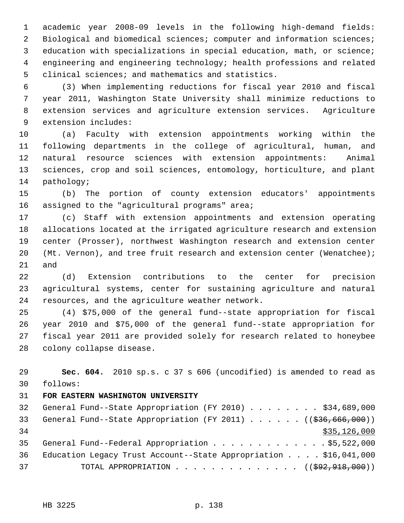1 academic year 2008-09 levels in the following high-demand fields: 2 Biological and biomedical sciences; computer and information sciences; 3 education with specializations in special education, math, or science; 4 engineering and engineering technology; health professions and related 5 clinical sciences; and mathematics and statistics.

 6 (3) When implementing reductions for fiscal year 2010 and fiscal 7 year 2011, Washington State University shall minimize reductions to 8 extension services and agriculture extension services. Agriculture 9 extension includes:

10 (a) Faculty with extension appointments working within the 11 following departments in the college of agricultural, human, and 12 natural resource sciences with extension appointments: Animal 13 sciences, crop and soil sciences, entomology, horticulture, and plant 14 pathology;

15 (b) The portion of county extension educators' appointments 16 assigned to the "agricultural programs" area;

17 (c) Staff with extension appointments and extension operating 18 allocations located at the irrigated agriculture research and extension 19 center (Prosser), northwest Washington research and extension center 20 (Mt. Vernon), and tree fruit research and extension center (Wenatchee); 21 and

22 (d) Extension contributions to the center for precision 23 agricultural systems, center for sustaining agriculture and natural 24 resources, and the agriculture weather network.

25 (4) \$75,000 of the general fund--state appropriation for fiscal 26 year 2010 and \$75,000 of the general fund--state appropriation for 27 fiscal year 2011 are provided solely for research related to honeybee 28 colony collapse disease.

29 **Sec. 604.** 2010 sp.s. c 37 s 606 (uncodified) is amended to read as 30 follows:

## 31 **FOR EASTERN WASHINGTON UNIVERSITY**

32 General Fund--State Appropriation (FY 2010) . . . . . . . \$34,689,000 33 General Fund--State Appropriation (FY 2011) . . . . . ((\$36,666,000))  $34$  \$35,126,000 35 General Fund--Federal Appropriation . . . . . . . . . . . . \$5,522,000 36 Education Legacy Trust Account--State Appropriation . . . . \$16,041,000 37 TOTAL APPROPRIATION . . . . . . . . . . . . . . ((\$92,918,000))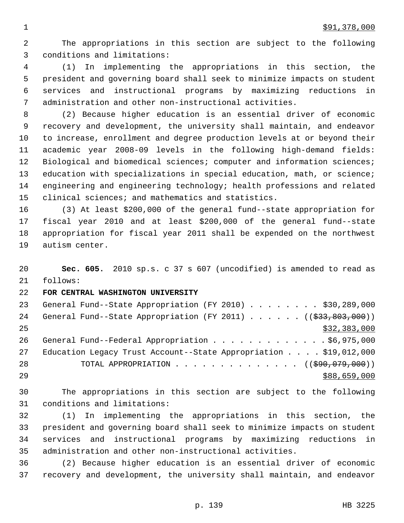2 The appropriations in this section are subject to the following 3 conditions and limitations:

 4 (1) In implementing the appropriations in this section, the 5 president and governing board shall seek to minimize impacts on student 6 services and instructional programs by maximizing reductions in 7 administration and other non-instructional activities.

 8 (2) Because higher education is an essential driver of economic 9 recovery and development, the university shall maintain, and endeavor 10 to increase, enrollment and degree production levels at or beyond their 11 academic year 2008-09 levels in the following high-demand fields: 12 Biological and biomedical sciences; computer and information sciences; 13 education with specializations in special education, math, or science; 14 engineering and engineering technology; health professions and related 15 clinical sciences; and mathematics and statistics.

16 (3) At least \$200,000 of the general fund--state appropriation for 17 fiscal year 2010 and at least \$200,000 of the general fund--state 18 appropriation for fiscal year 2011 shall be expended on the northwest 19 autism center.

20 **Sec. 605.** 2010 sp.s. c 37 s 607 (uncodified) is amended to read as 21 follows:

#### 22 **FOR CENTRAL WASHINGTON UNIVERSITY**

23 General Fund--State Appropriation (FY 2010) . . . . . . . \$30,289,000 24 General Fund--State Appropriation (FY 2011) . . . . . . ((\$33,803,000))  $25$  \$32,383,000 26 General Fund--Federal Appropriation . . . . . . . . . . . . \$6,975,000 27 Education Legacy Trust Account--State Appropriation . . . . \$19,012,000 28 TOTAL APPROPRIATION . . . . . . . . . . . . . ((<del>\$90,079,000</del>))  $29$  \$88,659,000

30 The appropriations in this section are subject to the following 31 conditions and limitations:

32 (1) In implementing the appropriations in this section, the 33 president and governing board shall seek to minimize impacts on student 34 services and instructional programs by maximizing reductions in 35 administration and other non-instructional activities.

36 (2) Because higher education is an essential driver of economic 37 recovery and development, the university shall maintain, and endeavor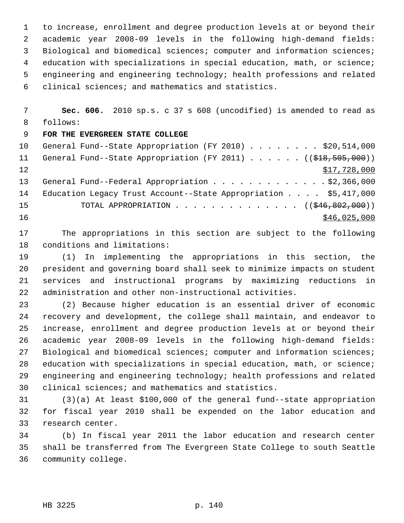1 to increase, enrollment and degree production levels at or beyond their 2 academic year 2008-09 levels in the following high-demand fields: 3 Biological and biomedical sciences; computer and information sciences; 4 education with specializations in special education, math, or science; 5 engineering and engineering technology; health professions and related 6 clinical sciences; and mathematics and statistics.

 7 **Sec. 606.** 2010 sp.s. c 37 s 608 (uncodified) is amended to read as 8 follows:

# 9 **FOR THE EVERGREEN STATE COLLEGE**

10 General Fund--State Appropriation (FY 2010) . . . . . . . . \$20,514,000 11 General Fund--State Appropriation (FY 2011) . . . . . ((\$18,505,000))  $12$   $$17,728,000$ 13 General Fund--Federal Appropriation . . . . . . . . . . . . \$2,366,000 14 Education Legacy Trust Account--State Appropriation . . . . \$5,417,000 15 TOTAL APPROPRIATION . . . . . . . . . . . . . . ((\$46,802,000)) 16 \$46,025,000

17 The appropriations in this section are subject to the following 18 conditions and limitations:

19 (1) In implementing the appropriations in this section, the 20 president and governing board shall seek to minimize impacts on student 21 services and instructional programs by maximizing reductions in 22 administration and other non-instructional activities.

23 (2) Because higher education is an essential driver of economic 24 recovery and development, the college shall maintain, and endeavor to 25 increase, enrollment and degree production levels at or beyond their 26 academic year 2008-09 levels in the following high-demand fields: 27 Biological and biomedical sciences; computer and information sciences; 28 education with specializations in special education, math, or science; 29 engineering and engineering technology; health professions and related 30 clinical sciences; and mathematics and statistics.

31 (3)(a) At least \$100,000 of the general fund--state appropriation 32 for fiscal year 2010 shall be expended on the labor education and 33 research center.

34 (b) In fiscal year 2011 the labor education and research center 35 shall be transferred from The Evergreen State College to south Seattle 36 community college.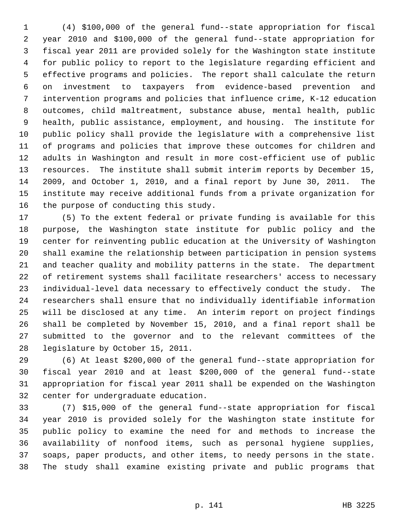1 (4) \$100,000 of the general fund--state appropriation for fiscal 2 year 2010 and \$100,000 of the general fund--state appropriation for 3 fiscal year 2011 are provided solely for the Washington state institute 4 for public policy to report to the legislature regarding efficient and 5 effective programs and policies. The report shall calculate the return 6 on investment to taxpayers from evidence-based prevention and 7 intervention programs and policies that influence crime, K-12 education 8 outcomes, child maltreatment, substance abuse, mental health, public 9 health, public assistance, employment, and housing. The institute for 10 public policy shall provide the legislature with a comprehensive list 11 of programs and policies that improve these outcomes for children and 12 adults in Washington and result in more cost-efficient use of public 13 resources. The institute shall submit interim reports by December 15, 14 2009, and October 1, 2010, and a final report by June 30, 2011. The 15 institute may receive additional funds from a private organization for 16 the purpose of conducting this study.

17 (5) To the extent federal or private funding is available for this 18 purpose, the Washington state institute for public policy and the 19 center for reinventing public education at the University of Washington 20 shall examine the relationship between participation in pension systems 21 and teacher quality and mobility patterns in the state. The department 22 of retirement systems shall facilitate researchers' access to necessary 23 individual-level data necessary to effectively conduct the study. The 24 researchers shall ensure that no individually identifiable information 25 will be disclosed at any time. An interim report on project findings 26 shall be completed by November 15, 2010, and a final report shall be 27 submitted to the governor and to the relevant committees of the 28 legislature by October 15, 2011.

29 (6) At least \$200,000 of the general fund--state appropriation for 30 fiscal year 2010 and at least \$200,000 of the general fund--state 31 appropriation for fiscal year 2011 shall be expended on the Washington 32 center for undergraduate education.

33 (7) \$15,000 of the general fund--state appropriation for fiscal 34 year 2010 is provided solely for the Washington state institute for 35 public policy to examine the need for and methods to increase the 36 availability of nonfood items, such as personal hygiene supplies, 37 soaps, paper products, and other items, to needy persons in the state. 38 The study shall examine existing private and public programs that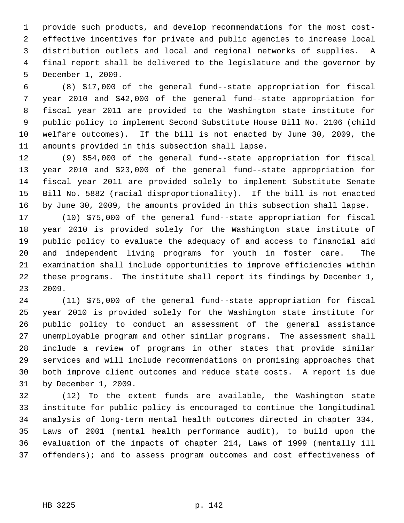1 provide such products, and develop recommendations for the most cost- 2 effective incentives for private and public agencies to increase local 3 distribution outlets and local and regional networks of supplies. A 4 final report shall be delivered to the legislature and the governor by 5 December 1, 2009.

 6 (8) \$17,000 of the general fund--state appropriation for fiscal 7 year 2010 and \$42,000 of the general fund--state appropriation for 8 fiscal year 2011 are provided to the Washington state institute for 9 public policy to implement Second Substitute House Bill No. 2106 (child 10 welfare outcomes). If the bill is not enacted by June 30, 2009, the 11 amounts provided in this subsection shall lapse.

12 (9) \$54,000 of the general fund--state appropriation for fiscal 13 year 2010 and \$23,000 of the general fund--state appropriation for 14 fiscal year 2011 are provided solely to implement Substitute Senate 15 Bill No. 5882 (racial disproportionality). If the bill is not enacted 16 by June 30, 2009, the amounts provided in this subsection shall lapse.

17 (10) \$75,000 of the general fund--state appropriation for fiscal 18 year 2010 is provided solely for the Washington state institute of 19 public policy to evaluate the adequacy of and access to financial aid 20 and independent living programs for youth in foster care. The 21 examination shall include opportunities to improve efficiencies within 22 these programs. The institute shall report its findings by December 1, 23 2009.

24 (11) \$75,000 of the general fund--state appropriation for fiscal 25 year 2010 is provided solely for the Washington state institute for 26 public policy to conduct an assessment of the general assistance 27 unemployable program and other similar programs. The assessment shall 28 include a review of programs in other states that provide similar 29 services and will include recommendations on promising approaches that 30 both improve client outcomes and reduce state costs. A report is due 31 by December 1, 2009.

32 (12) To the extent funds are available, the Washington state 33 institute for public policy is encouraged to continue the longitudinal 34 analysis of long-term mental health outcomes directed in chapter 334, 35 Laws of 2001 (mental health performance audit), to build upon the 36 evaluation of the impacts of chapter 214, Laws of 1999 (mentally ill 37 offenders); and to assess program outcomes and cost effectiveness of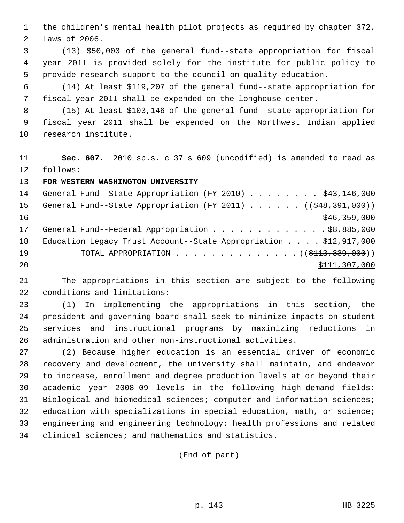1 the children's mental health pilot projects as required by chapter 372, 2 Laws of 2006.

 3 (13) \$50,000 of the general fund--state appropriation for fiscal 4 year 2011 is provided solely for the institute for public policy to 5 provide research support to the council on quality education.

 6 (14) At least \$119,207 of the general fund--state appropriation for 7 fiscal year 2011 shall be expended on the longhouse center.

 8 (15) At least \$103,146 of the general fund--state appropriation for 9 fiscal year 2011 shall be expended on the Northwest Indian applied 10 research institute.

11 **Sec. 607.** 2010 sp.s. c 37 s 609 (uncodified) is amended to read as 12 follows:

13 **FOR WESTERN WASHINGTON UNIVERSITY**

14 General Fund--State Appropriation (FY 2010) . . . . . . . \$43,146,000 15 General Fund--State Appropriation (FY 2011) . . . . . . ((\$48,391,000)) 16 \$46,359,000 17 General Fund--Federal Appropriation . . . . . . . . . . . . \$8,885,000 18 Education Legacy Trust Account--State Appropriation . . . . \$12,917,000 19 TOTAL APPROPRIATION . . . . . . . . . . . . . ((<del>\$113,339,000</del>)) 20 \$111,307,000

21 The appropriations in this section are subject to the following 22 conditions and limitations:

23 (1) In implementing the appropriations in this section, the 24 president and governing board shall seek to minimize impacts on student 25 services and instructional programs by maximizing reductions in 26 administration and other non-instructional activities.

27 (2) Because higher education is an essential driver of economic 28 recovery and development, the university shall maintain, and endeavor 29 to increase, enrollment and degree production levels at or beyond their 30 academic year 2008-09 levels in the following high-demand fields: 31 Biological and biomedical sciences; computer and information sciences; 32 education with specializations in special education, math, or science; 33 engineering and engineering technology; health professions and related 34 clinical sciences; and mathematics and statistics.

(End of part)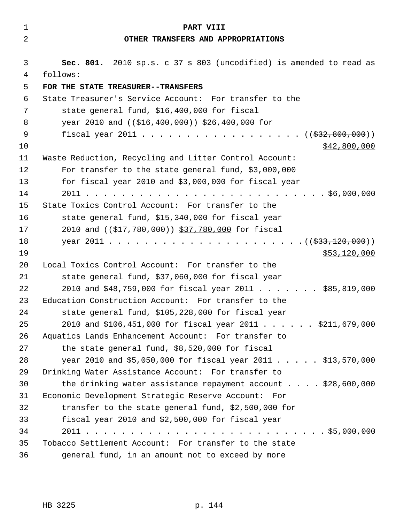| 1              | PART VIII                                                          |
|----------------|--------------------------------------------------------------------|
| $\overline{2}$ | OTHER TRANSFERS AND APPROPRIATIONS                                 |
| 3              | Sec. 801. 2010 sp.s. c 37 s 803 (uncodified) is amended to read as |
| 4              | follows:                                                           |
| 5              | FOR THE STATE TREASURER--TRANSFERS                                 |
| 6              | State Treasurer's Service Account: For transfer to the             |
| 7              | state general fund, \$16,400,000 for fiscal                        |
| 8              | year 2010 and ((\$16,400,000)) \$26,400,000 for                    |
| 9              | fiscal year 2011 ( $(\frac{232}{632}, \frac{800}{600})$ )          |
| 10             | \$42,800,000                                                       |
| 11             | Waste Reduction, Recycling and Litter Control Account:             |
| 12             | For transfer to the state general fund, \$3,000,000                |
| 13             | for fiscal year 2010 and \$3,000,000 for fiscal year               |
| 14             | 2011<br>. \$6,000,000                                              |
| 15             | State Toxics Control Account: For transfer to the                  |
| 16             | state general fund, \$15,340,000 for fiscal year                   |
| 17             | 2010 and ((\$17,780,000)) \$37,780,000 for fiscal                  |
| 18             |                                                                    |
| 19             | \$53,120,000                                                       |
| 20             | Local Toxics Control Account: For transfer to the                  |
| 21             | state general fund, \$37,060,000 for fiscal year                   |
| 22             | 2010 and \$48,759,000 for fiscal year 2011 \$85,819,000            |
| 23             | Education Construction Account: For transfer to the                |
| 24             | state general fund, \$105,228,000 for fiscal year                  |
| 25             | 2010 and \$106,451,000 for fiscal year 2011 \$211,679,000          |
| 26             | Aquatics Lands Enhancement Account: For transfer to                |
| 27             | the state general fund, \$8,520,000 for fiscal                     |
| 28             | year 2010 and \$5,050,000 for fiscal year 2011 \$13,570,000        |
| 29             | Drinking Water Assistance Account: For transfer to                 |
| 30             | the drinking water assistance repayment account \$28,600,000       |
| 31             | Economic Development Strategic Reserve Account: For                |
| 32             | transfer to the state general fund, \$2,500,000 for                |
| 33             | fiscal year 2010 and \$2,500,000 for fiscal year                   |
| 34             |                                                                    |
| 35             | Tobacco Settlement Account: For transfer to the state              |
| 36             | general fund, in an amount not to exceed by more                   |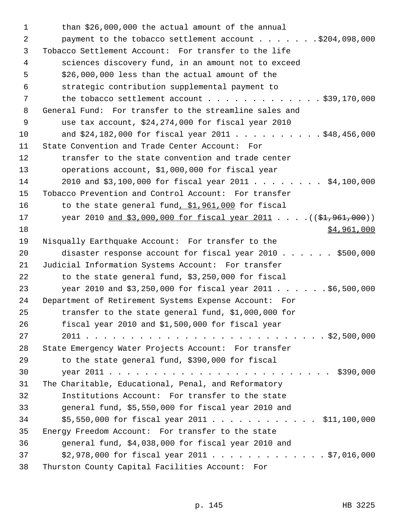1 than \$26,000,000 the actual amount of the annual 2 payment to the tobacco settlement account . . . . . . . \$204,098,000 3 Tobacco Settlement Account: For transfer to the life 4 sciences discovery fund, in an amount not to exceed 5 \$26,000,000 less than the actual amount of the 6 strategic contribution supplemental payment to 7 the tobacco settlement account . . . . . . . . . . . . \$39,170,000 8 General Fund: For transfer to the streamline sales and 9 use tax account, \$24,274,000 for fiscal year 2010 10 and \$24,182,000 for fiscal year 2011 . . . . . . . . . . \$48,456,000 11 State Convention and Trade Center Account: For 12 transfer to the state convention and trade center 13 operations account, \$1,000,000 for fiscal year 14 2010 and \$3,100,000 for fiscal year 2011 . . . . . . . . \$4,100,000 15 Tobacco Prevention and Control Account: For transfer 16 to the state general fund, \$1,961,000 for fiscal 17 year 2010 and \$3,000,000 for fiscal year 2011 . . . . ((\$1,961,000))  $18$  \$4,961,000 19 Nisqually Earthquake Account: For transfer to the 20 disaster response account for fiscal year 2010 . . . . . . \$500,000 21 Judicial Information Systems Account: For transfer 22 to the state general fund, \$3,250,000 for fiscal 23 year 2010 and \$3,250,000 for fiscal year 2011 . . . . . . \$6,500,000 24 Department of Retirement Systems Expense Account: For 25 transfer to the state general fund, \$1,000,000 for 26 fiscal year 2010 and \$1,500,000 for fiscal year 27 2011 . . . . . . . . . . . . . . . . . . . . . . . . . . . \$2,500,000 28 State Emergency Water Projects Account: For transfer 29 to the state general fund, \$390,000 for fiscal 30 year 2011 . . . . . . . . . . . . . . . . . . . . . . . . . \$390,000 31 The Charitable, Educational, Penal, and Reformatory 32 Institutions Account: For transfer to the state 33 general fund, \$5,550,000 for fiscal year 2010 and 34 \$5,550,000 for fiscal year 2011 . . . . . . . . . . . . \$11,100,000 35 Energy Freedom Account: For transfer to the state 36 general fund, \$4,038,000 for fiscal year 2010 and 37 \$2,978,000 for fiscal year 2011 . . . . . . . . . . . . . \$7,016,000 38 Thurston County Capital Facilities Account: For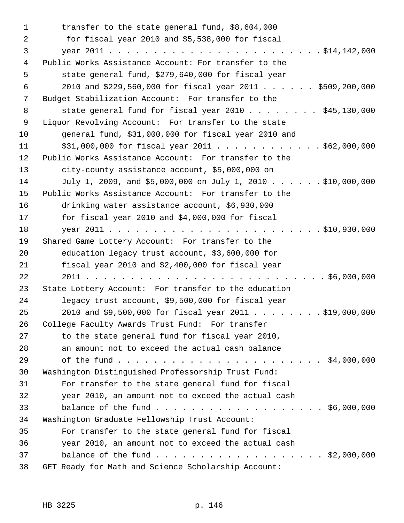| 1  | transfer to the state general fund, \$8,604,000            |
|----|------------------------------------------------------------|
| 2  | for fiscal year 2010 and \$5,538,000 for fiscal            |
| 3  |                                                            |
| 4  | Public Works Assistance Account: For transfer to the       |
| 5  | state general fund, \$279,640,000 for fiscal year          |
| 6  | 2010 and \$229,560,000 for fiscal year 2011 \$509,200,000  |
| 7  | Budget Stabilization Account: For transfer to the          |
| 8  | state general fund for fiscal year $2010$ $345,130,000$    |
| 9  | Liquor Revolving Account: For transfer to the state        |
| 10 | general fund, \$31,000,000 for fiscal year 2010 and        |
| 11 | $$31,000,000$ for fiscal year 2011 \$62,000,000            |
| 12 | Public Works Assistance Account: For transfer to the       |
| 13 | city-county assistance account, \$5,000,000 on             |
| 14 | July 1, 2009, and \$5,000,000 on July 1, 2010 \$10,000,000 |
| 15 | Public Works Assistance Account: For transfer to the       |
| 16 | drinking water assistance account, \$6,930,000             |
| 17 | for fiscal year 2010 and \$4,000,000 for fiscal            |
| 18 |                                                            |
| 19 | Shared Game Lottery Account: For transfer to the           |
| 20 | education legacy trust account, \$3,600,000 for            |
| 21 | fiscal year 2010 and \$2,400,000 for fiscal year           |
| 22 |                                                            |
| 23 | State Lottery Account: For transfer to the education       |
| 24 | legacy trust account, \$9,500,000 for fiscal year          |
| 25 | 2010 and \$9,500,000 for fiscal year 2011 \$19,000,000     |
| 26 | College Faculty Awards Trust Fund: For transfer            |
| 27 | to the state general fund for fiscal year 2010,            |
| 28 | an amount not to exceed the actual cash balance            |
| 29 |                                                            |
| 30 | Washington Distinguished Professorship Trust Fund:         |
| 31 | For transfer to the state general fund for fiscal          |
| 32 | year 2010, an amount not to exceed the actual cash         |
| 33 |                                                            |
| 34 | Washington Graduate Fellowship Trust Account:              |
| 35 | For transfer to the state general fund for fiscal          |
| 36 | year 2010, an amount not to exceed the actual cash         |
| 37 | balance of the fund \$2,000,000                            |
| 38 | GET Ready for Math and Science Scholarship Account:        |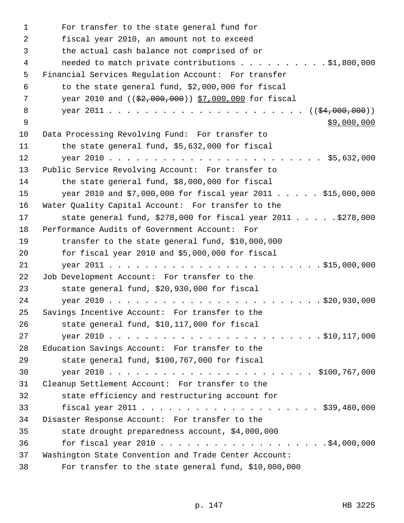1 For transfer to the state general fund for 2 fiscal year 2010, an amount not to exceed 3 the actual cash balance not comprised of or 4 needed to match private contributions . . . . . . . . . \$1,800,000 5 Financial Services Regulation Account: For transfer 6 to the state general fund, \$2,000,000 for fiscal 7 vear 2010 and ((\$2,000,000)) \$7,000,000 for fiscal 8 year 2011 . . . . . . . . . . . . . . . . . . . . . . ((\$4,000,000))  $\frac{1}{2}9,000,000$ 10 Data Processing Revolving Fund: For transfer to 11 the state general fund, \$5,632,000 for fiscal 12 year 2010 . . . . . . . . . . . . . . . . . . . . . . . . \$5,632,000 13 Public Service Revolving Account: For transfer to 14 the state general fund, \$8,000,000 for fiscal 15 year 2010 and \$7,000,000 for fiscal year 2011 . . . . . \$15,000,000 16 Water Quality Capital Account: For transfer to the 17 state general fund, \$278,000 for fiscal year 2011 . . . . . \$278,000 18 Performance Audits of Government Account: For 19 transfer to the state general fund, \$10,000,000 20 for fiscal year 2010 and \$5,000,000 for fiscal 21 year 2011 . . . . . . . . . . . . . . . . . . . . . . . . \$15,000,000 22 Job Development Account: For transfer to the 23 state general fund, \$20,930,000 for fiscal 24 year 2010 . . . . . . . . . . . . . . . . . . . . . . . . \$20,930,000 25 Savings Incentive Account: For transfer to the 26 state general fund, \$10,117,000 for fiscal 27 year 2010 . . . . . . . . . . . . . . . . . . . . . . . . \$10,117,000 28 Education Savings Account: For transfer to the 29 state general fund, \$100,767,000 for fiscal 30 year 2010 . . . . . . . . . . . . . . . . . . . . . . . \$100,767,000 31 Cleanup Settlement Account: For transfer to the 32 state efficiency and restructuring account for 33 fiscal year 2011 . . . . . . . . . . . . . . . . . . . . \$39,480,000 34 Disaster Response Account: For transfer to the 35 state drought preparedness account, \$4,000,000 36 for fiscal year 2010 . . . . . . . . . . . . . . . . . . .\$4,000,000 37 Washington State Convention and Trade Center Account: 38 For transfer to the state general fund, \$10,000,000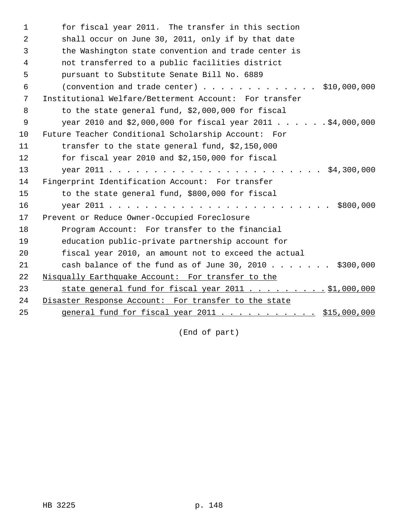| $\mathbf{1}$ | for fiscal year 2011. The transfer in this section                                               |
|--------------|--------------------------------------------------------------------------------------------------|
| 2            | shall occur on June 30, 2011, only if by that date                                               |
| 3            | the Washington state convention and trade center is                                              |
| 4            | not transferred to a public facilities district                                                  |
| 5            | pursuant to Substitute Senate Bill No. 6889                                                      |
| 6            | (convention and trade center) $\ldots$ , $\ldots$ , $\ldots$ , $\ldots$ , $\frac{10,000,000}{2}$ |
| 7            | Institutional Welfare/Betterment Account: For transfer                                           |
| 8            | to the state general fund, \$2,000,000 for fiscal                                                |
| $\mathsf 9$  | year 2010 and \$2,000,000 for fiscal year 2011 \$4,000,000                                       |
| 10           | Future Teacher Conditional Scholarship Account: For                                              |
| 11           | transfer to the state general fund, \$2,150,000                                                  |
| 12           | for fiscal year 2010 and \$2,150,000 for fiscal                                                  |
| 13           |                                                                                                  |
| 14           | Fingerprint Identification Account: For transfer                                                 |
| 15           | to the state general fund, \$800,000 for fiscal                                                  |
| 16           | \$800,000                                                                                        |
| 17           | Prevent or Reduce Owner-Occupied Foreclosure                                                     |
| 18           | Program Account: For transfer to the financial                                                   |
| 19           | education public-private partnership account for                                                 |
| 20           | fiscal year 2010, an amount not to exceed the actual                                             |
| 21           | cash balance of the fund as of June 30, 2010 \$300,000                                           |
| 22           | Nisqually Earthquake Account: For transfer to the                                                |
| 23           | state general fund for fiscal year 2011 \$1,000,000                                              |
| 24           | Disaster Response Account: For transfer to the state                                             |
| 25           | <u>general fund for fiscal year 2011 \$15,000,000</u>                                            |

(End of part)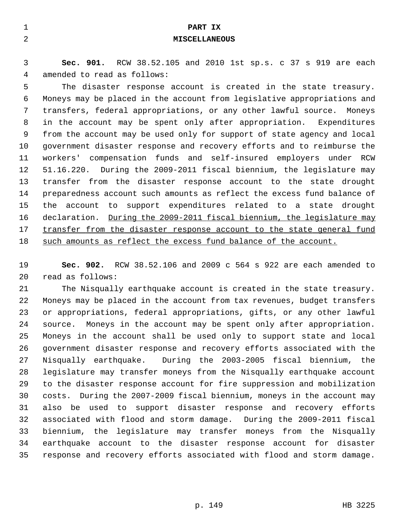| $\mathbf{1}$   | PART IX                                                                 |
|----------------|-------------------------------------------------------------------------|
| $\overline{a}$ | <b>MISCELLANEOUS</b>                                                    |
|                |                                                                         |
| 3              | Sec. 901. RCW 38.52.105 and 2010 1st sp.s. c 37 s 919 are each          |
| 4              | amended to read as follows:                                             |
| 5              | The disaster response account is created in the state treasury.         |
| 6              | Moneys may be placed in the account from legislative appropriations and |
| 7              | transfers, federal appropriations, or any other lawful source. Moneys   |
| 8              | in the account may be spent only after appropriation. Expenditures      |
| 9              | from the account may be used only for support of state agency and local |
| 10             | government disaster response and recovery efforts and to reimburse the  |
| 11             | compensation funds and self-insured employers under RCW<br>workers'     |
| 12             | 51.16.220. During the 2009-2011 fiscal biennium, the legislature may    |
| 13             | transfer from the disaster response account to the state drought        |
| 14             | preparedness account such amounts as reflect the excess fund balance of |
| 15             | the account to support expenditures related to a state drought          |
| 16             | declaration. During the 2009-2011 fiscal biennium, the legislature may  |
| 17             | transfer from the disaster response account to the state general fund   |
| 18             | such amounts as reflect the excess fund balance of the account.         |

19 **Sec. 902.** RCW 38.52.106 and 2009 c 564 s 922 are each amended to 20 read as follows:

21 The Nisqually earthquake account is created in the state treasury. 22 Moneys may be placed in the account from tax revenues, budget transfers 23 or appropriations, federal appropriations, gifts, or any other lawful 24 source. Moneys in the account may be spent only after appropriation. 25 Moneys in the account shall be used only to support state and local 26 government disaster response and recovery efforts associated with the 27 Nisqually earthquake. During the 2003-2005 fiscal biennium, the 28 legislature may transfer moneys from the Nisqually earthquake account 29 to the disaster response account for fire suppression and mobilization 30 costs. During the 2007-2009 fiscal biennium, moneys in the account may 31 also be used to support disaster response and recovery efforts 32 associated with flood and storm damage. During the 2009-2011 fiscal 33 biennium, the legislature may transfer moneys from the Nisqually 34 earthquake account to the disaster response account for disaster 35 response and recovery efforts associated with flood and storm damage.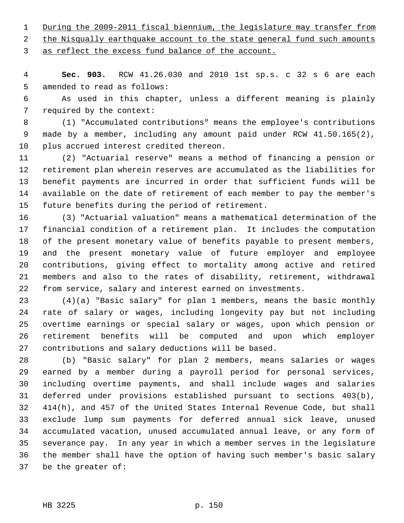1 During the 2009-2011 fiscal biennium, the legislature may transfer from

2 the Nisqually earthquake account to the state general fund such amounts

3 as reflect the excess fund balance of the account.

 4 **Sec. 903.** RCW 41.26.030 and 2010 1st sp.s. c 32 s 6 are each 5 amended to read as follows:

 6 As used in this chapter, unless a different meaning is plainly 7 required by the context:

 8 (1) "Accumulated contributions" means the employee's contributions 9 made by a member, including any amount paid under RCW 41.50.165(2), 10 plus accrued interest credited thereon.

11 (2) "Actuarial reserve" means a method of financing a pension or 12 retirement plan wherein reserves are accumulated as the liabilities for 13 benefit payments are incurred in order that sufficient funds will be 14 available on the date of retirement of each member to pay the member's 15 future benefits during the period of retirement.

16 (3) "Actuarial valuation" means a mathematical determination of the 17 financial condition of a retirement plan. It includes the computation 18 of the present monetary value of benefits payable to present members, 19 and the present monetary value of future employer and employee 20 contributions, giving effect to mortality among active and retired 21 members and also to the rates of disability, retirement, withdrawal 22 from service, salary and interest earned on investments.

23 (4)(a) "Basic salary" for plan 1 members, means the basic monthly 24 rate of salary or wages, including longevity pay but not including 25 overtime earnings or special salary or wages, upon which pension or 26 retirement benefits will be computed and upon which employer 27 contributions and salary deductions will be based.

28 (b) "Basic salary" for plan 2 members, means salaries or wages 29 earned by a member during a payroll period for personal services, 30 including overtime payments, and shall include wages and salaries 31 deferred under provisions established pursuant to sections 403(b), 32 414(h), and 457 of the United States Internal Revenue Code, but shall 33 exclude lump sum payments for deferred annual sick leave, unused 34 accumulated vacation, unused accumulated annual leave, or any form of 35 severance pay. In any year in which a member serves in the legislature 36 the member shall have the option of having such member's basic salary 37 be the greater of: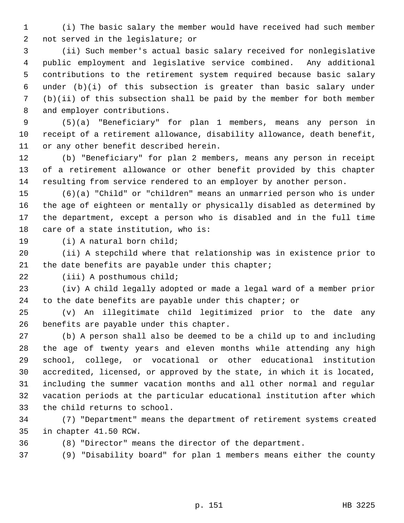1 (i) The basic salary the member would have received had such member 2 not served in the legislature; or

 3 (ii) Such member's actual basic salary received for nonlegislative 4 public employment and legislative service combined. Any additional 5 contributions to the retirement system required because basic salary 6 under (b)(i) of this subsection is greater than basic salary under 7 (b)(ii) of this subsection shall be paid by the member for both member 8 and employer contributions.

 9 (5)(a) "Beneficiary" for plan 1 members, means any person in 10 receipt of a retirement allowance, disability allowance, death benefit, 11 or any other benefit described herein.

12 (b) "Beneficiary" for plan 2 members, means any person in receipt 13 of a retirement allowance or other benefit provided by this chapter 14 resulting from service rendered to an employer by another person.

15 (6)(a) "Child" or "children" means an unmarried person who is under 16 the age of eighteen or mentally or physically disabled as determined by 17 the department, except a person who is disabled and in the full time 18 care of a state institution, who is:

19 (i) A natural born child;

20 (ii) A stepchild where that relationship was in existence prior to 21 the date benefits are payable under this chapter;

22 (iii) A posthumous child;

23 (iv) A child legally adopted or made a legal ward of a member prior 24 to the date benefits are payable under this chapter; or

25 (v) An illegitimate child legitimized prior to the date any 26 benefits are payable under this chapter.

27 (b) A person shall also be deemed to be a child up to and including 28 the age of twenty years and eleven months while attending any high 29 school, college, or vocational or other educational institution 30 accredited, licensed, or approved by the state, in which it is located, 31 including the summer vacation months and all other normal and regular 32 vacation periods at the particular educational institution after which 33 the child returns to school.

34 (7) "Department" means the department of retirement systems created 35 in chapter 41.50 RCW.

36 (8) "Director" means the director of the department.

37 (9) "Disability board" for plan 1 members means either the county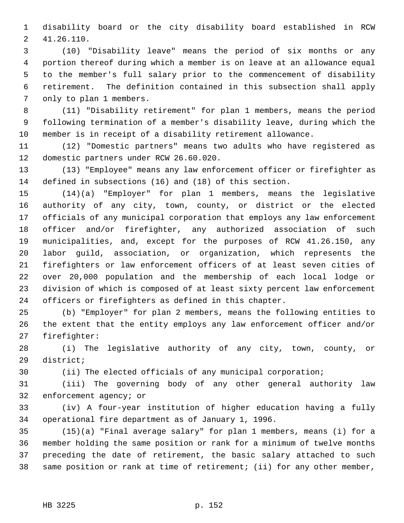1 disability board or the city disability board established in RCW 2 41.26.110.

 3 (10) "Disability leave" means the period of six months or any 4 portion thereof during which a member is on leave at an allowance equal 5 to the member's full salary prior to the commencement of disability 6 retirement. The definition contained in this subsection shall apply 7 only to plan 1 members.

 8 (11) "Disability retirement" for plan 1 members, means the period 9 following termination of a member's disability leave, during which the 10 member is in receipt of a disability retirement allowance.

11 (12) "Domestic partners" means two adults who have registered as 12 domestic partners under RCW 26.60.020.

13 (13) "Employee" means any law enforcement officer or firefighter as 14 defined in subsections (16) and (18) of this section.

15 (14)(a) "Employer" for plan 1 members, means the legislative 16 authority of any city, town, county, or district or the elected 17 officials of any municipal corporation that employs any law enforcement 18 officer and/or firefighter, any authorized association of such 19 municipalities, and, except for the purposes of RCW 41.26.150, any 20 labor guild, association, or organization, which represents the 21 firefighters or law enforcement officers of at least seven cities of 22 over 20,000 population and the membership of each local lodge or 23 division of which is composed of at least sixty percent law enforcement 24 officers or firefighters as defined in this chapter.

25 (b) "Employer" for plan 2 members, means the following entities to 26 the extent that the entity employs any law enforcement officer and/or 27 firefighter:

28 (i) The legislative authority of any city, town, county, or 29 district;

30 (ii) The elected officials of any municipal corporation;

31 (iii) The governing body of any other general authority law 32 enforcement agency; or

33 (iv) A four-year institution of higher education having a fully 34 operational fire department as of January 1, 1996.

35 (15)(a) "Final average salary" for plan 1 members, means (i) for a 36 member holding the same position or rank for a minimum of twelve months 37 preceding the date of retirement, the basic salary attached to such 38 same position or rank at time of retirement; (ii) for any other member,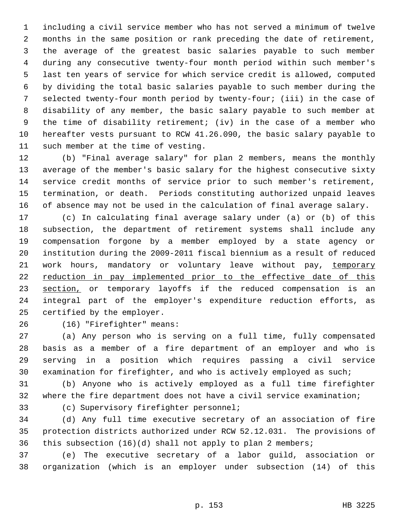1 including a civil service member who has not served a minimum of twelve 2 months in the same position or rank preceding the date of retirement, 3 the average of the greatest basic salaries payable to such member 4 during any consecutive twenty-four month period within such member's 5 last ten years of service for which service credit is allowed, computed 6 by dividing the total basic salaries payable to such member during the 7 selected twenty-four month period by twenty-four; (iii) in the case of 8 disability of any member, the basic salary payable to such member at 9 the time of disability retirement; (iv) in the case of a member who 10 hereafter vests pursuant to RCW 41.26.090, the basic salary payable to 11 such member at the time of vesting.

12 (b) "Final average salary" for plan 2 members, means the monthly 13 average of the member's basic salary for the highest consecutive sixty 14 service credit months of service prior to such member's retirement, 15 termination, or death. Periods constituting authorized unpaid leaves 16 of absence may not be used in the calculation of final average salary.

17 (c) In calculating final average salary under (a) or (b) of this 18 subsection, the department of retirement systems shall include any 19 compensation forgone by a member employed by a state agency or 20 institution during the 2009-2011 fiscal biennium as a result of reduced 21 work hours, mandatory or voluntary leave without pay, temporary 22 reduction in pay implemented prior to the effective date of this 23 section, or temporary layoffs if the reduced compensation is an 24 integral part of the employer's expenditure reduction efforts, as 25 certified by the employer.

26 (16) "Firefighter" means:

27 (a) Any person who is serving on a full time, fully compensated 28 basis as a member of a fire department of an employer and who is 29 serving in a position which requires passing a civil service 30 examination for firefighter, and who is actively employed as such;

31 (b) Anyone who is actively employed as a full time firefighter 32 where the fire department does not have a civil service examination;

33 (c) Supervisory firefighter personnel;

34 (d) Any full time executive secretary of an association of fire 35 protection districts authorized under RCW 52.12.031. The provisions of 36 this subsection (16)(d) shall not apply to plan 2 members;

37 (e) The executive secretary of a labor guild, association or 38 organization (which is an employer under subsection (14) of this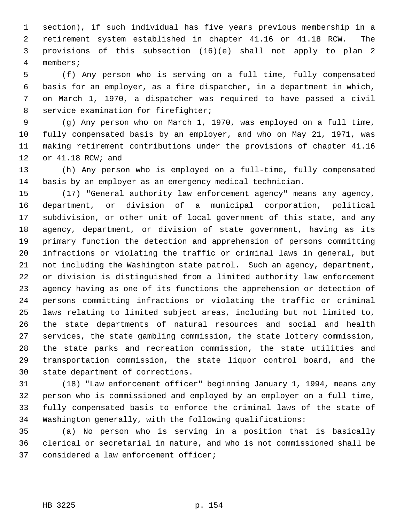1 section), if such individual has five years previous membership in a 2 retirement system established in chapter 41.16 or 41.18 RCW. The 3 provisions of this subsection (16)(e) shall not apply to plan 2 4 members;

 5 (f) Any person who is serving on a full time, fully compensated 6 basis for an employer, as a fire dispatcher, in a department in which, 7 on March 1, 1970, a dispatcher was required to have passed a civil 8 service examination for firefighter;

 9 (g) Any person who on March 1, 1970, was employed on a full time, 10 fully compensated basis by an employer, and who on May 21, 1971, was 11 making retirement contributions under the provisions of chapter 41.16 12 or 41.18 RCW; and

13 (h) Any person who is employed on a full-time, fully compensated 14 basis by an employer as an emergency medical technician.

15 (17) "General authority law enforcement agency" means any agency, 16 department, or division of a municipal corporation, political 17 subdivision, or other unit of local government of this state, and any 18 agency, department, or division of state government, having as its 19 primary function the detection and apprehension of persons committing 20 infractions or violating the traffic or criminal laws in general, but 21 not including the Washington state patrol. Such an agency, department, 22 or division is distinguished from a limited authority law enforcement 23 agency having as one of its functions the apprehension or detection of 24 persons committing infractions or violating the traffic or criminal 25 laws relating to limited subject areas, including but not limited to, 26 the state departments of natural resources and social and health 27 services, the state gambling commission, the state lottery commission, 28 the state parks and recreation commission, the state utilities and 29 transportation commission, the state liquor control board, and the 30 state department of corrections.

31 (18) "Law enforcement officer" beginning January 1, 1994, means any 32 person who is commissioned and employed by an employer on a full time, 33 fully compensated basis to enforce the criminal laws of the state of 34 Washington generally, with the following qualifications:

35 (a) No person who is serving in a position that is basically 36 clerical or secretarial in nature, and who is not commissioned shall be 37 considered a law enforcement officer;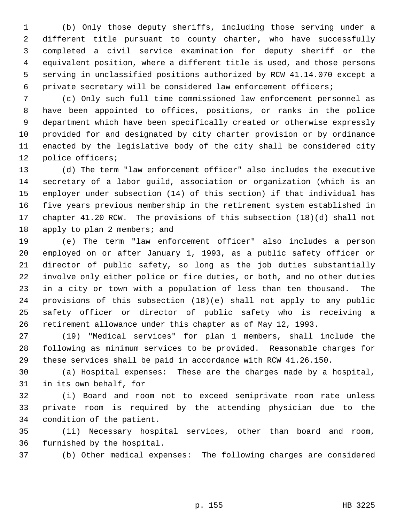1 (b) Only those deputy sheriffs, including those serving under a 2 different title pursuant to county charter, who have successfully 3 completed a civil service examination for deputy sheriff or the 4 equivalent position, where a different title is used, and those persons 5 serving in unclassified positions authorized by RCW 41.14.070 except a 6 private secretary will be considered law enforcement officers;

 7 (c) Only such full time commissioned law enforcement personnel as 8 have been appointed to offices, positions, or ranks in the police 9 department which have been specifically created or otherwise expressly 10 provided for and designated by city charter provision or by ordinance 11 enacted by the legislative body of the city shall be considered city 12 police officers;

13 (d) The term "law enforcement officer" also includes the executive 14 secretary of a labor guild, association or organization (which is an 15 employer under subsection (14) of this section) if that individual has 16 five years previous membership in the retirement system established in 17 chapter 41.20 RCW. The provisions of this subsection (18)(d) shall not 18 apply to plan 2 members; and

19 (e) The term "law enforcement officer" also includes a person 20 employed on or after January 1, 1993, as a public safety officer or 21 director of public safety, so long as the job duties substantially 22 involve only either police or fire duties, or both, and no other duties 23 in a city or town with a population of less than ten thousand. The 24 provisions of this subsection (18)(e) shall not apply to any public 25 safety officer or director of public safety who is receiving a 26 retirement allowance under this chapter as of May 12, 1993.

27 (19) "Medical services" for plan 1 members, shall include the 28 following as minimum services to be provided. Reasonable charges for 29 these services shall be paid in accordance with RCW 41.26.150.

30 (a) Hospital expenses: These are the charges made by a hospital, 31 in its own behalf, for

32 (i) Board and room not to exceed semiprivate room rate unless 33 private room is required by the attending physician due to the 34 condition of the patient.

35 (ii) Necessary hospital services, other than board and room, 36 furnished by the hospital.

37 (b) Other medical expenses: The following charges are considered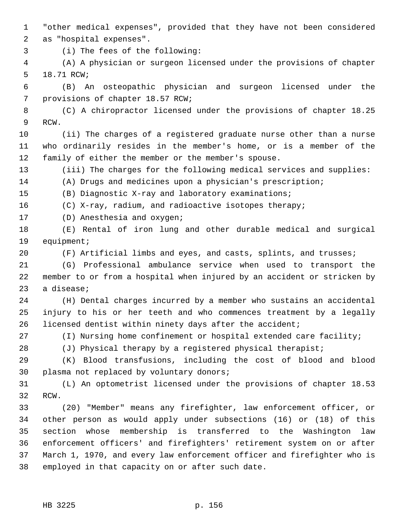1 "other medical expenses", provided that they have not been considered 2 as "hospital expenses".

3 (i) The fees of the following:

 4 (A) A physician or surgeon licensed under the provisions of chapter 5 18.71 RCW;

 6 (B) An osteopathic physician and surgeon licensed under the 7 provisions of chapter 18.57 RCW;

 8 (C) A chiropractor licensed under the provisions of chapter 18.25 9 RCW.

10 (ii) The charges of a registered graduate nurse other than a nurse 11 who ordinarily resides in the member's home, or is a member of the 12 family of either the member or the member's spouse.

13 (iii) The charges for the following medical services and supplies:

14 (A) Drugs and medicines upon a physician's prescription;

15 (B) Diagnostic X-ray and laboratory examinations;

16 (C) X-ray, radium, and radioactive isotopes therapy;

17 (D) Anesthesia and oxygen;

18 (E) Rental of iron lung and other durable medical and surgical 19 equipment;

20 (F) Artificial limbs and eyes, and casts, splints, and trusses;

21 (G) Professional ambulance service when used to transport the 22 member to or from a hospital when injured by an accident or stricken by 23 a disease;

24 (H) Dental charges incurred by a member who sustains an accidental 25 injury to his or her teeth and who commences treatment by a legally 26 licensed dentist within ninety days after the accident;

27 (I) Nursing home confinement or hospital extended care facility;

28 (J) Physical therapy by a registered physical therapist;

29 (K) Blood transfusions, including the cost of blood and blood 30 plasma not replaced by voluntary donors;

31 (L) An optometrist licensed under the provisions of chapter 18.53 32 RCW.

33 (20) "Member" means any firefighter, law enforcement officer, or 34 other person as would apply under subsections (16) or (18) of this 35 section whose membership is transferred to the Washington law 36 enforcement officers' and firefighters' retirement system on or after 37 March 1, 1970, and every law enforcement officer and firefighter who is 38 employed in that capacity on or after such date.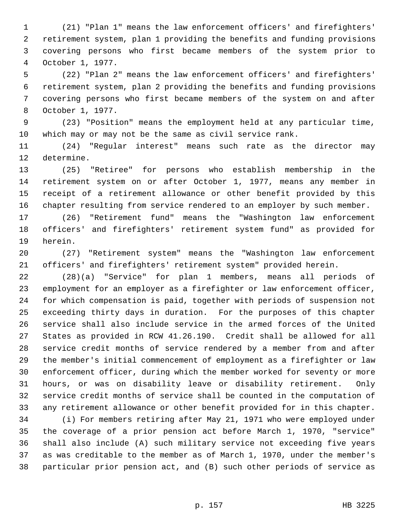1 (21) "Plan 1" means the law enforcement officers' and firefighters' 2 retirement system, plan 1 providing the benefits and funding provisions 3 covering persons who first became members of the system prior to 4 October 1, 1977.

 5 (22) "Plan 2" means the law enforcement officers' and firefighters' 6 retirement system, plan 2 providing the benefits and funding provisions 7 covering persons who first became members of the system on and after 8 October 1, 1977.

 9 (23) "Position" means the employment held at any particular time, 10 which may or may not be the same as civil service rank.

11 (24) "Regular interest" means such rate as the director may 12 determine.

13 (25) "Retiree" for persons who establish membership in the 14 retirement system on or after October 1, 1977, means any member in 15 receipt of a retirement allowance or other benefit provided by this 16 chapter resulting from service rendered to an employer by such member.

17 (26) "Retirement fund" means the "Washington law enforcement 18 officers' and firefighters' retirement system fund" as provided for 19 herein.

20 (27) "Retirement system" means the "Washington law enforcement 21 officers' and firefighters' retirement system" provided herein.

22 (28)(a) "Service" for plan 1 members, means all periods of 23 employment for an employer as a firefighter or law enforcement officer, 24 for which compensation is paid, together with periods of suspension not 25 exceeding thirty days in duration. For the purposes of this chapter 26 service shall also include service in the armed forces of the United 27 States as provided in RCW 41.26.190. Credit shall be allowed for all 28 service credit months of service rendered by a member from and after 29 the member's initial commencement of employment as a firefighter or law 30 enforcement officer, during which the member worked for seventy or more 31 hours, or was on disability leave or disability retirement. Only 32 service credit months of service shall be counted in the computation of 33 any retirement allowance or other benefit provided for in this chapter.

34 (i) For members retiring after May 21, 1971 who were employed under 35 the coverage of a prior pension act before March 1, 1970, "service" 36 shall also include (A) such military service not exceeding five years 37 as was creditable to the member as of March 1, 1970, under the member's 38 particular prior pension act, and (B) such other periods of service as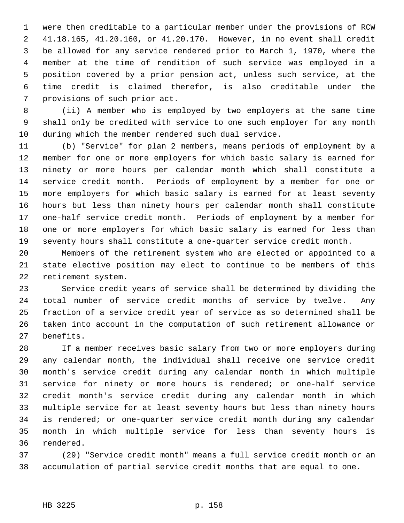1 were then creditable to a particular member under the provisions of RCW 2 41.18.165, 41.20.160, or 41.20.170. However, in no event shall credit 3 be allowed for any service rendered prior to March 1, 1970, where the 4 member at the time of rendition of such service was employed in a 5 position covered by a prior pension act, unless such service, at the 6 time credit is claimed therefor, is also creditable under the 7 provisions of such prior act.

 8 (ii) A member who is employed by two employers at the same time 9 shall only be credited with service to one such employer for any month 10 during which the member rendered such dual service.

11 (b) "Service" for plan 2 members, means periods of employment by a 12 member for one or more employers for which basic salary is earned for 13 ninety or more hours per calendar month which shall constitute a 14 service credit month. Periods of employment by a member for one or 15 more employers for which basic salary is earned for at least seventy 16 hours but less than ninety hours per calendar month shall constitute 17 one-half service credit month. Periods of employment by a member for 18 one or more employers for which basic salary is earned for less than 19 seventy hours shall constitute a one-quarter service credit month.

20 Members of the retirement system who are elected or appointed to a 21 state elective position may elect to continue to be members of this 22 retirement system.

23 Service credit years of service shall be determined by dividing the 24 total number of service credit months of service by twelve. Any 25 fraction of a service credit year of service as so determined shall be 26 taken into account in the computation of such retirement allowance or 27 benefits.

28 If a member receives basic salary from two or more employers during 29 any calendar month, the individual shall receive one service credit 30 month's service credit during any calendar month in which multiple 31 service for ninety or more hours is rendered; or one-half service 32 credit month's service credit during any calendar month in which 33 multiple service for at least seventy hours but less than ninety hours 34 is rendered; or one-quarter service credit month during any calendar 35 month in which multiple service for less than seventy hours is 36 rendered.

37 (29) "Service credit month" means a full service credit month or an 38 accumulation of partial service credit months that are equal to one.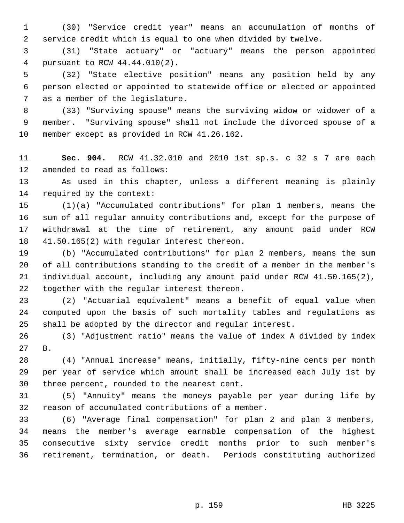1 (30) "Service credit year" means an accumulation of months of 2 service credit which is equal to one when divided by twelve.

 3 (31) "State actuary" or "actuary" means the person appointed 4 pursuant to RCW 44.44.010(2).

 5 (32) "State elective position" means any position held by any 6 person elected or appointed to statewide office or elected or appointed 7 as a member of the legislature.

 8 (33) "Surviving spouse" means the surviving widow or widower of a 9 member. "Surviving spouse" shall not include the divorced spouse of a 10 member except as provided in RCW 41.26.162.

11 **Sec. 904.** RCW 41.32.010 and 2010 1st sp.s. c 32 s 7 are each 12 amended to read as follows:

13 As used in this chapter, unless a different meaning is plainly 14 required by the context:

15 (1)(a) "Accumulated contributions" for plan 1 members, means the 16 sum of all regular annuity contributions and, except for the purpose of 17 withdrawal at the time of retirement, any amount paid under RCW 18 41.50.165(2) with regular interest thereon.

19 (b) "Accumulated contributions" for plan 2 members, means the sum 20 of all contributions standing to the credit of a member in the member's 21 individual account, including any amount paid under RCW 41.50.165(2), 22 together with the regular interest thereon.

23 (2) "Actuarial equivalent" means a benefit of equal value when 24 computed upon the basis of such mortality tables and regulations as 25 shall be adopted by the director and regular interest.

26 (3) "Adjustment ratio" means the value of index A divided by index 27 B.

28 (4) "Annual increase" means, initially, fifty-nine cents per month 29 per year of service which amount shall be increased each July 1st by 30 three percent, rounded to the nearest cent.

31 (5) "Annuity" means the moneys payable per year during life by 32 reason of accumulated contributions of a member.

33 (6) "Average final compensation" for plan 2 and plan 3 members, 34 means the member's average earnable compensation of the highest 35 consecutive sixty service credit months prior to such member's 36 retirement, termination, or death. Periods constituting authorized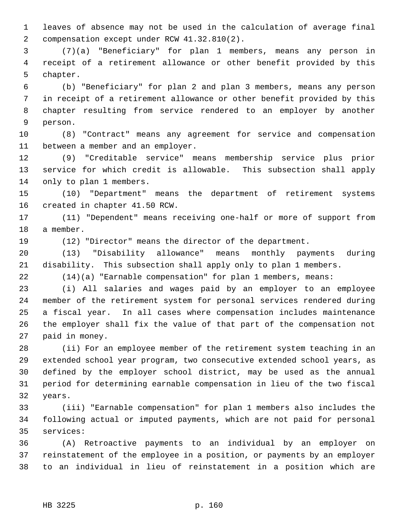1 leaves of absence may not be used in the calculation of average final 2 compensation except under RCW 41.32.810(2).

 3 (7)(a) "Beneficiary" for plan 1 members, means any person in 4 receipt of a retirement allowance or other benefit provided by this 5 chapter.

 6 (b) "Beneficiary" for plan 2 and plan 3 members, means any person 7 in receipt of a retirement allowance or other benefit provided by this 8 chapter resulting from service rendered to an employer by another 9 person.

10 (8) "Contract" means any agreement for service and compensation 11 between a member and an employer.

12 (9) "Creditable service" means membership service plus prior 13 service for which credit is allowable. This subsection shall apply 14 only to plan 1 members.

15 (10) "Department" means the department of retirement systems 16 created in chapter 41.50 RCW.

17 (11) "Dependent" means receiving one-half or more of support from 18 a member.

19 (12) "Director" means the director of the department.

20 (13) "Disability allowance" means monthly payments during 21 disability. This subsection shall apply only to plan 1 members.

22 (14)(a) "Earnable compensation" for plan 1 members, means:

23 (i) All salaries and wages paid by an employer to an employee 24 member of the retirement system for personal services rendered during 25 a fiscal year. In all cases where compensation includes maintenance 26 the employer shall fix the value of that part of the compensation not 27 paid in money.

28 (ii) For an employee member of the retirement system teaching in an 29 extended school year program, two consecutive extended school years, as 30 defined by the employer school district, may be used as the annual 31 period for determining earnable compensation in lieu of the two fiscal 32 years.

33 (iii) "Earnable compensation" for plan 1 members also includes the 34 following actual or imputed payments, which are not paid for personal 35 services:

36 (A) Retroactive payments to an individual by an employer on 37 reinstatement of the employee in a position, or payments by an employer 38 to an individual in lieu of reinstatement in a position which are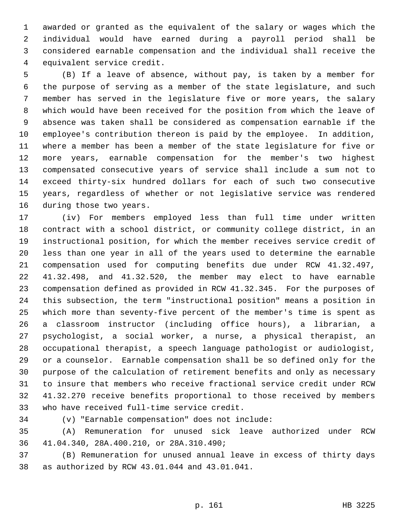1 awarded or granted as the equivalent of the salary or wages which the 2 individual would have earned during a payroll period shall be 3 considered earnable compensation and the individual shall receive the 4 equivalent service credit.

 5 (B) If a leave of absence, without pay, is taken by a member for 6 the purpose of serving as a member of the state legislature, and such 7 member has served in the legislature five or more years, the salary 8 which would have been received for the position from which the leave of 9 absence was taken shall be considered as compensation earnable if the 10 employee's contribution thereon is paid by the employee. In addition, 11 where a member has been a member of the state legislature for five or 12 more years, earnable compensation for the member's two highest 13 compensated consecutive years of service shall include a sum not to 14 exceed thirty-six hundred dollars for each of such two consecutive 15 years, regardless of whether or not legislative service was rendered 16 during those two years.

17 (iv) For members employed less than full time under written 18 contract with a school district, or community college district, in an 19 instructional position, for which the member receives service credit of 20 less than one year in all of the years used to determine the earnable 21 compensation used for computing benefits due under RCW 41.32.497, 22 41.32.498, and 41.32.520, the member may elect to have earnable 23 compensation defined as provided in RCW 41.32.345. For the purposes of 24 this subsection, the term "instructional position" means a position in 25 which more than seventy-five percent of the member's time is spent as 26 a classroom instructor (including office hours), a librarian, a 27 psychologist, a social worker, a nurse, a physical therapist, an 28 occupational therapist, a speech language pathologist or audiologist, 29 or a counselor. Earnable compensation shall be so defined only for the 30 purpose of the calculation of retirement benefits and only as necessary 31 to insure that members who receive fractional service credit under RCW 32 41.32.270 receive benefits proportional to those received by members 33 who have received full-time service credit.

34 (v) "Earnable compensation" does not include:

35 (A) Remuneration for unused sick leave authorized under RCW 36 41.04.340, 28A.400.210, or 28A.310.490;

37 (B) Remuneration for unused annual leave in excess of thirty days 38 as authorized by RCW 43.01.044 and 43.01.041.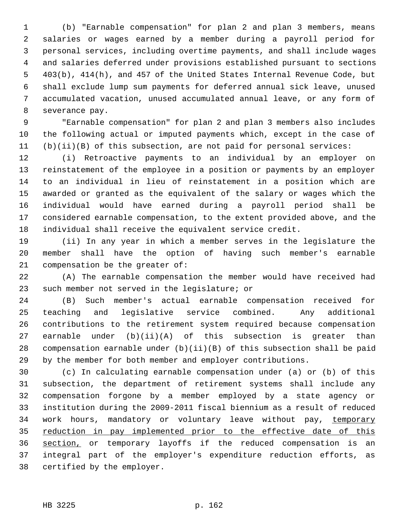1 (b) "Earnable compensation" for plan 2 and plan 3 members, means 2 salaries or wages earned by a member during a payroll period for 3 personal services, including overtime payments, and shall include wages 4 and salaries deferred under provisions established pursuant to sections 5 403(b), 414(h), and 457 of the United States Internal Revenue Code, but 6 shall exclude lump sum payments for deferred annual sick leave, unused 7 accumulated vacation, unused accumulated annual leave, or any form of 8 severance pay.

 9 "Earnable compensation" for plan 2 and plan 3 members also includes 10 the following actual or imputed payments which, except in the case of 11 (b)(ii)(B) of this subsection, are not paid for personal services:

12 (i) Retroactive payments to an individual by an employer on 13 reinstatement of the employee in a position or payments by an employer 14 to an individual in lieu of reinstatement in a position which are 15 awarded or granted as the equivalent of the salary or wages which the 16 individual would have earned during a payroll period shall be 17 considered earnable compensation, to the extent provided above, and the 18 individual shall receive the equivalent service credit.

19 (ii) In any year in which a member serves in the legislature the 20 member shall have the option of having such member's earnable 21 compensation be the greater of:

22 (A) The earnable compensation the member would have received had 23 such member not served in the legislature; or

24 (B) Such member's actual earnable compensation received for 25 teaching and legislative service combined. Any additional 26 contributions to the retirement system required because compensation 27 earnable under (b)(ii)(A) of this subsection is greater than 28 compensation earnable under (b)(ii)(B) of this subsection shall be paid 29 by the member for both member and employer contributions.

30 (c) In calculating earnable compensation under (a) or (b) of this 31 subsection, the department of retirement systems shall include any 32 compensation forgone by a member employed by a state agency or 33 institution during the 2009-2011 fiscal biennium as a result of reduced 34 work hours, mandatory or voluntary leave without pay, temporary 35 reduction in pay implemented prior to the effective date of this 36 section, or temporary layoffs if the reduced compensation is an 37 integral part of the employer's expenditure reduction efforts, as 38 certified by the employer.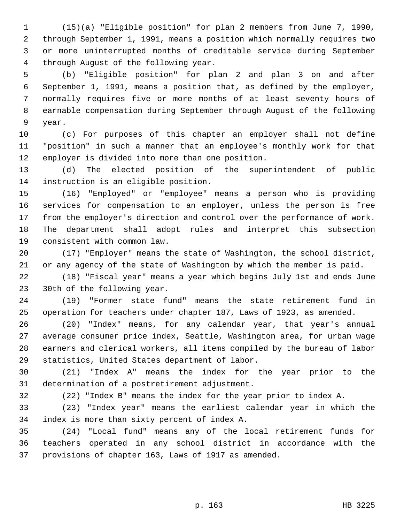1 (15)(a) "Eligible position" for plan 2 members from June 7, 1990, 2 through September 1, 1991, means a position which normally requires two 3 or more uninterrupted months of creditable service during September 4 through August of the following year.

 5 (b) "Eligible position" for plan 2 and plan 3 on and after 6 September 1, 1991, means a position that, as defined by the employer, 7 normally requires five or more months of at least seventy hours of 8 earnable compensation during September through August of the following 9 year.

10 (c) For purposes of this chapter an employer shall not define 11 "position" in such a manner that an employee's monthly work for that 12 employer is divided into more than one position.

13 (d) The elected position of the superintendent of public 14 instruction is an eligible position.

15 (16) "Employed" or "employee" means a person who is providing 16 services for compensation to an employer, unless the person is free 17 from the employer's direction and control over the performance of work. 18 The department shall adopt rules and interpret this subsection 19 consistent with common law.

20 (17) "Employer" means the state of Washington, the school district, 21 or any agency of the state of Washington by which the member is paid.

22 (18) "Fiscal year" means a year which begins July 1st and ends June 23 30th of the following year.

24 (19) "Former state fund" means the state retirement fund in 25 operation for teachers under chapter 187, Laws of 1923, as amended.

26 (20) "Index" means, for any calendar year, that year's annual 27 average consumer price index, Seattle, Washington area, for urban wage 28 earners and clerical workers, all items compiled by the bureau of labor 29 statistics, United States department of labor.

30 (21) "Index A" means the index for the year prior to the 31 determination of a postretirement adjustment.

32 (22) "Index B" means the index for the year prior to index A.

33 (23) "Index year" means the earliest calendar year in which the 34 index is more than sixty percent of index A.

35 (24) "Local fund" means any of the local retirement funds for 36 teachers operated in any school district in accordance with the 37 provisions of chapter 163, Laws of 1917 as amended.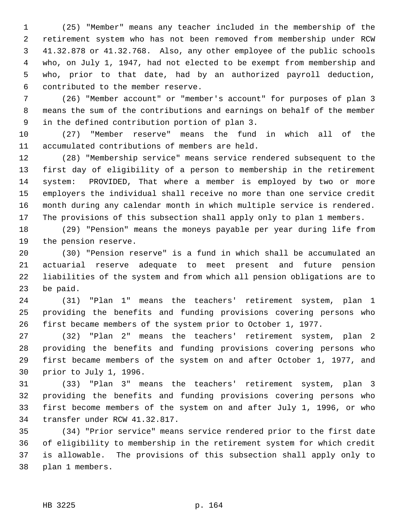1 (25) "Member" means any teacher included in the membership of the 2 retirement system who has not been removed from membership under RCW 3 41.32.878 or 41.32.768. Also, any other employee of the public schools 4 who, on July 1, 1947, had not elected to be exempt from membership and 5 who, prior to that date, had by an authorized payroll deduction, 6 contributed to the member reserve.

 7 (26) "Member account" or "member's account" for purposes of plan 3 8 means the sum of the contributions and earnings on behalf of the member 9 in the defined contribution portion of plan 3.

10 (27) "Member reserve" means the fund in which all of the 11 accumulated contributions of members are held.

12 (28) "Membership service" means service rendered subsequent to the 13 first day of eligibility of a person to membership in the retirement 14 system: PROVIDED, That where a member is employed by two or more 15 employers the individual shall receive no more than one service credit 16 month during any calendar month in which multiple service is rendered. 17 The provisions of this subsection shall apply only to plan 1 members.

18 (29) "Pension" means the moneys payable per year during life from 19 the pension reserve.

20 (30) "Pension reserve" is a fund in which shall be accumulated an 21 actuarial reserve adequate to meet present and future pension 22 liabilities of the system and from which all pension obligations are to 23 be paid.

24 (31) "Plan 1" means the teachers' retirement system, plan 1 25 providing the benefits and funding provisions covering persons who 26 first became members of the system prior to October 1, 1977.

27 (32) "Plan 2" means the teachers' retirement system, plan 2 28 providing the benefits and funding provisions covering persons who 29 first became members of the system on and after October 1, 1977, and 30 prior to July 1, 1996.

31 (33) "Plan 3" means the teachers' retirement system, plan 3 32 providing the benefits and funding provisions covering persons who 33 first become members of the system on and after July 1, 1996, or who 34 transfer under RCW 41.32.817.

35 (34) "Prior service" means service rendered prior to the first date 36 of eligibility to membership in the retirement system for which credit 37 is allowable. The provisions of this subsection shall apply only to 38 plan 1 members.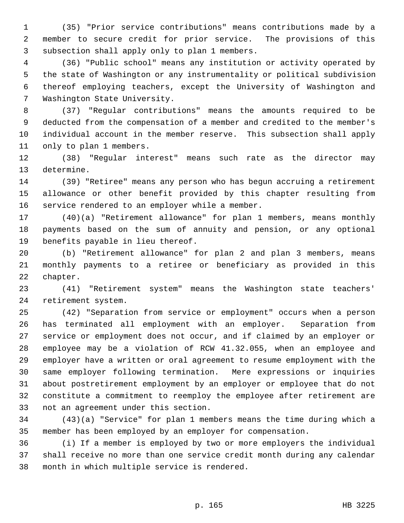1 (35) "Prior service contributions" means contributions made by a 2 member to secure credit for prior service. The provisions of this 3 subsection shall apply only to plan 1 members.

 4 (36) "Public school" means any institution or activity operated by 5 the state of Washington or any instrumentality or political subdivision 6 thereof employing teachers, except the University of Washington and 7 Washington State University.

 8 (37) "Regular contributions" means the amounts required to be 9 deducted from the compensation of a member and credited to the member's 10 individual account in the member reserve. This subsection shall apply 11 only to plan 1 members.

12 (38) "Regular interest" means such rate as the director may 13 determine.

14 (39) "Retiree" means any person who has begun accruing a retirement 15 allowance or other benefit provided by this chapter resulting from 16 service rendered to an employer while a member.

17 (40)(a) "Retirement allowance" for plan 1 members, means monthly 18 payments based on the sum of annuity and pension, or any optional 19 benefits payable in lieu thereof.

20 (b) "Retirement allowance" for plan 2 and plan 3 members, means 21 monthly payments to a retiree or beneficiary as provided in this 22 chapter.

23 (41) "Retirement system" means the Washington state teachers' 24 retirement system.

25 (42) "Separation from service or employment" occurs when a person 26 has terminated all employment with an employer. Separation from 27 service or employment does not occur, and if claimed by an employer or 28 employee may be a violation of RCW 41.32.055, when an employee and 29 employer have a written or oral agreement to resume employment with the 30 same employer following termination. Mere expressions or inquiries 31 about postretirement employment by an employer or employee that do not 32 constitute a commitment to reemploy the employee after retirement are 33 not an agreement under this section.

34 (43)(a) "Service" for plan 1 members means the time during which a 35 member has been employed by an employer for compensation.

36 (i) If a member is employed by two or more employers the individual 37 shall receive no more than one service credit month during any calendar 38 month in which multiple service is rendered.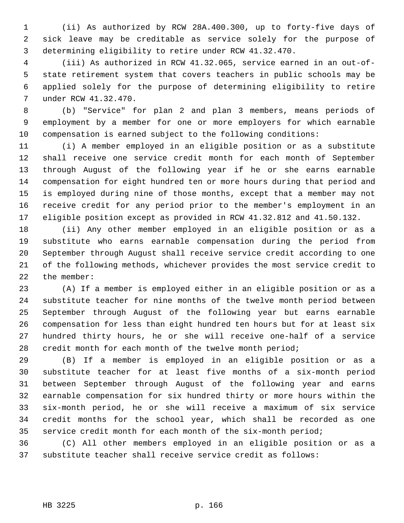1 (ii) As authorized by RCW 28A.400.300, up to forty-five days of 2 sick leave may be creditable as service solely for the purpose of 3 determining eligibility to retire under RCW 41.32.470.

 4 (iii) As authorized in RCW 41.32.065, service earned in an out-of- 5 state retirement system that covers teachers in public schools may be 6 applied solely for the purpose of determining eligibility to retire 7 under RCW 41.32.470.

 8 (b) "Service" for plan 2 and plan 3 members, means periods of 9 employment by a member for one or more employers for which earnable 10 compensation is earned subject to the following conditions:

11 (i) A member employed in an eligible position or as a substitute 12 shall receive one service credit month for each month of September 13 through August of the following year if he or she earns earnable 14 compensation for eight hundred ten or more hours during that period and 15 is employed during nine of those months, except that a member may not 16 receive credit for any period prior to the member's employment in an 17 eligible position except as provided in RCW 41.32.812 and 41.50.132.

18 (ii) Any other member employed in an eligible position or as a 19 substitute who earns earnable compensation during the period from 20 September through August shall receive service credit according to one 21 of the following methods, whichever provides the most service credit to 22 the member:

23 (A) If a member is employed either in an eligible position or as a 24 substitute teacher for nine months of the twelve month period between 25 September through August of the following year but earns earnable 26 compensation for less than eight hundred ten hours but for at least six 27 hundred thirty hours, he or she will receive one-half of a service 28 credit month for each month of the twelve month period;

29 (B) If a member is employed in an eligible position or as a 30 substitute teacher for at least five months of a six-month period 31 between September through August of the following year and earns 32 earnable compensation for six hundred thirty or more hours within the 33 six-month period, he or she will receive a maximum of six service 34 credit months for the school year, which shall be recorded as one 35 service credit month for each month of the six-month period;

36 (C) All other members employed in an eligible position or as a 37 substitute teacher shall receive service credit as follows: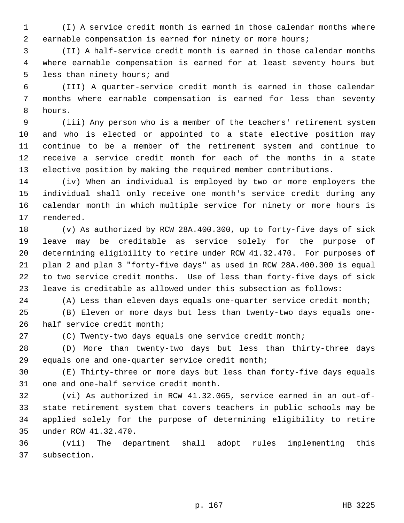1 (I) A service credit month is earned in those calendar months where 2 earnable compensation is earned for ninety or more hours;

 3 (II) A half-service credit month is earned in those calendar months 4 where earnable compensation is earned for at least seventy hours but 5 less than ninety hours; and

 6 (III) A quarter-service credit month is earned in those calendar 7 months where earnable compensation is earned for less than seventy 8 hours.

 9 (iii) Any person who is a member of the teachers' retirement system 10 and who is elected or appointed to a state elective position may 11 continue to be a member of the retirement system and continue to 12 receive a service credit month for each of the months in a state 13 elective position by making the required member contributions.

14 (iv) When an individual is employed by two or more employers the 15 individual shall only receive one month's service credit during any 16 calendar month in which multiple service for ninety or more hours is 17 rendered.

18 (v) As authorized by RCW 28A.400.300, up to forty-five days of sick 19 leave may be creditable as service solely for the purpose of 20 determining eligibility to retire under RCW 41.32.470. For purposes of 21 plan 2 and plan 3 "forty-five days" as used in RCW 28A.400.300 is equal 22 to two service credit months. Use of less than forty-five days of sick 23 leave is creditable as allowed under this subsection as follows:

24 (A) Less than eleven days equals one-quarter service credit month;

25 (B) Eleven or more days but less than twenty-two days equals one-26 half service credit month;

27 (C) Twenty-two days equals one service credit month;

28 (D) More than twenty-two days but less than thirty-three days 29 equals one and one-quarter service credit month;

30 (E) Thirty-three or more days but less than forty-five days equals 31 one and one-half service credit month.

32 (vi) As authorized in RCW 41.32.065, service earned in an out-of-33 state retirement system that covers teachers in public schools may be 34 applied solely for the purpose of determining eligibility to retire 35 under RCW 41.32.470.

36 (vii) The department shall adopt rules implementing this 37 subsection.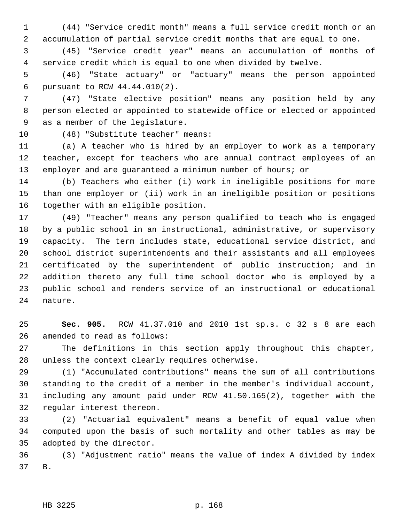1 (44) "Service credit month" means a full service credit month or an 2 accumulation of partial service credit months that are equal to one.

 3 (45) "Service credit year" means an accumulation of months of 4 service credit which is equal to one when divided by twelve.

 5 (46) "State actuary" or "actuary" means the person appointed 6 pursuant to RCW 44.44.010(2).

 7 (47) "State elective position" means any position held by any 8 person elected or appointed to statewide office or elected or appointed 9 as a member of the legislature.

10 (48) "Substitute teacher" means:

11 (a) A teacher who is hired by an employer to work as a temporary 12 teacher, except for teachers who are annual contract employees of an 13 employer and are guaranteed a minimum number of hours; or

14 (b) Teachers who either (i) work in ineligible positions for more 15 than one employer or (ii) work in an ineligible position or positions 16 together with an eligible position.

17 (49) "Teacher" means any person qualified to teach who is engaged 18 by a public school in an instructional, administrative, or supervisory 19 capacity. The term includes state, educational service district, and 20 school district superintendents and their assistants and all employees 21 certificated by the superintendent of public instruction; and in 22 addition thereto any full time school doctor who is employed by a 23 public school and renders service of an instructional or educational 24 nature.

25 **Sec. 905.** RCW 41.37.010 and 2010 1st sp.s. c 32 s 8 are each 26 amended to read as follows:

27 The definitions in this section apply throughout this chapter, 28 unless the context clearly requires otherwise.

29 (1) "Accumulated contributions" means the sum of all contributions 30 standing to the credit of a member in the member's individual account, 31 including any amount paid under RCW 41.50.165(2), together with the 32 regular interest thereon.

33 (2) "Actuarial equivalent" means a benefit of equal value when 34 computed upon the basis of such mortality and other tables as may be 35 adopted by the director.

36 (3) "Adjustment ratio" means the value of index A divided by index 37 B.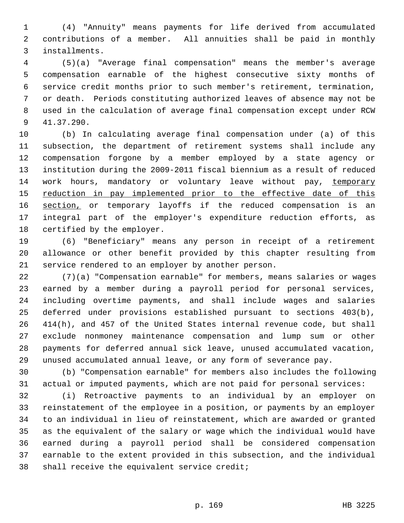1 (4) "Annuity" means payments for life derived from accumulated 2 contributions of a member. All annuities shall be paid in monthly 3 installments.

 4 (5)(a) "Average final compensation" means the member's average 5 compensation earnable of the highest consecutive sixty months of 6 service credit months prior to such member's retirement, termination, 7 or death. Periods constituting authorized leaves of absence may not be 8 used in the calculation of average final compensation except under RCW 9 41.37.290.

10 (b) In calculating average final compensation under (a) of this 11 subsection, the department of retirement systems shall include any 12 compensation forgone by a member employed by a state agency or 13 institution during the 2009-2011 fiscal biennium as a result of reduced 14 work hours, mandatory or voluntary leave without pay, temporary 15 reduction in pay implemented prior to the effective date of this 16 section, or temporary layoffs if the reduced compensation is an 17 integral part of the employer's expenditure reduction efforts, as 18 certified by the employer.

19 (6) "Beneficiary" means any person in receipt of a retirement 20 allowance or other benefit provided by this chapter resulting from 21 service rendered to an employer by another person.

22 (7)(a) "Compensation earnable" for members, means salaries or wages 23 earned by a member during a payroll period for personal services, 24 including overtime payments, and shall include wages and salaries 25 deferred under provisions established pursuant to sections 403(b), 26 414(h), and 457 of the United States internal revenue code, but shall 27 exclude nonmoney maintenance compensation and lump sum or other 28 payments for deferred annual sick leave, unused accumulated vacation, 29 unused accumulated annual leave, or any form of severance pay.

30 (b) "Compensation earnable" for members also includes the following 31 actual or imputed payments, which are not paid for personal services:

32 (i) Retroactive payments to an individual by an employer on 33 reinstatement of the employee in a position, or payments by an employer 34 to an individual in lieu of reinstatement, which are awarded or granted 35 as the equivalent of the salary or wage which the individual would have 36 earned during a payroll period shall be considered compensation 37 earnable to the extent provided in this subsection, and the individual 38 shall receive the equivalent service credit;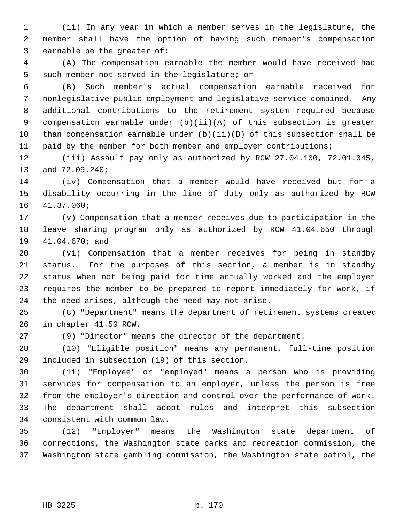1 (ii) In any year in which a member serves in the legislature, the 2 member shall have the option of having such member's compensation 3 earnable be the greater of:

 4 (A) The compensation earnable the member would have received had 5 such member not served in the legislature; or

 6 (B) Such member's actual compensation earnable received for 7 nonlegislative public employment and legislative service combined. Any 8 additional contributions to the retirement system required because 9 compensation earnable under (b)(ii)(A) of this subsection is greater 10 than compensation earnable under (b)(ii)(B) of this subsection shall be 11 paid by the member for both member and employer contributions;

12 (iii) Assault pay only as authorized by RCW 27.04.100, 72.01.045, 13 and 72.09.240;

14 (iv) Compensation that a member would have received but for a 15 disability occurring in the line of duty only as authorized by RCW 16 41.37.060;

17 (v) Compensation that a member receives due to participation in the 18 leave sharing program only as authorized by RCW 41.04.650 through 19 41.04.670; and

20 (vi) Compensation that a member receives for being in standby 21 status. For the purposes of this section, a member is in standby 22 status when not being paid for time actually worked and the employer 23 requires the member to be prepared to report immediately for work, if 24 the need arises, although the need may not arise.

25 (8) "Department" means the department of retirement systems created 26 in chapter 41.50 RCW.

27 (9) "Director" means the director of the department.

28 (10) "Eligible position" means any permanent, full-time position 29 included in subsection (19) of this section.

30 (11) "Employee" or "employed" means a person who is providing 31 services for compensation to an employer, unless the person is free 32 from the employer's direction and control over the performance of work. 33 The department shall adopt rules and interpret this subsection 34 consistent with common law.

35 (12) "Employer" means the Washington state department of 36 corrections, the Washington state parks and recreation commission, the 37 Washington state gambling commission, the Washington state patrol, the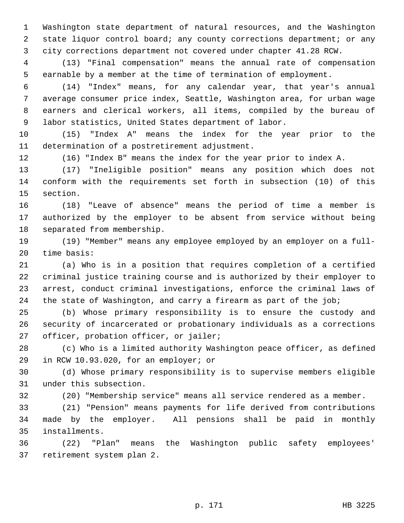1 Washington state department of natural resources, and the Washington 2 state liquor control board; any county corrections department; or any 3 city corrections department not covered under chapter 41.28 RCW.

 4 (13) "Final compensation" means the annual rate of compensation 5 earnable by a member at the time of termination of employment.

 6 (14) "Index" means, for any calendar year, that year's annual 7 average consumer price index, Seattle, Washington area, for urban wage 8 earners and clerical workers, all items, compiled by the bureau of 9 labor statistics, United States department of labor.

10 (15) "Index A" means the index for the year prior to the 11 determination of a postretirement adjustment.

12 (16) "Index B" means the index for the year prior to index A.

13 (17) "Ineligible position" means any position which does not 14 conform with the requirements set forth in subsection (10) of this 15 section.

16 (18) "Leave of absence" means the period of time a member is 17 authorized by the employer to be absent from service without being 18 separated from membership.

19 (19) "Member" means any employee employed by an employer on a full-20 time basis:

21 (a) Who is in a position that requires completion of a certified 22 criminal justice training course and is authorized by their employer to 23 arrest, conduct criminal investigations, enforce the criminal laws of 24 the state of Washington, and carry a firearm as part of the job;

25 (b) Whose primary responsibility is to ensure the custody and 26 security of incarcerated or probationary individuals as a corrections 27 officer, probation officer, or jailer;

28 (c) Who is a limited authority Washington peace officer, as defined 29 in RCW 10.93.020, for an employer; or

30 (d) Whose primary responsibility is to supervise members eligible 31 under this subsection.

32 (20) "Membership service" means all service rendered as a member.

33 (21) "Pension" means payments for life derived from contributions 34 made by the employer. All pensions shall be paid in monthly 35 installments.

36 (22) "Plan" means the Washington public safety employees' 37 retirement system plan 2.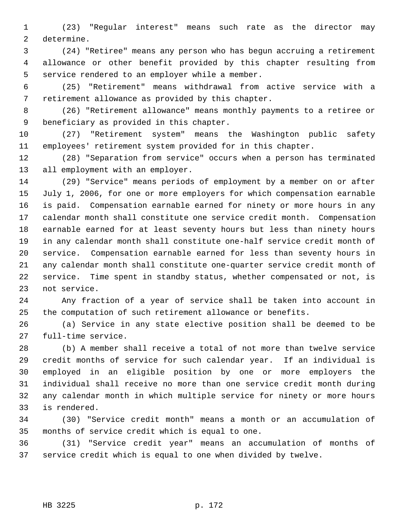1 (23) "Regular interest" means such rate as the director may 2 determine.

 3 (24) "Retiree" means any person who has begun accruing a retirement 4 allowance or other benefit provided by this chapter resulting from 5 service rendered to an employer while a member.

 6 (25) "Retirement" means withdrawal from active service with a 7 retirement allowance as provided by this chapter.

 8 (26) "Retirement allowance" means monthly payments to a retiree or 9 beneficiary as provided in this chapter.

10 (27) "Retirement system" means the Washington public safety 11 employees' retirement system provided for in this chapter.

12 (28) "Separation from service" occurs when a person has terminated 13 all employment with an employer.

14 (29) "Service" means periods of employment by a member on or after 15 July 1, 2006, for one or more employers for which compensation earnable 16 is paid. Compensation earnable earned for ninety or more hours in any 17 calendar month shall constitute one service credit month. Compensation 18 earnable earned for at least seventy hours but less than ninety hours 19 in any calendar month shall constitute one-half service credit month of 20 service. Compensation earnable earned for less than seventy hours in 21 any calendar month shall constitute one-quarter service credit month of 22 service. Time spent in standby status, whether compensated or not, is 23 not service.

24 Any fraction of a year of service shall be taken into account in 25 the computation of such retirement allowance or benefits.

26 (a) Service in any state elective position shall be deemed to be 27 full-time service.

28 (b) A member shall receive a total of not more than twelve service 29 credit months of service for such calendar year. If an individual is 30 employed in an eligible position by one or more employers the 31 individual shall receive no more than one service credit month during 32 any calendar month in which multiple service for ninety or more hours 33 is rendered.

34 (30) "Service credit month" means a month or an accumulation of 35 months of service credit which is equal to one.

36 (31) "Service credit year" means an accumulation of months of 37 service credit which is equal to one when divided by twelve.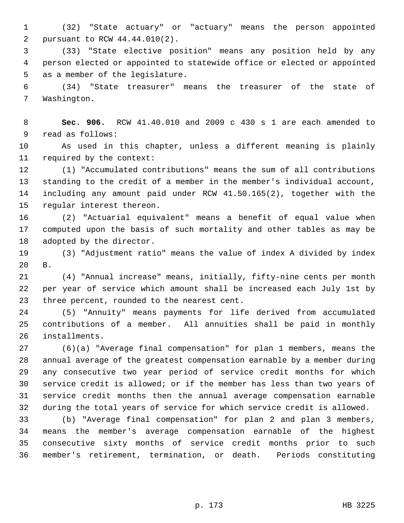1 (32) "State actuary" or "actuary" means the person appointed 2 pursuant to RCW 44.44.010(2).

 3 (33) "State elective position" means any position held by any 4 person elected or appointed to statewide office or elected or appointed 5 as a member of the legislature.

 6 (34) "State treasurer" means the treasurer of the state of 7 Washington.

 8 **Sec. 906.** RCW 41.40.010 and 2009 c 430 s 1 are each amended to 9 read as follows:

10 As used in this chapter, unless a different meaning is plainly 11 required by the context:

12 (1) "Accumulated contributions" means the sum of all contributions 13 standing to the credit of a member in the member's individual account, 14 including any amount paid under RCW 41.50.165(2), together with the 15 regular interest thereon.

16 (2) "Actuarial equivalent" means a benefit of equal value when 17 computed upon the basis of such mortality and other tables as may be 18 adopted by the director.

19 (3) "Adjustment ratio" means the value of index A divided by index 20 B.

21 (4) "Annual increase" means, initially, fifty-nine cents per month 22 per year of service which amount shall be increased each July 1st by 23 three percent, rounded to the nearest cent.

24 (5) "Annuity" means payments for life derived from accumulated 25 contributions of a member. All annuities shall be paid in monthly 26 installments.

27 (6)(a) "Average final compensation" for plan 1 members, means the 28 annual average of the greatest compensation earnable by a member during 29 any consecutive two year period of service credit months for which 30 service credit is allowed; or if the member has less than two years of 31 service credit months then the annual average compensation earnable 32 during the total years of service for which service credit is allowed.

33 (b) "Average final compensation" for plan 2 and plan 3 members, 34 means the member's average compensation earnable of the highest 35 consecutive sixty months of service credit months prior to such 36 member's retirement, termination, or death. Periods constituting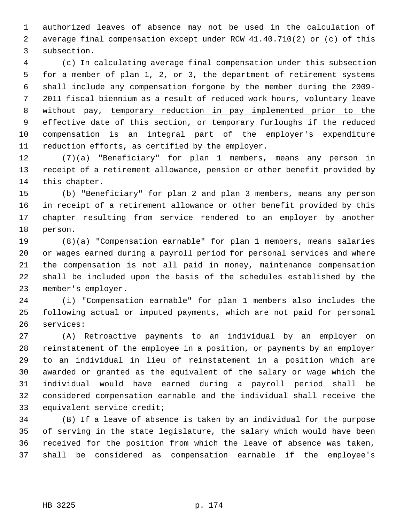1 authorized leaves of absence may not be used in the calculation of 2 average final compensation except under RCW 41.40.710(2) or (c) of this 3 subsection.

 4 (c) In calculating average final compensation under this subsection 5 for a member of plan 1, 2, or 3, the department of retirement systems 6 shall include any compensation forgone by the member during the 2009- 7 2011 fiscal biennium as a result of reduced work hours, voluntary leave 8 without pay, temporary reduction in pay implemented prior to the 9 effective date of this section, or temporary furloughs if the reduced 10 compensation is an integral part of the employer's expenditure 11 reduction efforts, as certified by the employer.

12 (7)(a) "Beneficiary" for plan 1 members, means any person in 13 receipt of a retirement allowance, pension or other benefit provided by 14 this chapter.

15 (b) "Beneficiary" for plan 2 and plan 3 members, means any person 16 in receipt of a retirement allowance or other benefit provided by this 17 chapter resulting from service rendered to an employer by another 18 person.

19 (8)(a) "Compensation earnable" for plan 1 members, means salaries 20 or wages earned during a payroll period for personal services and where 21 the compensation is not all paid in money, maintenance compensation 22 shall be included upon the basis of the schedules established by the 23 member's employer.

24 (i) "Compensation earnable" for plan 1 members also includes the 25 following actual or imputed payments, which are not paid for personal 26 services:

27 (A) Retroactive payments to an individual by an employer on 28 reinstatement of the employee in a position, or payments by an employer 29 to an individual in lieu of reinstatement in a position which are 30 awarded or granted as the equivalent of the salary or wage which the 31 individual would have earned during a payroll period shall be 32 considered compensation earnable and the individual shall receive the 33 equivalent service credit;

34 (B) If a leave of absence is taken by an individual for the purpose 35 of serving in the state legislature, the salary which would have been 36 received for the position from which the leave of absence was taken, 37 shall be considered as compensation earnable if the employee's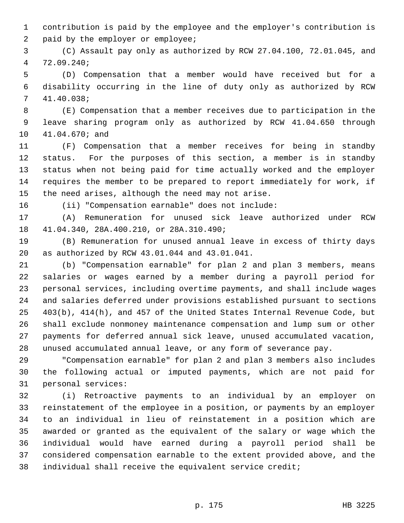1 contribution is paid by the employee and the employer's contribution is 2 paid by the employer or employee;

 3 (C) Assault pay only as authorized by RCW 27.04.100, 72.01.045, and 4 72.09.240;

 5 (D) Compensation that a member would have received but for a 6 disability occurring in the line of duty only as authorized by RCW 7 41.40.038;

 8 (E) Compensation that a member receives due to participation in the 9 leave sharing program only as authorized by RCW 41.04.650 through 10 41.04.670; and

11 (F) Compensation that a member receives for being in standby 12 status. For the purposes of this section, a member is in standby 13 status when not being paid for time actually worked and the employer 14 requires the member to be prepared to report immediately for work, if 15 the need arises, although the need may not arise.

16 (ii) "Compensation earnable" does not include:

17 (A) Remuneration for unused sick leave authorized under RCW 18 41.04.340, 28A.400.210, or 28A.310.490;

19 (B) Remuneration for unused annual leave in excess of thirty days 20 as authorized by RCW 43.01.044 and 43.01.041.

21 (b) "Compensation earnable" for plan 2 and plan 3 members, means 22 salaries or wages earned by a member during a payroll period for 23 personal services, including overtime payments, and shall include wages 24 and salaries deferred under provisions established pursuant to sections 25 403(b), 414(h), and 457 of the United States Internal Revenue Code, but 26 shall exclude nonmoney maintenance compensation and lump sum or other 27 payments for deferred annual sick leave, unused accumulated vacation, 28 unused accumulated annual leave, or any form of severance pay.

29 "Compensation earnable" for plan 2 and plan 3 members also includes 30 the following actual or imputed payments, which are not paid for 31 personal services:

32 (i) Retroactive payments to an individual by an employer on 33 reinstatement of the employee in a position, or payments by an employer 34 to an individual in lieu of reinstatement in a position which are 35 awarded or granted as the equivalent of the salary or wage which the 36 individual would have earned during a payroll period shall be 37 considered compensation earnable to the extent provided above, and the 38 individual shall receive the equivalent service credit;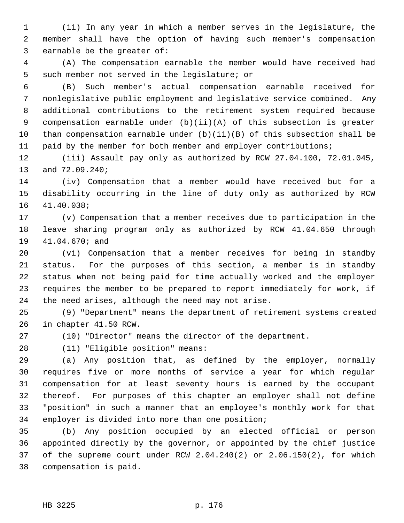1 (ii) In any year in which a member serves in the legislature, the 2 member shall have the option of having such member's compensation 3 earnable be the greater of:

 4 (A) The compensation earnable the member would have received had 5 such member not served in the legislature; or

 6 (B) Such member's actual compensation earnable received for 7 nonlegislative public employment and legislative service combined. Any 8 additional contributions to the retirement system required because 9 compensation earnable under (b)(ii)(A) of this subsection is greater 10 than compensation earnable under (b)(ii)(B) of this subsection shall be 11 paid by the member for both member and employer contributions;

12 (iii) Assault pay only as authorized by RCW 27.04.100, 72.01.045, 13 and 72.09.240;

14 (iv) Compensation that a member would have received but for a 15 disability occurring in the line of duty only as authorized by RCW 16 41.40.038;

17 (v) Compensation that a member receives due to participation in the 18 leave sharing program only as authorized by RCW 41.04.650 through 19 41.04.670; and

20 (vi) Compensation that a member receives for being in standby 21 status. For the purposes of this section, a member is in standby 22 status when not being paid for time actually worked and the employer 23 requires the member to be prepared to report immediately for work, if 24 the need arises, although the need may not arise.

25 (9) "Department" means the department of retirement systems created 26 in chapter 41.50 RCW.

27 (10) "Director" means the director of the department.

28 (11) "Eligible position" means:

29 (a) Any position that, as defined by the employer, normally 30 requires five or more months of service a year for which regular 31 compensation for at least seventy hours is earned by the occupant 32 thereof. For purposes of this chapter an employer shall not define 33 "position" in such a manner that an employee's monthly work for that 34 employer is divided into more than one position;

35 (b) Any position occupied by an elected official or person 36 appointed directly by the governor, or appointed by the chief justice 37 of the supreme court under RCW 2.04.240(2) or 2.06.150(2), for which 38 compensation is paid.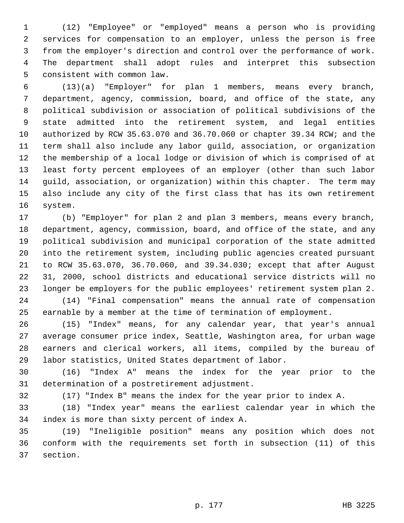1 (12) "Employee" or "employed" means a person who is providing 2 services for compensation to an employer, unless the person is free 3 from the employer's direction and control over the performance of work. 4 The department shall adopt rules and interpret this subsection 5 consistent with common law.

 6 (13)(a) "Employer" for plan 1 members, means every branch, 7 department, agency, commission, board, and office of the state, any 8 political subdivision or association of political subdivisions of the 9 state admitted into the retirement system, and legal entities 10 authorized by RCW 35.63.070 and 36.70.060 or chapter 39.34 RCW; and the 11 term shall also include any labor guild, association, or organization 12 the membership of a local lodge or division of which is comprised of at 13 least forty percent employees of an employer (other than such labor 14 guild, association, or organization) within this chapter. The term may 15 also include any city of the first class that has its own retirement 16 system.

17 (b) "Employer" for plan 2 and plan 3 members, means every branch, 18 department, agency, commission, board, and office of the state, and any 19 political subdivision and municipal corporation of the state admitted 20 into the retirement system, including public agencies created pursuant 21 to RCW 35.63.070, 36.70.060, and 39.34.030; except that after August 22 31, 2000, school districts and educational service districts will no 23 longer be employers for the public employees' retirement system plan 2. 24 (14) "Final compensation" means the annual rate of compensation

25 earnable by a member at the time of termination of employment.

26 (15) "Index" means, for any calendar year, that year's annual 27 average consumer price index, Seattle, Washington area, for urban wage 28 earners and clerical workers, all items, compiled by the bureau of 29 labor statistics, United States department of labor.

30 (16) "Index A" means the index for the year prior to the 31 determination of a postretirement adjustment.

32 (17) "Index B" means the index for the year prior to index A.

33 (18) "Index year" means the earliest calendar year in which the 34 index is more than sixty percent of index A.

35 (19) "Ineligible position" means any position which does not 36 conform with the requirements set forth in subsection (11) of this 37 section.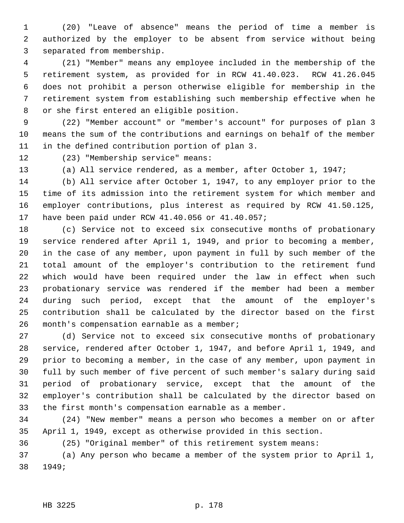1 (20) "Leave of absence" means the period of time a member is 2 authorized by the employer to be absent from service without being 3 separated from membership.

 4 (21) "Member" means any employee included in the membership of the 5 retirement system, as provided for in RCW 41.40.023. RCW 41.26.045 6 does not prohibit a person otherwise eligible for membership in the 7 retirement system from establishing such membership effective when he 8 or she first entered an eligible position.

 9 (22) "Member account" or "member's account" for purposes of plan 3 10 means the sum of the contributions and earnings on behalf of the member 11 in the defined contribution portion of plan 3.

12 (23) "Membership service" means:

13 (a) All service rendered, as a member, after October 1, 1947;

14 (b) All service after October 1, 1947, to any employer prior to the 15 time of its admission into the retirement system for which member and 16 employer contributions, plus interest as required by RCW 41.50.125, 17 have been paid under RCW 41.40.056 or 41.40.057;

18 (c) Service not to exceed six consecutive months of probationary 19 service rendered after April 1, 1949, and prior to becoming a member, 20 in the case of any member, upon payment in full by such member of the 21 total amount of the employer's contribution to the retirement fund 22 which would have been required under the law in effect when such 23 probationary service was rendered if the member had been a member 24 during such period, except that the amount of the employer's 25 contribution shall be calculated by the director based on the first 26 month's compensation earnable as a member;

27 (d) Service not to exceed six consecutive months of probationary 28 service, rendered after October 1, 1947, and before April 1, 1949, and 29 prior to becoming a member, in the case of any member, upon payment in 30 full by such member of five percent of such member's salary during said 31 period of probationary service, except that the amount of the 32 employer's contribution shall be calculated by the director based on 33 the first month's compensation earnable as a member.

34 (24) "New member" means a person who becomes a member on or after 35 April 1, 1949, except as otherwise provided in this section.

36 (25) "Original member" of this retirement system means:

37 (a) Any person who became a member of the system prior to April 1, 38 1949;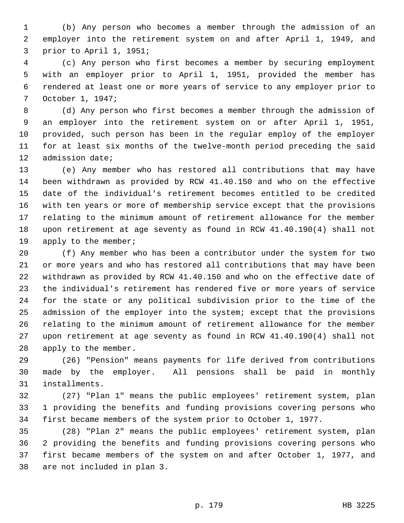1 (b) Any person who becomes a member through the admission of an 2 employer into the retirement system on and after April 1, 1949, and 3 prior to April 1, 1951;

 4 (c) Any person who first becomes a member by securing employment 5 with an employer prior to April 1, 1951, provided the member has 6 rendered at least one or more years of service to any employer prior to 7 October 1, 1947;

 8 (d) Any person who first becomes a member through the admission of 9 an employer into the retirement system on or after April 1, 1951, 10 provided, such person has been in the regular employ of the employer 11 for at least six months of the twelve-month period preceding the said 12 admission date;

13 (e) Any member who has restored all contributions that may have 14 been withdrawn as provided by RCW 41.40.150 and who on the effective 15 date of the individual's retirement becomes entitled to be credited 16 with ten years or more of membership service except that the provisions 17 relating to the minimum amount of retirement allowance for the member 18 upon retirement at age seventy as found in RCW 41.40.190(4) shall not 19 apply to the member;

20 (f) Any member who has been a contributor under the system for two 21 or more years and who has restored all contributions that may have been 22 withdrawn as provided by RCW 41.40.150 and who on the effective date of 23 the individual's retirement has rendered five or more years of service 24 for the state or any political subdivision prior to the time of the 25 admission of the employer into the system; except that the provisions 26 relating to the minimum amount of retirement allowance for the member 27 upon retirement at age seventy as found in RCW 41.40.190(4) shall not 28 apply to the member.

29 (26) "Pension" means payments for life derived from contributions 30 made by the employer. All pensions shall be paid in monthly 31 installments.

32 (27) "Plan 1" means the public employees' retirement system, plan 33 1 providing the benefits and funding provisions covering persons who 34 first became members of the system prior to October 1, 1977.

35 (28) "Plan 2" means the public employees' retirement system, plan 36 2 providing the benefits and funding provisions covering persons who 37 first became members of the system on and after October 1, 1977, and 38 are not included in plan 3.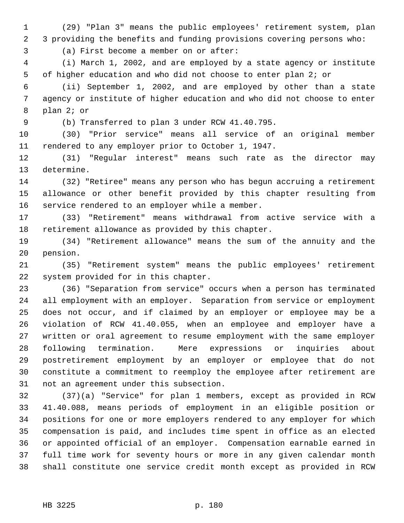1 (29) "Plan 3" means the public employees' retirement system, plan 2 3 providing the benefits and funding provisions covering persons who:

3 (a) First become a member on or after:

 4 (i) March 1, 2002, and are employed by a state agency or institute 5 of higher education and who did not choose to enter plan 2; or

 6 (ii) September 1, 2002, and are employed by other than a state 7 agency or institute of higher education and who did not choose to enter 8 plan 2; or

9 (b) Transferred to plan 3 under RCW 41.40.795.

10 (30) "Prior service" means all service of an original member 11 rendered to any employer prior to October 1, 1947.

12 (31) "Regular interest" means such rate as the director may 13 determine.

14 (32) "Retiree" means any person who has begun accruing a retirement 15 allowance or other benefit provided by this chapter resulting from 16 service rendered to an employer while a member.

17 (33) "Retirement" means withdrawal from active service with a 18 retirement allowance as provided by this chapter.

19 (34) "Retirement allowance" means the sum of the annuity and the 20 pension.

21 (35) "Retirement system" means the public employees' retirement 22 system provided for in this chapter.

23 (36) "Separation from service" occurs when a person has terminated 24 all employment with an employer. Separation from service or employment 25 does not occur, and if claimed by an employer or employee may be a 26 violation of RCW 41.40.055, when an employee and employer have a 27 written or oral agreement to resume employment with the same employer 28 following termination. Mere expressions or inquiries about 29 postretirement employment by an employer or employee that do not 30 constitute a commitment to reemploy the employee after retirement are 31 not an agreement under this subsection.

32 (37)(a) "Service" for plan 1 members, except as provided in RCW 33 41.40.088, means periods of employment in an eligible position or 34 positions for one or more employers rendered to any employer for which 35 compensation is paid, and includes time spent in office as an elected 36 or appointed official of an employer. Compensation earnable earned in 37 full time work for seventy hours or more in any given calendar month 38 shall constitute one service credit month except as provided in RCW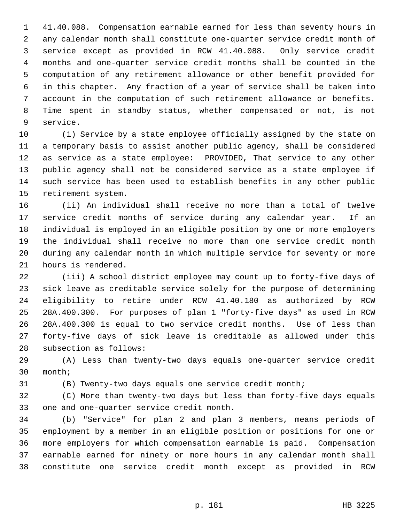1 41.40.088. Compensation earnable earned for less than seventy hours in 2 any calendar month shall constitute one-quarter service credit month of 3 service except as provided in RCW 41.40.088. Only service credit 4 months and one-quarter service credit months shall be counted in the 5 computation of any retirement allowance or other benefit provided for 6 in this chapter. Any fraction of a year of service shall be taken into 7 account in the computation of such retirement allowance or benefits. 8 Time spent in standby status, whether compensated or not, is not 9 service.

10 (i) Service by a state employee officially assigned by the state on 11 a temporary basis to assist another public agency, shall be considered 12 as service as a state employee: PROVIDED, That service to any other 13 public agency shall not be considered service as a state employee if 14 such service has been used to establish benefits in any other public 15 retirement system.

16 (ii) An individual shall receive no more than a total of twelve 17 service credit months of service during any calendar year. If an 18 individual is employed in an eligible position by one or more employers 19 the individual shall receive no more than one service credit month 20 during any calendar month in which multiple service for seventy or more 21 hours is rendered.

22 (iii) A school district employee may count up to forty-five days of 23 sick leave as creditable service solely for the purpose of determining 24 eligibility to retire under RCW 41.40.180 as authorized by RCW 25 28A.400.300. For purposes of plan 1 "forty-five days" as used in RCW 26 28A.400.300 is equal to two service credit months. Use of less than 27 forty-five days of sick leave is creditable as allowed under this 28 subsection as follows:

29 (A) Less than twenty-two days equals one-quarter service credit 30 month;

31 (B) Twenty-two days equals one service credit month;

32 (C) More than twenty-two days but less than forty-five days equals 33 one and one-quarter service credit month.

34 (b) "Service" for plan 2 and plan 3 members, means periods of 35 employment by a member in an eligible position or positions for one or 36 more employers for which compensation earnable is paid. Compensation 37 earnable earned for ninety or more hours in any calendar month shall 38 constitute one service credit month except as provided in RCW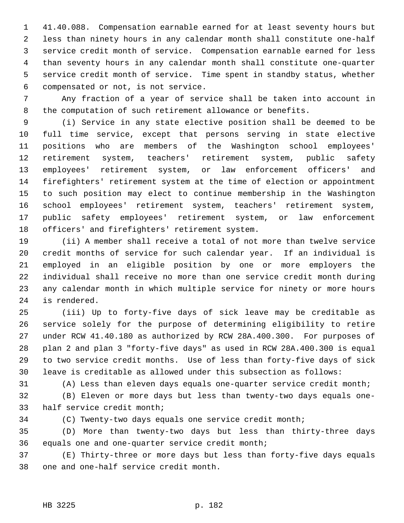1 41.40.088. Compensation earnable earned for at least seventy hours but 2 less than ninety hours in any calendar month shall constitute one-half 3 service credit month of service. Compensation earnable earned for less 4 than seventy hours in any calendar month shall constitute one-quarter 5 service credit month of service. Time spent in standby status, whether 6 compensated or not, is not service.

 7 Any fraction of a year of service shall be taken into account in 8 the computation of such retirement allowance or benefits.

 9 (i) Service in any state elective position shall be deemed to be 10 full time service, except that persons serving in state elective 11 positions who are members of the Washington school employees' 12 retirement system, teachers' retirement system, public safety 13 employees' retirement system, or law enforcement officers' and 14 firefighters' retirement system at the time of election or appointment 15 to such position may elect to continue membership in the Washington 16 school employees' retirement system, teachers' retirement system, 17 public safety employees' retirement system, or law enforcement 18 officers' and firefighters' retirement system.

19 (ii) A member shall receive a total of not more than twelve service 20 credit months of service for such calendar year. If an individual is 21 employed in an eligible position by one or more employers the 22 individual shall receive no more than one service credit month during 23 any calendar month in which multiple service for ninety or more hours 24 is rendered.

25 (iii) Up to forty-five days of sick leave may be creditable as 26 service solely for the purpose of determining eligibility to retire 27 under RCW 41.40.180 as authorized by RCW 28A.400.300. For purposes of 28 plan 2 and plan 3 "forty-five days" as used in RCW 28A.400.300 is equal 29 to two service credit months. Use of less than forty-five days of sick 30 leave is creditable as allowed under this subsection as follows:

31 (A) Less than eleven days equals one-quarter service credit month;

32 (B) Eleven or more days but less than twenty-two days equals one-33 half service credit month;

34 (C) Twenty-two days equals one service credit month;

35 (D) More than twenty-two days but less than thirty-three days 36 equals one and one-quarter service credit month;

37 (E) Thirty-three or more days but less than forty-five days equals 38 one and one-half service credit month.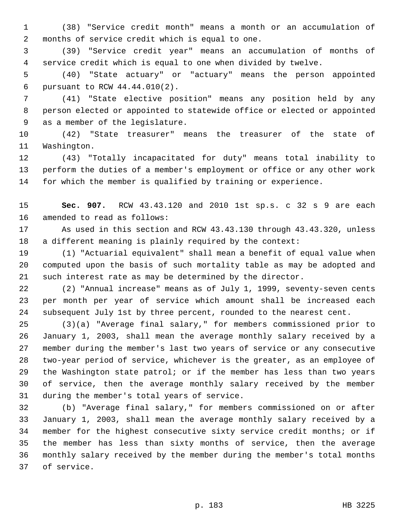1 (38) "Service credit month" means a month or an accumulation of 2 months of service credit which is equal to one.

 3 (39) "Service credit year" means an accumulation of months of 4 service credit which is equal to one when divided by twelve.

 5 (40) "State actuary" or "actuary" means the person appointed 6 pursuant to RCW 44.44.010(2).

 7 (41) "State elective position" means any position held by any 8 person elected or appointed to statewide office or elected or appointed 9 as a member of the legislature.

10 (42) "State treasurer" means the treasurer of the state of 11 Washington.

12 (43) "Totally incapacitated for duty" means total inability to 13 perform the duties of a member's employment or office or any other work 14 for which the member is qualified by training or experience.

15 **Sec. 907.** RCW 43.43.120 and 2010 1st sp.s. c 32 s 9 are each 16 amended to read as follows:

17 As used in this section and RCW 43.43.130 through 43.43.320, unless 18 a different meaning is plainly required by the context:

19 (1) "Actuarial equivalent" shall mean a benefit of equal value when 20 computed upon the basis of such mortality table as may be adopted and 21 such interest rate as may be determined by the director.

22 (2) "Annual increase" means as of July 1, 1999, seventy-seven cents 23 per month per year of service which amount shall be increased each 24 subsequent July 1st by three percent, rounded to the nearest cent.

25 (3)(a) "Average final salary," for members commissioned prior to 26 January 1, 2003, shall mean the average monthly salary received by a 27 member during the member's last two years of service or any consecutive 28 two-year period of service, whichever is the greater, as an employee of 29 the Washington state patrol; or if the member has less than two years 30 of service, then the average monthly salary received by the member 31 during the member's total years of service.

32 (b) "Average final salary," for members commissioned on or after 33 January 1, 2003, shall mean the average monthly salary received by a 34 member for the highest consecutive sixty service credit months; or if 35 the member has less than sixty months of service, then the average 36 monthly salary received by the member during the member's total months 37 of service.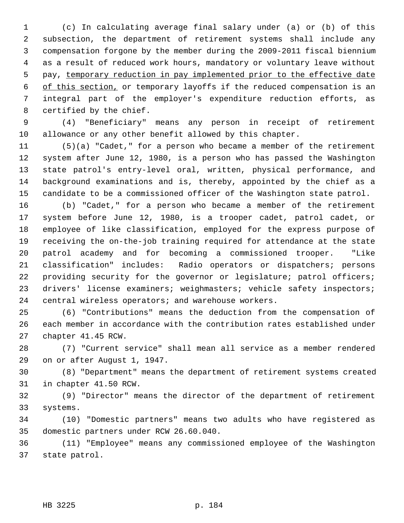1 (c) In calculating average final salary under (a) or (b) of this 2 subsection, the department of retirement systems shall include any 3 compensation forgone by the member during the 2009-2011 fiscal biennium 4 as a result of reduced work hours, mandatory or voluntary leave without 5 pay, temporary reduction in pay implemented prior to the effective date 6 of this section, or temporary layoffs if the reduced compensation is an 7 integral part of the employer's expenditure reduction efforts, as 8 certified by the chief.

 9 (4) "Beneficiary" means any person in receipt of retirement 10 allowance or any other benefit allowed by this chapter.

11 (5)(a) "Cadet," for a person who became a member of the retirement 12 system after June 12, 1980, is a person who has passed the Washington 13 state patrol's entry-level oral, written, physical performance, and 14 background examinations and is, thereby, appointed by the chief as a 15 candidate to be a commissioned officer of the Washington state patrol.

16 (b) "Cadet," for a person who became a member of the retirement 17 system before June 12, 1980, is a trooper cadet, patrol cadet, or 18 employee of like classification, employed for the express purpose of 19 receiving the on-the-job training required for attendance at the state 20 patrol academy and for becoming a commissioned trooper. "Like 21 classification" includes: Radio operators or dispatchers; persons 22 providing security for the governor or legislature; patrol officers; 23 drivers' license examiners; weighmasters; vehicle safety inspectors; 24 central wireless operators; and warehouse workers.

25 (6) "Contributions" means the deduction from the compensation of 26 each member in accordance with the contribution rates established under 27 chapter 41.45 RCW.

28 (7) "Current service" shall mean all service as a member rendered 29 on or after August 1, 1947.

30 (8) "Department" means the department of retirement systems created 31 in chapter 41.50 RCW.

32 (9) "Director" means the director of the department of retirement 33 systems.

34 (10) "Domestic partners" means two adults who have registered as 35 domestic partners under RCW 26.60.040.

36 (11) "Employee" means any commissioned employee of the Washington 37 state patrol.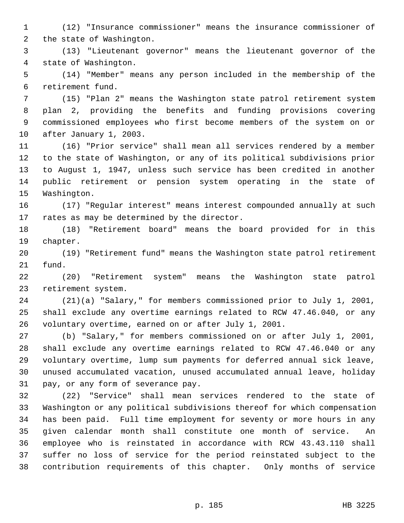1 (12) "Insurance commissioner" means the insurance commissioner of 2 the state of Washington.

 3 (13) "Lieutenant governor" means the lieutenant governor of the 4 state of Washington.

 5 (14) "Member" means any person included in the membership of the 6 retirement fund.

 7 (15) "Plan 2" means the Washington state patrol retirement system 8 plan 2, providing the benefits and funding provisions covering 9 commissioned employees who first become members of the system on or 10 after January 1, 2003.

11 (16) "Prior service" shall mean all services rendered by a member 12 to the state of Washington, or any of its political subdivisions prior 13 to August 1, 1947, unless such service has been credited in another 14 public retirement or pension system operating in the state of 15 Washington.

16 (17) "Regular interest" means interest compounded annually at such 17 rates as may be determined by the director.

18 (18) "Retirement board" means the board provided for in this 19 chapter.

20 (19) "Retirement fund" means the Washington state patrol retirement 21 fund.

22 (20) "Retirement system" means the Washington state patrol 23 retirement system.

24 (21)(a) "Salary," for members commissioned prior to July 1, 2001, 25 shall exclude any overtime earnings related to RCW 47.46.040, or any 26 voluntary overtime, earned on or after July 1, 2001.

27 (b) "Salary," for members commissioned on or after July 1, 2001, 28 shall exclude any overtime earnings related to RCW 47.46.040 or any 29 voluntary overtime, lump sum payments for deferred annual sick leave, 30 unused accumulated vacation, unused accumulated annual leave, holiday 31 pay, or any form of severance pay.

32 (22) "Service" shall mean services rendered to the state of 33 Washington or any political subdivisions thereof for which compensation 34 has been paid. Full time employment for seventy or more hours in any 35 given calendar month shall constitute one month of service. An 36 employee who is reinstated in accordance with RCW 43.43.110 shall 37 suffer no loss of service for the period reinstated subject to the 38 contribution requirements of this chapter. Only months of service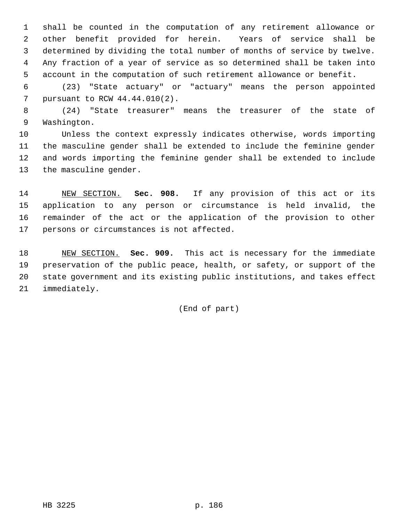1 shall be counted in the computation of any retirement allowance or 2 other benefit provided for herein. Years of service shall be 3 determined by dividing the total number of months of service by twelve. 4 Any fraction of a year of service as so determined shall be taken into 5 account in the computation of such retirement allowance or benefit.

 6 (23) "State actuary" or "actuary" means the person appointed 7 pursuant to RCW 44.44.010(2).

 8 (24) "State treasurer" means the treasurer of the state of 9 Washington.

10 Unless the context expressly indicates otherwise, words importing 11 the masculine gender shall be extended to include the feminine gender 12 and words importing the feminine gender shall be extended to include 13 the masculine gender.

14 NEW SECTION. **Sec. 908.** If any provision of this act or its 15 application to any person or circumstance is held invalid, the 16 remainder of the act or the application of the provision to other 17 persons or circumstances is not affected.

18 NEW SECTION. **Sec. 909.** This act is necessary for the immediate 19 preservation of the public peace, health, or safety, or support of the 20 state government and its existing public institutions, and takes effect 21 immediately.

(End of part)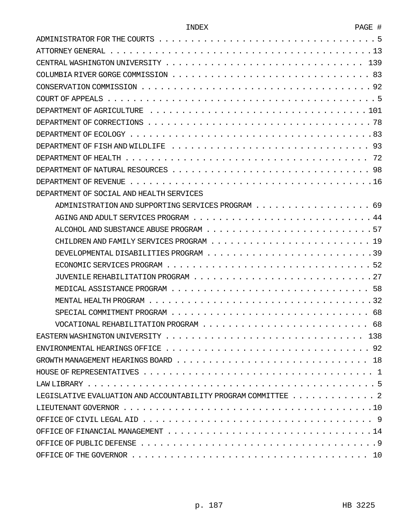| DEPARTMENT OF SOCIAL AND HEALTH SERVICES                                           |
|------------------------------------------------------------------------------------|
|                                                                                    |
|                                                                                    |
|                                                                                    |
|                                                                                    |
|                                                                                    |
|                                                                                    |
|                                                                                    |
|                                                                                    |
|                                                                                    |
|                                                                                    |
|                                                                                    |
|                                                                                    |
|                                                                                    |
|                                                                                    |
|                                                                                    |
|                                                                                    |
| LEGISLATIVE EVALUATION AND ACCOUNTABILITY PROGRAM COMMITTEE $\ldots \ldots \ldots$ |
|                                                                                    |
|                                                                                    |
|                                                                                    |
|                                                                                    |
|                                                                                    |